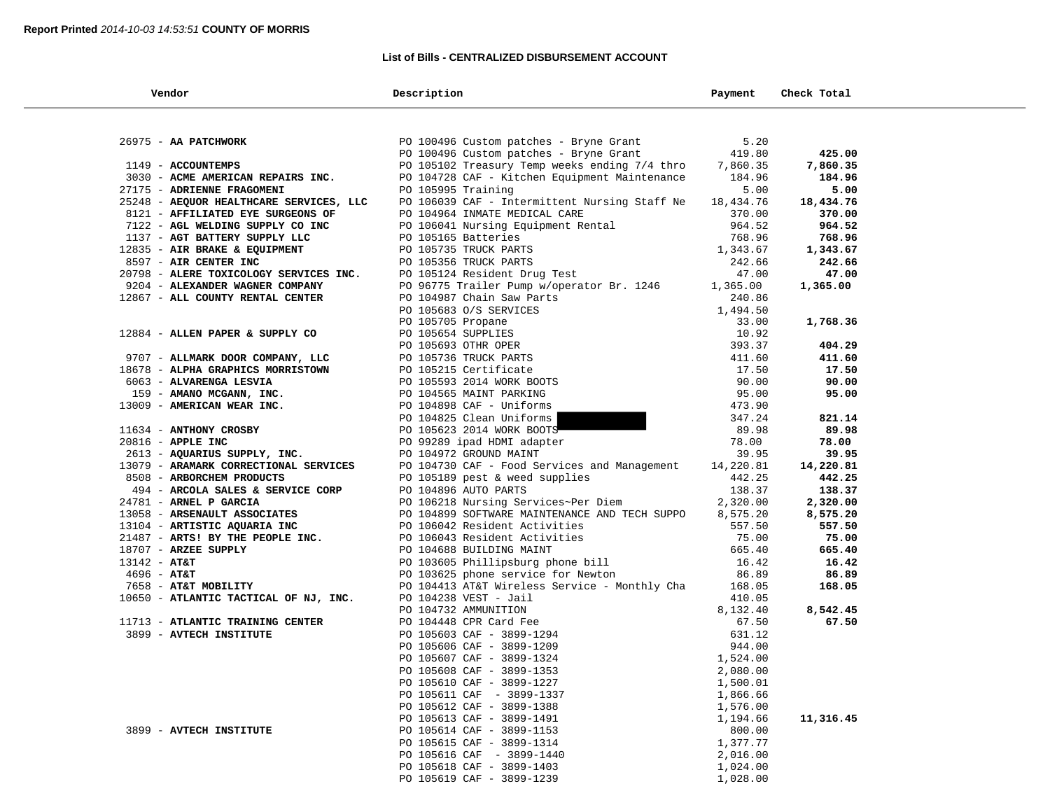# **List of Bills - CENTRALIZED DISBURSEMENT ACCOUNT**

| Vendor                                                                       | Description                                                                                                                                                                                                                                    | Payment           | Check Total         |
|------------------------------------------------------------------------------|------------------------------------------------------------------------------------------------------------------------------------------------------------------------------------------------------------------------------------------------|-------------------|---------------------|
|                                                                              |                                                                                                                                                                                                                                                |                   |                     |
| 26975 - AA PATCHWORK                                                         | PO 100496 Custom patches - Bryne Grant                                                                                                                                                                                                         | 5.20              |                     |
|                                                                              | PO 100496 Custom patches - Bryne Grant                                                                                                                                                                                                         | 419.80            | 425.00              |
| 1149 - ACCOUNTEMPS                                                           | PO 105102 Treasury Temp weeks ending 7/4 thro 7,860.35                                                                                                                                                                                         |                   | 7,860.35            |
| 3030 - ACME AMERICAN REPAIRS INC.                                            | PO 104728 CAF - Kitchen Equipment Maintenance                                                                                                                                                                                                  | 184.96            | 184.96              |
| 27175 - ADRIENNE FRAGOMENI                                                   | PO 105995 Training<br>PO 106039 CAF - Intermittent Nursing Staff Ne                                                                                                                                                                            | 5.00<br>18,434.76 | 5.00                |
| 25248 - AEQUOR HEALTHCARE SERVICES, LLC<br>8121 - AFFILIATED EYE SURGEONS OF | PO 104964 INMATE MEDICAL CARE                                                                                                                                                                                                                  | 370.00            | 18,434.76<br>370.00 |
| 7122 - AGL WELDING SUPPLY CO INC                                             |                                                                                                                                                                                                                                                |                   | 964.52              |
| 1137 - AGT BATTERY SUPPLY LLC                                                |                                                                                                                                                                                                                                                |                   | 768.96              |
| 12835 - AIR BRAKE & EQUIPMENT                                                | PO 106041 Nursing Equipment Rental<br>PO 106041 Nursing Equipment Rental<br>PO 105165 Batteries<br>PO 105735 TRUCK PARTS<br>PO 105356 TRUCK PARTS<br>PO 105124 Resident Drug Test<br>47.00                                                     |                   | 1,343.67            |
| 8597 - AIR CENTER INC                                                        |                                                                                                                                                                                                                                                |                   | 242.66              |
| 20798 - ALERE TOXICOLOGY SERVICES INC.                                       |                                                                                                                                                                                                                                                |                   | 47.00               |
| 9204 - ALEXANDER WAGNER COMPANY                                              | PO 96775 Trailer Pump w/operator Br. 1246                                                                                                                                                                                                      | 1,365.00          | 1,365.00            |
| 12867 - ALL COUNTY RENTAL CENTER                                             |                                                                                                                                                                                                                                                | 240.86            |                     |
|                                                                              |                                                                                                                                                                                                                                                | 1,494.50          |                     |
|                                                                              |                                                                                                                                                                                                                                                | 33.00             | 1,768.36            |
| 12884 - ALLEN PAPER & SUPPLY CO                                              |                                                                                                                                                                                                                                                | 10.92             |                     |
|                                                                              |                                                                                                                                                                                                                                                | 393.37            | 404.29              |
| 9707 - ALLMARK DOOR COMPANY, LLC                                             |                                                                                                                                                                                                                                                | 411.60            | 411.60              |
| 18678 - ALPHA GRAPHICS MORRISTOWN                                            |                                                                                                                                                                                                                                                | 17.50             | 17.50               |
| 6063 - ALVARENGA LESVIA                                                      |                                                                                                                                                                                                                                                | 90.00             | 90.00               |
| 159 - AMANO MCGANN, INC.                                                     | PO 96775 Trailer Pump w/operator Br. 1246<br>PO 104987 Chain Saw Parts<br>PO 105683 O/S SERVICES<br>PO 105705 Propane<br>PO 105654 SUPPLIES<br>PO 105693 OTHR OPER<br>PO 105593 OTHR OPER<br>PO 105736 TRUCK PARTS<br>PO 105593 2014 WORK BOOT | 95.00             | 95.00               |
| 13009 - AMERICAN WEAR INC.                                                   |                                                                                                                                                                                                                                                | 473.90            |                     |
|                                                                              |                                                                                                                                                                                                                                                | 347.24            | 821.14              |
| 11634 - ANTHONY CROSBY                                                       |                                                                                                                                                                                                                                                | 89.98             | 89.98               |
| 20816 - APPLE INC                                                            |                                                                                                                                                                                                                                                | 78.00             | 78.00               |
| 2613 - AQUARIUS SUPPLY, INC.                                                 |                                                                                                                                                                                                                                                | 39.95             | 39.95               |
| 13079 - ARAMARK CORRECTIONAL SERVICES                                        | PO 104730 CAF - Food Services and Management 14,220.81                                                                                                                                                                                         |                   | 14,220.81           |
| 8508 - ARBORCHEM PRODUCTS                                                    | PO 105189 pest & weed supplies                                                                                                                                                                                                                 | 442.25            | 442.25              |
| 494 - ARCOLA SALES & SERVICE CORP                                            | PO 104896 AUTO PARTS                                                                                                                                                                                                                           | 138.37            | 138.37              |
| 24781 - ARNEL P GARCIA                                                       | PO 106218 Nursing Services~Per Diem                                                                                                                                                                                                            | 2,320.00          | 2,320.00            |
| 13058 - ARSENAULT ASSOCIATES                                                 | PO 104899 SOFTWARE MAINTENANCE AND TECH SUPPO                                                                                                                                                                                                  | 8,575.20          | 8,575.20            |
| 13104 - ARTISTIC AQUARIA INC                                                 |                                                                                                                                                                                                                                                | 557.50            | 557.50              |
| 21487 - ARTS! BY THE PEOPLE INC.                                             |                                                                                                                                                                                                                                                | $75.00$<br>665 40 | 75.00               |
| 18707 - ARZEE SUPPLY                                                         |                                                                                                                                                                                                                                                | 16.42             | 665.40<br>16.42     |
| $13142 - AT&T$<br>$4696 - AT&T$                                              | PO 106042 Resident Activities<br>PO 106042 Resident Activities<br>PO 106043 Resident Activities<br>PO 104688 BUILDING MAINT<br>PO 103605 Phillipsburg phone bill<br>PO 103625 phone service for Newton                                         | 86.89             | 86.89               |
| 7658 - AT&T MOBILITY                                                         |                                                                                                                                                                                                                                                | 168.05            | 168.05              |
| 10650 - ATLANTIC TACTICAL OF NJ, INC.                                        | ) 103625 phone<br>0 104413 AT&T Wireless Service<br>20 104238 VEST - Jail<br>PO 104732 AMMUNITION<br>PO 104448 CPR Card Fee<br>PO 105603 CAF - 3899-1294<br>PO 105606 CAF - 3899-1209<br>PO 105607 CAF - 3899-1324<br>2899-1353                | 410.05            |                     |
|                                                                              |                                                                                                                                                                                                                                                | 8,132.40          | 8,542.45            |
| 11713 - ATLANTIC TRAINING CENTER                                             |                                                                                                                                                                                                                                                | 67.50             | 67.50               |
| 3899 - AVTECH INSTITUTE                                                      |                                                                                                                                                                                                                                                | 631.12            |                     |
|                                                                              |                                                                                                                                                                                                                                                | 944.00            |                     |
|                                                                              |                                                                                                                                                                                                                                                | 1,524.00          |                     |
|                                                                              |                                                                                                                                                                                                                                                | 2,080.00          |                     |
|                                                                              | PO 105610 CAF - 3899-1227                                                                                                                                                                                                                      | 1,500.01          |                     |
|                                                                              | PO 105611 CAF - 3899-1337                                                                                                                                                                                                                      | 1,866.66          |                     |
|                                                                              | PO 105612 CAF - 3899-1388                                                                                                                                                                                                                      | 1,576.00          |                     |
|                                                                              | PO 105613 CAF - 3899-1491                                                                                                                                                                                                                      | 1,194.66          | 11,316.45           |
| 3899 - AVTECH INSTITUTE                                                      | PO 105614 CAF - 3899-1153                                                                                                                                                                                                                      | 800.00            |                     |
|                                                                              | PO 105615 CAF - 3899-1314                                                                                                                                                                                                                      | 1,377.77          |                     |
|                                                                              | PO 105616 CAF - 3899-1440                                                                                                                                                                                                                      | 2,016.00          |                     |
|                                                                              | PO 105618 CAF - 3899-1403                                                                                                                                                                                                                      | 1,024.00          |                     |
|                                                                              | PO 105619 CAF - 3899-1239                                                                                                                                                                                                                      | 1,028.00          |                     |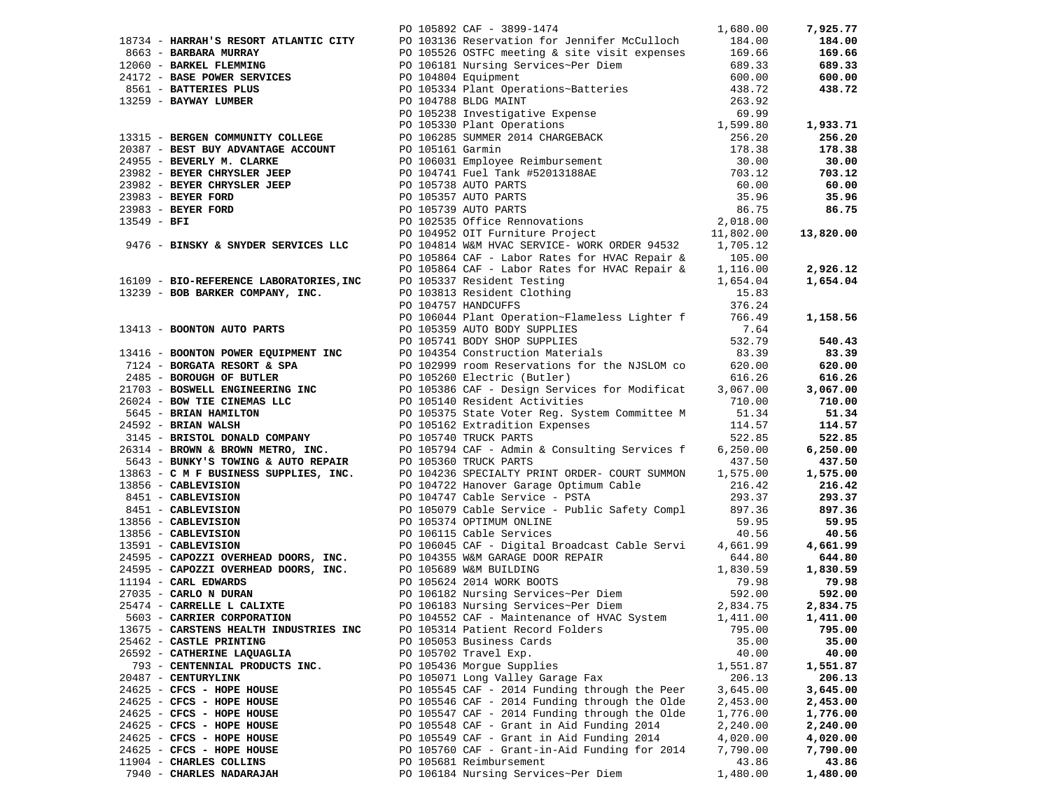|                                        | PO 105892 CAF - 3899-1474 1,680.00                                                                                                                                                                                                    |          | 7,925.77 |
|----------------------------------------|---------------------------------------------------------------------------------------------------------------------------------------------------------------------------------------------------------------------------------------|----------|----------|
|                                        |                                                                                                                                                                                                                                       |          |          |
|                                        |                                                                                                                                                                                                                                       |          |          |
|                                        |                                                                                                                                                                                                                                       |          |          |
|                                        |                                                                                                                                                                                                                                       |          |          |
|                                        |                                                                                                                                                                                                                                       |          |          |
|                                        |                                                                                                                                                                                                                                       |          |          |
|                                        |                                                                                                                                                                                                                                       |          |          |
|                                        |                                                                                                                                                                                                                                       |          |          |
|                                        |                                                                                                                                                                                                                                       |          |          |
|                                        |                                                                                                                                                                                                                                       |          |          |
|                                        |                                                                                                                                                                                                                                       |          |          |
|                                        |                                                                                                                                                                                                                                       |          |          |
|                                        |                                                                                                                                                                                                                                       |          |          |
|                                        |                                                                                                                                                                                                                                       |          |          |
|                                        |                                                                                                                                                                                                                                       |          |          |
|                                        |                                                                                                                                                                                                                                       |          |          |
|                                        |                                                                                                                                                                                                                                       |          |          |
|                                        |                                                                                                                                                                                                                                       |          |          |
|                                        |                                                                                                                                                                                                                                       |          |          |
|                                        |                                                                                                                                                                                                                                       |          |          |
|                                        |                                                                                                                                                                                                                                       |          |          |
|                                        |                                                                                                                                                                                                                                       |          |          |
|                                        |                                                                                                                                                                                                                                       |          |          |
|                                        |                                                                                                                                                                                                                                       |          |          |
|                                        |                                                                                                                                                                                                                                       |          |          |
|                                        |                                                                                                                                                                                                                                       |          |          |
|                                        |                                                                                                                                                                                                                                       |          |          |
|                                        |                                                                                                                                                                                                                                       |          |          |
|                                        |                                                                                                                                                                                                                                       |          |          |
|                                        |                                                                                                                                                                                                                                       |          |          |
|                                        |                                                                                                                                                                                                                                       |          |          |
|                                        |                                                                                                                                                                                                                                       |          |          |
|                                        |                                                                                                                                                                                                                                       |          |          |
|                                        |                                                                                                                                                                                                                                       |          |          |
|                                        |                                                                                                                                                                                                                                       |          |          |
|                                        |                                                                                                                                                                                                                                       |          |          |
|                                        |                                                                                                                                                                                                                                       |          |          |
|                                        |                                                                                                                                                                                                                                       |          |          |
|                                        |                                                                                                                                                                                                                                       |          |          |
|                                        |                                                                                                                                                                                                                                       |          |          |
|                                        |                                                                                                                                                                                                                                       |          |          |
|                                        |                                                                                                                                                                                                                                       |          |          |
|                                        |                                                                                                                                                                                                                                       |          |          |
|                                        |                                                                                                                                                                                                                                       |          |          |
|                                        |                                                                                                                                                                                                                                       |          |          |
|                                        |                                                                                                                                                                                                                                       |          |          |
|                                        |                                                                                                                                                                                                                                       |          |          |
|                                        | 1974: BADARA PERCENT PROPERTY ON 1970 1971 1981-1981<br>1974: <b>SADARA PERCENT PROPERTY CONTROLL INTO A SUBSTRATION CONTROLL INTO A SUBSTRATION CONTROLL INTO A SUBSTRATION CONTROLL INTO A SUBSTRATION CONTROLL INTO A SUBSTRAT</b> |          |          |
|                                        |                                                                                                                                                                                                                                       |          |          |
|                                        |                                                                                                                                                                                                                                       |          |          |
|                                        |                                                                                                                                                                                                                                       |          |          |
|                                        |                                                                                                                                                                                                                                       |          |          |
| 13675 - CARSTENS HEALTH INDUSTRIES INC | PO 105314 Patient Record Folders                                                                                                                                                                                                      | 795.00   | 795.00   |
| 25462 - CASTLE PRINTING                | PO 105053 Business Cards                                                                                                                                                                                                              | 35.00    | 35.00    |
| 26592 - CATHERINE LAQUAGLIA            | PO 105702 Travel Exp.                                                                                                                                                                                                                 | 40.00    | 40.00    |
| 793 - CENTENNIAL PRODUCTS INC.         | PO 105436 Morgue Supplies                                                                                                                                                                                                             | 1,551.87 | 1,551.87 |
| 20487 - CENTURYLINK                    | PO 105071 Long Valley Garage Fax                                                                                                                                                                                                      | 206.13   | 206.13   |
| 24625 - CFCS - HOPE HOUSE              | PO 105545 CAF - 2014 Funding through the Peer                                                                                                                                                                                         | 3,645.00 | 3,645.00 |
| 24625 - CFCS - HOPE HOUSE              | PO 105546 CAF - 2014 Funding through the Olde                                                                                                                                                                                         | 2,453.00 | 2,453.00 |
| 24625 - CFCS - HOPE HOUSE              | PO 105547 CAF - 2014 Funding through the Olde                                                                                                                                                                                         | 1,776.00 | 1,776.00 |
| 24625 - CFCS - HOPE HOUSE              | PO 105548 CAF - Grant in Aid Funding 2014                                                                                                                                                                                             | 2,240.00 | 2,240.00 |
| 24625 - CFCS - HOPE HOUSE              | PO 105549 CAF - Grant in Aid Funding 2014                                                                                                                                                                                             | 4,020.00 | 4,020.00 |
| 24625 - CFCS - HOPE HOUSE              | PO 105760 CAF - Grant-in-Aid Funding for 2014                                                                                                                                                                                         | 7,790.00 | 7,790.00 |
| 11904 - CHARLES COLLINS                | PO 105681 Reimbursement                                                                                                                                                                                                               | 43.86    | 43.86    |
| 7940 - CHARLES NADARAJAH               | PO 106184 Nursing Services~Per Diem                                                                                                                                                                                                   | 1,480.00 | 1,480.00 |
|                                        |                                                                                                                                                                                                                                       |          |          |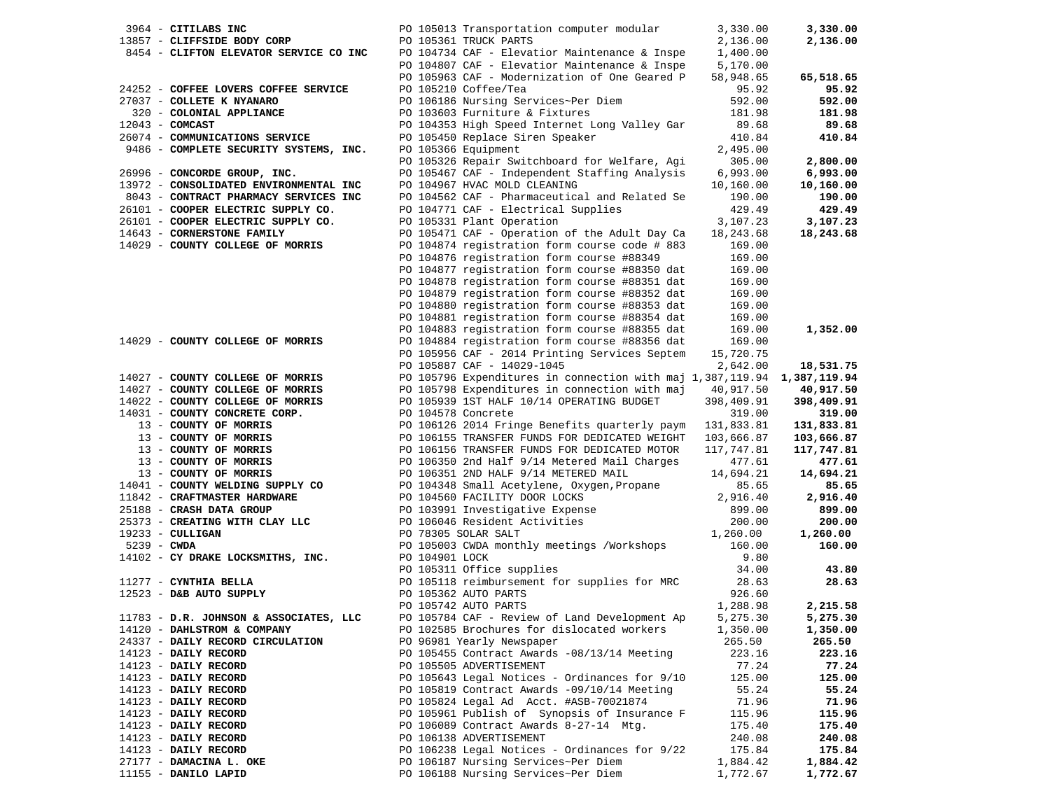| 3964 - CITILABS INC                                                                  |                    | PO 105013 Transportation computer modular                               | 3,330.00   | 3,330.00   |
|--------------------------------------------------------------------------------------|--------------------|-------------------------------------------------------------------------|------------|------------|
| 13857 - CLIFFSIDE BODY CORP                                                          |                    | PO 105361 TRUCK PARTS                                                   | 2,136.00   | 2,136.00   |
| 8454 - CLIFTON ELEVATOR SERVICE CO INC PO 104734 CAF - Elevatior Maintenance & Inspe |                    |                                                                         | 1,400.00   |            |
|                                                                                      |                    | PO 104807 CAF - Elevatior Maintenance & Inspe                           | 5,170.00   |            |
|                                                                                      |                    | PO 105963 CAF - Modernization of One Geared P                           | 58,948.65  | 65,518.65  |
|                                                                                      |                    |                                                                         |            |            |
| 24252 - COFFEE LOVERS COFFEE SERVICE                                                 |                    | PO 105210 Coffee/Tea                                                    | 95.92      | 95.92      |
| 27037 - COLLETE K NYANARO                                                            |                    | PO 106186 Nursing Services~Per Diem                                     | 592.00     | 592.00     |
| 320 - COLONIAL APPLIANCE                                                             |                    | PO 103603 Furniture & Fixtures                                          | 181.98     | 181.98     |
| $12043$ - COMCAST                                                                    |                    | PO 104353 High Speed Internet Long Valley Gar                           | 89.68      | 89.68      |
| 26074 - COMMUNICATIONS SERVICE                                                       |                    | PO 105450 Replace Siren Speaker                                         | 410.84     | 410.84     |
| 9486 - COMPLETE SECURITY SYSTEMS, INC.                                               |                    | PO 105366 Equipment                                                     | 2,495.00   |            |
|                                                                                      |                    | PO 105326 Repair Switchboard for Welfare, Agi                           | 305.00     | 2,800.00   |
| 26996 - CONCORDE GROUP, INC.                                                         |                    | PO 105467 CAF - Independent Staffing Analysis                           | 6,993.00   | 6,993.00   |
|                                                                                      |                    |                                                                         |            |            |
| 13972 - CONSOLIDATED ENVIRONMENTAL INC                                               |                    | PO 104967 HVAC MOLD CLEANING                                            | 10,160.00  | 10,160.00  |
| 8043 - CONTRACT PHARMACY SERVICES INC                                                |                    | PO 104562 CAF - Pharmaceutical and Related Se                           | 190.00     | 190.00     |
| 26101 - COOPER ELECTRIC SUPPLY CO.                                                   |                    | PO 104771 CAF - Electrical Supplies                                     | 429.49     | 429.49     |
| 26101 - COOPER ELECTRIC SUPPLY CO.                                                   |                    | PO 105331 Plant Operation                                               | 3,107.23   | 3,107.23   |
| 14643 - CORNERSTONE FAMILY                                                           |                    | PO 105471 CAF - Operation of the Adult Day Ca                           | 18,243.68  | 18,243.68  |
| 14029 - COUNTY COLLEGE OF MORRIS                                                     |                    | PO 104874 registration form course code # 883                           | 169.00     |            |
|                                                                                      |                    | PO 104876 registration form course #88349                               | 169.00     |            |
|                                                                                      |                    | PO 104877 registration form course #88350 dat                           | 169.00     |            |
|                                                                                      |                    |                                                                         |            |            |
|                                                                                      |                    | PO 104878 registration form course #88351 dat                           | 169.00     |            |
|                                                                                      |                    | PO 104879 registration form course #88352 dat                           | 169.00     |            |
|                                                                                      |                    | PO 104880 registration form course #88353 dat                           | 169.00     |            |
|                                                                                      |                    | PO 104881 registration form course #88354 dat                           | 169.00     |            |
|                                                                                      |                    | PO 104883 registration form course #88355 dat                           | 169.00     | 1,352.00   |
| 14029 - COUNTY COLLEGE OF MORRIS                                                     |                    | PO 104884 registration form course #88356 dat                           | 169.00     |            |
|                                                                                      |                    | PO 105956 CAF - 2014 Printing Services Septem                           | 15,720.75  |            |
|                                                                                      |                    | PO 105887 CAF - 14029-1045                                              | 2,642.00   | 18,531.75  |
| 14027 - COUNTY COLLEGE OF MORRIS                                                     |                    | PO 105796 Expenditures in connection with maj 1,387,119.94 1,387,119.94 |            |            |
|                                                                                      |                    |                                                                         |            |            |
| 14027 - COUNTY COLLEGE OF MORRIS                                                     |                    | PO 105798 Expenditures in connection with maj 40,917.50                 |            | 40,917.50  |
| 14022 - COUNTY COLLEGE OF MORRIS                                                     |                    | PO 105939 1ST HALF 10/14 OPERATING BUDGET                               | 398,409.91 | 398,409.91 |
| 14031 - COUNTY CONCRETE CORP.                                                        | PO 104578 Concrete |                                                                         | 319.00     | 319.00     |
| 13 - COUNTY OF MORRIS                                                                |                    | PO 106126 2014 Fringe Benefits quarterly paym                           | 131,833.81 | 131,833.81 |
| 13 - COUNTY OF MORRIS                                                                |                    | PO 106155 TRANSFER FUNDS FOR DEDICATED WEIGHT                           | 103,666.87 | 103,666.87 |
| 13 - COUNTY OF MORRIS                                                                |                    | PO 106156 TRANSFER FUNDS FOR DEDICATED MOTOR                            | 117,747.81 | 117,747.81 |
| 13 - COUNTY OF MORRIS                                                                |                    | PO 106350 2nd Half 9/14 Metered Mail Charges                            | 477.61     | 477.61     |
| 13 - COUNTY OF MORRIS                                                                |                    | PO 106351 2ND HALF 9/14 METERED MAIL                                    | 14,694.21  | 14,694.21  |
| 14041 - COUNTY WELDING SUPPLY CO                                                     |                    | PO 104348 Small Acetylene, Oxygen,Propane                               | 85.65      | 85.65      |
|                                                                                      |                    |                                                                         |            |            |
| 11842 - CRAFTMASTER HARDWARE                                                         |                    | PO 104560 FACILITY DOOR LOCKS                                           | 2,916.40   | 2,916.40   |
| 25188 - CRASH DATA GROUP                                                             |                    | PO 103991 Investigative Expense                                         | 899.00     | 899.00     |
| 25373 - CREATING WITH CLAY LLC                                                       |                    | PO 106046 Resident Activities<br>DO 106046 Resident Activities          | 200.00     | 200.00     |
| $19233 - \text{CULLIGAN}$                                                            |                    |                                                                         | 1,260.00   | 1,260.00   |
| $5239 - CWDA$                                                                        |                    | PO 105003 CWDA monthly meetings /Workshops                              | 160.00     | 160.00     |
| 14102 - CY DRAKE LOCKSMITHS, INC.                                                    | PO 104901 LOCK     |                                                                         | 9.80       |            |
|                                                                                      |                    | PO 105311 Office supplies                                               | 34.00      | 43.80      |
| 11277 - CYNTHIA BELLA                                                                |                    | PO 105118 reimbursement for supplies for MRC                            | 28.63      | 28.63      |
| 12523 - D&B AUTO SUPPLY                                                              |                    | PO 105362 AUTO PARTS                                                    | 926.60     |            |
|                                                                                      |                    | PO 105742 AUTO PARTS                                                    | 1,288.98   | 2,215.58   |
|                                                                                      |                    |                                                                         |            |            |
| 11783 - D.R. JOHNSON & ASSOCIATES, LLC                                               |                    | PO 105784 CAF - Review of Land Development Ap                           | 5,275.30   | 5,275.30   |
| 14120 - DAHLSTROM & COMPANY                                                          |                    | PO 102585 Brochures for dislocated workers                              | 1,350.00   | 1,350.00   |
| 24337 - DAILY RECORD CIRCULATION                                                     |                    | PO 96981 Yearly Newspaper                                               | 265.50     | 265.50     |
| 14123 - DAILY RECORD                                                                 |                    | PO 105455 Contract Awards -08/13/14 Meeting                             | 223.16     | 223.16     |
| 14123 - DAILY RECORD                                                                 |                    | PO 105505 ADVERTISEMENT                                                 | 77.24      | 77.24      |
| 14123 - DAILY RECORD                                                                 |                    | PO 105643 Legal Notices - Ordinances for 9/10                           | 125.00     | 125.00     |
| 14123 - DAILY RECORD                                                                 |                    | PO 105819 Contract Awards -09/10/14 Meeting                             | 55.24      | 55.24      |
| 14123 - DAILY RECORD                                                                 |                    | PO 105824 Legal Ad Acct. #ASB-70021874                                  | 71.96      | 71.96      |
| 14123 - DAILY RECORD                                                                 |                    | PO 105961 Publish of Synopsis of Insurance F                            | 115.96     | 115.96     |
| 14123 - DAILY RECORD                                                                 |                    | PO 106089 Contract Awards 8-27-14 Mtg.                                  | 175.40     | 175.40     |
|                                                                                      |                    |                                                                         |            |            |
| 14123 - DAILY RECORD                                                                 |                    | PO 106138 ADVERTISEMENT                                                 | 240.08     | 240.08     |
| 14123 - DAILY RECORD                                                                 |                    | PO 106238 Legal Notices - Ordinances for 9/22                           | 175.84     | 175.84     |
| 27177 - DAMACINA L. OKE                                                              |                    | PO 106187 Nursing Services~Per Diem                                     | 1,884.42   | 1,884.42   |
| 11155 - DANILO LAPID                                                                 |                    | PO 106188 Nursing Services~Per Diem                                     | 1,772.67   | 1,772.67   |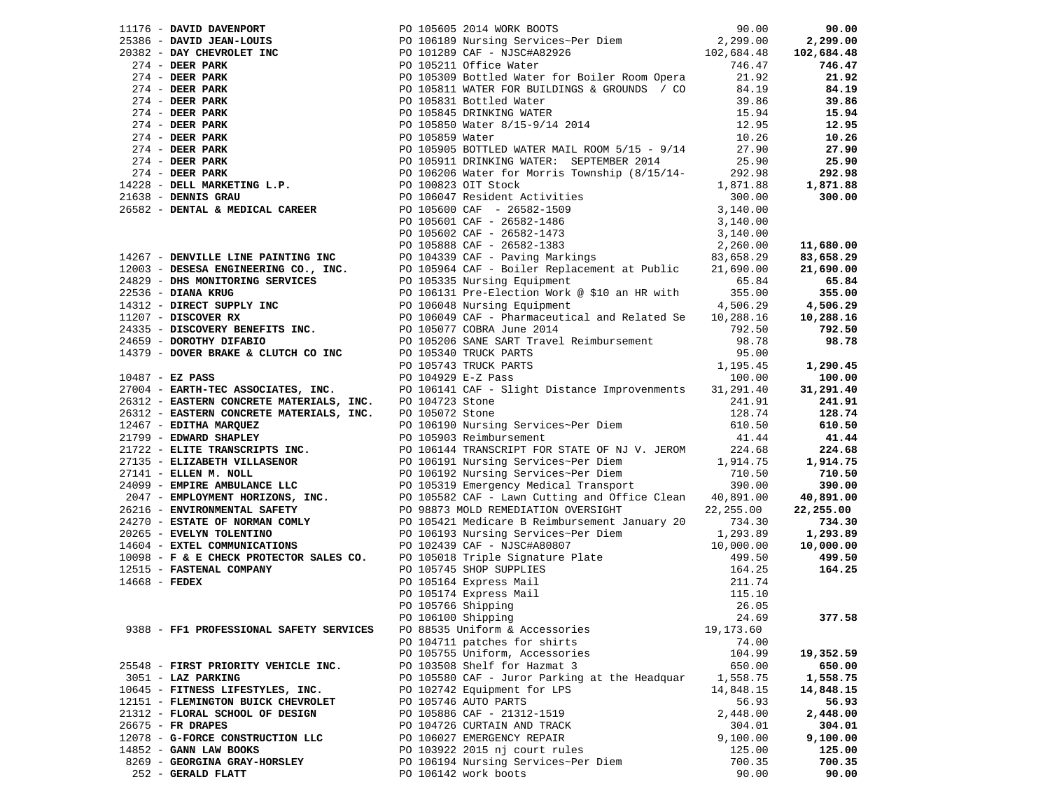|                                         | 1176 - DAVIE DAVIESCONT IN 1976 10505 20114 MONE MOVIE (1975)<br>2013 66 - DAVIE DRAME-LOUISE 1976 10005 20114 MONE MOVIE (1976 - 1976 1000 2013)<br>2013 - DAVIE PRESS PARK 198 1001200 DETENDANCE IN CONTROL 1000 2013<br>2014 - DEE                                              |           |           |
|-----------------------------------------|-------------------------------------------------------------------------------------------------------------------------------------------------------------------------------------------------------------------------------------------------------------------------------------|-----------|-----------|
|                                         |                                                                                                                                                                                                                                                                                     |           |           |
|                                         |                                                                                                                                                                                                                                                                                     |           |           |
|                                         |                                                                                                                                                                                                                                                                                     |           |           |
|                                         |                                                                                                                                                                                                                                                                                     |           |           |
|                                         |                                                                                                                                                                                                                                                                                     |           |           |
|                                         |                                                                                                                                                                                                                                                                                     |           |           |
|                                         |                                                                                                                                                                                                                                                                                     |           |           |
|                                         |                                                                                                                                                                                                                                                                                     |           |           |
|                                         |                                                                                                                                                                                                                                                                                     |           |           |
|                                         |                                                                                                                                                                                                                                                                                     |           |           |
|                                         |                                                                                                                                                                                                                                                                                     |           |           |
|                                         |                                                                                                                                                                                                                                                                                     |           |           |
|                                         |                                                                                                                                                                                                                                                                                     |           |           |
|                                         |                                                                                                                                                                                                                                                                                     |           |           |
|                                         |                                                                                                                                                                                                                                                                                     |           |           |
|                                         |                                                                                                                                                                                                                                                                                     |           |           |
|                                         |                                                                                                                                                                                                                                                                                     |           |           |
|                                         |                                                                                                                                                                                                                                                                                     |           |           |
|                                         |                                                                                                                                                                                                                                                                                     |           |           |
|                                         |                                                                                                                                                                                                                                                                                     |           |           |
|                                         |                                                                                                                                                                                                                                                                                     |           |           |
|                                         |                                                                                                                                                                                                                                                                                     |           |           |
|                                         |                                                                                                                                                                                                                                                                                     |           |           |
|                                         |                                                                                                                                                                                                                                                                                     |           | 10,288.16 |
|                                         |                                                                                                                                                                                                                                                                                     |           |           |
|                                         |                                                                                                                                                                                                                                                                                     |           |           |
|                                         |                                                                                                                                                                                                                                                                                     |           |           |
|                                         |                                                                                                                                                                                                                                                                                     |           | 1,290.45  |
|                                         |                                                                                                                                                                                                                                                                                     |           |           |
|                                         |                                                                                                                                                                                                                                                                                     |           |           |
|                                         |                                                                                                                                                                                                                                                                                     |           |           |
|                                         |                                                                                                                                                                                                                                                                                     |           |           |
|                                         |                                                                                                                                                                                                                                                                                     |           |           |
|                                         |                                                                                                                                                                                                                                                                                     |           |           |
|                                         |                                                                                                                                                                                                                                                                                     |           |           |
|                                         |                                                                                                                                                                                                                                                                                     |           |           |
|                                         |                                                                                                                                                                                                                                                                                     |           |           |
|                                         |                                                                                                                                                                                                                                                                                     |           |           |
|                                         |                                                                                                                                                                                                                                                                                     |           |           |
|                                         |                                                                                                                                                                                                                                                                                     |           |           |
|                                         |                                                                                                                                                                                                                                                                                     |           |           |
|                                         |                                                                                                                                                                                                                                                                                     |           |           |
|                                         |                                                                                                                                                                                                                                                                                     |           |           |
|                                         |                                                                                                                                                                                                                                                                                     |           |           |
|                                         |                                                                                                                                                                                                                                                                                     |           |           |
|                                         |                                                                                                                                                                                                                                                                                     |           |           |
|                                         |                                                                                                                                                                                                                                                                                     |           |           |
|                                         |                                                                                                                                                                                                                                                                                     |           |           |
| 9388 - FF1 PROFESSIONAL SAFETY SERVICES | 27004 <b>- EARTERN CONCRETE MATERIALS, INC.</b> PO 104141 CARP - SIGNAL COMPRESS TROPING THE PATERN CONCRETE MATERIALS, INC. PO 104172 Store<br>276312 - <b>EASTERN CONCRETE MATERIALS, INC.</b> PO 104773 Store<br>276312 - <b>EASTERN CONCR</b><br>PO 88535 Uniform & Accessories | 19,173.60 |           |
|                                         | PO 104711 patches for shirts                                                                                                                                                                                                                                                        | 74.00     |           |
|                                         | PO 105755 Uniform, Accessories                                                                                                                                                                                                                                                      | 104.99    | 19,352.59 |
| 25548 - FIRST PRIORITY VEHICLE INC.     | PO 103508 Shelf for Hazmat 3                                                                                                                                                                                                                                                        | 650.00    | 650.00    |
| 3051 - LAZ PARKING                      | PO 105580 CAF - Juror Parking at the Headquar                                                                                                                                                                                                                                       | 1,558.75  | 1,558.75  |
| 10645 - FITNESS LIFESTYLES, INC.        | PO 102742 Equipment for LPS                                                                                                                                                                                                                                                         | 14,848.15 | 14,848.15 |
| 12151 - FLEMINGTON BUICK CHEVROLET      | PO 105746 AUTO PARTS                                                                                                                                                                                                                                                                | 56.93     | 56.93     |
| 21312 - FLORAL SCHOOL OF DESIGN         | PO 105886 CAF - 21312-1519                                                                                                                                                                                                                                                          | 2,448.00  | 2,448.00  |
| 26675 - FR DRAPES                       | PO 104726 CURTAIN AND TRACK                                                                                                                                                                                                                                                         | 304.01    | 304.01    |
| 12078 - G-FORCE CONSTRUCTION LLC        | PO 106027 EMERGENCY REPAIR                                                                                                                                                                                                                                                          | 9,100.00  | 9,100.00  |
| $14852$ - GANN LAW BOOKS                | PO 103922 2015 nj court rules                                                                                                                                                                                                                                                       | 125.00    | 125.00    |
| 8269 - GEORGINA GRAY-HORSLEY            | PO 106194 Nursing Services~Per Diem                                                                                                                                                                                                                                                 | 700.35    | 700.35    |
| 252 - GERALD FLATT                      | PO 106142 work boots                                                                                                                                                                                                                                                                | 90.00     | 90.00     |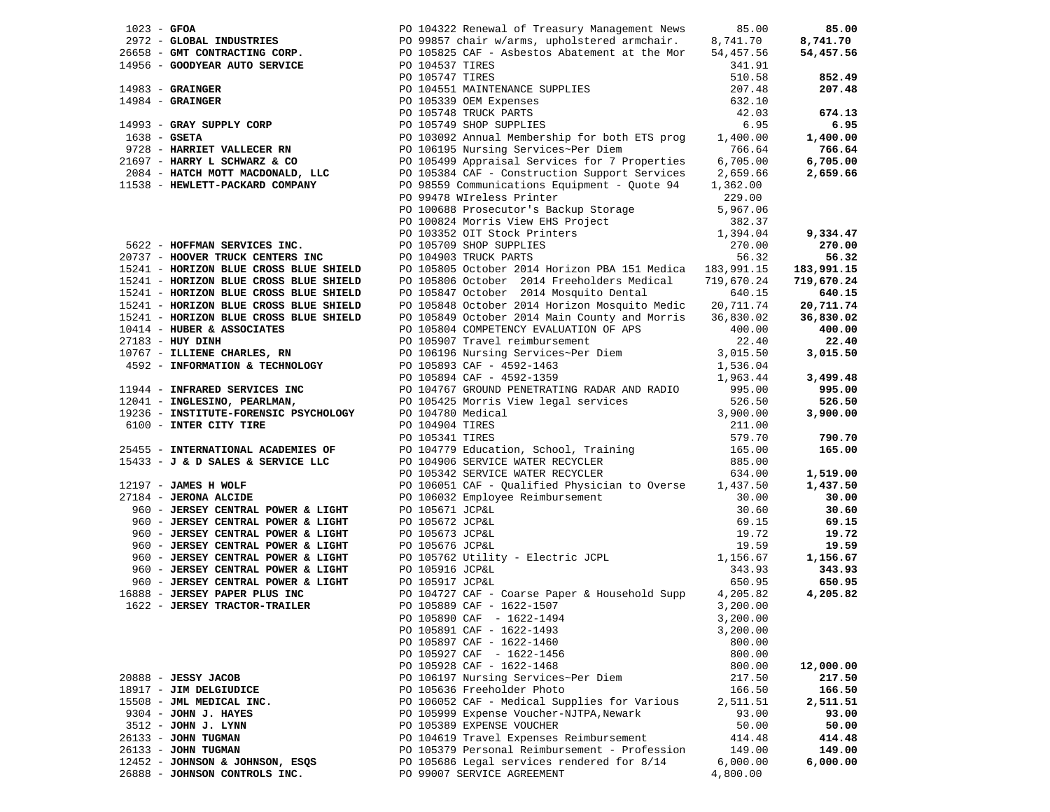|                                                                                  |                 |                                                                                                                                                                                                                                                                                                                    |            | 85.00      |
|----------------------------------------------------------------------------------|-----------------|--------------------------------------------------------------------------------------------------------------------------------------------------------------------------------------------------------------------------------------------------------------------------------------------------------------------|------------|------------|
|                                                                                  |                 |                                                                                                                                                                                                                                                                                                                    |            | 8,741.70   |
|                                                                                  |                 |                                                                                                                                                                                                                                                                                                                    |            | 54,457.56  |
|                                                                                  |                 | 1023 - GFOA 101322 Renewal of Treasury Management News 85.00<br>2972 - GLOBAL INDUSTRIES 19099857 chair w/arms, upholstered armchair. 8,741.70<br>26658 - GMT CONTRACTING CORP. PO 105825 CAF - Asbestos Abatement at the Mor 54,4                                                                                 |            |            |
|                                                                                  |                 |                                                                                                                                                                                                                                                                                                                    |            | 852.49     |
|                                                                                  |                 | 14983 - GRAINGER<br>14984 - GRAINGER<br>14984 - GRAINGER<br>14993 - GRAY SUPPLY CORP<br>1638 - GETA<br>1638 - GETA<br>1638 - HARRIS 1637<br>1638 - HARRIS 1637<br>1638 - HARRIS 1637<br>16.95<br>16.95<br>1728 - HARRIS 16.95<br>1728 - HARRIS 16.95<br>                                                           |            | 207.48     |
|                                                                                  |                 |                                                                                                                                                                                                                                                                                                                    |            |            |
|                                                                                  |                 |                                                                                                                                                                                                                                                                                                                    |            | 674.13     |
|                                                                                  |                 |                                                                                                                                                                                                                                                                                                                    |            | 6.95       |
|                                                                                  |                 |                                                                                                                                                                                                                                                                                                                    |            | 1,400.00   |
|                                                                                  |                 |                                                                                                                                                                                                                                                                                                                    |            | 766.64     |
| 21697 - HARRY L SCHWARZ & CO                                                     |                 |                                                                                                                                                                                                                                                                                                                    |            | 6,705.00   |
|                                                                                  |                 | 21697 - HARRY L SCHWARZ & CO<br>2084 - HATCH MOTT MACDONALD, LLC                PO 105384 CAF - Construction Support Services     2,659.66                                                                                                                                                                         |            | 2,659.66   |
| 11538 - HEWLETT-PACKARD COMPANY                                                  |                 | PO 98559 Communications Equipment - Quote 94                                                                                                                                                                                                                                                                       | 1,362.00   |            |
|                                                                                  |                 | PO 99478 WIreless Printer                                                                                                                                                                                                                                                                                          | 229.00     |            |
|                                                                                  |                 | PO 100688 Prosecutor's Backup Storage<br>PO 100824 Morris View EHS Project<br>PO 103352 OIT Stock Printers<br>PO 105709 SHOP SUPPLIES<br>PO 104903 TRUCK PARTS                                                                                                                                                     | 5,967.06   |            |
|                                                                                  |                 |                                                                                                                                                                                                                                                                                                                    | 382.37     |            |
|                                                                                  |                 |                                                                                                                                                                                                                                                                                                                    | 1,394.04   | 9,334.47   |
| 5622 - HOFFMAN SERVICES INC.                                                     |                 |                                                                                                                                                                                                                                                                                                                    | 270.00     | 270.00     |
| 20737 - HOOVER TRUCK CENTERS INC                                                 |                 | PO 104903 TRUCK PARTS                                                                                                                                                                                                                                                                                              | 56.32      | 56.32      |
|                                                                                  |                 | 156.32 EDITIONER TRUCK CENTERS INC<br>15241 - HORIZON BLUE CROSS BLUE SHIELD 105805 October 2014 Horizon PBA 151 Medica 183,991.15                                                                                                                                                                                 |            | 183,991.15 |
|                                                                                  |                 |                                                                                                                                                                                                                                                                                                                    | 719,670.24 | 719,670.24 |
|                                                                                  |                 | 15241 - HORIZON BLUE CROSS BLUE SHIELD DO 105806 October 2014 Freeholders Medical<br>15241 - HORIZON BLUE CROSS BLUE SHIELD DO 105847 October 2014 Mosquito Dental                                                                                                                                                 | 640.15     | 640.15     |
|                                                                                  |                 | PO 105848 October 2014 Horizon Mosquito Medic                                                                                                                                                                                                                                                                      | 20,711.74  | 20,711.74  |
| 15241 - HORIZON BLUE CROSS BLUE SHIELD<br>15241 - HORIZON BLUE CROSS BLUE SHIELD |                 | PO 105849 October 2014 Main County and Morris                                                                                                                                                                                                                                                                      | 36,830.02  | 36,830.02  |
| 10414 - HUBER & ASSOCIATES                                                       |                 | PO 105804 COMPETENCY EVALUATION OF APS                                                                                                                                                                                                                                                                             | 400.00     | 400.00     |
| 27183 - HUY DINH                                                                 |                 | PO 105907 Travel reimbursement                                                                                                                                                                                                                                                                                     | 22.40      | 22.40      |
| 10767 - ILLIENE CHARLES, RN                                                      |                 | PO 105307 Have Terms may be possed by 106196 Nursing Services~Per Diem                                                                                                                                                                                                                                             | 3,015.50   | 3,015.50   |
| 4592 - INFORMATION & TECHNOLOGY                                                  |                 |                                                                                                                                                                                                                                                                                                                    | 1,536.04   |            |
|                                                                                  |                 |                                                                                                                                                                                                                                                                                                                    | 1,963.44   | 3,499.48   |
|                                                                                  |                 | PO 106196 Nursing Service --.<br>PO 105893 CAF - 4592-1463<br>PO 105894 CAF - 4592-1359<br>DESCRIPE DEMENDATING RADAR AND RADIO<br>11944 - INFRARED SERVICES INC<br>12041 - INGLESINO, PEARLMAN, PEARLMAN, PO 104767 GROUND PENETRATING RADAR AND RADIO<br>19236 - INSTITUTE-FORENSIC PSYCHOLOGY PO 104780 Medical | 995.00     | 995.00     |
|                                                                                  |                 |                                                                                                                                                                                                                                                                                                                    | 526.50     | 526.50     |
|                                                                                  |                 |                                                                                                                                                                                                                                                                                                                    | 3,900.00   | 3,900.00   |
| 6100 - INTER CITY TIRE                                                           | PO 104904 TIRES |                                                                                                                                                                                                                                                                                                                    | 211.00     |            |
|                                                                                  |                 |                                                                                                                                                                                                                                                                                                                    |            | 790.70     |
| 25455 - INTERNATIONAL ACADEMIES OF                                               |                 |                                                                                                                                                                                                                                                                                                                    |            | 165.00     |
| 15433 - J & D SALES & SERVICE LLC                                                |                 |                                                                                                                                                                                                                                                                                                                    |            |            |
|                                                                                  |                 | PO 105341 TIRES 579.70<br>PO 104779 Education, School, Training 165.00<br>PO 104906 SERVICE WATER RECYCLER 885.00<br>PO 105342 SERVICE WATER RECYCLER 634.00                                                                                                                                                       |            | 1,519.00   |
| 12197 - JAMES H WOLF                                                             |                 | PO 106051 CAF - Qualified Physician to Overse 1,437.50                                                                                                                                                                                                                                                             |            | 1,437.50   |
| 27184 - JERONA ALCIDE                                                            |                 |                                                                                                                                                                                                                                                                                                                    | 30.00      | 30.00      |
| 960 - JERSEY CENTRAL POWER & LIGHT                                               |                 | PO 106032 Employee Reimbursement<br>PO 105671 JCP&L                                                                                                                                                                                                                                                                | 30.60      | 30.60      |
|                                                                                  |                 |                                                                                                                                                                                                                                                                                                                    |            | 69.15      |
|                                                                                  |                 |                                                                                                                                                                                                                                                                                                                    |            | 19.72      |
|                                                                                  |                 | 960 – <b>JERSEY CENTRAL POWER &amp; LIGHT</b><br>960 – <b>JERSEY CENTRAL POWER &amp; LIGHT</b><br>960 – <b>JERSEY CENTRAL POWER &amp; LIGHT</b><br>960 – <b>JERSEY CENTRAL POWER &amp; LIGHT</b><br>960 – <b>JERSEY CENTRAL POWER &amp; LIGHT</b><br>960 – <b>JERSEY CENTRAL POWER &amp; LI</b>                    |            | 19.59      |
|                                                                                  |                 |                                                                                                                                                                                                                                                                                                                    |            | 1,156.67   |
|                                                                                  |                 |                                                                                                                                                                                                                                                                                                                    |            | 343.93     |
|                                                                                  |                 |                                                                                                                                                                                                                                                                                                                    |            | 650.95     |
| 16888 - JERSEY PAPER PLUS INC                                                    |                 |                                                                                                                                                                                                                                                                                                                    |            | 4,205.82   |
| 1622 - JERSEY TRACTOR-TRAILER                                                    |                 | PO 105889 CAF - 1622-1507                                                                                                                                                                                                                                                                                          | 3,200.00   |            |
|                                                                                  |                 | PO 105890 CAF - 1622-1494                                                                                                                                                                                                                                                                                          | 3,200.00   |            |
|                                                                                  |                 | PO 105891 CAF - 1622-1493                                                                                                                                                                                                                                                                                          | 3,200.00   |            |
|                                                                                  |                 | PO 105897 CAF - 1622-1460                                                                                                                                                                                                                                                                                          | 800.00     |            |
|                                                                                  |                 | PO 105927 CAF - 1622-1456                                                                                                                                                                                                                                                                                          | 800.00     |            |
|                                                                                  |                 | PO 105928 CAF - 1622-1468                                                                                                                                                                                                                                                                                          | 800.00     | 12,000.00  |
| 20888 - JESSY JACOB                                                              |                 | PO 106197 Nursing Services~Per Diem                                                                                                                                                                                                                                                                                | 217.50     | 217.50     |
| 18917 - JIM DELGIUDICE                                                           |                 | PO 105636 Freeholder Photo                                                                                                                                                                                                                                                                                         | 166.50     | 166.50     |
| 15508 - JML MEDICAL INC.                                                         |                 | PO 106052 CAF - Medical Supplies for Various                                                                                                                                                                                                                                                                       | 2,511.51   | 2,511.51   |
| 9304 - JOHN J. HAYES                                                             |                 | PO 105999 Expense Voucher-NJTPA, Newark                                                                                                                                                                                                                                                                            | 93.00      | 93.00      |
| 3512 - JOHN J. LYNN                                                              |                 | PO 105389 EXPENSE VOUCHER                                                                                                                                                                                                                                                                                          | 50.00      | 50.00      |
| 26133 - JOHN TUGMAN                                                              |                 | PO 104619 Travel Expenses Reimbursement                                                                                                                                                                                                                                                                            | 414.48     | 414.48     |
| 26133 - JOHN TUGMAN                                                              |                 | PO 105379 Personal Reimbursement - Profession                                                                                                                                                                                                                                                                      | 149.00     | 149.00     |
| 12452 - JOHNSON & JOHNSON, ESQS                                                  |                 | PO 105686 Legal services rendered for 8/14                                                                                                                                                                                                                                                                         | 6,000.00   | 6,000.00   |
| 26888 - JOHNSON CONTROLS INC.                                                    |                 | PO 99007 SERVICE AGREEMENT                                                                                                                                                                                                                                                                                         | 4,800.00   |            |
|                                                                                  |                 |                                                                                                                                                                                                                                                                                                                    |            |            |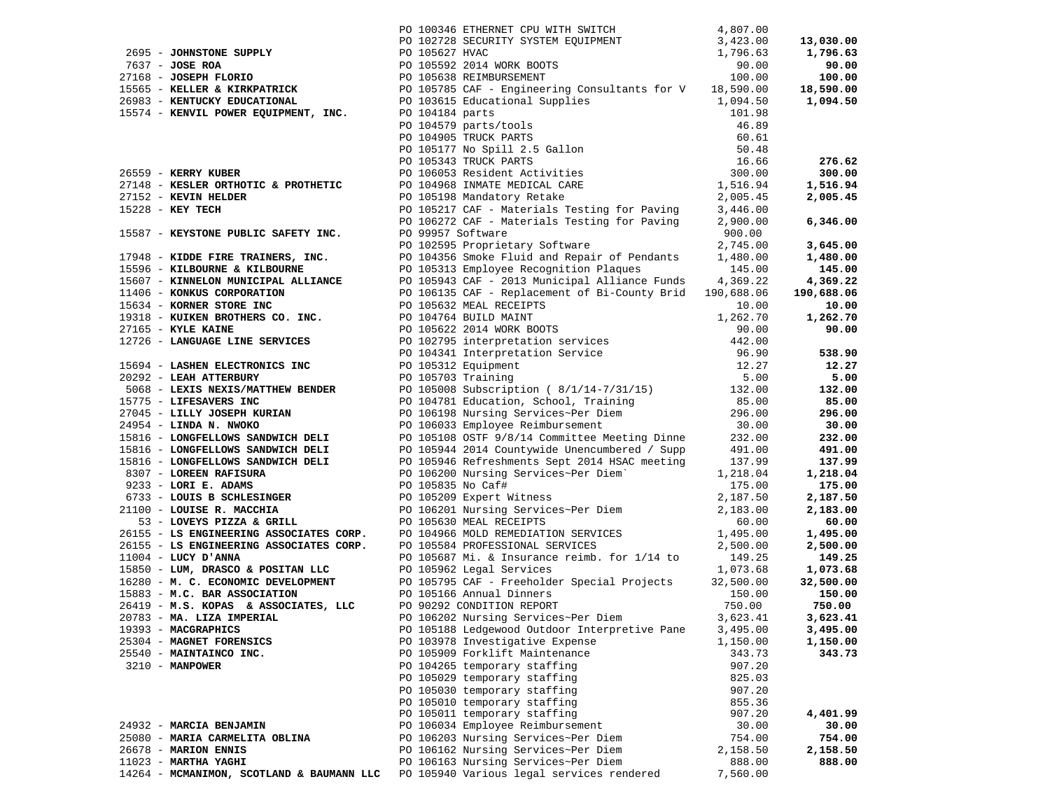|                                                                                                                                                                                                                                  |                                               |          | 13,030.00     |
|----------------------------------------------------------------------------------------------------------------------------------------------------------------------------------------------------------------------------------|-----------------------------------------------|----------|---------------|
|                                                                                                                                                                                                                                  |                                               |          | 1,796.63      |
|                                                                                                                                                                                                                                  |                                               |          | 90.00         |
|                                                                                                                                                                                                                                  |                                               |          | 100.00        |
|                                                                                                                                                                                                                                  |                                               |          | 18,590.00     |
|                                                                                                                                                                                                                                  |                                               |          | 1,094.50      |
|                                                                                                                                                                                                                                  |                                               |          |               |
|                                                                                                                                                                                                                                  |                                               |          |               |
|                                                                                                                                                                                                                                  |                                               |          |               |
|                                                                                                                                                                                                                                  |                                               |          |               |
|                                                                                                                                                                                                                                  |                                               |          | 276.62        |
|                                                                                                                                                                                                                                  |                                               |          | 300.00        |
|                                                                                                                                                                                                                                  |                                               |          | 1,516.94      |
|                                                                                                                                                                                                                                  |                                               |          | 2,005.45      |
|                                                                                                                                                                                                                                  |                                               |          |               |
|                                                                                                                                                                                                                                  |                                               |          | 6,346.00      |
|                                                                                                                                                                                                                                  |                                               |          |               |
|                                                                                                                                                                                                                                  |                                               |          | 3,645.00      |
|                                                                                                                                                                                                                                  |                                               |          | 1,480.00      |
|                                                                                                                                                                                                                                  |                                               |          | 145.00        |
|                                                                                                                                                                                                                                  |                                               |          | 4,369.22      |
|                                                                                                                                                                                                                                  |                                               |          | 190,688.06    |
|                                                                                                                                                                                                                                  |                                               |          | 10.00         |
|                                                                                                                                                                                                                                  |                                               |          | 1,262.70      |
|                                                                                                                                                                                                                                  |                                               |          | 90.00         |
|                                                                                                                                                                                                                                  |                                               |          |               |
|                                                                                                                                                                                                                                  |                                               |          | 538.90        |
|                                                                                                                                                                                                                                  |                                               |          |               |
|                                                                                                                                                                                                                                  |                                               |          | 12.27<br>5.00 |
|                                                                                                                                                                                                                                  |                                               |          |               |
|                                                                                                                                                                                                                                  |                                               |          | 132.00        |
|                                                                                                                                                                                                                                  |                                               |          | 85.00         |
|                                                                                                                                                                                                                                  |                                               |          | 296.00        |
|                                                                                                                                                                                                                                  |                                               |          | 30.00         |
|                                                                                                                                                                                                                                  |                                               |          | 232.00        |
|                                                                                                                                                                                                                                  |                                               |          | 491.00        |
|                                                                                                                                                                                                                                  |                                               |          | 137.99        |
|                                                                                                                                                                                                                                  |                                               |          | 1,218.04      |
|                                                                                                                                                                                                                                  |                                               |          | 175.00        |
|                                                                                                                                                                                                                                  |                                               |          | 2,187.50      |
|                                                                                                                                                                                                                                  |                                               |          | 2,183.00      |
|                                                                                                                                                                                                                                  |                                               |          | 60.00         |
|                                                                                                                                                                                                                                  |                                               |          | 1,495.00      |
|                                                                                                                                                                                                                                  |                                               |          | 2,500.00      |
| 7499 - CORRECORT SUPER (A) 193346 UNIVERSE (A) NATULA (A) 1932<br>7499 - CORRECORT SUPER MUNITIPE (A) NATULA UNIVERSE (A) NATULA (A) 1932<br>7491 - CORRECORT PROGRESS (A) 1932 - 2003 - 1933 - 1933 - 1934 - 1934 - 1934 - 1935 |                                               |          | 149.25        |
|                                                                                                                                                                                                                                  |                                               |          | 1,073.68      |
|                                                                                                                                                                                                                                  |                                               |          | 32,500.00     |
|                                                                                                                                                                                                                                  |                                               |          | 150.00        |
|                                                                                                                                                                                                                                  |                                               |          | 750.00        |
| 20783 - MA. LIZA IMPERIAL PO 106202 Nursing Services~Per Diem                                                                                                                                                                    |                                               | 3,623.41 | 3,623.41      |
| 19393 - MACGRAPHICS                                                                                                                                                                                                              | PO 105188 Ledgewood Outdoor Interpretive Pane | 3,495.00 | 3,495.00      |
| 25304 - MAGNET FORENSICS                                                                                                                                                                                                         | PO 103978 Investigative Expense               | 1,150.00 | 1,150.00      |
| 25540 - MAINTAINCO INC.                                                                                                                                                                                                          | PO 105909 Forklift Maintenance                | 343.73   | 343.73        |
| 3210 - MANPOWER                                                                                                                                                                                                                  | PO 104265 temporary staffing                  | 907.20   |               |
|                                                                                                                                                                                                                                  | PO 105029 temporary staffing                  | 825.03   |               |
|                                                                                                                                                                                                                                  | PO 105030 temporary staffing                  | 907.20   |               |
|                                                                                                                                                                                                                                  | PO 105010 temporary staffing                  | 855.36   |               |
|                                                                                                                                                                                                                                  | PO 105011 temporary staffing                  | 907.20   | 4,401.99      |
| 24932 - MARCIA BENJAMIN                                                                                                                                                                                                          | PO 106034 Employee Reimbursement              | 30.00    | 30.00         |
| 25080 - MARIA CARMELITA OBLINA                                                                                                                                                                                                   | PO 106203 Nursing Services~Per Diem           | 754.00   | 754.00        |
| 26678 - MARION ENNIS                                                                                                                                                                                                             | PO 106162 Nursing Services~Per Diem           | 2,158.50 | 2,158.50      |
| 11023 - MARTHA YAGHI                                                                                                                                                                                                             | PO 106163 Nursing Services~Per Diem           | 888.00   | 888.00        |
| 14264 - MCMANIMON, SCOTLAND & BAUMANN LLC                                                                                                                                                                                        | PO 105940 Various legal services rendered     | 7,560.00 |               |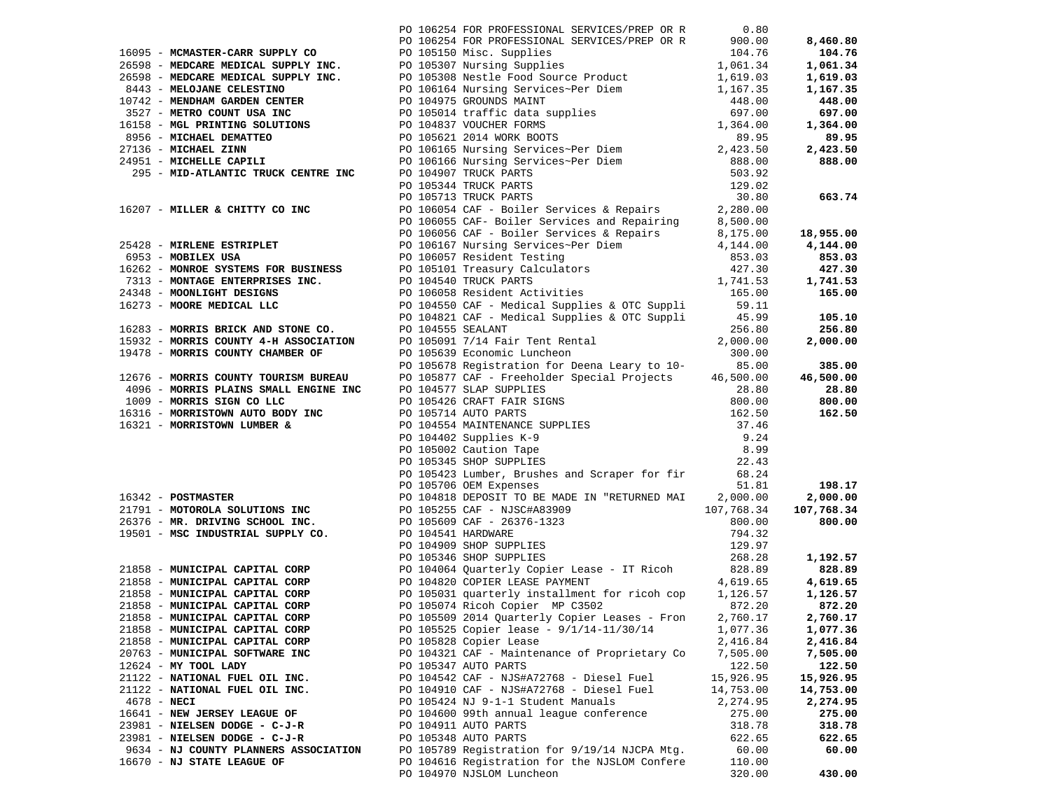|               |                                                          | PO 106254 FOR PROFESSIONAL SERVICES/PREP OR R 0.80                                             |                      |                      |
|---------------|----------------------------------------------------------|------------------------------------------------------------------------------------------------|----------------------|----------------------|
|               |                                                          |                                                                                                |                      |                      |
|               |                                                          |                                                                                                |                      |                      |
|               |                                                          |                                                                                                |                      |                      |
|               |                                                          |                                                                                                |                      |                      |
|               |                                                          |                                                                                                |                      |                      |
|               |                                                          |                                                                                                |                      |                      |
|               |                                                          |                                                                                                |                      |                      |
|               |                                                          |                                                                                                |                      |                      |
|               |                                                          |                                                                                                |                      |                      |
|               |                                                          |                                                                                                |                      |                      |
|               |                                                          |                                                                                                |                      |                      |
|               |                                                          |                                                                                                |                      |                      |
|               |                                                          |                                                                                                |                      |                      |
|               |                                                          |                                                                                                |                      |                      |
|               |                                                          |                                                                                                |                      |                      |
|               |                                                          |                                                                                                |                      |                      |
|               |                                                          |                                                                                                |                      |                      |
|               |                                                          |                                                                                                |                      |                      |
|               |                                                          |                                                                                                |                      |                      |
|               |                                                          |                                                                                                |                      |                      |
|               |                                                          |                                                                                                |                      |                      |
|               |                                                          |                                                                                                |                      |                      |
|               |                                                          |                                                                                                |                      |                      |
|               |                                                          |                                                                                                |                      |                      |
|               |                                                          |                                                                                                |                      |                      |
|               |                                                          |                                                                                                |                      |                      |
|               |                                                          |                                                                                                |                      |                      |
|               |                                                          |                                                                                                |                      |                      |
|               |                                                          |                                                                                                |                      |                      |
|               |                                                          |                                                                                                |                      |                      |
|               |                                                          |                                                                                                |                      |                      |
|               |                                                          |                                                                                                |                      |                      |
|               |                                                          |                                                                                                |                      |                      |
|               |                                                          |                                                                                                |                      |                      |
|               |                                                          |                                                                                                |                      |                      |
|               |                                                          |                                                                                                |                      |                      |
|               |                                                          |                                                                                                |                      |                      |
|               |                                                          |                                                                                                |                      |                      |
|               |                                                          |                                                                                                |                      |                      |
|               |                                                          |                                                                                                |                      |                      |
|               |                                                          |                                                                                                |                      |                      |
|               |                                                          |                                                                                                |                      |                      |
|               |                                                          |                                                                                                |                      |                      |
|               |                                                          |                                                                                                |                      |                      |
|               |                                                          |                                                                                                |                      |                      |
|               |                                                          |                                                                                                |                      |                      |
|               |                                                          |                                                                                                |                      |                      |
|               |                                                          |                                                                                                |                      |                      |
|               |                                                          | 21858 - MUNICIPAL CAPITAL CORP 60 105509 2014 Quarterly Copier Leases - Fron 2,760.17 2,760.17 |                      |                      |
|               | 21858 - MUNICIPAL CAPITAL CORP                           | PO 105525 Copier lease - 9/1/14-11/30/14                                                       | 1,077.36             | 1,077.36             |
|               | 21858 - MUNICIPAL CAPITAL CORP                           |                                                                                                |                      |                      |
|               | 20763 - MUNICIPAL SOFTWARE INC                           | PO 105828 Copier Lease<br>PO 104321 CAF - Maintenance of Proprietary Co                        | 2,416.84<br>7,505.00 | 2,416.84<br>7,505.00 |
|               |                                                          |                                                                                                | 122.50               |                      |
|               | $12624$ - MY TOOL LADY<br>21122 - NATIONAL FUEL OIL INC. | PO 105347 AUTO PARTS<br>PO 104542 CAF - NJS#A72768 - Diesel Fuel                               | 15,926.95            | 122.50<br>15,926.95  |
|               | 21122 - NATIONAL FUEL OIL INC.                           | PO 104910 CAF - NJS#A72768 - Diesel Fuel                                                       | 14,753.00            | 14,753.00            |
| $4678 - NECI$ |                                                          | PO 105424 NJ 9-1-1 Student Manuals                                                             | 2,274.95             | 2,274.95             |
|               | 16641 - NEW JERSEY LEAGUE OF                             | PO 104600 99th annual league conference                                                        |                      | 275.00               |
|               | 23981 - NIELSEN DODGE - C-J-R                            |                                                                                                | 275.00               | 318.78               |
|               | 23981 - NIELSEN DODGE - C-J-R                            | PO 104911 AUTO PARTS<br>PO 105348 AUTO PARTS                                                   | 318.78               | 622.65               |
|               | 9634 - NJ COUNTY PLANNERS ASSOCIATION                    | PO 105789 Registration for 9/19/14 NJCPA Mtg.                                                  | 622.65<br>60.00      | 60.00                |
|               | 16670 - NJ STATE LEAGUE OF                               |                                                                                                | 110.00               |                      |
|               |                                                          | PO 104616 Registration for the NJSLOM Confere<br>PO 104970 NJSLOM Luncheon                     |                      | 430.00               |
|               |                                                          |                                                                                                | 320.00               |                      |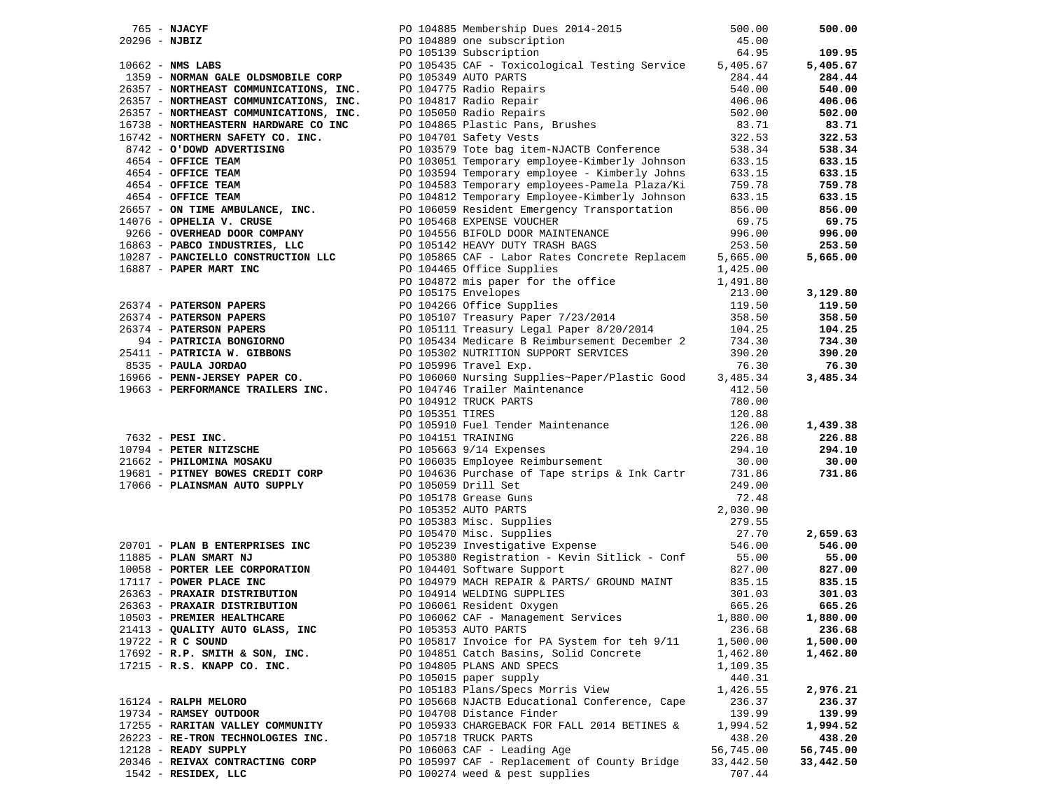|                                                     |                                                                                                                                                                                                                                                                                                                                        | 500.00    | 500.00    |
|-----------------------------------------------------|----------------------------------------------------------------------------------------------------------------------------------------------------------------------------------------------------------------------------------------------------------------------------------------------------------------------------------------|-----------|-----------|
| $765$ – NJACYF<br>20296 – NJBIZ<br>10662 – NMS LABS | PO 104885 Membership Dues 2014-2015<br>PO 104889 one subscription<br>PO 105139 Subscription<br>765 - MACHINE (1916)<br>1923-2023 - NORTH SAME COLLECTER COMPANY (1917)<br>1923-2023 - NORTH SAME COLLECTER COMPANY (1917)<br>1923-2023 - NORTH COLLECTER COMPANY (1917)<br>1923-2023 - NORTH COLLECTER (1917)<br>1923-2023 - NORTH COL | 45.00     |           |
|                                                     |                                                                                                                                                                                                                                                                                                                                        |           | 109.95    |
|                                                     |                                                                                                                                                                                                                                                                                                                                        |           | 5,405.67  |
|                                                     |                                                                                                                                                                                                                                                                                                                                        |           | 284.44    |
|                                                     |                                                                                                                                                                                                                                                                                                                                        |           |           |
|                                                     |                                                                                                                                                                                                                                                                                                                                        |           | 540.00    |
|                                                     |                                                                                                                                                                                                                                                                                                                                        |           | 406.06    |
|                                                     |                                                                                                                                                                                                                                                                                                                                        |           | 502.00    |
|                                                     |                                                                                                                                                                                                                                                                                                                                        |           | 83.71     |
|                                                     |                                                                                                                                                                                                                                                                                                                                        |           | 322.53    |
|                                                     |                                                                                                                                                                                                                                                                                                                                        |           | 538.34    |
|                                                     |                                                                                                                                                                                                                                                                                                                                        |           | 633.15    |
|                                                     |                                                                                                                                                                                                                                                                                                                                        |           |           |
|                                                     |                                                                                                                                                                                                                                                                                                                                        |           | 633.15    |
|                                                     |                                                                                                                                                                                                                                                                                                                                        |           | 759.78    |
|                                                     |                                                                                                                                                                                                                                                                                                                                        |           | 633.15    |
|                                                     |                                                                                                                                                                                                                                                                                                                                        |           | 856.00    |
|                                                     |                                                                                                                                                                                                                                                                                                                                        |           | 69.75     |
|                                                     |                                                                                                                                                                                                                                                                                                                                        |           | 996.00    |
|                                                     |                                                                                                                                                                                                                                                                                                                                        |           | 253.50    |
|                                                     |                                                                                                                                                                                                                                                                                                                                        |           |           |
|                                                     |                                                                                                                                                                                                                                                                                                                                        |           | 5,665.00  |
|                                                     |                                                                                                                                                                                                                                                                                                                                        |           |           |
|                                                     |                                                                                                                                                                                                                                                                                                                                        |           |           |
|                                                     |                                                                                                                                                                                                                                                                                                                                        |           | 3,129.80  |
|                                                     |                                                                                                                                                                                                                                                                                                                                        |           | 119.50    |
|                                                     |                                                                                                                                                                                                                                                                                                                                        |           | 358.50    |
|                                                     |                                                                                                                                                                                                                                                                                                                                        |           | 104.25    |
|                                                     |                                                                                                                                                                                                                                                                                                                                        |           | 734.30    |
|                                                     |                                                                                                                                                                                                                                                                                                                                        |           |           |
|                                                     |                                                                                                                                                                                                                                                                                                                                        |           | 390.20    |
|                                                     |                                                                                                                                                                                                                                                                                                                                        |           | 76.30     |
|                                                     |                                                                                                                                                                                                                                                                                                                                        |           | 3,485.34  |
|                                                     |                                                                                                                                                                                                                                                                                                                                        |           |           |
|                                                     |                                                                                                                                                                                                                                                                                                                                        |           |           |
|                                                     |                                                                                                                                                                                                                                                                                                                                        |           |           |
|                                                     |                                                                                                                                                                                                                                                                                                                                        |           | 1,439.38  |
|                                                     |                                                                                                                                                                                                                                                                                                                                        |           |           |
|                                                     |                                                                                                                                                                                                                                                                                                                                        |           | 226.88    |
|                                                     |                                                                                                                                                                                                                                                                                                                                        |           | 294.10    |
|                                                     |                                                                                                                                                                                                                                                                                                                                        |           | 30.00     |
|                                                     |                                                                                                                                                                                                                                                                                                                                        |           | 731.86    |
|                                                     |                                                                                                                                                                                                                                                                                                                                        |           |           |
|                                                     |                                                                                                                                                                                                                                                                                                                                        |           |           |
|                                                     |                                                                                                                                                                                                                                                                                                                                        |           |           |
|                                                     |                                                                                                                                                                                                                                                                                                                                        |           |           |
|                                                     |                                                                                                                                                                                                                                                                                                                                        |           |           |
|                                                     |                                                                                                                                                                                                                                                                                                                                        |           | 2,659.63  |
|                                                     |                                                                                                                                                                                                                                                                                                                                        |           | 546.00    |
|                                                     | 17066 - PLAINSMAN AUTO SUPPLY<br>17066 - PLAINSMAN AUTO SUPPLY<br>249.00<br>249.00<br>249.00<br>279.58<br>20701 - PLAN BENTERPRISES INC<br>277.01<br>277.01<br>277.00<br>277.00<br>277.00<br>27.00<br>27.00<br>27.00<br>27.00<br>27.00<br>27.00<br>27.00<br>27.00<br>2                                                                 |           | 55.00     |
|                                                     | 10058 - PORTER LEE CORPORATION<br>17117 - POWER PLACE INC<br>17117 - POWER PLACE INC<br>26363 - PRAXAIR DISTRIBUTION<br>26363 - PRAXAIR DISTRIBUTION<br>26363 - PRAXAIR DISTRIBUTION<br>26363 - PRAXAIR DISTRIBUTION<br>26363 - PRAXAIR DISTRIBUTIO                                                                                    | 827.00    | 827.00    |
|                                                     |                                                                                                                                                                                                                                                                                                                                        | 835.15    | 835.15    |
|                                                     | PO 104914 WELDING SUPPLIES<br>PO 106061 Resident Oxygen                                                                                                                                                                                                                                                                                | 301.03    | 301.03    |
|                                                     |                                                                                                                                                                                                                                                                                                                                        | 665.26    | 665.26    |
|                                                     | PO 106062 CAF - Management Services 1,880.00                                                                                                                                                                                                                                                                                           |           | 1,880.00  |
| 10503 - PREMIER HEALTHCARE                          |                                                                                                                                                                                                                                                                                                                                        |           |           |
| 21413 - QUALITY AUTO GLASS, INC                     | PO 105353 AUTO PARTS                                                                                                                                                                                                                                                                                                                   | 236.68    | 236.68    |
| 19722 - R C SOUND                                   | PO 105817 Invoice for PA System for teh 9/11                                                                                                                                                                                                                                                                                           | 1,500.00  | 1,500.00  |
| 17692 - R.P. SMITH & SON, INC.                      | PO 104851 Catch Basins, Solid Concrete                                                                                                                                                                                                                                                                                                 | 1,462.80  | 1,462.80  |
| 17215 - R.S. KNAPP CO. INC.                         | PO 104805 PLANS AND SPECS                                                                                                                                                                                                                                                                                                              | 1,109.35  |           |
|                                                     | PO 105015 paper supply                                                                                                                                                                                                                                                                                                                 | 440.31    |           |
|                                                     | PO 105183 Plans/Specs Morris View                                                                                                                                                                                                                                                                                                      | 1,426.55  | 2,976.21  |
| 16124 - RALPH MELORO                                | PO 105668 NJACTB Educational Conference, Cape                                                                                                                                                                                                                                                                                          | 236.37    | 236.37    |
|                                                     |                                                                                                                                                                                                                                                                                                                                        |           |           |
| 19734 - RAMSEY OUTDOOR                              | PO 104708 Distance Finder                                                                                                                                                                                                                                                                                                              | 139.99    | 139.99    |
| 17255 - RARITAN VALLEY COMMUNITY                    | PO 105933 CHARGEBACK FOR FALL 2014 BETINES &                                                                                                                                                                                                                                                                                           | 1,994.52  | 1,994.52  |
| 26223 - RE-TRON TECHNOLOGIES INC.                   | PO 105718 TRUCK PARTS                                                                                                                                                                                                                                                                                                                  | 438.20    | 438.20    |
| 12128 - READY SUPPLY                                | PO 106063 CAF - Leading Age                                                                                                                                                                                                                                                                                                            | 56,745.00 | 56,745.00 |
| 20346 - REIVAX CONTRACTING CORP                     | PO 105997 CAF - Replacement of County Bridge                                                                                                                                                                                                                                                                                           | 33,442.50 | 33,442.50 |
| 1542 - RESIDEX, LLC                                 | PO 100274 weed & pest supplies                                                                                                                                                                                                                                                                                                         | 707.44    |           |
|                                                     |                                                                                                                                                                                                                                                                                                                                        |           |           |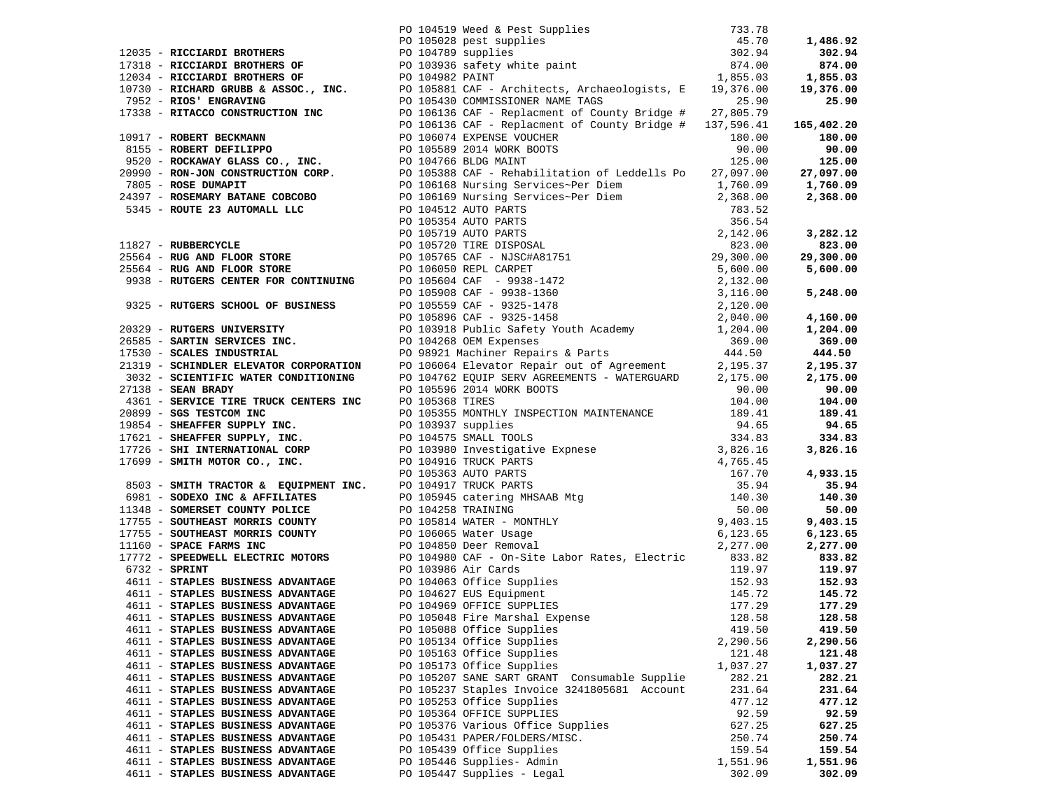| 4611 - STAPLES BUSINESS ADVANTAGE | PO 105048 Fire Marshal Expense 128.58 128.58 128.58 |          |          |
|-----------------------------------|-----------------------------------------------------|----------|----------|
| 4611 - STAPLES BUSINESS ADVANTAGE | PO 105088 Office Supplies                           | 419.50   | 419.50   |
| 4611 - STAPLES BUSINESS ADVANTAGE | PO 105134 Office Supplies                           | 2,290.56 | 2,290.56 |
| 4611 - STAPLES BUSINESS ADVANTAGE | PO 105163 Office Supplies                           | 121.48   | 121.48   |
| 4611 - STAPLES BUSINESS ADVANTAGE | PO 105173 Office Supplies                           | 1,037.27 | 1,037.27 |
| 4611 - STAPLES BUSINESS ADVANTAGE | PO 105207 SANE SART GRANT Consumable Supplie        | 282.21   | 282.21   |
| 4611 - STAPLES BUSINESS ADVANTAGE | PO 105237 Staples Invoice 3241805681 Account        | 231.64   | 231.64   |
| 4611 - STAPLES BUSINESS ADVANTAGE | PO 105253 Office Supplies                           | 477.12   | 477.12   |
| 4611 - STAPLES BUSINESS ADVANTAGE | PO 105364 OFFICE SUPPLIES                           | 92.59    | 92.59    |
| 4611 - STAPLES BUSINESS ADVANTAGE | PO 105376 Various Office Supplies                   | 627.25   | 627.25   |
| 4611 - STAPLES BUSINESS ADVANTAGE | PO 105431 PAPER/FOLDERS/MISC.                       | 250.74   | 250.74   |
| 4611 - STAPLES BUSINESS ADVANTAGE | PO 105439 Office Supplies                           | 159.54   | 159.54   |
| 4611 - STAPLES BUSINESS ADVANTAGE | PO 105446 Supplies- Admin                           | 1,551.96 | 1,551.96 |
| 4611 - STAPLES BUSINESS ADVANTAGE | PO 105447 Supplies - Legal                          | 302.09   | 302.09   |
|                                   |                                                     |          |          |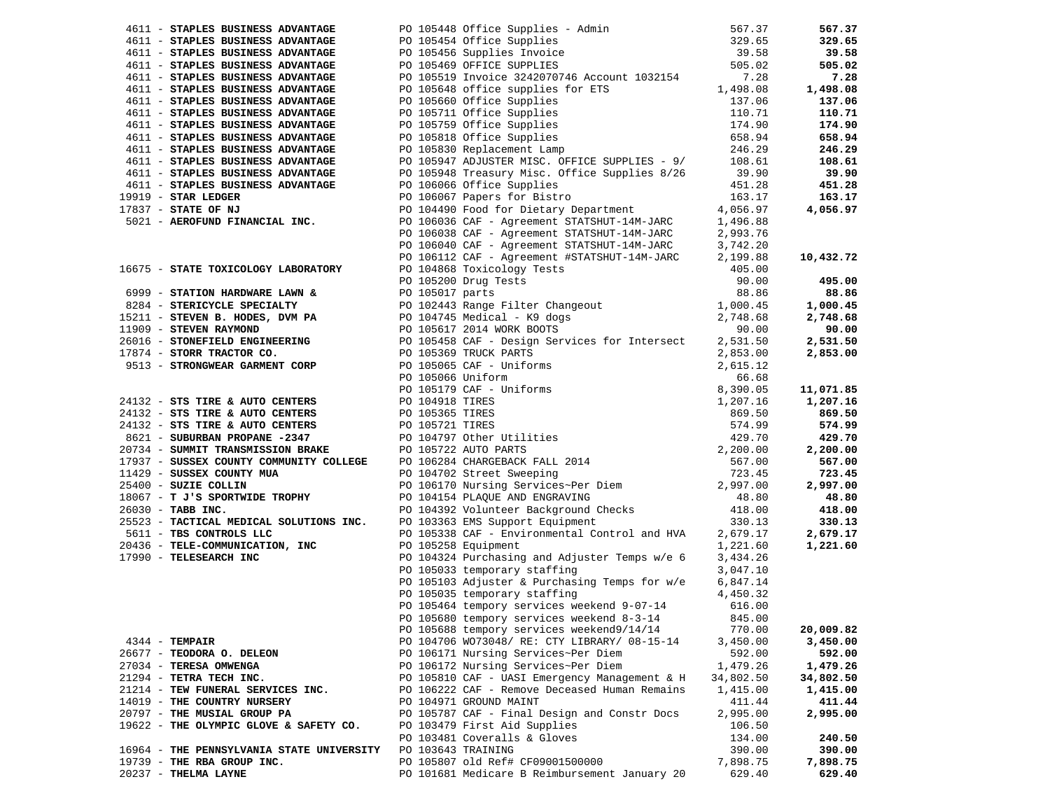| 4611 - STAPLES BUSINESS ADVANTAGE                                                                                                                                                                                                    |                                                                                                                                                                                                                                              | 567.37    | 567.37    |
|--------------------------------------------------------------------------------------------------------------------------------------------------------------------------------------------------------------------------------------|----------------------------------------------------------------------------------------------------------------------------------------------------------------------------------------------------------------------------------------------|-----------|-----------|
| 4611 - STAPLES BUSINESS ADVANTAGE                                                                                                                                                                                                    |                                                                                                                                                                                                                                              | 329.65    | 329.65    |
| 4611 - STAPLES BUSINESS ADVANTAGE                                                                                                                                                                                                    | PO 105448 Office Supplies - Admin<br>PO 105454 Office Supplies<br>PO 105456 Supplies Invoice<br>PO 105469 OFFICE SUPPLIES                                                                                                                    | 39.58     | 39.58     |
| 4611 - STAPLES BUSINESS ADVANTAGE                                                                                                                                                                                                    |                                                                                                                                                                                                                                              | 505.02    | 505.02    |
| 4611 - STAPLES BUSINESS ADVANTAGE                                                                                                                                                                                                    | PO 105519 Invoice 3242070746 Account 1032154                                                                                                                                                                                                 | 7.28      | 7.28      |
| 4611 - STAPLES BUSINESS ADVANTAGE                                                                                                                                                                                                    | PO 105648 office supplies for ETS<br>PO 105648 office supplies for ETS<br>PO 105660 Office Supplies<br>PO 105759 Office Supplies<br>PO 105818 Office Supplies<br>PO 105818 Office Supplies<br>PO 105830 Replacement Lamp<br>246.29<br>246.29 |           | 1,498.08  |
| 4611 - STAPLES BUSINESS ADVANTAGE                                                                                                                                                                                                    |                                                                                                                                                                                                                                              |           | 137.06    |
| 4611 - STAPLES BUSINESS ADVANTAGE                                                                                                                                                                                                    |                                                                                                                                                                                                                                              |           | 110.71    |
| 4611 - STAPLES BUSINESS ADVANTAGE                                                                                                                                                                                                    |                                                                                                                                                                                                                                              |           | 174.90    |
| 4611 - STAPLES BUSINESS ADVANTAGE                                                                                                                                                                                                    |                                                                                                                                                                                                                                              |           | 658.94    |
| 4611 - STAPLES BUSINESS ADVANTAGE                                                                                                                                                                                                    |                                                                                                                                                                                                                                              |           | 246.29    |
| 4611 - STAPLES BUSINESS ADVANTAGE                                                                                                                                                                                                    | PO 105947 ADJUSTER MISC. OFFICE SUPPLIES - 9/                                                                                                                                                                                                | 108.61    | 108.61    |
| 4611 - STAPLES BUSINESS ADVANTAGE                                                                                                                                                                                                    | PO 105948 Treasury Misc. Office Supplies 8/26 39.90                                                                                                                                                                                          |           | 39.90     |
| 4611 - STAPLES BUSINESS ADVANTAGE                                                                                                                                                                                                    | PO 106066 Office Supplies                                                                                                                                                                                                                    | 451.28    | 451.28    |
| 19919 - STAR LEDGER                                                                                                                                                                                                                  | PO 106067 Papers for Bistro                                                                                                                                                                                                                  | 163.17    | 163.17    |
| 17837 - STATE OF NJ                                                                                                                                                                                                                  |                                                                                                                                                                                                                                              | 4,056.97  | 4,056.97  |
| 5021 - AEROFUND FINANCIAL INC.                                                                                                                                                                                                       | PO 104490 Food for Distruct Department<br>PO 104490 Food for Dietary Department<br>PO 106036 CAF - Agreement STATSHUT-14M-JARC                                                                                                               | 1,496.88  |           |
|                                                                                                                                                                                                                                      |                                                                                                                                                                                                                                              |           |           |
|                                                                                                                                                                                                                                      | PO 106038 CAF - Agreement STATSHUT-14M-JARC<br>PO 106040 CAF - Agreement STATSHUT-14M-JARC                                                                                                                                                   | 2,993.76  |           |
|                                                                                                                                                                                                                                      |                                                                                                                                                                                                                                              | 3,742.20  |           |
|                                                                                                                                                                                                                                      | PO 106112 CAF - Agreement #STATSHUT-14M-JARC                                                                                                                                                                                                 | 2,199.88  | 10,432.72 |
| 16675 - STATE TOXICOLOGY LABORATORY                                                                                                                                                                                                  | PO 104868 Toxicology Tests                                                                                                                                                                                                                   | 405.00    |           |
|                                                                                                                                                                                                                                      | PO 105200 Drug Tests                                                                                                                                                                                                                         | 90.00     | 495.00    |
|                                                                                                                                                                                                                                      |                                                                                                                                                                                                                                              |           | 88.86     |
|                                                                                                                                                                                                                                      |                                                                                                                                                                                                                                              |           | 1,000.45  |
|                                                                                                                                                                                                                                      |                                                                                                                                                                                                                                              |           | 2,748.68  |
|                                                                                                                                                                                                                                      |                                                                                                                                                                                                                                              |           | 90.00     |
|                                                                                                                                                                                                                                      |                                                                                                                                                                                                                                              |           | 2,531.50  |
|                                                                                                                                                                                                                                      |                                                                                                                                                                                                                                              |           | 2,853.00  |
|                                                                                                                                                                                                                                      |                                                                                                                                                                                                                                              |           |           |
|                                                                                                                                                                                                                                      |                                                                                                                                                                                                                                              |           |           |
|                                                                                                                                                                                                                                      |                                                                                                                                                                                                                                              |           | 11,071.85 |
|                                                                                                                                                                                                                                      |                                                                                                                                                                                                                                              |           | 1,207.16  |
|                                                                                                                                                                                                                                      |                                                                                                                                                                                                                                              |           | 869.50    |
|                                                                                                                                                                                                                                      |                                                                                                                                                                                                                                              |           | 574.99    |
|                                                                                                                                                                                                                                      |                                                                                                                                                                                                                                              |           | 429.70    |
|                                                                                                                                                                                                                                      |                                                                                                                                                                                                                                              |           | 2,200.00  |
| 16079 - SIAHE INACCULOUSE IMPORTANT COLLEGE PO 1050200 Prime For Design Section 1990.00<br>160826 - STREKTOCILE SPECIALTY (DO 101979 Tests 18086 88<br>17909 - STREKTOCILE SPECIALTY (PO 1019741 Range Pilter Changeout 1,000.45<br> |                                                                                                                                                                                                                                              |           | 567.00    |
|                                                                                                                                                                                                                                      |                                                                                                                                                                                                                                              |           | 723.45    |
|                                                                                                                                                                                                                                      |                                                                                                                                                                                                                                              |           | 2,997.00  |
|                                                                                                                                                                                                                                      |                                                                                                                                                                                                                                              |           | 48.80     |
|                                                                                                                                                                                                                                      |                                                                                                                                                                                                                                              |           | 418.00    |
|                                                                                                                                                                                                                                      |                                                                                                                                                                                                                                              |           | 330.13    |
| 5611 - TBS CONTROLS LLC                                                                                                                                                                                                              | PO 105338 CAF - Environmental Control and HVA 2,679.17                                                                                                                                                                                       |           | 2,679.17  |
| 20436 - TELE-COMMUNICATION, INC                                                                                                                                                                                                      | PO 105258 Equipment                                                                                                                                                                                                                          | 1,221.60  | 1,221.60  |
| 17990 - TELESEARCH INC                                                                                                                                                                                                               | PO 104324 Purchasing and Adjuster Temps w/e 6                                                                                                                                                                                                | 3,434.26  |           |
|                                                                                                                                                                                                                                      | PO 105033 temporary staffing                                                                                                                                                                                                                 | 3,047.10  |           |
|                                                                                                                                                                                                                                      | PO 105103 Adjuster & Purchasing Temps for w/e                                                                                                                                                                                                | 6,847.14  |           |
|                                                                                                                                                                                                                                      | PO 105035 temporary staffing                                                                                                                                                                                                                 | 4,450.32  |           |
|                                                                                                                                                                                                                                      | PO 105464 tempory services weekend 9-07-14                                                                                                                                                                                                   | 616.00    |           |
|                                                                                                                                                                                                                                      | PO 105680 tempory services weekend 8-3-14                                                                                                                                                                                                    | 845.00    |           |
|                                                                                                                                                                                                                                      | PO 105688 tempory services weekend9/14/14                                                                                                                                                                                                    | 770.00    | 20,009.82 |
| $4344$ - TEMPAIR                                                                                                                                                                                                                     | PO 104706 WO73048/ RE: CTY LIBRARY/ 08-15-14                                                                                                                                                                                                 | 3,450.00  | 3,450.00  |
| 26677 - TEODORA O. DELEON                                                                                                                                                                                                            | PO 106171 Nursing Services~Per Diem                                                                                                                                                                                                          | 592.00    | 592.00    |
| 27034 - TERESA OMWENGA                                                                                                                                                                                                               | PO 106172 Nursing Services~Per Diem                                                                                                                                                                                                          | 1,479.26  | 1,479.26  |
| 21294 - TETRA TECH INC.                                                                                                                                                                                                              | PO 105810 CAF - UASI Emergency Management & H                                                                                                                                                                                                | 34,802.50 | 34,802.50 |
| 21214 - TEW FUNERAL SERVICES INC.                                                                                                                                                                                                    | PO 106222 CAF - Remove Deceased Human Remains                                                                                                                                                                                                | 1,415.00  | 1,415.00  |
| 14019 - THE COUNTRY NURSERY                                                                                                                                                                                                          | PO 104971 GROUND MAINT                                                                                                                                                                                                                       | 411.44    | 411.44    |
| 20797 - THE MUSIAL GROUP PA                                                                                                                                                                                                          | PO 105787 CAF - Final Design and Constr Docs                                                                                                                                                                                                 | 2,995.00  | 2,995.00  |
| 19622 - THE OLYMPIC GLOVE & SAFETY CO.                                                                                                                                                                                               | PO 103479 First Aid Supplies                                                                                                                                                                                                                 | 106.50    |           |
|                                                                                                                                                                                                                                      | PO 103481 Coveralls & Gloves                                                                                                                                                                                                                 | 134.00    | 240.50    |
| 16964 - THE PENNSYLVANIA STATE UNIVERSITY                                                                                                                                                                                            | PO 103643 TRAINING                                                                                                                                                                                                                           | 390.00    | 390.00    |
|                                                                                                                                                                                                                                      | PO 105807 old Ref# CF09001500000                                                                                                                                                                                                             |           | 7,898.75  |
| 19739 - THE RBA GROUP INC.                                                                                                                                                                                                           |                                                                                                                                                                                                                                              | 7,898.75  |           |
| 20237 - THELMA LAYNE                                                                                                                                                                                                                 | PO 101681 Medicare B Reimbursement January 20                                                                                                                                                                                                | 629.40    | 629.40    |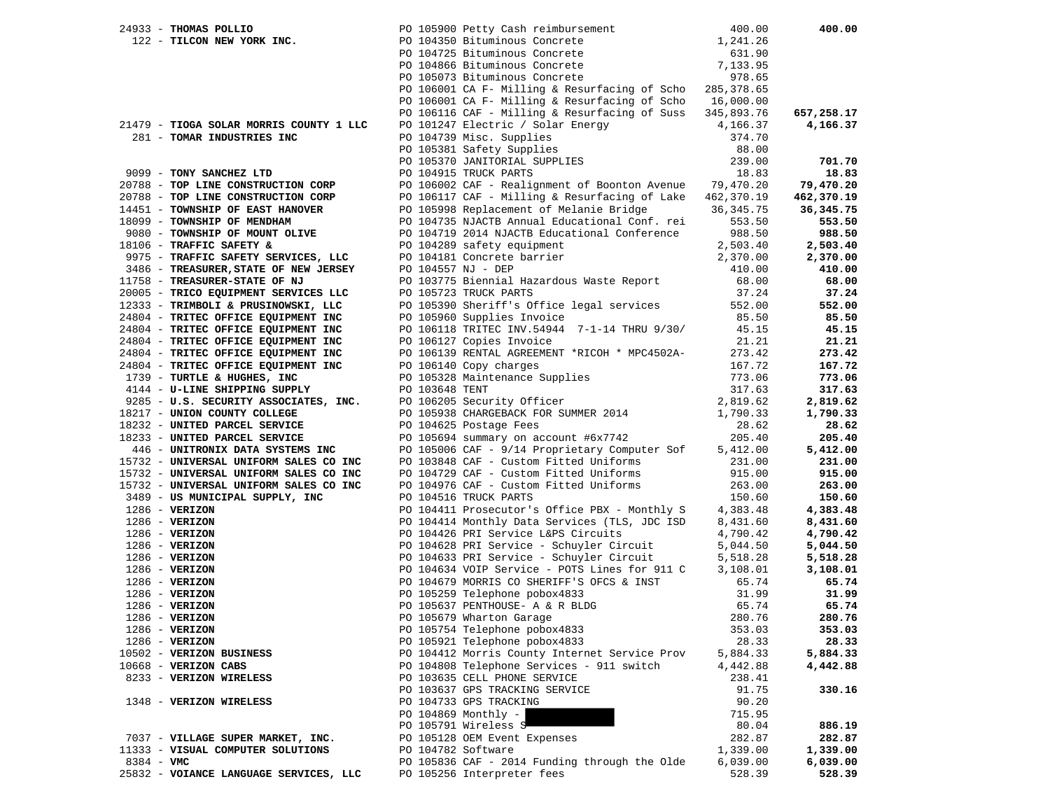|            | 24933 - THOMAS POLLIO                   |                    | PO 105900 Petty Cash reimbursement                                                   | 400.00      | 400.00     |
|------------|-----------------------------------------|--------------------|--------------------------------------------------------------------------------------|-------------|------------|
|            | 122 - TILCON NEW YORK INC.              |                    | PO 104350 Bituminous Concrete                                                        | 1,241.26    |            |
|            |                                         |                    | PO 104725 Bituminous Concrete                                                        | 631.90      |            |
|            |                                         |                    | PO 104866 Bituminous Concrete<br>PO 105073 Bituminous Concrete                       | 7,133.95    |            |
|            |                                         |                    | PO 105073 Bituminous Concrete                                                        | 978.65      |            |
|            |                                         |                    | PO 106001 CA F- Milling & Resurfacing of Scho 285, 378.65                            |             |            |
|            |                                         |                    | PO 106001 CA F- Milling & Resurfacing of Scho 16,000.00                              |             |            |
|            |                                         |                    | PO 106116 CAF - Milling & Resurfacing of Suss $345,893.76$                           |             | 657,258.17 |
|            | 21479 - TIOGA SOLAR MORRIS COUNTY 1 LLC |                    | PO 101247 Electric / Solar Energy                                                    | 4,166.37    | 4,166.37   |
|            | 281 - TOMAR INDUSTRIES INC              |                    | PO 104739 Misc. Supplies                                                             | 374.70      |            |
|            |                                         |                    | PO 105381 Safety Supplies                                                            | 88.00       |            |
|            |                                         |                    | PO 105370 JANITORIAL SUPPLIES<br>DO 104015 TRUCK DARTS                               | 239.00      | 701.70     |
|            | 9099 - TONY SANCHEZ LTD                 |                    | PO 104915 TRUCK PARTS                                                                | 18.83       | 18.83      |
|            | 20788 - TOP LINE CONSTRUCTION CORP      |                    | PO 106002 CAF - Realignment of Boonton Avenue 79,470.20                              |             | 79,470.20  |
|            | 20788 - TOP LINE CONSTRUCTION CORP      |                    | PO 106117 CAF - Milling & Resurfacing of Lake $462,370.19$                           |             | 462,370.19 |
|            | 14451 - TOWNSHIP OF EAST HANOVER        |                    | PO 105998 Replacement of Melanie Bridge                                              | 36, 345. 75 | 36,345.75  |
|            | 18099 - TOWNSHIP OF MENDHAM             |                    | PO 104735 NJACTB Annual Educational Conf. rei                                        | 553.50      | 553.50     |
|            | 9080 - TOWNSHIP OF MOUNT OLIVE          |                    | PO 104719 2014 NJACTB Educational Conference                                         | 988.50      | 988.50     |
|            | 18106 - TRAFFIC SAFETY &                |                    | PO 104289 safety equipment                                                           | 2,503.40    | 2,503.40   |
|            | 9975 - TRAFFIC SAFETY SERVICES, LLC     |                    | PO 104181 Concrete barrier                                                           | 2,370.00    | 2,370.00   |
|            | 3486 - TREASURER, STATE OF NEW JERSEY   | PO 104557 NJ - DEP |                                                                                      | 410.00      | 410.00     |
|            | 11758 - TREASURER-STATE OF NJ           |                    | PO 103775 Biennial Hazardous Waste Report                                            | 68.00       | 68.00      |
|            | 20005 - TRICO EQUIPMENT SERVICES LLC    |                    | PO 105723 TRUCK PARTS                                                                | 37.24       | 37.24      |
|            | 12333 - TRIMBOLI & PRUSINOWSKI, LLC     |                    | PO 105390 Sheriff's Office legal services                                            | 552.00      | 552.00     |
|            | 24804 - TRITEC OFFICE EQUIPMENT INC     |                    | PO 105960 Supplies Invoice                                                           | 85.50       | 85.50      |
|            | 24804 - TRITEC OFFICE EQUIPMENT INC     |                    | PO 106118 TRITEC INV.54944 7-1-14 THRU 9/30/                                         | 45.15       | 45.15      |
|            | 24804 - TRITEC OFFICE EQUIPMENT INC     |                    | PO 106127 Copies Invoice                                                             | 21.21       | 21.21      |
|            | 24804 - TRITEC OFFICE EQUIPMENT INC     |                    | PO 106139 RENTAL AGREEMENT *RICOH * MPC4502A-                                        | 273.42      | 273.42     |
|            | 24804 - TRITEC OFFICE EQUIPMENT INC     |                    | PO 106140 Copy charges                                                               | 167.72      | 167.72     |
|            | 1739 - TURTLE & HUGHES, INC             |                    | PO 105110 Corp. Corp. Supplies                                                       | 773.06      | 773.06     |
|            | 4144 - U-LINE SHIPPING SUPPLY           |                    |                                                                                      | 317.63      | 317.63     |
|            | 9285 - U.S. SECURITY ASSOCIATES, INC.   |                    |                                                                                      | 2,819.62    | 2,819.62   |
|            | 18217 - UNION COUNTY COLLEGE            |                    | PO 103648 TENT<br>PO 106205 Security Officer<br>PO 105938 CHARGEBACK FOR SUMMER 2014 | 1,790.33    | 1,790.33   |
|            | 18232 - UNITED PARCEL SERVICE           |                    | PO 104625 Postage Fees                                                               | 28.62       | 28.62      |
|            | 18233 - UNITED PARCEL SERVICE           |                    | PO 105694 summary on account #6x7742                                                 | 205.40      | 205.40     |
|            | 446 - UNITRONIX DATA SYSTEMS INC        |                    | PO 105006 CAF - 9/14 Proprietary Computer Sof                                        | 5,412.00    | 5,412.00   |
|            | 15732 - UNIVERSAL UNIFORM SALES CO INC  |                    | PO 103848 CAF - Custom Fitted Uniforms                                               | 231.00      | 231.00     |
|            | 15732 - UNIVERSAL UNIFORM SALES CO INC  |                    | PO 104729 CAF - Custom Fitted Uniforms                                               | 915.00      | 915.00     |
|            | 15732 - UNIVERSAL UNIFORM SALES CO INC  |                    | PO 104976 CAF - Custom Fitted Uniforms                                               | 263.00      | 263.00     |
|            | 3489 - US MUNICIPAL SUPPLY, INC         |                    | PO 104516 TRUCK PARTS                                                                | 150.60      | 150.60     |
|            | $1286 - VERIZON$                        |                    | PO 104411 Prosecutor's Office PBX - Monthly S                                        | 4,383.48    | 4,383.48   |
|            | $1286 - VERIZON$                        |                    | PO 104414 Monthly Data Services (TLS, JDC ISD                                        | 8,431.60    | 8,431.60   |
|            | $1286$ - VERIZON                        |                    | PO 104426 PRI Service L&PS Circuits                                                  | 4,790.42    | 4,790.42   |
|            | $1286 - VERIZON$                        |                    | PO 104628 PRI Service - Schuyler Circuit                                             | 5,044.50    | 5,044.50   |
|            | $1286$ - VERIZON                        |                    | PO 104633 PRI Service - Schuyler Circuit                                             | 5,518.28    | 5,518.28   |
|            | $1286 - VERIZON$                        |                    | PO 104634 VOIP Service - POTS Lines for 911 C                                        | 3,108.01    | 3,108.01   |
|            | $1286$ - VERIZON                        |                    | PO 104679 MORRIS CO SHERIFF'S OFCS & INST                                            | 65.74       | 65.74      |
|            | $1286 - VERIZON$                        |                    | PO 105259 Telephone pobox4833                                                        | 31.99       | 31.99      |
|            | $1286 - VERIZON$                        |                    | PO 105637 PENTHOUSE- A & R BLDG                                                      | 65.74       | 65.74      |
|            | $1286$ - VERIZON                        |                    | PO 105679 Wharton Garage                                                             | 280.76      | 280.76     |
|            | $1286$ - VERIZON                        |                    | PO 105754 Telephone pobox4833                                                        | 353.03      | 353.03     |
|            | $1286$ - VERIZON                        |                    | PO 105921 Telephone pobox4833                                                        | 28.33       | 28.33      |
|            | 10502 - VERIZON BUSINESS                |                    | PO 104412 Morris County Internet Service Prov                                        | 5,884.33    | 5,884.33   |
|            | 10668 - VERIZON CABS                    |                    | PO 104808 Telephone Services - 911 switch                                            | 4,442.88    | 4,442.88   |
|            | 8233 - VERIZON WIRELESS                 |                    | PO 103635 CELL PHONE SERVICE                                                         | 238.41      |            |
|            |                                         |                    | PO 103637 GPS TRACKING SERVICE                                                       | 91.75       | 330.16     |
|            | 1348 - VERIZON WIRELESS                 |                    | PO 104733 GPS TRACKING                                                               | 90.20       |            |
|            |                                         |                    |                                                                                      |             |            |
|            |                                         |                    | PO 104869 Monthly -<br>PO 105791 Wireless S                                          | 715.95      | 886.19     |
|            | 7037 - VILLAGE SUPER MARKET, INC.       |                    |                                                                                      | 80.04       |            |
|            | 11333 - VISUAL COMPUTER SOLUTIONS       |                    | PO 105128 OEM Event Expenses                                                         | 282.87      | 282.87     |
|            |                                         |                    | PO 104782 Software                                                                   | 1,339.00    | 1,339.00   |
| 8384 - VMC |                                         |                    | PO 105836 CAF - 2014 Funding through the Olde                                        | 6,039.00    | 6,039.00   |
|            | 25832 - VOIANCE LANGUAGE SERVICES, LLC  |                    | PO 105256 Interpreter fees                                                           | 528.39      | 528.39     |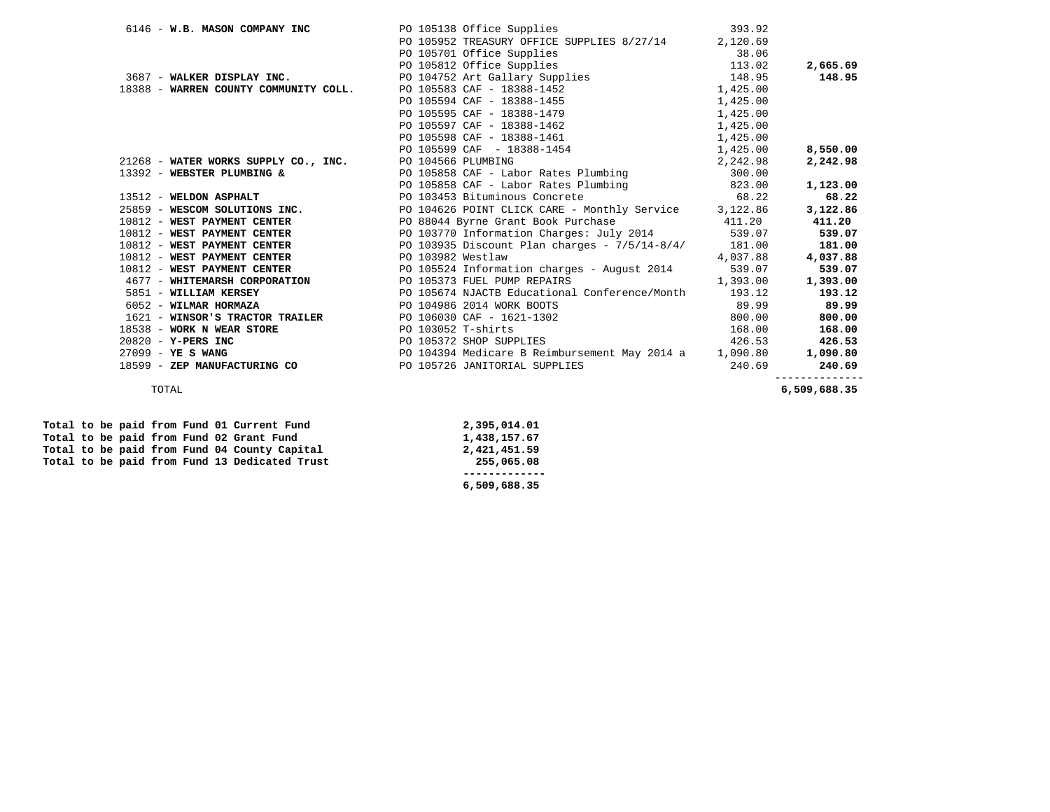| 6146 - W.B. MASON COMPANY INC                             | 393.92<br>PO 105138 Office Supplies                                                                                                                                                                                                          |          |          |
|-----------------------------------------------------------|----------------------------------------------------------------------------------------------------------------------------------------------------------------------------------------------------------------------------------------------|----------|----------|
|                                                           | PO 105952 TREASURY OFFICE SUPPLIES 8/27/14 2,120.69                                                                                                                                                                                          |          |          |
|                                                           |                                                                                                                                                                                                                                              |          |          |
|                                                           |                                                                                                                                                                                                                                              |          | 2,665.69 |
|                                                           | PO 105701 Office Supplies<br>PO 105812 Office Supplies<br>PO 105812 Office Supplies<br>PO 104752 Art Gallary Supplies<br>PO 104752 Art Gallary Supplies<br>PO 104752 Art Gallary Supplies<br>PO 104752 Art Gallary Supplies<br>PO 104752 Art |          | 148.95   |
|                                                           | 18388 - WARREN COUNTY COMMUNITY COLL. PO 105583 CAF - 18388-1452 1,425.00                                                                                                                                                                    |          |          |
|                                                           | PO 105594 CAF - 18388-1455                                                                                                                                                                                                                   | 1,425.00 |          |
|                                                           | PO 105595 CAF - 18388-1479                                                                                                                                                                                                                   | 1,425.00 |          |
|                                                           | PO 105597 CAF - 18388-1462                                                                                                                                                                                                                   | 1,425.00 |          |
|                                                           | PO 105598 CAF - 18388-1461 1,425.00                                                                                                                                                                                                          |          |          |
|                                                           | PO 105599 CAF - 18388-1454 1,425.00                                                                                                                                                                                                          |          | 8,550.00 |
| 21268 - WATER WORKS SUPPLY CO., INC. PO 104566 PLUMBING   |                                                                                                                                                                                                                                              | 2,242.98 | 2,242.98 |
|                                                           | 13392 - WEBSTER PLUMBING & PO 105858 CAF - Labor Rates Plumbing 300.00                                                                                                                                                                       |          |          |
|                                                           | PO 105858 CAF - Labor Rates Plumbing 823.00                                                                                                                                                                                                  |          | 1,123.00 |
| 13512 - WELDON ASPHALT                                    | PO 103453 Bituminous Concrete 68.22                                                                                                                                                                                                          |          | 68.22    |
|                                                           | 25859 - WESCOM SOLUTIONS INC.<br>PO 104626 POINT CLICK CARE - Monthly Service 3,122.86                                                                                                                                                       |          | 3,122.86 |
|                                                           | 10812 - WEST PAYMENT CENTER PO 88044 Byrne Grant Book Purchase 411.20                                                                                                                                                                        |          | 411.20   |
|                                                           | 10812 - WEST PAYMENT CENTER THE RESOLUTION OF POSITION CONTRACTOR CHARGES: July 2014 539.07                                                                                                                                                  |          | 539.07   |
|                                                           | 10812 - WEST PAYMENT CENTER PO 103935 Discount Plan charges - 7/5/14-8/4/ 181.00                                                                                                                                                             |          | 181.00   |
| 10812 - WEST PAYMENT CENTER THE PO 103982 Westlaw         |                                                                                                                                                                                                                                              | 4,037.88 | 4,037.88 |
|                                                           | 10812 - WEST PAYMENT CENTER PO 105524 Information charges - August 2014 539.07                                                                                                                                                               |          | 539.07   |
| 4677 - WHITEMARSH CORPORATION PO 105373 FUEL PUMP REPAIRS | 1,393.00                                                                                                                                                                                                                                     |          | 1,393.00 |
| 5851 - WILLIAM KERSEY                                     | PO 105674 NJACTB Educational Conference/Month 193.12                                                                                                                                                                                         |          | 193.12   |
| 6052 - WILMAR HORMAZA                                     | PO 104986 2014 WORK BOOTS                                                                                                                                                                                                                    | 89.99    | 89.99    |
|                                                           | 1621 - WINSOR'S TRACTOR TRAILER PO 106030 CAF - 1621-1302                                                                                                                                                                                    | 800.00   | 800.00   |
| 18538 - WORK N WEAR STORE                                 | PO 103052 T-shirts                                                                                                                                                                                                                           | 168.00   | 168.00   |
| $20820 - Y-PERS INC$                                      | PO 105372 SHOP SUPPLIES                                                                                                                                                                                                                      | 426.53   | 426.53   |
| $27099 - YE S WANG$                                       | PO 104394 Medicare B Reimbursement May 2014 a 1,090.80                                                                                                                                                                                       |          | 1,090.80 |
| 18599 - ZEP MANUFACTURING CO                              | PO 105726 JANITORIAL SUPPLIES                                                                                                                                                                                                                | 240.69   | 240.69   |
|                                                           |                                                                                                                                                                                                                                              |          |          |

TOTAL **6,509,688.35**

|  |  |  |  | Total to be paid from Fund 01 Current Fund    | 2,395,014.01 |
|--|--|--|--|-----------------------------------------------|--------------|
|  |  |  |  | Total to be paid from Fund 02 Grant Fund      | 1,438,157.67 |
|  |  |  |  | Total to be paid from Fund 04 County Capital  | 2,421,451.59 |
|  |  |  |  | Total to be paid from Fund 13 Dedicated Trust | 255,065.08   |
|  |  |  |  |                                               |              |
|  |  |  |  |                                               | 6,509,688.35 |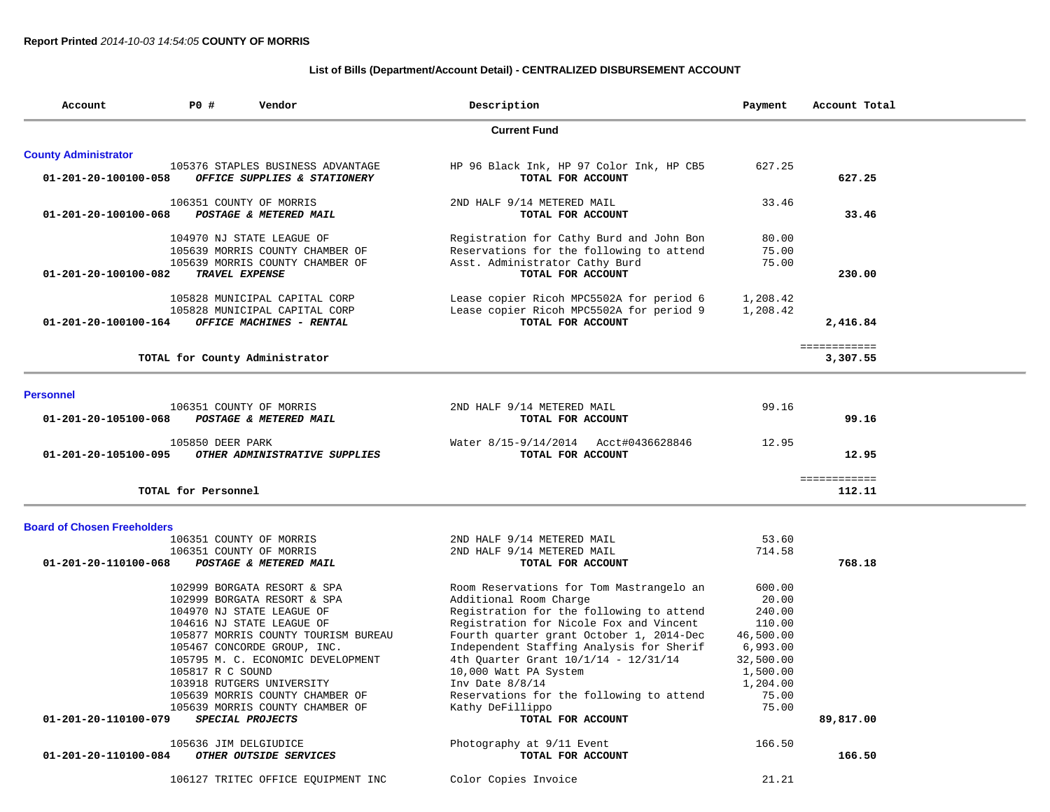# **List of Bills (Department/Account Detail) - CENTRALIZED DISBURSEMENT ACCOUNT**

| Account                            | P0#                                       | Vendor                                                                                                                                                                                                                                                                                                                                                 | Description                                                                                                                                                                                                                                                                                                                                                                                                                                               | Payment                                                                                                                       | Account Total            |  |
|------------------------------------|-------------------------------------------|--------------------------------------------------------------------------------------------------------------------------------------------------------------------------------------------------------------------------------------------------------------------------------------------------------------------------------------------------------|-----------------------------------------------------------------------------------------------------------------------------------------------------------------------------------------------------------------------------------------------------------------------------------------------------------------------------------------------------------------------------------------------------------------------------------------------------------|-------------------------------------------------------------------------------------------------------------------------------|--------------------------|--|
|                                    |                                           |                                                                                                                                                                                                                                                                                                                                                        | <b>Current Fund</b>                                                                                                                                                                                                                                                                                                                                                                                                                                       |                                                                                                                               |                          |  |
| <b>County Administrator</b>        |                                           |                                                                                                                                                                                                                                                                                                                                                        |                                                                                                                                                                                                                                                                                                                                                                                                                                                           |                                                                                                                               |                          |  |
| 01-201-20-100100-058               |                                           | 105376 STAPLES BUSINESS ADVANTAGE<br>OFFICE SUPPLIES & STATIONERY                                                                                                                                                                                                                                                                                      | HP 96 Black Ink, HP 97 Color Ink, HP CB5<br>TOTAL FOR ACCOUNT                                                                                                                                                                                                                                                                                                                                                                                             | 627.25                                                                                                                        | 627.25                   |  |
| 01-201-20-100100-068               |                                           | 106351 COUNTY OF MORRIS<br>POSTAGE & METERED MAIL                                                                                                                                                                                                                                                                                                      | 2ND HALF 9/14 METERED MAIL<br>TOTAL FOR ACCOUNT                                                                                                                                                                                                                                                                                                                                                                                                           | 33.46                                                                                                                         | 33.46                    |  |
| 01-201-20-100100-082               |                                           | 104970 NJ STATE LEAGUE OF<br>105639 MORRIS COUNTY CHAMBER OF<br>105639 MORRIS COUNTY CHAMBER OF<br><b>TRAVEL EXPENSE</b>                                                                                                                                                                                                                               | Registration for Cathy Burd and John Bon<br>Reservations for the following to attend<br>Asst. Administrator Cathy Burd<br>TOTAL FOR ACCOUNT                                                                                                                                                                                                                                                                                                               | 80.00<br>75.00<br>75.00                                                                                                       | 230.00                   |  |
| 01-201-20-100100-164               |                                           | 105828 MUNICIPAL CAPITAL CORP<br>105828 MUNICIPAL CAPITAL CORP<br>OFFICE MACHINES - RENTAL                                                                                                                                                                                                                                                             | Lease copier Ricoh MPC5502A for period 6<br>Lease copier Ricoh MPC5502A for period 9<br>TOTAL FOR ACCOUNT                                                                                                                                                                                                                                                                                                                                                 | 1,208.42<br>1,208.42                                                                                                          | 2,416.84                 |  |
|                                    |                                           | TOTAL for County Administrator                                                                                                                                                                                                                                                                                                                         |                                                                                                                                                                                                                                                                                                                                                                                                                                                           |                                                                                                                               | ============<br>3,307.55 |  |
| <b>Personnel</b>                   |                                           |                                                                                                                                                                                                                                                                                                                                                        |                                                                                                                                                                                                                                                                                                                                                                                                                                                           |                                                                                                                               |                          |  |
| 01-201-20-105100-068               |                                           | 106351 COUNTY OF MORRIS<br>POSTAGE & METERED MAIL                                                                                                                                                                                                                                                                                                      | 2ND HALF 9/14 METERED MAIL<br>TOTAL FOR ACCOUNT                                                                                                                                                                                                                                                                                                                                                                                                           | 99.16                                                                                                                         | 99.16                    |  |
| 01-201-20-105100-095               | 105850 DEER PARK                          | OTHER ADMINISTRATIVE SUPPLIES                                                                                                                                                                                                                                                                                                                          | Water 8/15-9/14/2014 Acct#0436628846<br>TOTAL FOR ACCOUNT                                                                                                                                                                                                                                                                                                                                                                                                 | 12.95                                                                                                                         | 12.95                    |  |
|                                    | TOTAL for Personnel                       |                                                                                                                                                                                                                                                                                                                                                        |                                                                                                                                                                                                                                                                                                                                                                                                                                                           |                                                                                                                               | ============<br>112.11   |  |
| <b>Board of Chosen Freeholders</b> |                                           |                                                                                                                                                                                                                                                                                                                                                        |                                                                                                                                                                                                                                                                                                                                                                                                                                                           |                                                                                                                               |                          |  |
| 01-201-20-110100-068               |                                           | 106351 COUNTY OF MORRIS<br>106351 COUNTY OF MORRIS<br>POSTAGE & METERED MAIL                                                                                                                                                                                                                                                                           | 2ND HALF 9/14 METERED MAIL<br>2ND HALF 9/14 METERED MAIL<br>TOTAL FOR ACCOUNT                                                                                                                                                                                                                                                                                                                                                                             | 53.60<br>714.58                                                                                                               | 768.18                   |  |
| 01-201-20-110100-079               | 105817 R C SOUND<br>105636 JIM DELGIUDICE | 102999 BORGATA RESORT & SPA<br>102999 BORGATA RESORT & SPA<br>104970 NJ STATE LEAGUE OF<br>104616 NJ STATE LEAGUE OF<br>105877 MORRIS COUNTY TOURISM BUREAU<br>105467 CONCORDE GROUP, INC.<br>105795 M. C. ECONOMIC DEVELOPMENT<br>103918 RUTGERS UNIVERSITY<br>105639 MORRIS COUNTY CHAMBER OF<br>105639 MORRIS COUNTY CHAMBER OF<br>SPECIAL PROJECTS | Room Reservations for Tom Mastrangelo an<br>Additional Room Charge<br>Registration for the following to attend<br>Registration for Nicole Fox and Vincent<br>Fourth quarter grant October 1, 2014-Dec<br>Independent Staffing Analysis for Sherif<br>4th Quarter Grant 10/1/14 - 12/31/14<br>10,000 Watt PA System<br>Inv Date $8/8/14$<br>Reservations for the following to attend<br>Kathy DeFillippo<br>TOTAL FOR ACCOUNT<br>Photography at 9/11 Event | 600.00<br>20.00<br>240.00<br>110.00<br>46,500.00<br>6,993.00<br>32,500.00<br>1,500.00<br>1,204.00<br>75.00<br>75.00<br>166.50 | 89,817.00                |  |
| 01-201-20-110100-084               |                                           | OTHER OUTSIDE SERVICES                                                                                                                                                                                                                                                                                                                                 | TOTAL FOR ACCOUNT                                                                                                                                                                                                                                                                                                                                                                                                                                         |                                                                                                                               | 166.50                   |  |
|                                    |                                           | 106127 TRITEC OFFICE EQUIPMENT INC                                                                                                                                                                                                                                                                                                                     | Color Copies Invoice                                                                                                                                                                                                                                                                                                                                                                                                                                      | 21.21                                                                                                                         |                          |  |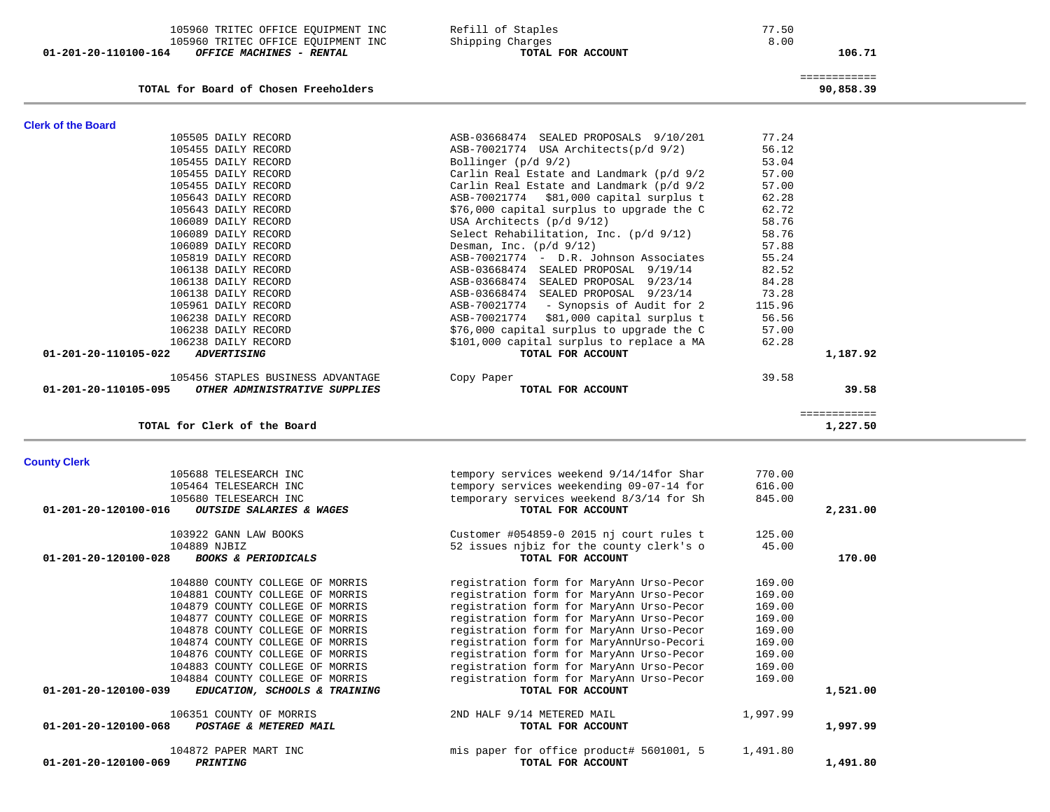| <b>County Clerk</b>                                    |                                          |          |          |
|--------------------------------------------------------|------------------------------------------|----------|----------|
| 105688 TELESEARCH INC                                  | tempory services weekend 9/14/14for Shar | 770.00   |          |
| 105464 TELESEARCH INC                                  | tempory services weekending 09-07-14 for | 616.00   |          |
| 105680 TELESEARCH INC                                  | temporary services weekend 8/3/14 for Sh | 845.00   |          |
| 01-201-20-120100-016<br>OUTSIDE SALARIES & WAGES       | TOTAL FOR ACCOUNT                        |          | 2,231.00 |
| 103922 GANN LAW BOOKS                                  | Customer #054859-0 2015 nj court rules t | 125.00   |          |
| 104889 NJBIZ                                           | 52 issues njbiz for the county clerk's o | 45.00    |          |
| 01-201-20-120100-028<br><b>BOOKS &amp; PERIODICALS</b> | TOTAL FOR ACCOUNT                        |          | 170.00   |
| 104880 COUNTY COLLEGE OF MORRIS                        | registration form for MaryAnn Urso-Pecor | 169.00   |          |
| 104881 COUNTY COLLEGE OF MORRIS                        | registration form for MaryAnn Urso-Pecor | 169.00   |          |
| 104879 COUNTY COLLEGE OF MORRIS                        | registration form for MaryAnn Urso-Pecor | 169.00   |          |
| 104877 COUNTY COLLEGE OF MORRIS                        | registration form for MaryAnn Urso-Pecor | 169.00   |          |
| 104878 COUNTY COLLEGE OF MORRIS                        | registration form for MaryAnn Urso-Pecor | 169.00   |          |
| 104874 COUNTY COLLEGE OF MORRIS                        | registration form for MaryAnnUrso-Pecori | 169.00   |          |
| 104876 COUNTY COLLEGE OF MORRIS                        | registration form for MaryAnn Urso-Pecor | 169.00   |          |
| 104883 COUNTY COLLEGE OF MORRIS                        | registration form for MaryAnn Urso-Pecor | 169.00   |          |
| 104884 COUNTY COLLEGE OF MORRIS                        | registration form for MaryAnn Urso-Pecor | 169.00   |          |
| 01-201-20-120100-039<br>EDUCATION, SCHOOLS & TRAINING  | TOTAL FOR ACCOUNT                        |          | 1,521.00 |
| 106351 COUNTY OF MORRIS                                | 2ND HALF 9/14 METERED MAIL               | 1,997.99 |          |
| 01-201-20-120100-068<br>POSTAGE & METERED MAIL         | TOTAL FOR ACCOUNT                        |          | 1,997.99 |
| 104872 PAPER MART INC                                  | mis paper for office product# 5601001, 5 | 1,491.80 |          |
| 01-201-20-120100-069<br><b>PRINTING</b>                | TOTAL FOR ACCOUNT                        |          | 1,491.80 |

| TOTAL FOR ACCOUNT                         |                                                                                                                                                                                                                                                                                                                                                                                                                                  | 39.58                                                                                           |
|-------------------------------------------|----------------------------------------------------------------------------------------------------------------------------------------------------------------------------------------------------------------------------------------------------------------------------------------------------------------------------------------------------------------------------------------------------------------------------------|-------------------------------------------------------------------------------------------------|
|                                           | 39.58                                                                                                                                                                                                                                                                                                                                                                                                                            |                                                                                                 |
| TOTAL FOR ACCOUNT                         |                                                                                                                                                                                                                                                                                                                                                                                                                                  | 1,187.92                                                                                        |
| \$101,000 capital surplus to replace a MA | 62.28                                                                                                                                                                                                                                                                                                                                                                                                                            |                                                                                                 |
| \$76,000 capital surplus to upgrade the C | 57.00                                                                                                                                                                                                                                                                                                                                                                                                                            |                                                                                                 |
| ASB-70021774 \$81,000 capital surplus t   | 56.56                                                                                                                                                                                                                                                                                                                                                                                                                            |                                                                                                 |
| ASB-70021774 - Synopsis of Audit for 2    | 115.96                                                                                                                                                                                                                                                                                                                                                                                                                           |                                                                                                 |
| ASB-03668474 SEALED PROPOSAL 9/23/14      | 73.28                                                                                                                                                                                                                                                                                                                                                                                                                            |                                                                                                 |
|                                           |                                                                                                                                                                                                                                                                                                                                                                                                                                  |                                                                                                 |
|                                           |                                                                                                                                                                                                                                                                                                                                                                                                                                  |                                                                                                 |
|                                           |                                                                                                                                                                                                                                                                                                                                                                                                                                  |                                                                                                 |
|                                           |                                                                                                                                                                                                                                                                                                                                                                                                                                  |                                                                                                 |
|                                           |                                                                                                                                                                                                                                                                                                                                                                                                                                  |                                                                                                 |
|                                           |                                                                                                                                                                                                                                                                                                                                                                                                                                  |                                                                                                 |
|                                           |                                                                                                                                                                                                                                                                                                                                                                                                                                  |                                                                                                 |
|                                           |                                                                                                                                                                                                                                                                                                                                                                                                                                  |                                                                                                 |
|                                           |                                                                                                                                                                                                                                                                                                                                                                                                                                  |                                                                                                 |
| Bollinger $(p/d \ 9/2)$                   |                                                                                                                                                                                                                                                                                                                                                                                                                                  |                                                                                                 |
| ASB-70021774 USA Architects(p/d 9/2)      | 56.12                                                                                                                                                                                                                                                                                                                                                                                                                            |                                                                                                 |
| ASB-03668474 SEALED PROPOSALS 9/10/201    | 77.24                                                                                                                                                                                                                                                                                                                                                                                                                            |                                                                                                 |
|                                           | Carlin Real Estate and Landmark (p/d 9/2<br>Carlin Real Estate and Landmark (p/d 9/2<br>ASB-70021774 \$81,000 capital surplus t<br>\$76,000 capital surplus to upgrade the C<br>USA Architects (p/d 9/12)<br>Select Rehabilitation, Inc. (p/d 9/12)<br>Desman, Inc. $(p/d \frac{9}{12})$<br>ASB-70021774 - D.R. Johnson Associates<br>ASB-03668474 SEALED PROPOSAL 9/19/14<br>ASB-03668474 SEALED PROPOSAL 9/23/14<br>Copy Paper | 53.04<br>57.00<br>57.00<br>62.28<br>62.72<br>58.76<br>58.76<br>57.88<br>55.24<br>82.52<br>84.28 |

### **TOTAL for Board of Chosen Freeholders 90,858.39**

============

# **01-201-20-110100-164** *OFFICE MACHINES - RENTAL* **TOTAL FOR ACCOUNT 106.71**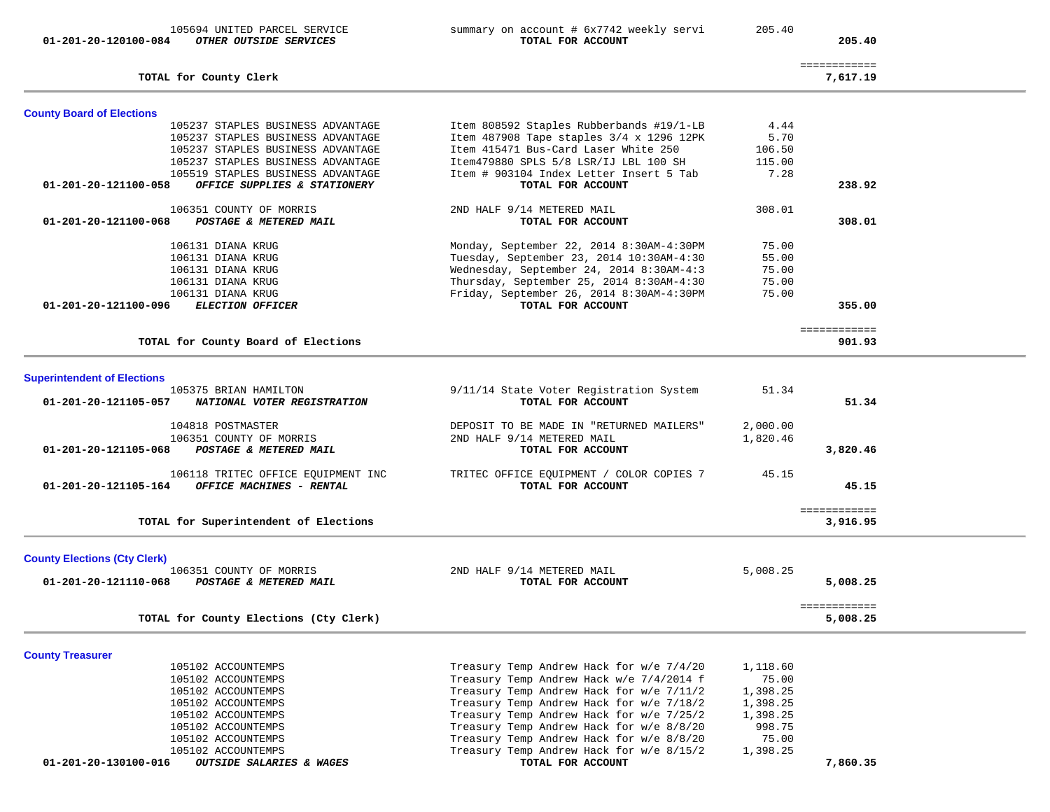| 01-201-20-120100-084                | 105694 UNITED PARCEL SERVICE<br>OTHER OUTSIDE SERVICES | summary on account # 6x7742 weekly servi<br>TOTAL FOR ACCOUNT                          | 205.40            | 205.40                   |  |
|-------------------------------------|--------------------------------------------------------|----------------------------------------------------------------------------------------|-------------------|--------------------------|--|
|                                     | TOTAL for County Clerk                                 |                                                                                        |                   | ============<br>7,617.19 |  |
| <b>County Board of Elections</b>    |                                                        |                                                                                        |                   |                          |  |
|                                     | 105237 STAPLES BUSINESS ADVANTAGE                      | Item 808592 Staples Rubberbands #19/1-LB                                               | 4.44              |                          |  |
|                                     | 105237 STAPLES BUSINESS ADVANTAGE                      | Item 487908 Tape staples 3/4 x 1296 12PK                                               | 5.70              |                          |  |
|                                     | 105237 STAPLES BUSINESS ADVANTAGE                      | Item 415471 Bus-Card Laser White 250                                                   | 106.50            |                          |  |
|                                     | 105237 STAPLES BUSINESS ADVANTAGE                      | Item479880 SPLS 5/8 LSR/IJ LBL 100 SH                                                  | 115.00            |                          |  |
|                                     | 105519 STAPLES BUSINESS ADVANTAGE                      | Item # 903104 Index Letter Insert 5 Tab                                                | 7.28              |                          |  |
| 01-201-20-121100-058                | OFFICE SUPPLIES & STATIONERY                           | TOTAL FOR ACCOUNT                                                                      |                   | 238.92                   |  |
|                                     | 106351 COUNTY OF MORRIS                                | 2ND HALF 9/14 METERED MAIL                                                             | 308.01            |                          |  |
| 01-201-20-121100-068                | POSTAGE & METERED MAIL                                 | TOTAL FOR ACCOUNT                                                                      |                   | 308.01                   |  |
|                                     | 106131 DIANA KRUG                                      | Monday, September 22, 2014 8:30AM-4:30PM                                               | 75.00             |                          |  |
|                                     | 106131 DIANA KRUG                                      | Tuesday, September 23, 2014 10:30AM-4:30                                               | 55.00             |                          |  |
|                                     | 106131 DIANA KRUG                                      | Wednesday, September 24, 2014 8:30AM-4:3                                               | 75.00             |                          |  |
|                                     | 106131 DIANA KRUG                                      | Thursday, September 25, 2014 8:30AM-4:30                                               | 75.00             |                          |  |
|                                     | 106131 DIANA KRUG                                      | Friday, September 26, 2014 8:30AM-4:30PM                                               | 75.00             |                          |  |
| 01-201-20-121100-096                | ELECTION OFFICER                                       | TOTAL FOR ACCOUNT                                                                      |                   | 355.00                   |  |
|                                     |                                                        |                                                                                        |                   | ============             |  |
|                                     | TOTAL for County Board of Elections                    |                                                                                        |                   | 901.93                   |  |
|                                     |                                                        |                                                                                        |                   |                          |  |
| <b>Superintendent of Elections</b>  | 105375 BRIAN HAMILTON                                  |                                                                                        | 51.34             |                          |  |
| 01-201-20-121105-057                | NATIONAL VOTER REGISTRATION                            | 9/11/14 State Voter Registration System<br>TOTAL FOR ACCOUNT                           |                   | 51.34                    |  |
|                                     |                                                        |                                                                                        |                   |                          |  |
|                                     | 104818 POSTMASTER                                      | DEPOSIT TO BE MADE IN "RETURNED MAILERS"                                               | 2,000.00          |                          |  |
|                                     | 106351 COUNTY OF MORRIS                                | 2ND HALF 9/14 METERED MAIL                                                             | 1,820.46          |                          |  |
| 01-201-20-121105-068                | POSTAGE & METERED MAIL                                 | TOTAL FOR ACCOUNT                                                                      |                   | 3,820.46                 |  |
|                                     |                                                        |                                                                                        |                   |                          |  |
|                                     | 106118 TRITEC OFFICE EQUIPMENT INC                     | TRITEC OFFICE EQUIPMENT / COLOR COPIES 7                                               | 45.15             |                          |  |
| 01-201-20-121105-164                | OFFICE MACHINES - RENTAL                               | TOTAL FOR ACCOUNT                                                                      |                   | 45.15                    |  |
|                                     |                                                        |                                                                                        |                   | ============             |  |
|                                     | TOTAL for Superintendent of Elections                  |                                                                                        |                   | 3,916.95                 |  |
| <b>County Elections (Cty Clerk)</b> |                                                        |                                                                                        |                   |                          |  |
|                                     | 106351 COUNTY OF MORRIS                                | 2ND HALF 9/14 METERED MAIL                                                             | 5,008.25          |                          |  |
| 01-201-20-121110-068                | POSTAGE & METERED MAIL                                 | TOTAL FOR ACCOUNT                                                                      |                   | 5,008.25                 |  |
|                                     |                                                        |                                                                                        |                   |                          |  |
|                                     | TOTAL for County Elections (Cty Clerk)                 |                                                                                        |                   | ============<br>5,008.25 |  |
|                                     |                                                        |                                                                                        |                   |                          |  |
| <b>County Treasurer</b>             |                                                        |                                                                                        |                   |                          |  |
|                                     | 105102 ACCOUNTEMPS<br>105102 ACCOUNTEMPS               | Treasury Temp Andrew Hack for w/e 7/4/20<br>Treasury Temp Andrew Hack $w/e$ 7/4/2014 f | 1,118.60<br>75.00 |                          |  |
|                                     |                                                        |                                                                                        |                   |                          |  |

105102 ACCOUNTEMPS Treasury Temp Andrew Hack w/e 7/4/2014 f 75.00 105102 ACCOUNTEMPS Treasury Temp Andrew Hack for w/e 7/11/2 1,398.25 105102 ACCOUNTEMPS Treasury Temp Andrew Hack for w/e 7/18/2 1,398.25<br>105102 ACCOUNTEMPS Treasury Temp Andrew Hack for w/e 7/25/2 1,398.25 105102 ACCOUNTEMPS Treasury Temp Andrew Hack for w/e 7/25/2 1,398.25<br>105102 ACCOUNTEMPS Treasury Temp Andrew Hack for w/e 8/8/20 998.75 105102 ACCOUNTEMPS Treasury Temp Andrew Hack for w/e 8/8/20 998.75<br>105102 ACCOUNTEMPS Treasury Temp Andrew Hack for w/e 8/8/20 75.00 105102 ACCOUNTEMPS Treasury Temp Andrew Hack for w/e 8/8/20 75.00 Treasury Temp Andrew Hack for  $w/e$  8/15/2 TOTAL FOR ACCOUNT  **01-201-20-130100-016** *OUTSIDE SALARIES & WAGES* **TOTAL FOR ACCOUNT 7,860.35**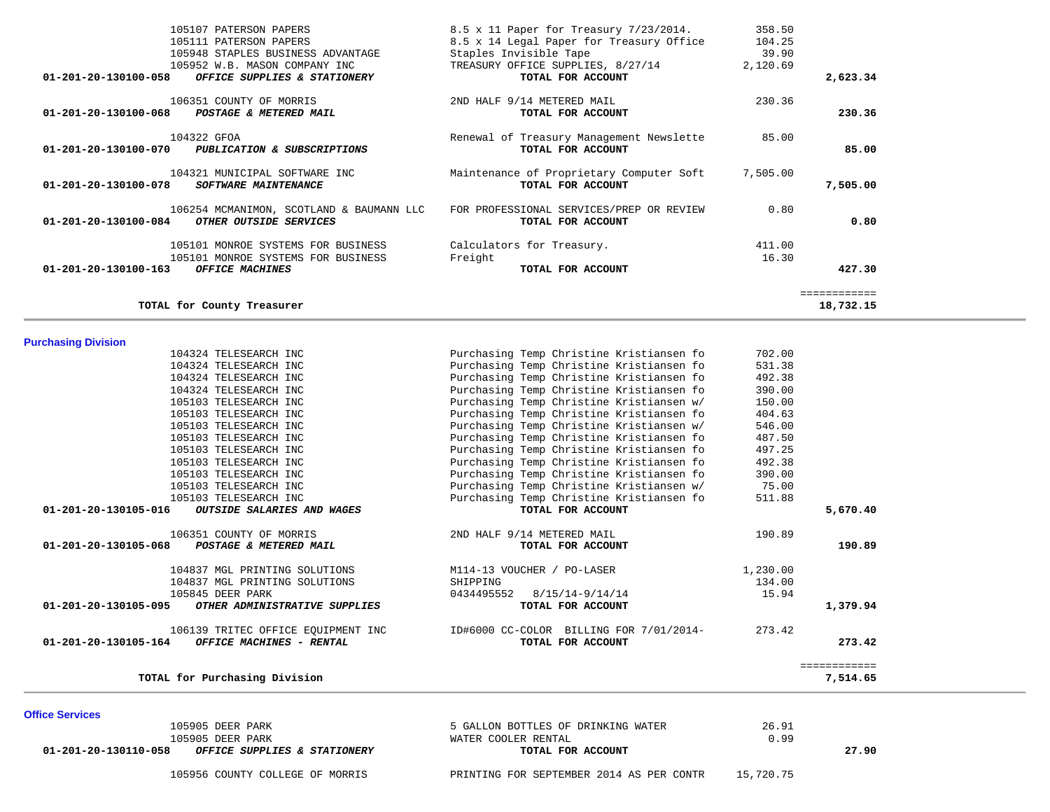105956 COUNTY COLLEGE OF MORRIS PRINTING FOR SEPTEMBER 2014 AS PER CONTR 15,720.75

| 01-201-20-130110-058<br><i>OFFICE SUPPLIES &amp; STATIONERY</i> | TOTAL FOR ACCOUNT                  | 27.90 |  |
|-----------------------------------------------------------------|------------------------------------|-------|--|
| 105905 DEER PARK                                                | WATER COOLER RENTAL                | J.99  |  |
| 105905 DEER PARK                                                | 5 GALLON BOTTLES OF DRINKING WATER | 26.91 |  |
| UIIIUC JEI VIUCSI                                               |                                    |       |  |

| 104324 TELESEARCH INC                                 | Purchasing Temp Christine Kristiansen fo | 390.00   |              |
|-------------------------------------------------------|------------------------------------------|----------|--------------|
| 105103 TELESEARCH INC                                 | Purchasing Temp Christine Kristiansen w/ | 150.00   |              |
| 105103 TELESEARCH INC                                 | Purchasing Temp Christine Kristiansen fo | 404.63   |              |
| 105103 TELESEARCH INC                                 | Purchasing Temp Christine Kristiansen w/ | 546.00   |              |
| 105103 TELESEARCH INC                                 | Purchasing Temp Christine Kristiansen fo | 487.50   |              |
| 105103 TELESEARCH INC                                 | Purchasing Temp Christine Kristiansen fo | 497.25   |              |
| 105103 TELESEARCH INC                                 | Purchasing Temp Christine Kristiansen fo | 492.38   |              |
| 105103 TELESEARCH INC                                 | Purchasing Temp Christine Kristiansen fo | 390.00   |              |
| 105103 TELESEARCH INC                                 | Purchasing Temp Christine Kristiansen w/ | 75.00    |              |
| 105103 TELESEARCH INC                                 | Purchasing Temp Christine Kristiansen fo | 511.88   |              |
| 01-201-20-130105-016<br>OUTSIDE SALARIES AND WAGES    | TOTAL FOR ACCOUNT                        |          | 5,670.40     |
| 106351 COUNTY OF MORRIS                               | 2ND HALF 9/14 METERED MAIL               | 190.89   |              |
| 01-201-20-130105-068<br>POSTAGE & METERED MAIL        | TOTAL FOR ACCOUNT                        |          | 190.89       |
| 104837 MGL PRINTING SOLUTIONS                         | M114-13 VOUCHER / PO-LASER               | 1,230.00 |              |
| 104837 MGL PRINTING SOLUTIONS                         | SHIPPING                                 | 134.00   |              |
| 105845 DEER PARK                                      | 8/15/14-9/14/14<br>0434495552            | 15.94    |              |
| 01-201-20-130105-095<br>OTHER ADMINISTRATIVE SUPPLIES | TOTAL FOR ACCOUNT                        |          | 1,379.94     |
| 106139 TRITEC OFFICE EQUIPMENT INC                    | ID#6000 CC-COLOR BILLING FOR 7/01/2014-  | 273.42   |              |
| 01-201-20-130105-164<br>OFFICE MACHINES - RENTAL      | TOTAL FOR ACCOUNT                        |          | 273.42       |
|                                                       |                                          |          | ============ |
| TOTAL for Purchasing Division                         |                                          |          | 7,514.65     |

| <b>Purchasing Division</b> |  |
|----------------------------|--|
|----------------------------|--|

**Office Services** 

| 105107 PATERSON PAPERS<br>105111 PATERSON PAPERS<br>105948 STAPLES BUSINESS ADVANTAGE<br>105952 W.B. MASON COMPANY INC<br>01-201-20-130100-058<br>OFFICE SUPPLIES & STATIONERY | 8.5 x 11 Paper for Treasury 7/23/2014.<br>8.5 x 14 Legal Paper for Treasury Office<br>Staples Invisible Tape<br>TREASURY OFFICE SUPPLIES, 8/27/14<br>TOTAL FOR ACCOUNT | 358.50<br>104.25<br>39.90<br>2,120.69 | 2,623.34   |
|--------------------------------------------------------------------------------------------------------------------------------------------------------------------------------|------------------------------------------------------------------------------------------------------------------------------------------------------------------------|---------------------------------------|------------|
| 106351 COUNTY OF MORRIS<br>$01 - 201 - 20 - 130100 - 068$<br>POSTAGE & METERED MAIL                                                                                            | 2ND HALF 9/14 METERED MAIL<br>TOTAL FOR ACCOUNT                                                                                                                        | 230.36                                | 230.36     |
| 104322 GFOA<br>01-201-20-130100-070<br>PUBLICATION & SUBSCRIPTIONS                                                                                                             | Renewal of Treasury Management Newslette<br>TOTAL FOR ACCOUNT                                                                                                          | 85.00                                 | 85.00      |
| 104321 MUNICIPAL SOFTWARE INC<br>01-201-20-130100-078<br>SOFTWARE MAINTENANCE                                                                                                  | Maintenance of Proprietary Computer Soft<br>TOTAL FOR ACCOUNT                                                                                                          | 7,505.00                              | 7,505.00   |
| 106254 MCMANIMON, SCOTLAND & BAUMANN LLC<br>01-201-20-130100-084<br>OTHER OUTSIDE SERVICES                                                                                     | FOR PROFESSIONAL SERVICES/PREP OR REVIEW<br>TOTAL FOR ACCOUNT                                                                                                          | 0.80                                  | 0.80       |
| 105101 MONROE SYSTEMS FOR BUSINESS<br>105101 MONROE SYSTEMS FOR BUSINESS<br>$01 - 201 - 20 - 130100 - 163$<br>OFFICE MACHINES                                                  | Calculators for Treasury.<br>Freight<br>TOTAL FOR ACCOUNT                                                                                                              | 411.00<br>16.30                       | 427.30     |
|                                                                                                                                                                                |                                                                                                                                                                        |                                       | ---------- |

**TOTAL for County Treasurer 18,732.15** 

Purchasing Temp Christine Kristiansen fo

 104324 TELESEARCH INC Purchasing Temp Christine Kristiansen fo 702.00 104324 TELESEARCH INC Purchasing Temp Christine Kristiansen fo 531.38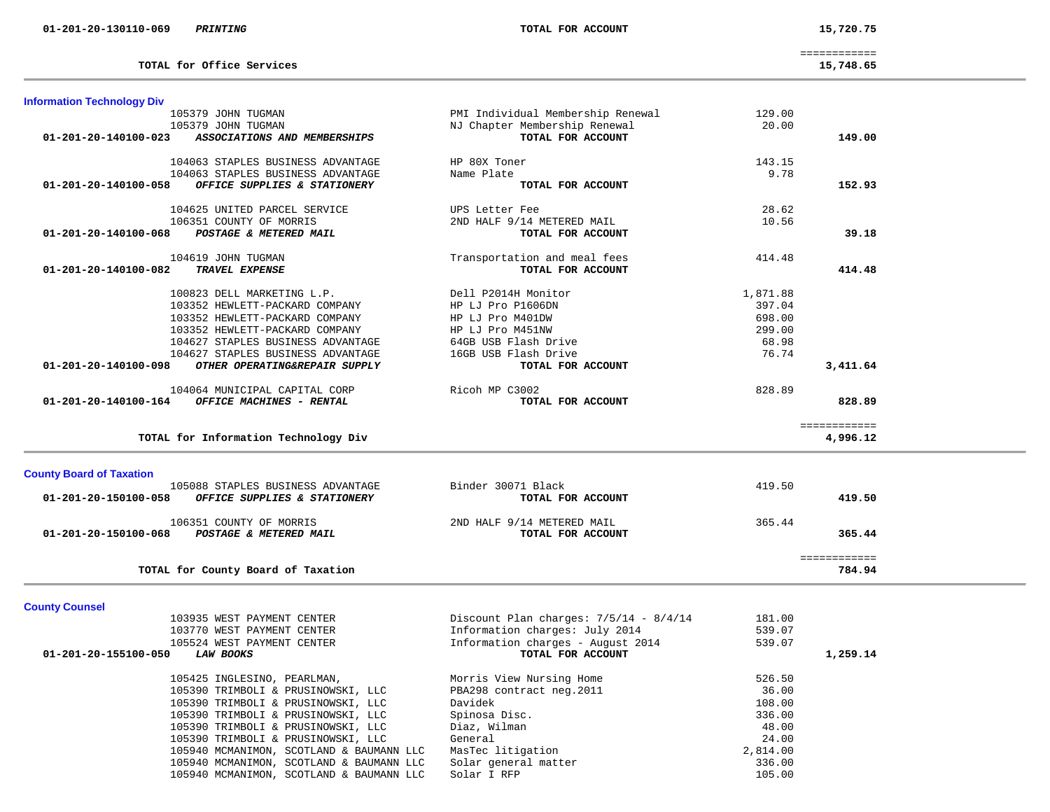| - - - - - -                 | . |                           |
|-----------------------------|---|---------------------------|
|                             |   |                           |
|                             |   |                           |
|                             |   |                           |
|                             |   |                           |
| ____________<br>----------- |   |                           |
|                             |   |                           |
| 15,748.65                   |   | TOTAL for Office Services |
|                             |   |                           |
|                             |   |                           |

105940 MCMANIMON, SCOTLAND & BAUMANN LLC

| <b>Information Technology Div</b> |                                                                          |                                          |                 |                          |
|-----------------------------------|--------------------------------------------------------------------------|------------------------------------------|-----------------|--------------------------|
|                                   | 105379 JOHN TUGMAN                                                       | PMI Individual Membership Renewal        | 129.00          |                          |
|                                   | 105379 JOHN TUGMAN                                                       | NJ Chapter Membership Renewal            | 20.00           |                          |
| 01-201-20-140100-023              | ASSOCIATIONS AND MEMBERSHIPS                                             | TOTAL FOR ACCOUNT                        |                 | 149.00                   |
|                                   |                                                                          |                                          |                 |                          |
|                                   | 104063 STAPLES BUSINESS ADVANTAGE                                        | HP 80X Toner                             | 143.15          |                          |
|                                   | 104063 STAPLES BUSINESS ADVANTAGE                                        | Name Plate                               | 9.78            |                          |
| 01-201-20-140100-058              | OFFICE SUPPLIES & STATIONERY                                             | TOTAL FOR ACCOUNT                        |                 | 152.93                   |
|                                   |                                                                          |                                          |                 |                          |
|                                   | 104625 UNITED PARCEL SERVICE                                             | UPS Letter Fee                           | 28.62           |                          |
|                                   | 106351 COUNTY OF MORRIS                                                  | 2ND HALF 9/14 METERED MAIL               | 10.56           |                          |
| 01-201-20-140100-068              | POSTAGE & METERED MAIL                                                   | TOTAL FOR ACCOUNT                        |                 | 39.18                    |
|                                   |                                                                          |                                          |                 |                          |
|                                   | 104619 JOHN TUGMAN                                                       | Transportation and meal fees             | 414.48          |                          |
| 01-201-20-140100-082              | TRAVEL EXPENSE                                                           | TOTAL FOR ACCOUNT                        |                 | 414.48                   |
|                                   |                                                                          |                                          |                 |                          |
|                                   | 100823 DELL MARKETING L.P.                                               | Dell P2014H Monitor                      | 1,871.88        |                          |
|                                   | 103352 HEWLETT-PACKARD COMPANY                                           | HP LJ Pro P1606DN                        | 397.04          |                          |
|                                   | 103352 HEWLETT-PACKARD COMPANY                                           | HP LJ Pro M401DW                         | 698.00          |                          |
|                                   | 103352 HEWLETT-PACKARD COMPANY                                           | HP LJ Pro M451NW                         | 299.00          |                          |
|                                   | 104627 STAPLES BUSINESS ADVANTAGE                                        | 64GB USB Flash Drive                     | 68.98           |                          |
|                                   | 104627 STAPLES BUSINESS ADVANTAGE                                        | 16GB USB Flash Drive                     | 76.74           |                          |
| 01-201-20-140100-098              | OTHER OPERATING&REPAIR SUPPLY                                            | TOTAL FOR ACCOUNT                        |                 | 3,411.64                 |
|                                   |                                                                          |                                          |                 |                          |
|                                   | 104064 MUNICIPAL CAPITAL CORP                                            | Ricoh MP C3002                           | 828.89          |                          |
| 01-201-20-140100-164              | OFFICE MACHINES - RENTAL                                                 | TOTAL FOR ACCOUNT                        |                 | 828.89                   |
|                                   | TOTAL for Information Technology Div                                     |                                          |                 | ============<br>4,996.12 |
|                                   |                                                                          |                                          |                 |                          |
| <b>County Board of Taxation</b>   |                                                                          |                                          |                 |                          |
|                                   | 105088 STAPLES BUSINESS ADVANTAGE                                        | Binder 30071 Black                       | 419.50          |                          |
| 01-201-20-150100-058              | OFFICE SUPPLIES & STATIONERY                                             | TOTAL FOR ACCOUNT                        |                 | 419.50                   |
|                                   |                                                                          |                                          |                 |                          |
|                                   | 106351 COUNTY OF MORRIS                                                  | 2ND HALF 9/14 METERED MAIL               | 365.44          |                          |
| 01-201-20-150100-068              | POSTAGE & METERED MAIL                                                   | TOTAL FOR ACCOUNT                        |                 | 365.44                   |
|                                   |                                                                          |                                          |                 | ============             |
|                                   | TOTAL for County Board of Taxation                                       |                                          |                 | 784.94                   |
| <b>County Counsel</b>             |                                                                          |                                          |                 |                          |
|                                   | 103935 WEST PAYMENT CENTER                                               | Discount Plan charges: $7/5/14 - 8/4/14$ | 181.00          |                          |
|                                   | 103770 WEST PAYMENT CENTER                                               | Information charges: July 2014           | 539.07          |                          |
|                                   | 105524 WEST PAYMENT CENTER                                               | Information charges - August 2014        | 539.07          |                          |
|                                   |                                                                          |                                          |                 |                          |
|                                   |                                                                          |                                          |                 |                          |
| 01-201-20-155100-050              | <b>LAW BOOKS</b>                                                         | TOTAL FOR ACCOUNT                        |                 | 1,259.14                 |
|                                   |                                                                          |                                          |                 |                          |
|                                   | 105425 INGLESINO, PEARLMAN,                                              | Morris View Nursing Home                 | 526.50          |                          |
|                                   | 105390 TRIMBOLI & PRUSINOWSKI, LLC                                       | PBA298 contract neg.2011                 | 36.00           |                          |
|                                   | 105390 TRIMBOLI & PRUSINOWSKI, LLC                                       | Davidek                                  | 108.00          |                          |
|                                   | 105390 TRIMBOLI & PRUSINOWSKI, LLC<br>105390 TRIMBOLI & PRUSINOWSKI, LLC | Spinosa Disc.<br>Diaz, Wilman            | 336.00<br>48.00 |                          |

105390 TRIMBOLI & PRUSINOWSKI, LLC Diaz, Wilman 48.00 105390 TRIMBOLI & PRUSINOWSKI, LLC General 24.00<br>105940 MCMANIMON, SCOTLAND & BAUMANN LLC MasTec litigation 2,814.00 105940 MCMANIMON, SCOTLAND & BAUMANN LLC MasTec litigation 2,814.00 105940 MCMANIMON, SCOTLAND & BAUMANN LLC Solar general matter 336.00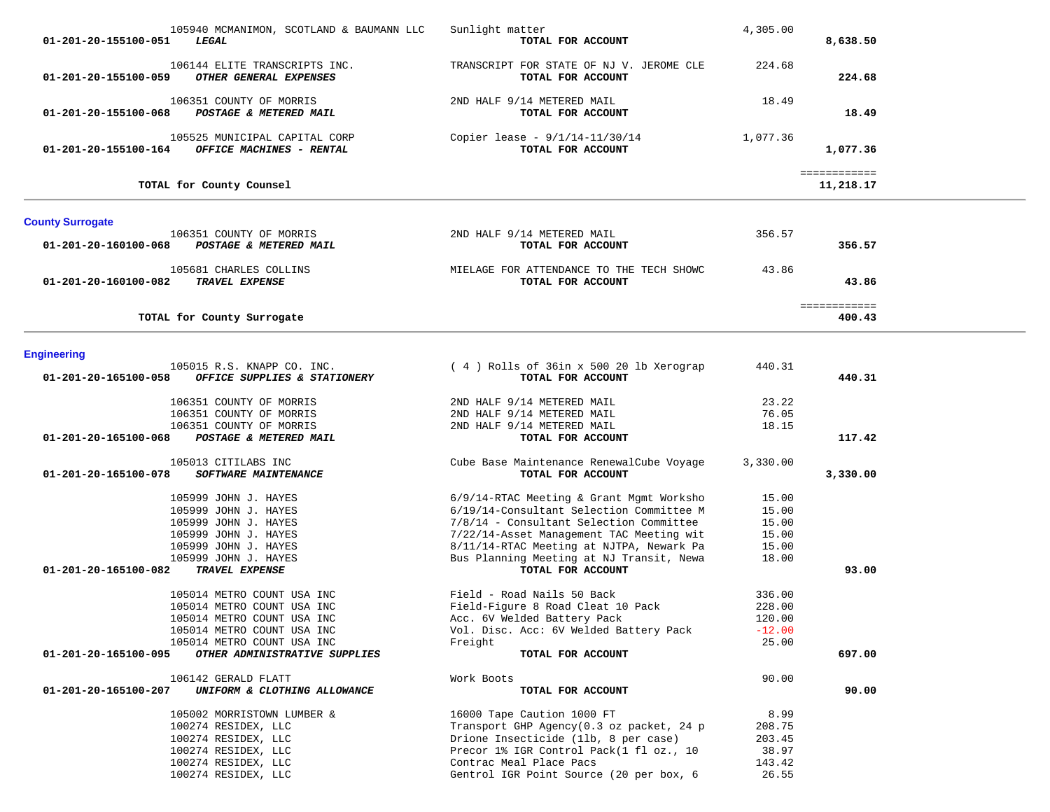| 105940 MCMANIMON, SCOTLAND & BAUMANN LLC<br>01-201-20-155100-051<br>LEGAL                                                                                                                                   | Sunlight matter<br>TOTAL FOR ACCOUNT                                                                                                                                                                                                                                                     | 4,305.00                                             | 8,638.50                  |  |
|-------------------------------------------------------------------------------------------------------------------------------------------------------------------------------------------------------------|------------------------------------------------------------------------------------------------------------------------------------------------------------------------------------------------------------------------------------------------------------------------------------------|------------------------------------------------------|---------------------------|--|
| 106144 ELITE TRANSCRIPTS INC.<br>OTHER GENERAL EXPENSES<br>01-201-20-155100-059                                                                                                                             | TRANSCRIPT FOR STATE OF NJ V. JEROME CLE<br>TOTAL FOR ACCOUNT                                                                                                                                                                                                                            | 224.68                                               | 224.68                    |  |
| 106351 COUNTY OF MORRIS<br>01-201-20-155100-068 POSTAGE & METERED MAIL                                                                                                                                      | 2ND HALF 9/14 METERED MAIL<br>TOTAL FOR ACCOUNT                                                                                                                                                                                                                                          | 18.49                                                | 18.49                     |  |
| 105525 MUNICIPAL CAPITAL CORP<br>$01-201-20-155100-164$ OFFICE MACHINES - RENTAL                                                                                                                            | Copier lease - 9/1/14-11/30/14<br>TOTAL FOR ACCOUNT                                                                                                                                                                                                                                      | 1,077.36                                             | 1,077.36                  |  |
| TOTAL for County Counsel                                                                                                                                                                                    |                                                                                                                                                                                                                                                                                          |                                                      | ============<br>11,218.17 |  |
| <b>County Surrogate</b>                                                                                                                                                                                     |                                                                                                                                                                                                                                                                                          |                                                      |                           |  |
| 106351 COUNTY OF MORRIS<br>01-201-20-160100-068<br>POSTAGE & METERED MAIL                                                                                                                                   | 2ND HALF 9/14 METERED MAIL<br>TOTAL FOR ACCOUNT                                                                                                                                                                                                                                          | 356.57                                               | 356.57                    |  |
| 105681 CHARLES COLLINS<br>TRAVEL EXPENSE<br>01-201-20-160100-082                                                                                                                                            | MIELAGE FOR ATTENDANCE TO THE TECH SHOWC<br>TOTAL FOR ACCOUNT                                                                                                                                                                                                                            | 43.86                                                | 43.86                     |  |
| TOTAL for County Surrogate                                                                                                                                                                                  |                                                                                                                                                                                                                                                                                          |                                                      | ============<br>400.43    |  |
| <b>Engineering</b>                                                                                                                                                                                          |                                                                                                                                                                                                                                                                                          |                                                      |                           |  |
| 105015 R.S. KNAPP CO. INC.<br>OFFICE SUPPLIES & STATIONERY<br>01-201-20-165100-058                                                                                                                          | (4) Rolls of 36in x 500 20 lb Xerograp<br>TOTAL FOR ACCOUNT                                                                                                                                                                                                                              | 440.31                                               | 440.31                    |  |
| 106351 COUNTY OF MORRIS<br>106351 COUNTY OF MORRIS<br>106351 COUNTY OF MORRIS<br>POSTAGE & METERED MAIL<br>01-201-20-165100-068                                                                             | 2ND HALF 9/14 METERED MAIL<br>2ND HALF 9/14 METERED MAIL<br>2ND HALF 9/14 METERED MAIL<br>TOTAL FOR ACCOUNT                                                                                                                                                                              | 23.22<br>76.05<br>18.15                              | 117.42                    |  |
| 105013 CITILABS INC<br>01-201-20-165100-078<br>SOFTWARE MAINTENANCE                                                                                                                                         | Cube Base Maintenance RenewalCube Voyage<br>TOTAL FOR ACCOUNT                                                                                                                                                                                                                            | 3,330.00                                             | 3,330.00                  |  |
| 105999 JOHN J. HAYES<br>105999 JOHN J. HAYES<br>105999 JOHN J. HAYES<br>105999 JOHN J. HAYES<br>105999 JOHN J. HAYES<br>105999 JOHN J. HAYES<br>TRAVEL EXPENSE<br>01-201-20-165100-082                      | 6/9/14-RTAC Meeting & Grant Mgmt Worksho<br>6/19/14-Consultant Selection Committee M<br>7/8/14 - Consultant Selection Committee<br>7/22/14-Asset Management TAC Meeting wit<br>8/11/14-RTAC Meeting at NJTPA, Newark Pa<br>Bus Planning Meeting at NJ Transit, Newa<br>TOTAL FOR ACCOUNT | 15.00<br>15.00<br>15.00<br>15.00<br>15.00<br>18.00   | 93.00                     |  |
| 105014 METRO COUNT USA INC<br>105014 METRO COUNT USA INC<br>105014 METRO COUNT USA INC<br>105014 METRO COUNT USA INC<br>105014 METRO COUNT USA INC<br>01-201-20-165100-095<br>OTHER ADMINISTRATIVE SUPPLIES | Field - Road Nails 50 Back<br>Field-Figure 8 Road Cleat 10 Pack<br>Acc. 6V Welded Battery Pack<br>Vol. Disc. Acc: 6V Welded Battery Pack<br>Freight<br>TOTAL FOR ACCOUNT                                                                                                                 | 336.00<br>228.00<br>120.00<br>$-12.00$<br>25.00      | 697.00                    |  |
| 106142 GERALD FLATT<br>01-201-20-165100-207<br>UNIFORM & CLOTHING ALLOWANCE                                                                                                                                 | Work Boots<br>TOTAL FOR ACCOUNT                                                                                                                                                                                                                                                          | 90.00                                                | 90.00                     |  |
| 105002 MORRISTOWN LUMBER &<br>100274 RESIDEX, LLC<br>100274 RESIDEX, LLC<br>100274 RESIDEX, LLC<br>100274 RESIDEX, LLC<br>100274 RESIDEX, LLC                                                               | 16000 Tape Caution 1000 FT<br>Transport GHP Agency(0.3 oz packet, 24 p<br>Drione Insecticide (11b, 8 per case)<br>Precor 1% IGR Control Pack(1 fl oz., 10<br>Contrac Meal Place Pacs<br>Gentrol IGR Point Source (20 per box, 6                                                          | 8.99<br>208.75<br>203.45<br>38.97<br>143.42<br>26.55 |                           |  |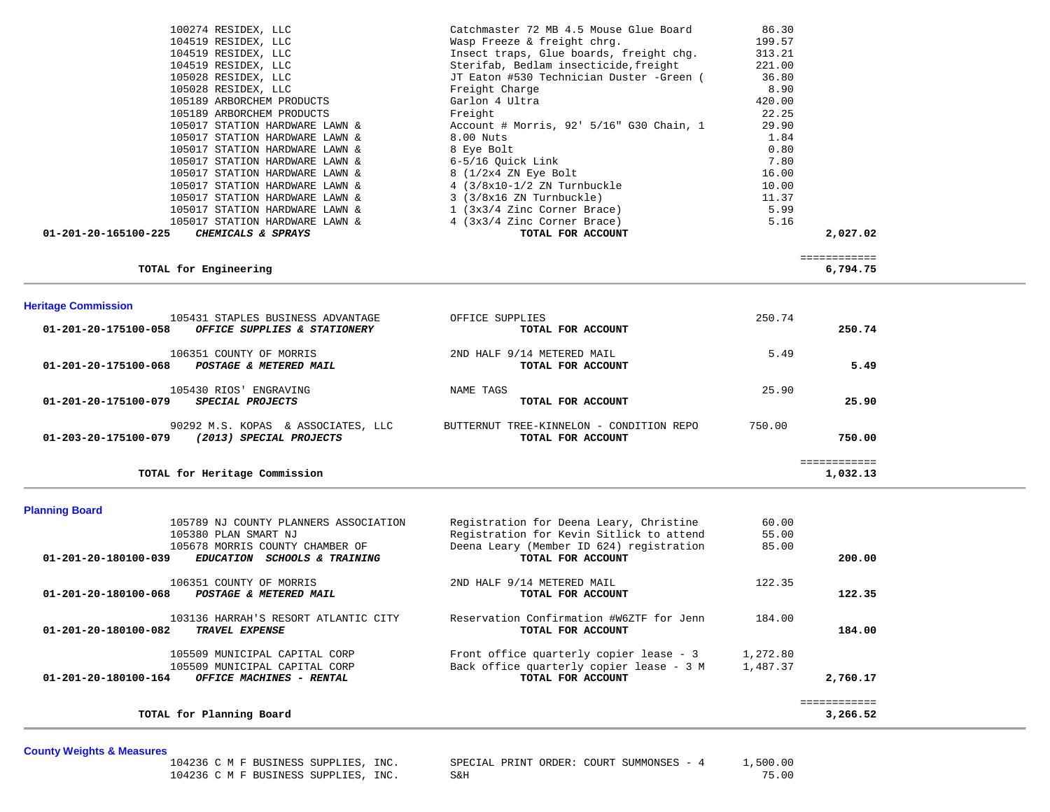| 100274 RESIDEX, LLC                                                                     | Catchmaster 72 MB 4.5 Mouse Glue Board                                 | 86.30            |                          |  |
|-----------------------------------------------------------------------------------------|------------------------------------------------------------------------|------------------|--------------------------|--|
| 104519 RESIDEX, LLC<br>104519 RESIDEX, LLC                                              | Wasp Freeze & freight chrg.<br>Insect traps, Glue boards, freight chg. | 199.57<br>313.21 |                          |  |
| 104519 RESIDEX, LLC                                                                     | Sterifab, Bedlam insecticide, freight                                  | 221.00           |                          |  |
| 105028 RESIDEX, LLC                                                                     | JT Eaton #530 Technician Duster -Green (                               | 36.80            |                          |  |
| 105028 RESIDEX, LLC                                                                     | Freight Charge                                                         | 8.90             |                          |  |
| 105189 ARBORCHEM PRODUCTS                                                               | Garlon 4 Ultra                                                         | 420.00           |                          |  |
| 105189 ARBORCHEM PRODUCTS<br>105017 STATION HARDWARE LAWN &                             | Freight<br>Account # Morris, 92' 5/16" G30 Chain, 1                    | 22.25<br>29.90   |                          |  |
| 105017 STATION HARDWARE LAWN &                                                          | 8.00 Nuts                                                              | 1.84             |                          |  |
| 105017 STATION HARDWARE LAWN &                                                          | 8 Eye Bolt                                                             | 0.80             |                          |  |
| 105017 STATION HARDWARE LAWN &                                                          | 6-5/16 Quick Link                                                      | 7.80             |                          |  |
| 105017 STATION HARDWARE LAWN &                                                          | 8 (1/2x4 ZN Eye Bolt                                                   | 16.00            |                          |  |
| 105017 STATION HARDWARE LAWN &                                                          | $4$ (3/8x10-1/2 ZN Turnbuckle                                          | 10.00            |                          |  |
| 105017 STATION HARDWARE LAWN &<br>105017 STATION HARDWARE LAWN &                        | $3$ ( $3/8x16$ ZN Turnbuckle)<br>$1$ (3x3/4 Zinc Corner Brace)         | 11.37<br>5.99    |                          |  |
| 105017 STATION HARDWARE LAWN &                                                          | 4 (3x3/4 Zinc Corner Brace)                                            | 5.16             |                          |  |
| CHEMICALS & SPRAYS<br>01-201-20-165100-225                                              | TOTAL FOR ACCOUNT                                                      |                  | 2,027.02                 |  |
|                                                                                         |                                                                        |                  | ============             |  |
| TOTAL for Engineering                                                                   |                                                                        |                  | 6,794.75                 |  |
|                                                                                         |                                                                        |                  |                          |  |
| <b>Heritage Commission</b><br>105431 STAPLES BUSINESS ADVANTAGE                         | OFFICE SUPPLIES                                                        | 250.74           |                          |  |
| 01-201-20-175100-058<br>OFFICE SUPPLIES & STATIONERY                                    | TOTAL FOR ACCOUNT                                                      |                  | 250.74                   |  |
| 106351 COUNTY OF MORRIS                                                                 | 2ND HALF 9/14 METERED MAIL                                             | 5.49             |                          |  |
| 01-201-20-175100-068<br>POSTAGE & METERED MAIL                                          | TOTAL FOR ACCOUNT                                                      |                  | 5.49                     |  |
| 105430 RIOS' ENGRAVING                                                                  | NAME TAGS                                                              | 25.90            |                          |  |
| 01-201-20-175100-079<br>SPECIAL PROJECTS                                                | TOTAL FOR ACCOUNT                                                      |                  | 25.90                    |  |
| 90292 M.S. KOPAS & ASSOCIATES, LLC                                                      | BUTTERNUT TREE-KINNELON - CONDITION REPO                               | 750.00           |                          |  |
| 01-203-20-175100-079 (2013) SPECIAL PROJECTS                                            | TOTAL FOR ACCOUNT                                                      |                  | 750.00                   |  |
| TOTAL for Heritage Commission                                                           |                                                                        |                  | ============<br>1,032.13 |  |
|                                                                                         |                                                                        |                  |                          |  |
| <b>Planning Board</b>                                                                   |                                                                        |                  |                          |  |
| 105789 NJ COUNTY PLANNERS ASSOCIATION                                                   | Registration for Deena Leary, Christine                                | 60.00            |                          |  |
| 105380 PLAN SMART NJ                                                                    | Registration for Kevin Sitlick to attend                               | 55.00            |                          |  |
| 105678 MORRIS COUNTY CHAMBER OF<br>01-201-20-180100-039<br>EDUCATION SCHOOLS & TRAINING | Deena Leary (Member ID 624) registration<br>TOTAL FOR ACCOUNT          | 85.00            | 200.00                   |  |
|                                                                                         |                                                                        |                  |                          |  |
| 106351 COUNTY OF MORRIS<br>01-201-20-180100-068<br>POSTAGE & METERED MAIL               | 2ND HALF 9/14 METERED MAIL<br>TOTAL FOR ACCOUNT                        | 122.35           |                          |  |
|                                                                                         |                                                                        |                  | 122.35                   |  |
| 103136 HARRAH'S RESORT ATLANTIC CITY                                                    | Reservation Confirmation #W6ZTF for Jenn                               | 184.00           |                          |  |
| TRAVEL EXPENSE<br>01-201-20-180100-082                                                  | TOTAL FOR ACCOUNT                                                      |                  | 184.00                   |  |
| 105509 MUNICIPAL CAPITAL CORP                                                           | Front office quarterly copier lease - 3                                | 1,272.80         |                          |  |
| 105509 MUNICIPAL CAPITAL CORP                                                           | Back office quarterly copier lease - 3 M                               | 1,487.37         |                          |  |
| OFFICE MACHINES - RENTAL<br>01-201-20-180100-164                                        | TOTAL FOR ACCOUNT                                                      |                  | 2,760.17                 |  |
| TOTAL for Planning Board                                                                |                                                                        |                  | ============<br>3,266.52 |  |
|                                                                                         |                                                                        |                  |                          |  |

|  | 104236 C M F BUSINESS SUPPLIES, INC. |     |  | SPECIAL PRINT ORDER: COURT SUMMONSES - 4 |  | 1,500.00 |
|--|--------------------------------------|-----|--|------------------------------------------|--|----------|
|  | 104236 C M F BUSINESS SUPPLIES, INC. | S&H |  |                                          |  | 75.00    |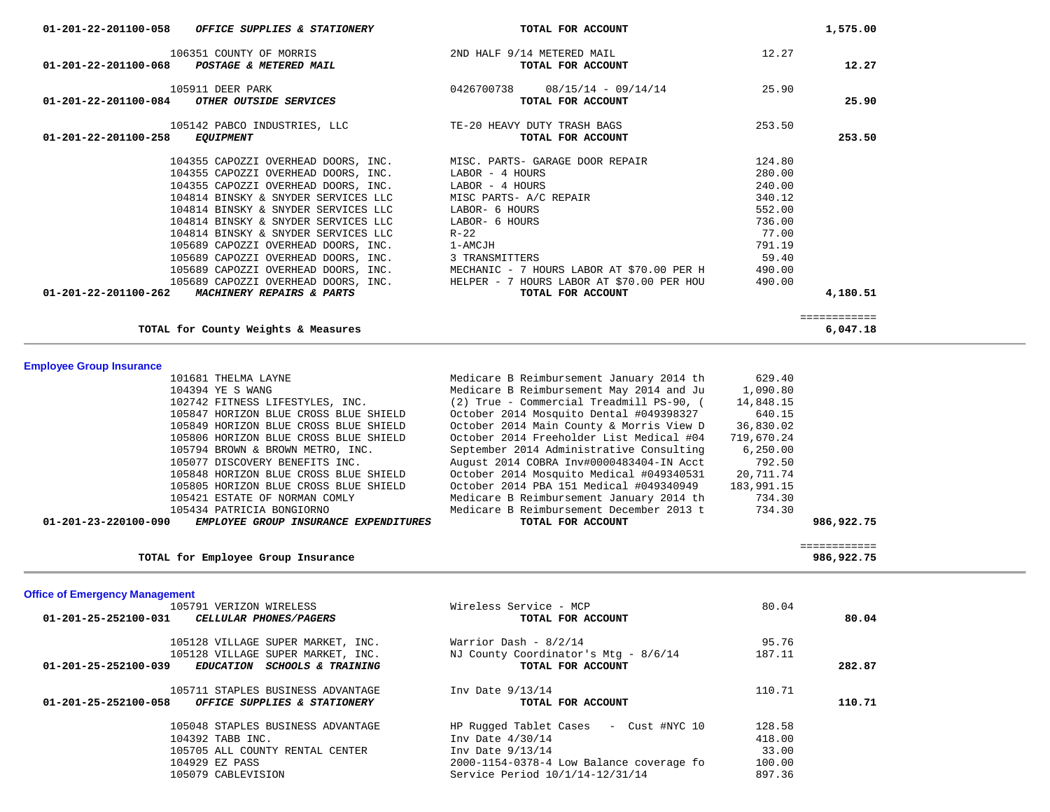|                                                                                          | MISC PARTS- A/C REPAIR                                         | 340.12     |                            |  |
|------------------------------------------------------------------------------------------|----------------------------------------------------------------|------------|----------------------------|--|
| 104814 BINSKY & SNYDER SERVICES LLC                                                      | LABOR- 6 HOURS                                                 | 552.00     |                            |  |
| 104814 BINSKY & SNYDER SERVICES LLC                                                      | LABOR- 6 HOURS                                                 | 736.00     |                            |  |
| 104814 BINSKY & SNYDER SERVICES LLC                                                      | $R-22$                                                         | 77.00      |                            |  |
| 105689 CAPOZZI OVERHEAD DOORS, INC.                                                      | 1-AMCJH                                                        | 791.19     |                            |  |
| 105689 CAPOZZI OVERHEAD DOORS, INC.                                                      | 3 TRANSMITTERS                                                 | 59.40      |                            |  |
| 105689 CAPOZZI OVERHEAD DOORS, INC.                                                      | MECHANIC - 7 HOURS LABOR AT \$70.00 PER H                      | 490.00     |                            |  |
|                                                                                          |                                                                | 490.00     |                            |  |
| 105689 CAPOZZI OVERHEAD DOORS, INC.<br>01-201-22-201100-262<br>MACHINERY REPAIRS & PARTS | HELPER - 7 HOURS LABOR AT \$70.00 PER HOU<br>TOTAL FOR ACCOUNT |            | 4,180.51                   |  |
|                                                                                          |                                                                |            | ============               |  |
| TOTAL for County Weights & Measures                                                      |                                                                |            | 6,047.18                   |  |
| <b>Employee Group Insurance</b>                                                          |                                                                |            |                            |  |
| 101681 THELMA LAYNE                                                                      | Medicare B Reimbursement January 2014 th                       | 629.40     |                            |  |
| 104394 YE S WANG                                                                         | Medicare B Reimbursement May 2014 and Ju                       | 1,090.80   |                            |  |
| 102742 FITNESS LIFESTYLES, INC.                                                          | (2) True - Commercial Treadmill PS-90, (                       | 14,848.15  |                            |  |
| 105847 HORIZON BLUE CROSS BLUE SHIELD                                                    | October 2014 Mosquito Dental #049398327                        | 640.15     |                            |  |
|                                                                                          |                                                                |            |                            |  |
| 105849 HORIZON BLUE CROSS BLUE SHIELD                                                    | October 2014 Main County & Morris View D                       | 36,830.02  |                            |  |
| 105806 HORIZON BLUE CROSS BLUE SHIELD                                                    | October 2014 Freeholder List Medical #04                       | 719,670.24 |                            |  |
| 105794 BROWN & BROWN METRO, INC.                                                         | September 2014 Administrative Consulting                       | 6, 250.00  |                            |  |
| 105077 DISCOVERY BENEFITS INC.                                                           | August 2014 COBRA Inv#0000483404-IN Acct                       | 792.50     |                            |  |
| 105848 HORIZON BLUE CROSS BLUE SHIELD                                                    | October 2014 Mosquito Medical #049340531                       | 20,711.74  |                            |  |
| 105805 HORIZON BLUE CROSS BLUE SHIELD                                                    | October 2014 PBA 151 Medical #049340949                        | 183,991.15 |                            |  |
| 105421 ESTATE OF NORMAN COMLY                                                            | Medicare B Reimbursement January 2014 th                       | 734.30     |                            |  |
| 105434 PATRICIA BONGIORNO                                                                | Medicare B Reimbursement December 2013 t                       | 734.30     |                            |  |
|                                                                                          |                                                                |            | 986,922.75                 |  |
|                                                                                          |                                                                |            |                            |  |
| 01-201-23-220100-090<br>EMPLOYEE GROUP INSURANCE EXPENDITURES                            | TOTAL FOR ACCOUNT                                              |            |                            |  |
| TOTAL for Employee Group Insurance                                                       |                                                                |            | ============<br>986,922.75 |  |
|                                                                                          |                                                                |            |                            |  |
|                                                                                          |                                                                |            |                            |  |
| 105791 VERIZON WIRELESS                                                                  | Wireless Service - MCP                                         | 80.04      |                            |  |
| 01-201-25-252100-031<br>CELLULAR PHONES/PAGERS                                           | TOTAL FOR ACCOUNT                                              |            | 80.04                      |  |
|                                                                                          |                                                                |            |                            |  |
| 105128 VILLAGE SUPER MARKET, INC.                                                        | Warrior Dash - $8/2/14$                                        | 95.76      |                            |  |
| 105128 VILLAGE SUPER MARKET, INC.                                                        | NJ County Coordinator's Mtg - 8/6/14                           | 187.11     |                            |  |
| 01-201-25-252100-039<br>EDUCATION SCHOOLS & TRAINING                                     | TOTAL FOR ACCOUNT                                              |            | 282.87                     |  |
| 105711 STAPLES BUSINESS ADVANTAGE                                                        | Inv Date 9/13/14                                               | 110.71     |                            |  |
| OFFICE SUPPLIES & STATIONERY<br>01-201-25-252100-058                                     | TOTAL FOR ACCOUNT                                              |            | 110.71                     |  |
| 105048 STAPLES BUSINESS ADVANTAGE                                                        |                                                                | 128.58     |                            |  |
|                                                                                          | HP Rugged Tablet Cases - Cust #NYC 10                          |            |                            |  |
| 104392 TABB INC.                                                                         | Inv Date $4/30/14$                                             | 418.00     |                            |  |
| 105705 ALL COUNTY RENTAL CENTER                                                          | Inv Date 9/13/14                                               | 33.00      |                            |  |
| 104929 EZ PASS                                                                           | 2000-1154-0378-4 Low Balance coverage fo                       | 100.00     |                            |  |
| <b>Office of Emergency Management</b><br>105079 CABLEVISION                              | Service Period 10/1/14-12/31/14                                | 897.36     |                            |  |
|                                                                                          |                                                                |            |                            |  |
|                                                                                          |                                                                |            |                            |  |

| 106351 COUNTY OF MORRIS<br>01-201-22-201100-068<br>POSTAGE & METERED MAIL<br>TOTAL FOR ACCOUNT |                   | 12.27                               |
|------------------------------------------------------------------------------------------------|-------------------|-------------------------------------|
| $08/15/14 - 09/14/14$<br>0426700738<br>TOTAL FOR ACCOUNT                                       | 25.90             | 25.90                               |
| TE-20 HEAVY DUTY TRASH BAGS                                                                    | 253.50            | 253.50                              |
|                                                                                                | TOTAL FOR ACCOUNT | 2ND HALF 9/14 METERED MAIL<br>12.27 |

 **01-201-22-201100-058** *OFFICE SUPPLIES & STATIONERY* **TOTAL FOR ACCOUNT 1,575.00**

104355 CAPOZZI OVERHEAD DOORS, INC. LABOR - 4 HOURS 280.00 104355 CAPOZZI OVERHEAD DOORS, INC. LABOR - 4 HOURS 240.00

104355 CAPOZZI OVERHEAD DOORS, INC. MISC. PARTS- GARAGE DOOR REPAIR 124.80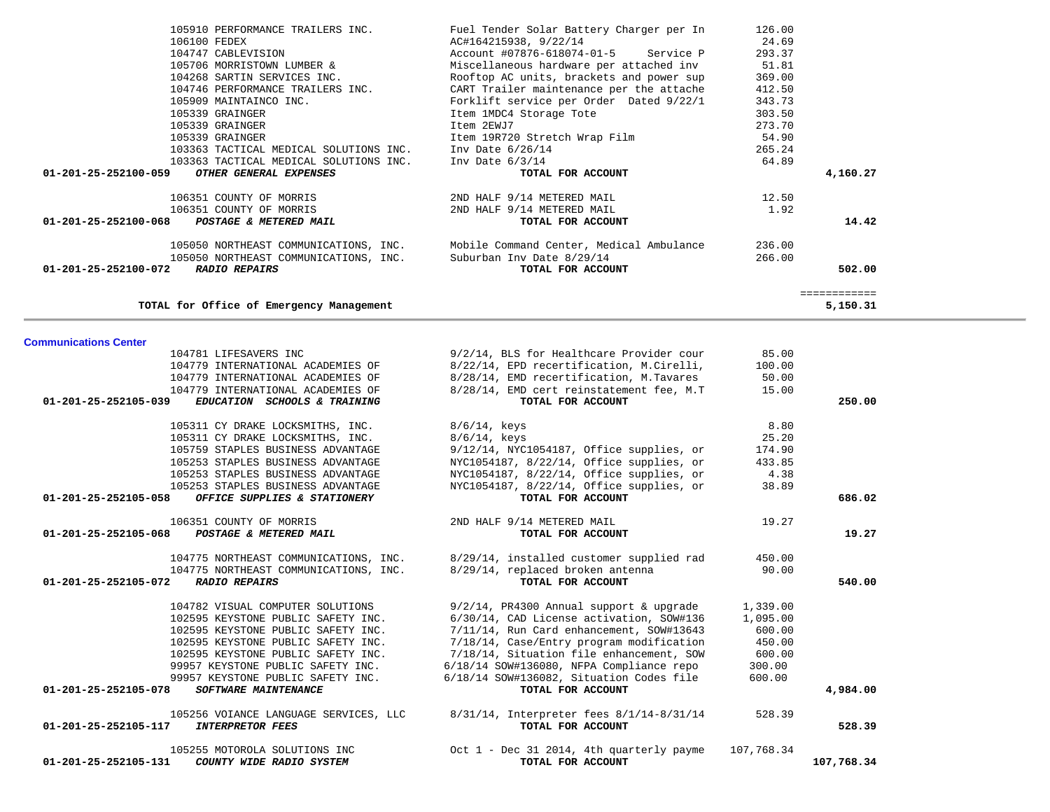| TOTAL for Office of Emergency Management                 |                                            |            | ============<br>5,150.31 |
|----------------------------------------------------------|--------------------------------------------|------------|--------------------------|
| <b>Communications Center</b>                             |                                            |            |                          |
| 104781 LIFESAVERS INC                                    | 9/2/14, BLS for Healthcare Provider cour   | 85.00      |                          |
| 104779 INTERNATIONAL ACADEMIES OF                        | 8/22/14, EPD recertification, M.Cirelli,   | 100.00     |                          |
| 104779 INTERNATIONAL ACADEMIES OF                        | 8/28/14, EMD recertification, M.Tavares    | 50.00      |                          |
| 104779 INTERNATIONAL ACADEMIES OF                        | 8/28/14, EMD cert reinstatement fee, M.T   | 15.00      |                          |
| 01-201-25-252105-039<br>EDUCATION SCHOOLS & TRAINING     | TOTAL FOR ACCOUNT                          |            | 250.00                   |
| 105311 CY DRAKE LOCKSMITHS, INC.                         | $8/6/14$ , keys                            | 8.80       |                          |
| 105311 CY DRAKE LOCKSMITHS, INC.                         | $8/6/14$ , keys                            | 25.20      |                          |
| 105759 STAPLES BUSINESS ADVANTAGE                        | 9/12/14, NYC1054187, Office supplies, or   | 174.90     |                          |
| 105253 STAPLES BUSINESS ADVANTAGE                        | NYC1054187, 8/22/14, Office supplies, or   | 433.85     |                          |
| 105253 STAPLES BUSINESS ADVANTAGE                        | NYC1054187, 8/22/14, Office supplies, or   | 4.38       |                          |
| 105253 STAPLES BUSINESS ADVANTAGE                        | NYC1054187, 8/22/14, Office supplies, or   | 38.89      |                          |
| 01-201-25-252105-058<br>OFFICE SUPPLIES & STATIONERY     | TOTAL FOR ACCOUNT                          |            | 686.02                   |
| 106351 COUNTY OF MORRIS                                  | 2ND HALF 9/14 METERED MAIL                 | 19.27      |                          |
| $01 - 201 - 25 - 252105 - 068$<br>POSTAGE & METERED MAIL | TOTAL FOR ACCOUNT                          |            | 19.27                    |
| 104775 NORTHEAST COMMUNICATIONS, INC.                    | 8/29/14, installed customer supplied rad   | 450.00     |                          |
| 104775 NORTHEAST COMMUNICATIONS, INC.                    | 8/29/14, replaced broken antenna           | 90.00      |                          |
| 01-201-25-252105-072<br><b>RADIO REPAIRS</b>             | TOTAL FOR ACCOUNT                          |            | 540.00                   |
| 104782 VISUAL COMPUTER SOLUTIONS                         | $9/2/14$ , PR4300 Annual support & upgrade | 1,339.00   |                          |
| 102595 KEYSTONE PUBLIC SAFETY INC.                       | 6/30/14, CAD License activation, SOW#136   | 1,095.00   |                          |
| 102595 KEYSTONE PUBLIC SAFETY INC.                       | 7/11/14, Run Card enhancement, SOW#13643   | 600.00     |                          |
| 102595 KEYSTONE PUBLIC SAFETY INC.                       | 7/18/14, Case/Entry program modification   | 450.00     |                          |
| 102595 KEYSTONE PUBLIC SAFETY INC.                       | 7/18/14, Situation file enhancement, SOW   | 600.00     |                          |
| 99957 KEYSTONE PUBLIC SAFETY INC.                        | 6/18/14 SOW#136080, NFPA Compliance repo   | 300.00     |                          |
| 99957 KEYSTONE PUBLIC SAFETY INC.                        | 6/18/14 SOW#136082, Situation Codes file   | 600.00     |                          |
| 01-201-25-252105-078<br><b>SOFTWARE MAINTENANCE</b>      | TOTAL FOR ACCOUNT                          |            | 4,984.00                 |
| 105256 VOIANCE LANGUAGE SERVICES, LLC                    | 8/31/14, Interpreter fees 8/1/14-8/31/14   | 528.39     |                          |
| 01-201-25-252105-117<br><b>INTERPRETOR FEES</b>          | TOTAL FOR ACCOUNT                          |            | 528.39                   |
| 105255 MOTOROLA SOLUTIONS INC                            | Oct 1 - Dec 31 2014, 4th quarterly payme   | 107,768.34 |                          |
| 01-201-25-252105-131<br>COUNTY WIDE RADIO SYSTEM         | TOTAL FOR ACCOUNT                          |            | 107,768.34               |

| 105706 MORRISTOWN LUMBER &                     | Miscellaneous hardware per attached inv  | 51.81  |          |
|------------------------------------------------|------------------------------------------|--------|----------|
| 104268 SARTIN SERVICES INC.                    | Rooftop AC units, brackets and power sup | 369.00 |          |
| 104746 PERFORMANCE TRAILERS INC.               | CART Trailer maintenance per the attache | 412.50 |          |
| 105909 MAINTAINCO INC.                         | Forklift service per Order Dated 9/22/1  | 343.73 |          |
| 105339 GRAINGER                                | Item 1MDC4 Storage Tote                  | 303.50 |          |
| 105339 GRAINGER                                | Item 2EWJ7                               | 273.70 |          |
| 105339 GRAINGER                                | Item 19R720 Stretch Wrap Film            | 54.90  |          |
| 103363 TACTICAL MEDICAL SOLUTIONS INC.         | Inv Date $6/26/14$                       | 265.24 |          |
| 103363 TACTICAL MEDICAL SOLUTIONS INC.         | Inv Date $6/3/14$                        | 64.89  |          |
| 01-201-25-252100-059<br>OTHER GENERAL EXPENSES | TOTAL FOR ACCOUNT                        |        | 4,160.27 |
| 106351 COUNTY OF MORRIS                        | 2ND HALF 9/14 METERED MAIL               | 12.50  |          |
| 106351 COUNTY OF MORRIS                        | 2ND HALF 9/14 METERED MAIL               | 1.92   |          |
| 01-201-25-252100-068<br>POSTAGE & METERED MAIL | TOTAL FOR ACCOUNT                        |        | 14.42    |
| 105050 NORTHEAST COMMUNICATIONS, INC.          | Mobile Command Center, Medical Ambulance | 236.00 |          |
| 105050 NORTHEAST COMMUNICATIONS, INC.          | Suburban Inv Date 8/29/14                | 266.00 |          |
| 01-201-25-252100-072<br><b>RADIO REPAIRS</b>   | TOTAL FOR ACCOUNT                        |        | 502.00   |
|                                                |                                          |        |          |
| TOTAL for Office of Emergency Management       |                                          |        | 5,150.31 |

105910 PERFORMANCE TRAILERS INC.<br>106100 FEDEX 126.00 AC#164215938, 9/22/14 24.69 106100 FEDEX AC#164215938, 9/22/14 24.69

Account #07876-618074-01-5 Service P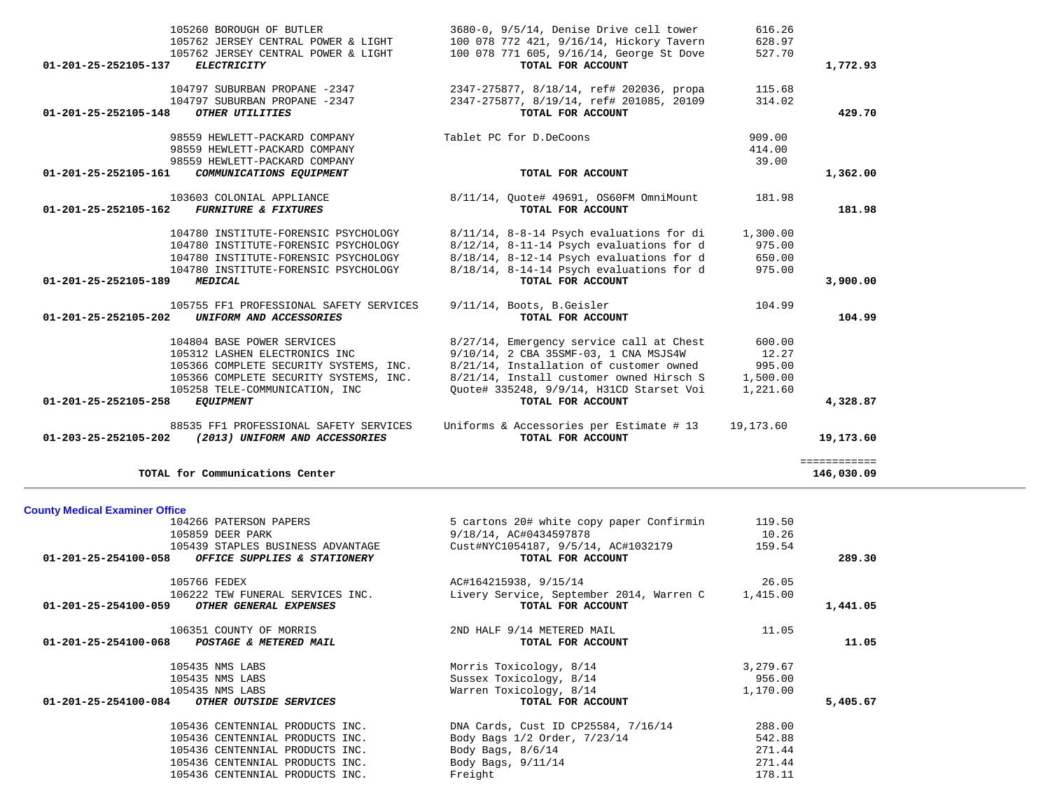|                                          | 105762 JERSEY CENTRAL POWER & LIGHT     | 100 078 772 421, 9/16/14, Hickory Tavern                      | 628.97    |              |
|------------------------------------------|-----------------------------------------|---------------------------------------------------------------|-----------|--------------|
|                                          | 105762 JERSEY CENTRAL POWER & LIGHT     | 100 078 771 605, 9/16/14, George St Dove                      | 527.70    |              |
| 01-201-25-252105-137                     | <b>ELECTRICITY</b>                      | TOTAL FOR ACCOUNT                                             |           | 1,772.93     |
|                                          | 104797 SUBURBAN PROPANE -2347           | 2347-275877, 8/18/14, ref# 202036, propa                      | 115.68    |              |
|                                          | 104797 SUBURBAN PROPANE -2347           | 2347-275877, 8/19/14, ref# 201085, 20109                      | 314.02    |              |
| 01-201-25-252105-148                     | OTHER UTILITIES                         | TOTAL FOR ACCOUNT                                             |           | 429.70       |
|                                          |                                         |                                                               |           |              |
|                                          | 98559 HEWLETT-PACKARD COMPANY           | Tablet PC for D.DeCoons                                       | 909.00    |              |
|                                          | 98559 HEWLETT-PACKARD COMPANY           |                                                               | 414.00    |              |
|                                          | 98559 HEWLETT-PACKARD COMPANY           |                                                               | 39.00     |              |
| 01-201-25-252105-161                     | COMMUNICATIONS EQUIPMENT                | TOTAL FOR ACCOUNT                                             |           | 1,362.00     |
|                                          | 103603 COLONIAL APPLIANCE               | 8/11/14, Quote# 49691, OS60FM OmniMount                       | 181.98    |              |
| 01-201-25-252105-162                     | <b>FURNITURE &amp; FIXTURES</b>         | TOTAL FOR ACCOUNT                                             |           | 181.98       |
|                                          |                                         |                                                               |           |              |
|                                          | 104780 INSTITUTE-FORENSIC PSYCHOLOGY    | 8/11/14, 8-8-14 Psych evaluations for di                      | 1,300.00  |              |
|                                          | 104780 INSTITUTE-FORENSIC PSYCHOLOGY    | $8/12/14$ , 8-11-14 Psych evaluations for d                   | 975.00    |              |
|                                          | 104780 INSTITUTE-FORENSIC PSYCHOLOGY    | $8/18/14$ , 8-12-14 Psych evaluations for d                   | 650.00    |              |
|                                          | 104780 INSTITUTE-FORENSIC PSYCHOLOGY    | 8/18/14, 8-14-14 Psych evaluations for d                      | 975.00    |              |
| 01-201-25-252105-189<br>MEDICAL          |                                         | TOTAL FOR ACCOUNT                                             |           | 3,900.00     |
|                                          |                                         |                                                               |           |              |
|                                          | 105755 FF1 PROFESSIONAL SAFETY SERVICES | 9/11/14, Boots, B. Geisler                                    | 104.99    |              |
| 01-201-25-252105-202                     | UNIFORM AND ACCESSORIES                 | TOTAL FOR ACCOUNT                                             |           | 104.99       |
|                                          | 104804 BASE POWER SERVICES              | 8/27/14, Emergency service call at Chest                      | 600.00    |              |
|                                          | 105312 LASHEN ELECTRONICS INC           | 9/10/14, 2 CBA 35SMF-03, 1 CNA MSJS4W                         | 12.27     |              |
|                                          | 105366 COMPLETE SECURITY SYSTEMS, INC.  | 8/21/14, Installation of customer owned                       | 995.00    |              |
|                                          | 105366 COMPLETE SECURITY SYSTEMS, INC.  | 8/21/14, Install customer owned Hirsch S                      | 1,500.00  |              |
|                                          | 105258 TELE-COMMUNICATION, INC          | Quote# 335248, 9/9/14, H31CD Starset Voi                      | 1,221.60  |              |
| 01-201-25-252105-258<br><i>EQUIPMENT</i> |                                         | TOTAL FOR ACCOUNT                                             |           | 4,328.87     |
|                                          |                                         |                                                               |           |              |
|                                          | 88535 FF1 PROFESSIONAL SAFETY SERVICES  | Uniforms & Accessories per Estimate # 13                      | 19,173.60 |              |
| 01-203-25-252105-202                     | (2013) UNIFORM AND ACCESSORIES          | TOTAL FOR ACCOUNT                                             |           | 19,173.60    |
|                                          |                                         |                                                               |           | ============ |
|                                          | TOTAL for Communications Center         |                                                               |           | 146,030.09   |
|                                          |                                         |                                                               |           |              |
| <b>County Medical Examiner Office</b>    |                                         |                                                               |           |              |
|                                          | 104266 PATERSON PAPERS                  | 5 cartons 20# white copy paper Confirmin                      | 119.50    |              |
| 105859 DEER PARK                         |                                         |                                                               |           |              |
|                                          |                                         | 9/18/14, AC#0434597878                                        | 10.26     |              |
|                                          | 105439 STAPLES BUSINESS ADVANTAGE       | Cust#NYC1054187, 9/5/14, AC#1032179                           | 159.54    |              |
| 01-201-25-254100-058                     | OFFICE SUPPLIES & STATIONERY            | TOTAL FOR ACCOUNT                                             |           | 289.30       |
|                                          |                                         |                                                               |           |              |
| 105766 FEDEX                             |                                         | AC#164215938, 9/15/14                                         | 26.05     |              |
|                                          | 106222 TEW FUNERAL SERVICES INC.        | Livery Service, September 2014, Warren C<br>TOTAL FOR ACCOUNT | 1,415.00  |              |
| 01-201-25-254100-059                     | OTHER GENERAL EXPENSES                  |                                                               |           | 1,441.05     |
|                                          | 106351 COUNTY OF MORRIS                 | 2ND HALF 9/14 METERED MAIL                                    | 11.05     |              |
| 01-201-25-254100-068                     | POSTAGE & METERED MAIL                  | TOTAL FOR ACCOUNT                                             |           | 11.05        |
|                                          |                                         |                                                               |           |              |
| 105435 NMS LABS                          |                                         | Morris Toxicology, 8/14                                       | 3,279.67  |              |
| 105435 NMS LABS                          |                                         | Sussex Toxicology, 8/14                                       | 956.00    |              |
| 105435 NMS LABS                          |                                         | Warren Toxicology, 8/14                                       | 1,170.00  |              |
| 01-201-25-254100-084                     | OTHER OUTSIDE SERVICES                  | TOTAL FOR ACCOUNT                                             |           | 5,405.67     |
|                                          | 105436 CENTENNIAL PRODUCTS INC.         | DNA Cards, Cust ID CP25584, 7/16/14                           | 288.00    |              |
|                                          | 105436 CENTENNIAL PRODUCTS INC.         | Body Bags 1/2 Order, 7/23/14                                  | 542.88    |              |
|                                          | 105436 CENTENNIAL PRODUCTS INC.         | Body Bags, 8/6/14                                             | 271.44    |              |
|                                          | 105436 CENTENNIAL PRODUCTS INC.         | Body Bags, 9/11/14                                            | 271.44    |              |

105260 BOROUGH OF BUTLER 3680-0, 9/5/14, Denise Drive cell tower 616.26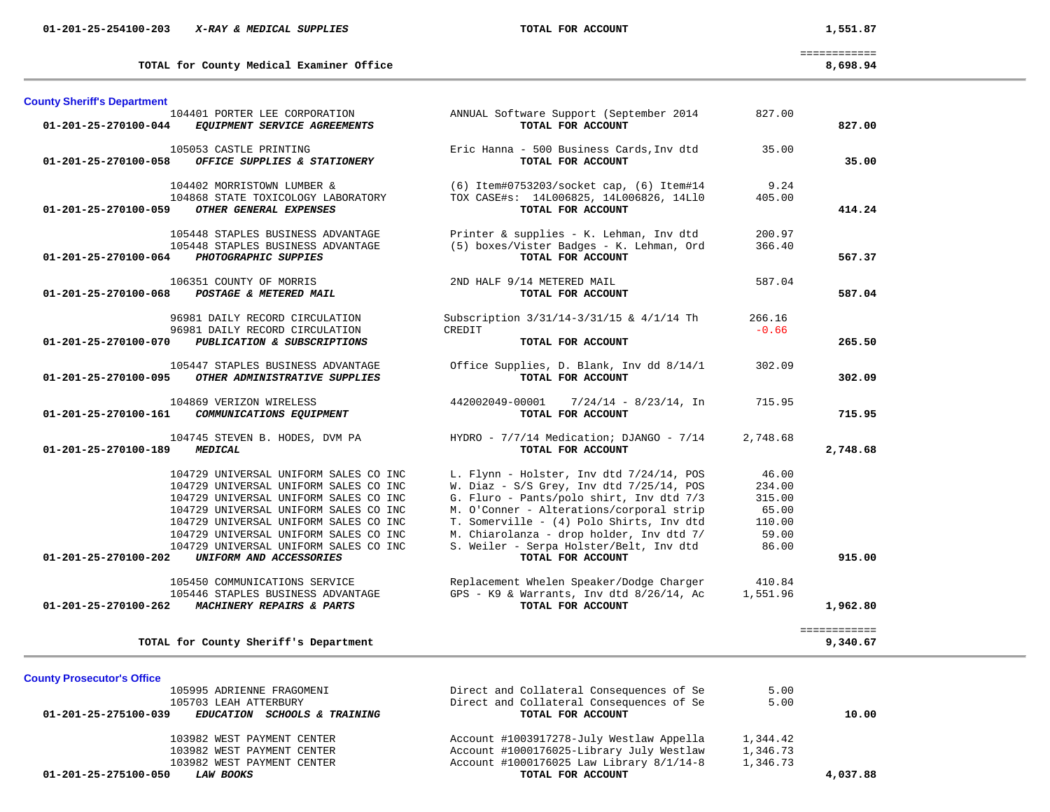| 01-201-25-254100-203 | X-RAY & MEDICAL SUPPLIES | TOTAL FOR ACCOUNT | 1,551.87 |
|----------------------|--------------------------|-------------------|----------|
|                      |                          |                   |          |

**TOTAL for County Medical Examiner Office 8,698.94**

============

| 8,698.94 |  |  |  |  |  |
|----------|--|--|--|--|--|
|----------|--|--|--|--|--|

| <b>County Sheriff's Department</b> |                                                                                                                                                                                                                                                                                                                        |                                                                                                                                                                                                                                                                                                                                           |                                                                |                          |
|------------------------------------|------------------------------------------------------------------------------------------------------------------------------------------------------------------------------------------------------------------------------------------------------------------------------------------------------------------------|-------------------------------------------------------------------------------------------------------------------------------------------------------------------------------------------------------------------------------------------------------------------------------------------------------------------------------------------|----------------------------------------------------------------|--------------------------|
| 01-201-25-270100-044               | 104401 PORTER LEE CORPORATION<br>EQUIPMENT SERVICE AGREEMENTS                                                                                                                                                                                                                                                          | ANNUAL Software Support (September 2014<br>TOTAL FOR ACCOUNT                                                                                                                                                                                                                                                                              | 827.00                                                         | 827.00                   |
| 01-201-25-270100-058               | 105053 CASTLE PRINTING<br>OFFICE SUPPLIES & STATIONERY                                                                                                                                                                                                                                                                 | Eric Hanna - 500 Business Cards, Inv dtd<br>TOTAL FOR ACCOUNT                                                                                                                                                                                                                                                                             | 35.00                                                          | 35.00                    |
| 01-201-25-270100-059               | 104402 MORRISTOWN LUMBER &<br>104868 STATE TOXICOLOGY LABORATORY<br>OTHER GENERAL EXPENSES                                                                                                                                                                                                                             | (6) Item#0753203/socket cap, (6) Item#14<br>TOX CASE#s: 14L006825, 14L006826, 14L10<br>TOTAL FOR ACCOUNT                                                                                                                                                                                                                                  | 9.24<br>405.00                                                 | 414.24                   |
| 01-201-25-270100-064               | 105448 STAPLES BUSINESS ADVANTAGE<br>105448 STAPLES BUSINESS ADVANTAGE<br>PHOTOGRAPHIC SUPPIES                                                                                                                                                                                                                         | Printer & supplies - K. Lehman, Inv dtd<br>(5) boxes/Vister Badges - K. Lehman, Ord<br>TOTAL FOR ACCOUNT                                                                                                                                                                                                                                  | 200.97<br>366.40                                               | 567.37                   |
| $01 - 201 - 25 - 270100 - 068$     | 106351 COUNTY OF MORRIS<br>POSTAGE & METERED MAIL                                                                                                                                                                                                                                                                      | 2ND HALF 9/14 METERED MAIL<br>TOTAL FOR ACCOUNT                                                                                                                                                                                                                                                                                           | 587.04                                                         | 587.04                   |
| 01-201-25-270100-070               | 96981 DAILY RECORD CIRCULATION<br>96981 DAILY RECORD CIRCULATION<br>PUBLICATION & SUBSCRIPTIONS                                                                                                                                                                                                                        | Subscription 3/31/14-3/31/15 & 4/1/14 Th<br>CREDIT<br>TOTAL FOR ACCOUNT                                                                                                                                                                                                                                                                   | 266.16<br>$-0.66$                                              | 265.50                   |
| 01-201-25-270100-095               | 105447 STAPLES BUSINESS ADVANTAGE<br>OTHER ADMINISTRATIVE SUPPLIES                                                                                                                                                                                                                                                     | Office Supplies, D. Blank, Inv dd 8/14/1<br>TOTAL FOR ACCOUNT                                                                                                                                                                                                                                                                             | 302.09                                                         | 302.09                   |
| 01-201-25-270100-161               | 104869 VERIZON WIRELESS<br>COMMUNICATIONS EQUIPMENT                                                                                                                                                                                                                                                                    | 442002049-00001<br>$7/24/14 - 8/23/14$ , In<br>TOTAL FOR ACCOUNT                                                                                                                                                                                                                                                                          | 715.95                                                         | 715.95                   |
| 01-201-25-270100-189               | 104745 STEVEN B. HODES, DVM PA<br><b>MEDICAL</b>                                                                                                                                                                                                                                                                       | HYDRO - 7/7/14 Medication; DJANGO - 7/14<br>TOTAL FOR ACCOUNT                                                                                                                                                                                                                                                                             | 2,748.68                                                       | 2,748.68                 |
| 01-201-25-270100-202               | 104729 UNIVERSAL UNIFORM SALES CO INC<br>104729 UNIVERSAL UNIFORM SALES CO INC<br>104729 UNIVERSAL UNIFORM SALES CO INC<br>104729 UNIVERSAL UNIFORM SALES CO INC<br>104729 UNIVERSAL UNIFORM SALES CO INC<br>104729 UNIVERSAL UNIFORM SALES CO INC<br>104729 UNIVERSAL UNIFORM SALES CO INC<br>UNIFORM AND ACCESSORIES | L. Flynn - Holster, Inv dtd 7/24/14, POS<br>W. Diaz - $S/S$ Grey, Inv dtd $7/25/14$ , POS<br>G. Fluro - Pants/polo shirt, Inv dtd 7/3<br>M. O'Conner - Alterations/corporal strip<br>T. Somerville - (4) Polo Shirts, Inv dtd<br>M. Chiarolanza - drop holder, Inv dtd 7/<br>S. Weiler - Serpa Holster/Belt, Inv dtd<br>TOTAL FOR ACCOUNT | 46.00<br>234.00<br>315.00<br>65.00<br>110.00<br>59.00<br>86.00 | 915.00                   |
| $01 - 201 - 25 - 270100 - 262$     | 105450 COMMUNICATIONS SERVICE<br>105446 STAPLES BUSINESS ADVANTAGE<br>MACHINERY REPAIRS & PARTS                                                                                                                                                                                                                        | Replacement Whelen Speaker/Dodge Charger<br>GPS - K9 & Warrants, Inv dtd 8/26/14, Ac<br>TOTAL FOR ACCOUNT                                                                                                                                                                                                                                 | 410.84<br>1,551.96                                             | 1,962.80                 |
|                                    | TOTAL for County Sheriff's Department                                                                                                                                                                                                                                                                                  |                                                                                                                                                                                                                                                                                                                                           |                                                                | ============<br>9,340.67 |

| <b>County Prosecutor's Office</b> |      |
|-----------------------------------|------|
|                                   | 10EQ |

| 105995 ADRIENNE FRAGOMENI                            | Direct and Collateral Consequences of Se | 5.00     |          |
|------------------------------------------------------|------------------------------------------|----------|----------|
| 105703 LEAH ATTERBURY                                | Direct and Collateral Consequences of Se | 5.00     |          |
| 01-201-25-275100-039<br>EDUCATION SCHOOLS & TRAINING | TOTAL FOR ACCOUNT                        |          | 10.00    |
| 103982 WEST PAYMENT CENTER                           | Account #1003917278-July Westlaw Appella | 1,344.42 |          |
| 103982 WEST PAYMENT CENTER                           | Account #1000176025-Library July Westlaw | 1,346.73 |          |
| 103982 WEST PAYMENT CENTER                           | Account #1000176025 Law Library 8/1/14-8 | 1,346.73 |          |
| 01-201-25-275100-050<br><b>LAW BOOKS</b>             | TOTAL FOR ACCOUNT                        |          | 4,037.88 |
|                                                      |                                          |          |          |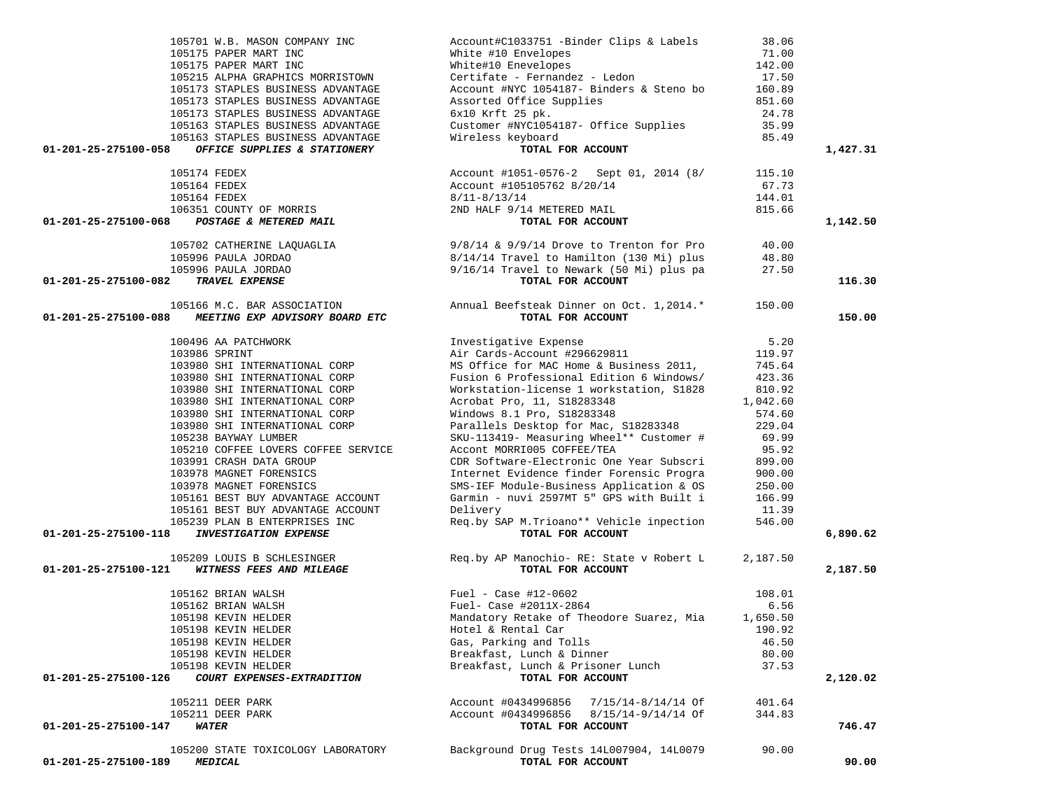| 105701 W.B. MASON COMPANY INC                                                          | Account#C1033751 -Binder Clips & Labels                                                                                                                                                                                                         | 38.06    |          |
|----------------------------------------------------------------------------------------|-------------------------------------------------------------------------------------------------------------------------------------------------------------------------------------------------------------------------------------------------|----------|----------|
| 105175 PAPER MART INC                                                                  | White #10 Envelopes<br>White#10 Enevelopes<br>Certifate - Fernandez - Ledon                                                                                                                                                                     | 71.00    |          |
| 105175 PAPER MART INC                                                                  |                                                                                                                                                                                                                                                 | 142.00   |          |
| 105215 ALPHA GRAPHICS MORRISTOWN                                                       |                                                                                                                                                                                                                                                 | 17.50    |          |
| 105173 STAPLES BUSINESS ADVANTAGE                                                      | Account #NYC 1054187- Binders & Steno bo                                                                                                                                                                                                        | 160.89   |          |
| 105173 STAPLES BUSINESS ADVANTAGE                                                      | Assorted Office Supplies                                                                                                                                                                                                                        | 851.60   |          |
| 105173 STAPLES BUSINESS ADVANTAGE                                                      | $6x10$ Krft 25 pk.                                                                                                                                                                                                                              | 24.78    |          |
| 105163 STAPLES BUSINESS ADVANTAGE                                                      | Customer #NYC1054187- Office Supplies                                                                                                                                                                                                           | 35.99    |          |
| 105163 STAPLES BUSINESS ADVANTAGE                                                      | Wireless keyboard                                                                                                                                                                                                                               | 85.49    |          |
| 01-201-25-275100-058<br>OFFICE SUPPLIES & STATIONERY                                   | TOTAL FOR ACCOUNT                                                                                                                                                                                                                               |          | 1,427.31 |
|                                                                                        |                                                                                                                                                                                                                                                 |          |          |
| 105174 FEDEX                                                                           | Account #1051-0576-2 Sept 01, 2014 (8/                                                                                                                                                                                                          | 115.10   |          |
| 105164 FEDEX                                                                           | Account #105105762 8/20/14                                                                                                                                                                                                                      | 67.73    |          |
|                                                                                        |                                                                                                                                                                                                                                                 | 144.01   |          |
|                                                                                        | $8/11 - 8/13/14$                                                                                                                                                                                                                                |          |          |
| 105164 FEDEX<br>105164 FEDEX<br>30 <b>POSTAGE &amp; METERED MAIL</b>                   | 2ND HALF 9/14 METERED MAIL                                                                                                                                                                                                                      | 815.66   |          |
| 01-201-25-275100-068                                                                   | TOTAL FOR ACCOUNT                                                                                                                                                                                                                               |          | 1,142.50 |
|                                                                                        |                                                                                                                                                                                                                                                 |          |          |
|                                                                                        |                                                                                                                                                                                                                                                 |          |          |
|                                                                                        |                                                                                                                                                                                                                                                 |          |          |
|                                                                                        | 105702 CATHERINE LAQUAGLIA $9/8/14 \& 9/9/14$ Drove to Trenton for Pro<br>105996 PAULA JORDAO $8/14/14$ Travel to Hamilton (130 Mi) plus<br>105996 PAULA JORDAO 9/16/14 Travel to Newark (50 Mi) plus pa<br>27.50<br><b>TRAVEL EXPENSE</b> TOTA |          |          |
| 01-201-25-275100-082<br><b>TRAVEL EXPENSE</b>                                          | TOTAL FOR ACCOUNT                                                                                                                                                                                                                               |          | 116.30   |
| 105166 M.C. BAR ASSOCIATION                                                            | Annual Beefsteak Dinner on Oct. 1, 2014.* 150.00                                                                                                                                                                                                |          |          |
| MEETING EXP ADVISORY BOARD ETC<br>01-201-25-275100-088                                 | TOTAL FOR ACCOUNT                                                                                                                                                                                                                               |          | 150.00   |
|                                                                                        |                                                                                                                                                                                                                                                 |          |          |
| 100496 AA PATCHWORK                                                                    |                                                                                                                                                                                                                                                 | 5.20     |          |
| 103986 SPRINT                                                                          | Investigative Expense<br>Air Cards-Account #296629811                                                                                                                                                                                           | 119.97   |          |
| 103980 SHI INTERNATIONAL CORP                                                          | MS Office for MAC Home & Business 2011,                                                                                                                                                                                                         | 745.64   |          |
| 103980 SHI INTERNATIONAL CORP                                                          | Fusion 6 Professional Edition 6 Windows/                                                                                                                                                                                                        | 423.36   |          |
| 103980 SHI INTERNATIONAL CORP                                                          | Workstation-license 1 workstation, S1828                                                                                                                                                                                                        | 810.92   |          |
|                                                                                        |                                                                                                                                                                                                                                                 |          |          |
| 103980 SHI INTERNATIONAL CORP                                                          | Acrobat Pro, 11, S18283348                                                                                                                                                                                                                      | 1,042.60 |          |
| 103980 SHI INTERNATIONAL CORP                                                          | Windows 8.1 Pro, S18283348                                                                                                                                                                                                                      | 574.60   |          |
| 103980 SHI INTERNATIONAL CORP                                                          | Parallels Desktop for Mac, S18283348                                                                                                                                                                                                            | 229.04   |          |
| 105238 BAYWAY LUMBER                                                                   | SKU-113419- Measuring Wheel** Customer #                                                                                                                                                                                                        | 69.99    |          |
| 105210 COFFEE LOVERS COFFEE SERVICE                                                    | Accont MORRI005 COFFEE/TEA                                                                                                                                                                                                                      | 95.92    |          |
| 103991 CRASH DATA GROUP                                                                | CDR Software-Electronic One Year Subscri                                                                                                                                                                                                        | 899.00   |          |
| 103978 MAGNET FORENSICS                                                                | Internet Evidence finder Forensic Progra                                                                                                                                                                                                        | 900.00   |          |
| 103978 MAGNET FORENSICS                                                                | SMS-IEF Module-Business Application & OS                                                                                                                                                                                                        | 250.00   |          |
| 105161 BEST BUY ADVANTAGE ACCOUNT                                                      | Garmin - nuvi 2597MT 5" GPS with Built i                                                                                                                                                                                                        | 166.99   |          |
| 105161 BEST BUY ADVANTAGE ACCOUNT                                                      | Delivery                                                                                                                                                                                                                                        | 11.39    |          |
| 105239 PLAN B ENTERPRISES INC                                                          | Req.by SAP M.Trioano** Vehicle inpection                                                                                                                                                                                                        | 546.00   |          |
| <b>INVESTIGATION EXPENSE</b><br>01-201-25-275100-118                                   | TOTAL FOR ACCOUNT                                                                                                                                                                                                                               |          | 6,890.62 |
|                                                                                        |                                                                                                                                                                                                                                                 |          |          |
| 105209 LOUIS B SCHLESINGER                                                             | Req.by AP Manochio- RE: State v Robert L 2,187.50                                                                                                                                                                                               |          |          |
| 01-201-25-275100-121<br>WITNESS FEES AND MILEAGE                                       | TOTAL FOR ACCOUNT                                                                                                                                                                                                                               |          | 2,187.50 |
|                                                                                        |                                                                                                                                                                                                                                                 |          |          |
|                                                                                        | Fuel - Case #12-0602                                                                                                                                                                                                                            | 108.01   |          |
| 105162 BRIAN WALSH<br>105162 BRIAN WALSH<br>105198 KEVIN HELDER<br>105198 KEVIN HELDER | Fuel- Case #2011X-2864                                                                                                                                                                                                                          | 6.56     |          |
|                                                                                        | Mandatory Retake of Theodore Suarez, Mia                                                                                                                                                                                                        | 1,650.50 |          |
| 105198 KEVIN HELDER                                                                    | Hotel & Rental Car and 190.92                                                                                                                                                                                                                   |          |          |
| 105198 KEVIN HELDER                                                                    | Gas, Parking and Tolls                                                                                                                                                                                                                          | 46.50    |          |
| 105198 KEVIN HELDER                                                                    | Breakfast, Lunch & Dinner                                                                                                                                                                                                                       | 80.00    |          |
| 105198 KEVIN HELDER                                                                    | Breakfast, Lunch & Prisoner Lunch                                                                                                                                                                                                               | 37.53    |          |
| 01-201-25-275100-126<br>COURT EXPENSES-EXTRADITION                                     | TOTAL FOR ACCOUNT                                                                                                                                                                                                                               |          | 2,120.02 |
|                                                                                        |                                                                                                                                                                                                                                                 |          |          |
| 105211 DEER PARK                                                                       | Account #0434996856 7/15/14-8/14/14 Of                                                                                                                                                                                                          | 401.64   |          |
| 105211 DEER PARK                                                                       | Account #0434996856 8/15/14-9/14/14 Of                                                                                                                                                                                                          | 344.83   |          |
| 01-201-25-275100-147<br><i><b>WATER</b></i>                                            | TOTAL FOR ACCOUNT                                                                                                                                                                                                                               |          | 746.47   |
|                                                                                        |                                                                                                                                                                                                                                                 |          |          |
| 105200 STATE TOXICOLOGY LABORATORY                                                     | Background Drug Tests 14L007904, 14L0079                                                                                                                                                                                                        | 90.00    |          |
| 01-201-25-275100-189<br><i><b>MEDICAL</b></i>                                          | TOTAL FOR ACCOUNT                                                                                                                                                                                                                               |          | 90.00    |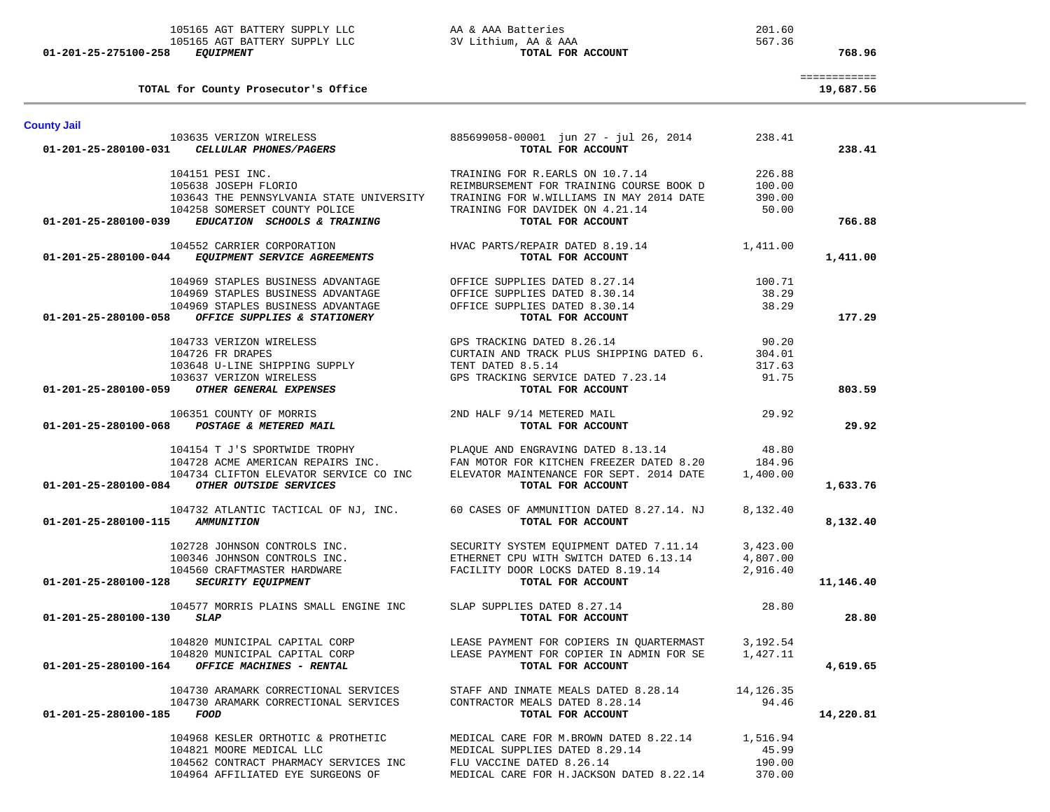|                                 | TOTAL for County Prosecutor's Office                                   |                                                                                                                                                                                                                                              |            | ============<br>19,687.56 |
|---------------------------------|------------------------------------------------------------------------|----------------------------------------------------------------------------------------------------------------------------------------------------------------------------------------------------------------------------------------------|------------|---------------------------|
| <b>County Jail</b>              |                                                                        |                                                                                                                                                                                                                                              |            |                           |
|                                 | 103635 VERIZON WIRELESS<br>01-201-25-280100-031 CELLULAR PHONES/PAGERS | 885699058-00001 jun 27 - jul 26, 2014<br>TOTAL FOR ACCOUNT                                                                                                                                                                                   | 238.41     | 238.41                    |
|                                 | 104151 PESI INC.                                                       | TRAINING FOR R.EARLS ON 10.7.14                                                                                                                                                                                                              | 226.88     |                           |
|                                 | 105638 JOSEPH FLORIO                                                   | TRAINING FOR R.EAKLE ON 10<br>REIMBURSEMENT FOR TRAINING COURSE BOOK D 100.00<br>-------- TN MAV 2014 DATE 390.00                                                                                                                            |            |                           |
|                                 | 104258 SOMERSET COUNTY POLICE                                          | 103643 THE PENNSYLVANIA STATE UNIVERSITY TRAINING FOR W.WILLIAMS IN MAY 2014 DATE<br>TRAINING FOR DAVIDEK ON 4.21.14                                                                                                                         | 50.00      |                           |
| 01-201-25-280100-039            | EDUCATION SCHOOLS & TRAINING                                           | TOTAL FOR ACCOUNT                                                                                                                                                                                                                            |            | 766.88                    |
|                                 | 104552 CARRIER CORPORATION                                             | HVAC PARTS/REPAIR DATED $8.19.14$ 1,411.00                                                                                                                                                                                                   |            |                           |
|                                 | 01-201-25-280100-044 EQUIPMENT SERVICE AGREEMENTS                      | TOTAL FOR ACCOUNT                                                                                                                                                                                                                            |            | 1,411.00                  |
|                                 | 104969 STAPLES BUSINESS ADVANTAGE                                      | OFFICE SUPPLIES DATED 8.27.14                                                                                                                                                                                                                | 100.71     |                           |
|                                 | 104969 STAPLES BUSINESS ADVANTAGE                                      | OFFICE SUPPLIES DATED 8.30.14                                                                                                                                                                                                                | 38.29      |                           |
|                                 | 104969 STAPLES BUSINESS ADVANTAGE                                      | OFFICE SUPPLIES DATED 8.30.14                                                                                                                                                                                                                | 38.29      |                           |
|                                 | 01-201-25-280100-058 OFFICE SUPPLIES & STATIONERY                      | TOTAL FOR ACCOUNT                                                                                                                                                                                                                            |            | 177.29                    |
|                                 | 104733 VERIZON WIRELESS                                                | GPS TRACKING DATED 8.26.14                                                                                                                                                                                                                   | 90.20      |                           |
|                                 | 104726 FR DRAPES                                                       |                                                                                                                                                                                                                                              |            |                           |
|                                 | 103648 U-LINE SHIPPING SUPPLY                                          |                                                                                                                                                                                                                                              |            |                           |
|                                 | 103637 VERIZON WIRELESS                                                | CURTAIN AND TRACK PLUS SHIPPING DATED 6. 304.01<br>TENT DATED 8.5.14 317.63<br>GPS TRACKING SERVICE DATED 7.23.14 91.75                                                                                                                      |            |                           |
|                                 | 01-201-25-280100-059 OTHER GENERAL EXPENSES                            | TOTAL FOR ACCOUNT                                                                                                                                                                                                                            |            | 803.59                    |
|                                 | 106351 COUNTY OF MORRIS                                                | 2ND HALF 9/14 METERED MAIL<br>29.92                                                                                                                                                                                                          |            |                           |
|                                 | 01-201-25-280100-068 POSTAGE & METERED MAIL                            | TOTAL FOR ACCOUNT                                                                                                                                                                                                                            |            | 29.92                     |
|                                 |                                                                        | 104154 T J'S SPORTWIDE TROPHY PLAQUE AND ENGRAVING DATED 8.13.14<br>104728 ACME AMERICAN REPAIRS INC. FAN MOTOR FOR KITCHEN FREEZER DATED 8.20<br>104734 CLIFTON ELEVATOR SERVICE CO INC ELEVATOR MAINTENANCE FOR SEPT. 2014 DATE            | 48.80      |                           |
|                                 |                                                                        |                                                                                                                                                                                                                                              | 184.96     |                           |
|                                 |                                                                        |                                                                                                                                                                                                                                              | 1,400.00   |                           |
|                                 | 01-201-25-280100-084 OTHER OUTSIDE SERVICES                            | TOTAL FOR ACCOUNT                                                                                                                                                                                                                            |            | 1,633.76                  |
|                                 |                                                                        | 104732 ATLANTIC TACTICAL OF NJ, INC. 60 CASES OF AMMUNITION DATED 8.27.14. NJ                                                                                                                                                                | 8,132.40   |                           |
| 01-201-25-280100-115 AMMUNITION |                                                                        | TOTAL FOR ACCOUNT                                                                                                                                                                                                                            |            | 8,132.40                  |
|                                 |                                                                        | $102728 \text{ JOHNSON CONTROLS INC.} \\ 100346 \text{ JOHNSON CONTROLS INC.} \\ 100346 \text{ JOHNSON CONTROLS INC.} \\ 104560 \text{ CRAFTMASTER HARDWARE} \\ \text{HARD RALWARE} \\ \text{FACILITY DOOR LOCKS DATED 8.19.14} \\ 2,916.40$ |            |                           |
|                                 |                                                                        |                                                                                                                                                                                                                                              |            |                           |
|                                 |                                                                        |                                                                                                                                                                                                                                              |            |                           |
|                                 | 01-201-25-280100-128 SECURITY EQUIPMENT                                | TOTAL FOR ACCOUNT                                                                                                                                                                                                                            |            | 11,146.40                 |
|                                 | 104577 MORRIS PLAINS SMALL ENGINE INC SLAP SUPPLIES DATED 8.27.14      |                                                                                                                                                                                                                                              | 28.80      |                           |
| 01-201-25-280100-130            | <i><b>SLAP</b></i>                                                     | TOTAL FOR ACCOUNT                                                                                                                                                                                                                            |            | 28.80                     |
|                                 | 104820 MUNICIPAL CAPITAL CORP                                          | LEASE PAYMENT FOR COPIERS IN QUARTERMAST                                                                                                                                                                                                     | 3,192.54   |                           |
|                                 | 104820 MUNICIPAL CAPITAL CORP                                          | LEASE PAYMENT FOR COPIER IN ADMIN FOR SE                                                                                                                                                                                                     | 1,427.11   |                           |
| 01-201-25-280100-164            | OFFICE MACHINES - RENTAL                                               | TOTAL FOR ACCOUNT                                                                                                                                                                                                                            |            | 4,619.65                  |
|                                 | 104730 ARAMARK CORRECTIONAL SERVICES                                   | STAFF AND INMATE MEALS DATED 8.28.14                                                                                                                                                                                                         | 14, 126.35 |                           |
|                                 | 104730 ARAMARK CORRECTIONAL SERVICES                                   | CONTRACTOR MEALS DATED 8.28.14                                                                                                                                                                                                               | 94.46      |                           |
| 01-201-25-280100-185            | FOOD                                                                   | TOTAL FOR ACCOUNT                                                                                                                                                                                                                            |            | 14,220.81                 |
|                                 | 104968 KESLER ORTHOTIC & PROTHETIC                                     | MEDICAL CARE FOR M.BROWN DATED 8.22.14                                                                                                                                                                                                       | 1,516.94   |                           |
|                                 | 104821 MOORE MEDICAL LLC                                               | MEDICAL SUPPLIES DATED 8.29.14                                                                                                                                                                                                               | 45.99      |                           |
|                                 | 104562 CONTRACT PHARMACY SERVICES INC                                  | FLU VACCINE DATED 8.26.14                                                                                                                                                                                                                    | 190.00     |                           |
|                                 | 104964 AFFILIATED EYE SURGEONS OF                                      | MEDICAL CARE FOR H.JACKSON DATED 8.22.14                                                                                                                                                                                                     | 370.00     |                           |

 **01-201-25-275100-258** *EQUIPMENT* **TOTAL FOR ACCOUNT 768.96**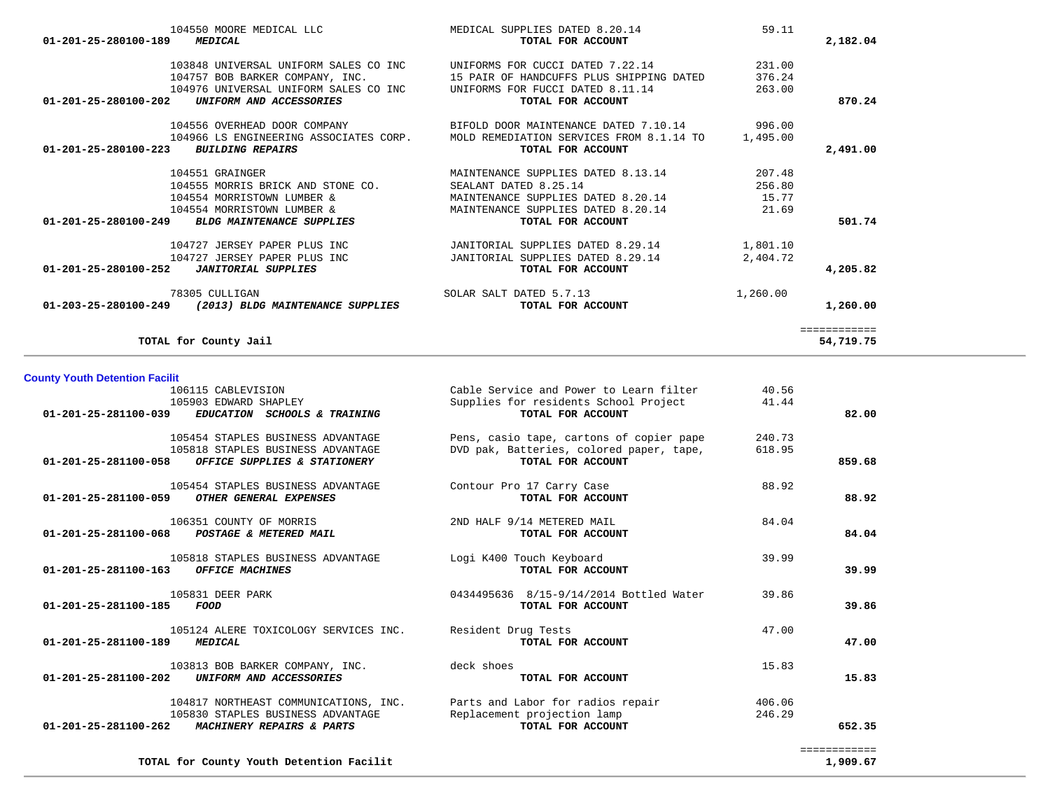| <b>County Youth Detention Facilit</b>                               |                                                                                                         |                     |                                                                                                           |                  |                          |
|---------------------------------------------------------------------|---------------------------------------------------------------------------------------------------------|---------------------|-----------------------------------------------------------------------------------------------------------|------------------|--------------------------|
| 106115 CABLEVISION<br>105903 EDWARD SHAPLEY<br>01-201-25-281100-039 | EDUCATION SCHOOLS & TRAINING                                                                            |                     | Cable Service and Power to Learn filter<br>Supplies for residents School Project<br>TOTAL FOR ACCOUNT     | 40.56<br>41.44   | 82.00                    |
| 01-201-25-281100-058                                                | 105454 STAPLES BUSINESS ADVANTAGE<br>105818 STAPLES BUSINESS ADVANTAGE<br>OFFICE SUPPLIES & STATIONERY  |                     | Pens, casio tape, cartons of copier pape<br>DVD pak, Batteries, colored paper, tape,<br>TOTAL FOR ACCOUNT | 240.73<br>618.95 | 859.68                   |
| 01-201-25-281100-059                                                | 105454 STAPLES BUSINESS ADVANTAGE<br>OTHER GENERAL EXPENSES                                             |                     | Contour Pro 17 Carry Case<br>TOTAL FOR ACCOUNT                                                            | 88.92            | 88.92                    |
| 106351 COUNTY OF MORRIS<br>01-201-25-281100-068                     | POSTAGE & METERED MAIL                                                                                  |                     | 2ND HALF 9/14 METERED MAIL<br>TOTAL FOR ACCOUNT                                                           | 84.04            | 84.04                    |
| 01-201-25-281100-163 OFFICE MACHINES                                | 105818 STAPLES BUSINESS ADVANTAGE                                                                       |                     | Logi K400 Touch Keyboard<br>TOTAL FOR ACCOUNT                                                             | 39.99            | 39.99                    |
| 105831 DEER PARK<br>01-201-25-281100-185<br>FOOD                    |                                                                                                         |                     | 0434495636 8/15-9/14/2014 Bottled Water<br>TOTAL FOR ACCOUNT                                              | 39.86            | 39.86                    |
| <b>MEDICAL</b><br>01-201-25-281100-189                              | 105124 ALERE TOXICOLOGY SERVICES INC.                                                                   | Resident Drug Tests | TOTAL FOR ACCOUNT                                                                                         | 47.00            | 47.00                    |
| 01-201-25-281100-202                                                | 103813 BOB BARKER COMPANY, INC.<br>UNIFORM AND ACCESSORIES                                              | deck shoes          | TOTAL FOR ACCOUNT                                                                                         | 15.83            | 15.83                    |
| 01-201-25-281100-262                                                | 104817 NORTHEAST COMMUNICATIONS, INC.<br>105830 STAPLES BUSINESS ADVANTAGE<br>MACHINERY REPAIRS & PARTS |                     | Parts and Labor for radios repair<br>Replacement projection lamp<br>TOTAL FOR ACCOUNT                     | 406.06<br>246.29 | 652.35                   |
|                                                                     | TOTAL for County Youth Detention Facilit                                                                |                     |                                                                                                           |                  | ============<br>1,909.67 |

| 01-201-25-280100-189<br><i><b>MEDICAL</b></i>                | TOTAL FOR ACCOUNT                        |          | 2,182.04     |
|--------------------------------------------------------------|------------------------------------------|----------|--------------|
| 103848 UNIVERSAL UNIFORM SALES CO INC                        | UNIFORMS FOR CUCCI DATED 7.22.14         | 231.00   |              |
| 104757 BOB BARKER COMPANY, INC.                              | 15 PAIR OF HANDCUFFS PLUS SHIPPING DATED | 376.24   |              |
| 104976 UNIVERSAL UNIFORM SALES CO INC                        | UNIFORMS FOR FUCCI DATED 8.11.14         | 263.00   |              |
| 01-201-25-280100-202<br>UNIFORM AND ACCESSORIES              | TOTAL FOR ACCOUNT                        |          | 870.24       |
| 104556 OVERHEAD DOOR COMPANY                                 | BIFOLD DOOR MAINTENANCE DATED 7.10.14    | 996.00   |              |
| 104966 LS ENGINEERING ASSOCIATES CORP.                       | MOLD REMEDIATION SERVICES FROM 8.1.14 TO | 1,495.00 |              |
| 01-201-25-280100-223<br><b>BUILDING REPAIRS</b>              | TOTAL FOR ACCOUNT                        |          | 2,491.00     |
| 104551 GRAINGER                                              | MAINTENANCE SUPPLIES DATED 8.13.14       | 207.48   |              |
| 104555 MORRIS BRICK AND STONE CO.                            | SEALANT DATED 8.25.14                    | 256.80   |              |
| 104554 MORRISTOWN LUMBER &                                   | MAINTENANCE SUPPLIES DATED 8.20.14       | 15.77    |              |
| 104554 MORRISTOWN LUMBER &                                   | MAINTENANCE SUPPLIES DATED 8.20.14       | 21.69    |              |
| 01-201-25-280100-249<br><b>BLDG MAINTENANCE SUPPLIES</b>     | TOTAL FOR ACCOUNT                        |          | 501.74       |
| 104727 JERSEY PAPER PLUS INC                                 | JANITORIAL SUPPLIES DATED 8.29.14        | 1,801.10 |              |
| 104727 JERSEY PAPER PLUS INC                                 | JANITORIAL SUPPLIES DATED 8.29.14        | 2,404.72 |              |
| $01 - 201 - 25 - 280100 - 252$<br><b>JANITORIAL SUPPLIES</b> | TOTAL FOR ACCOUNT                        |          | 4,205.82     |
| 78305 CULLIGAN                                               | SOLAR SALT DATED 5.7.13                  | 1,260.00 |              |
| 01-203-25-280100-249<br>(2013) BLDG MAINTENANCE SUPPLIES     | TOTAL FOR ACCOUNT                        |          | 1,260.00     |
|                                                              |                                          |          | ============ |
| TOTAL for County Jail                                        |                                          |          | 54,719.75    |

104550 MOORE MEDICAL LLC **MEDICAL SUPPLIES DATED 8.20.14** 59.11<br>**701-201-25-280100-189** *MEDICAL**MEDICAL COUNT <b>2,182.04 201-201-25-280100-189 <i>MEDICAL*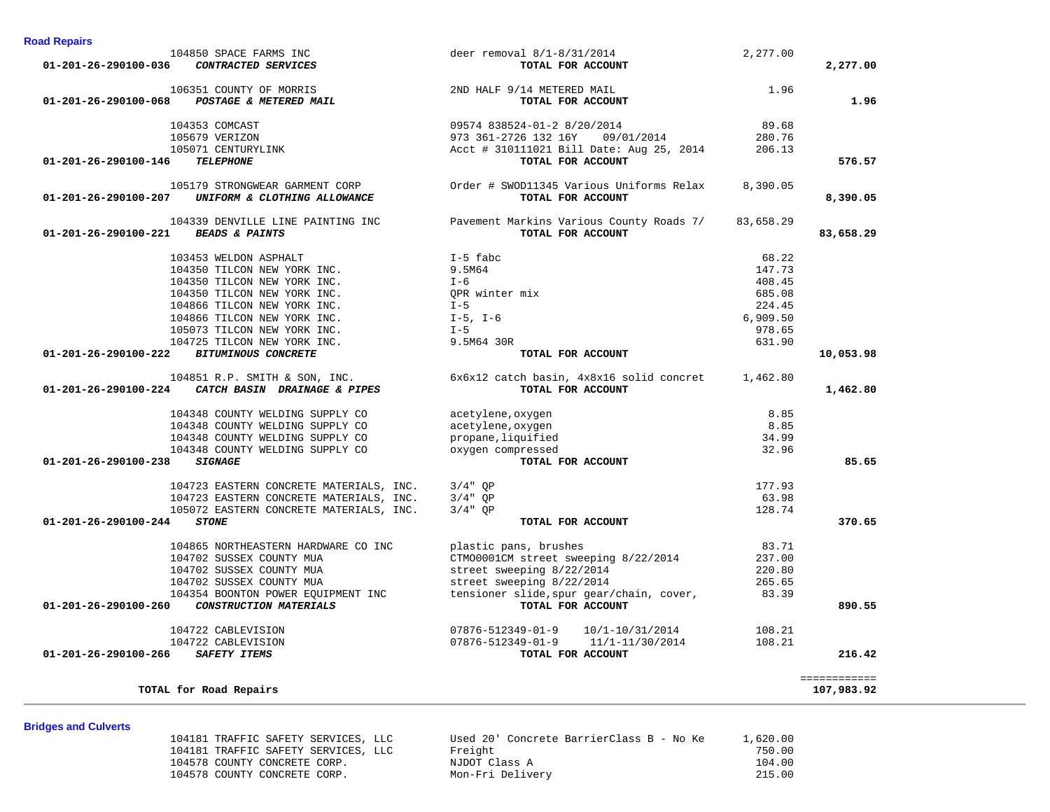| <u>Binagoo ama Garronto</u> |                                     |                                          |          |
|-----------------------------|-------------------------------------|------------------------------------------|----------|
|                             | 104181 TRAFFIC SAFETY SERVICES, LLC | Used 20' Concrete BarrierClass B - No Ke | 1,620.00 |
|                             | 104181 TRAFFIC SAFETY SERVICES, LLC | Freight                                  | 750.00   |
|                             | 104578 COUNTY CONCRETE CORP.        | NJDOT Class A                            | 104.00   |
|                             | 104578 COUNTY CONCRETE CORP.        | Mon-Fri Delivery                         | 215.00   |
|                             |                                     |                                          |          |

# **Bridges and Culverts**

|                                                                                                   | 104353 COMCAST 09574 838524-01-2 8/20/2014<br>105679 VERIZON 973 361-2726 132 16Y 09/01/2014<br>105071 CENTURYLINK ROCK #310111021 Bill Date: Aug 25, 2014 | 89.68     |              |
|---------------------------------------------------------------------------------------------------|------------------------------------------------------------------------------------------------------------------------------------------------------------|-----------|--------------|
|                                                                                                   |                                                                                                                                                            | 280.76    |              |
|                                                                                                   |                                                                                                                                                            | 206.13    |              |
| <b>TELEPHONE</b><br>01-201-26-290100-146                                                          | TOTAL FOR ACCOUNT                                                                                                                                          |           | 576.57       |
| 01-201-26-290100-207 UNIFORM & CLOTHING ALLOWANCE                                                 | 105179 STRONGWEAR GARMENT CORP Order # SWOD11345 Various Uniforms Relax 8,390.05<br>TOTAL FOR ACCOUNT                                                      |           | 8,390.05     |
|                                                                                                   | 104339 DENVILLE LINE PAINTING INC Pavement Markins Various County Roads 7/                                                                                 | 83,658.29 |              |
| 01-201-26-290100-221 BEADS & PAINTS                                                               | TOTAL FOR ACCOUNT                                                                                                                                          |           | 83,658.29    |
| 103453 WELDON ASPHALT                                                                             | I-5 fabc                                                                                                                                                   | 68.22     |              |
| 104350 TILCON NEW YORK INC.                                                                       | 9.5M64                                                                                                                                                     | 147.73    |              |
| 104350 TILCON NEW YORK INC.                                                                       | $I - 6$                                                                                                                                                    | 408.45    |              |
| 104350 TILCON NEW YORK INC.                                                                       | OPR winter mix                                                                                                                                             | 685.08    |              |
| 104866 TILCON NEW YORK INC.                                                                       | $I - 5$                                                                                                                                                    | 224.45    |              |
| 104866 TILCON NEW YORK INC.                                                                       | I-5, I-6                                                                                                                                                   | 6,909.50  |              |
| 105073 TILCON NEW YORK INC.                                                                       | $I - 5$                                                                                                                                                    | 978.65    |              |
| 104725 TILCON NEW YORK INC.                                                                       | 9.5M64 30R                                                                                                                                                 | 631.90    |              |
| 01-201-26-290100-222 BITUMINOUS CONCRETE                                                          | TOTAL FOR ACCOUNT                                                                                                                                          |           | 10,053.98    |
|                                                                                                   | 104851 R.P. SMITH & SON, INC. 6x6x12 catch basin, 4x8x16 solid concret 1,462.80                                                                            |           |              |
| 01-201-26-290100-224 CATCH BASIN DRAINAGE & PIPES                                                 | TOTAL FOR ACCOUNT                                                                                                                                          |           | 1,462.80     |
| 104348 COUNTY WELDING SUPPLY CO                                                                   | acetylene, oxygen                                                                                                                                          | 8.85      |              |
| 104348 COUNTY WELDING SUPPLY CO                                                                   | acetylene, oxygen                                                                                                                                          | 8.85      |              |
| 104348 COUNTY WELDING SUPPLY CO                                                                   | propane, liquified                                                                                                                                         | 34.99     |              |
| 104348 COUNTY WELDING SUPPLY CO                                                                   | propane, Iiquilleu<br>oxygen compressed                                                                                                                    | 32.96     |              |
| <b>SIGNAGE</b><br>01-201-26-290100-238                                                            | TOTAL FOR ACCOUNT                                                                                                                                          |           | 85.65        |
| 104723 EASTERN CONCRETE MATERIALS, INC. $3/4$ QP 104723 EASTERN CONCRETE MATERIALS, INC. $3/4$ QP |                                                                                                                                                            | 177.93    |              |
|                                                                                                   |                                                                                                                                                            | 63.98     |              |
| 105072 EASTERN CONCRETE MATERIALS, INC.                                                           | $3/4"$ OP                                                                                                                                                  | 128.74    |              |
| <b>STONE</b><br>01-201-26-290100-244                                                              | TOTAL FOR ACCOUNT                                                                                                                                          |           | 370.65       |
| 104865 NORTHEASTERN HARDWARE CO INC                                                               | plastic pans, brushes                                                                                                                                      | 83.71     |              |
| 104702 SUSSEX COUNTY MUA                                                                          | CTM00001CM street sweeping 8/22/2014                                                                                                                       | 237.00    |              |
| 104702 SUSSEX COUNTY MUA                                                                          | street sweeping 8/22/2014                                                                                                                                  | 220.80    |              |
| 104702 SUSSEX COUNTY MUA                                                                          | street sweeping 8/22/2014                                                                                                                                  | 265.65    |              |
| 104354 BOONTON POWER EQUIPMENT INC                                                                | tensioner slide, spur gear/chain, cover,                                                                                                                   | 83.39     |              |
| 01-201-26-290100-260 CONSTRUCTION MATERIALS                                                       | TOTAL FOR ACCOUNT                                                                                                                                          |           | 890.55       |
| 104722 CABLEVISION                                                                                | 07876-512349-01-9    10/1-10/31/2014                                                                                                                       | 108.21    |              |
| 104722 CABLEVISION                                                                                | 07876-512349-01-9 11/1-11/30/2014                                                                                                                          | 108.21    |              |
| 01-201-26-290100-266 SAFETY ITEMS                                                                 | TOTAL FOR ACCOUNT                                                                                                                                          |           | 216.42       |
|                                                                                                   |                                                                                                                                                            |           | ============ |
| TOTAL for Road Repairs                                                                            |                                                                                                                                                            |           | 107,983.92   |

104850 SPACE FARMS INC<br>
5 CONTRACTED SERVICES TO TOTAL FOR ACCOUNT  **01-201-26-290100-036** *CONTRACTED SERVICES* **TOTAL FOR ACCOUNT 2,277.00**

 106351 COUNTY OF MORRIS 2ND HALF 9/14 METERED MAIL 1.96  **01-201-26-290100-068** *POSTAGE & METERED MAIL* **TOTAL FOR ACCOUNT 1.96**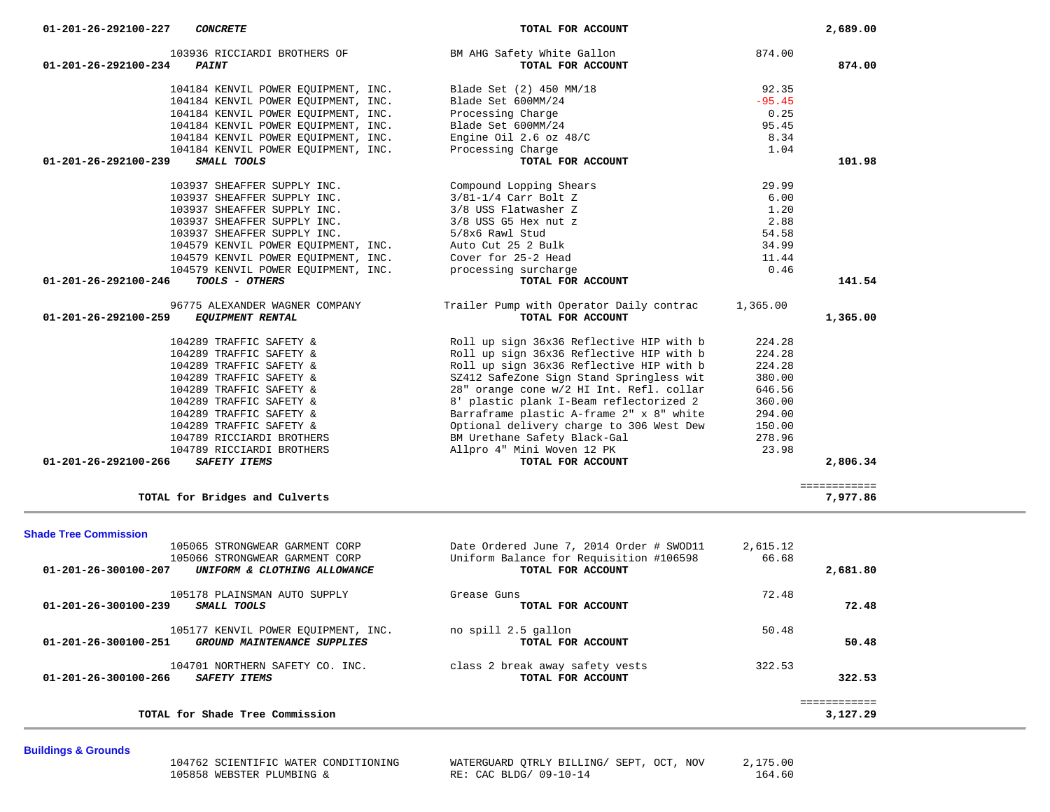|                                             | 104184 KENVIL POWER EQUIPMENT, INC.<br>104184 KENVIL POWER EOUIPMENT, INC. | Engine Oil $2.6$ oz $48/C$<br>Processing Charge                          | 8.34<br>1.04     |              |  |
|---------------------------------------------|----------------------------------------------------------------------------|--------------------------------------------------------------------------|------------------|--------------|--|
| 01-201-26-292100-239<br>SMALL TOOLS         |                                                                            | TOTAL FOR ACCOUNT                                                        |                  | 101.98       |  |
|                                             | 103937 SHEAFFER SUPPLY INC.                                                | Compound Lopping Shears                                                  | 29.99            |              |  |
|                                             | 103937 SHEAFFER SUPPLY INC.                                                | 3/81-1/4 Carr Bolt Z                                                     | 6.00             |              |  |
|                                             | 103937 SHEAFFER SUPPLY INC.                                                | 3/8 USS Flatwasher Z                                                     | 1.20             |              |  |
|                                             | 103937 SHEAFFER SUPPLY INC.                                                | 3/8 USS G5 Hex nut z                                                     | 2.88             |              |  |
|                                             | 103937 SHEAFFER SUPPLY INC.                                                | 5/8x6 Rawl Stud                                                          | 54.58            |              |  |
|                                             | 104579 KENVIL POWER EOUIPMENT, INC.                                        | Auto Cut 25 2 Bulk                                                       | 34.99            |              |  |
|                                             | 104579 KENVIL POWER EQUIPMENT, INC.                                        | Cover for 25-2 Head                                                      | 11.44            |              |  |
|                                             | 104579 KENVIL POWER EOUIPMENT, INC.                                        | processing surcharge                                                     | 0.46             |              |  |
| 01-201-26-292100-246                        | TOOLS - OTHERS                                                             | TOTAL FOR ACCOUNT                                                        |                  | 141.54       |  |
|                                             | 96775 ALEXANDER WAGNER COMPANY                                             | Trailer Pump with Operator Daily contrac                                 | 1,365.00         |              |  |
| $01 - 201 - 26 - 292100 - 259$              | <b>EQUIPMENT RENTAL</b>                                                    | TOTAL FOR ACCOUNT                                                        |                  | 1,365.00     |  |
|                                             | 104289 TRAFFIC SAFETY &                                                    | Roll up sign 36x36 Reflective HIP with b                                 | 224.28           |              |  |
|                                             | 104289 TRAFFIC SAFETY &                                                    | Roll up sign 36x36 Reflective HIP with b                                 | 224.28           |              |  |
|                                             | 104289 TRAFFIC SAFETY &                                                    | Roll up sign 36x36 Reflective HIP with b                                 | 224.28           |              |  |
|                                             | 104289 TRAFFIC SAFETY &                                                    | SZ412 SafeZone Sign Stand Springless wit                                 | 380.00           |              |  |
|                                             | 104289 TRAFFIC SAFETY &                                                    | 28" orange cone w/2 HI Int. Refl. collar                                 | 646.56           |              |  |
|                                             | 104289 TRAFFIC SAFETY &                                                    | 8' plastic plank I-Beam reflectorized 2                                  | 360.00           |              |  |
|                                             | 104289 TRAFFIC SAFETY &                                                    | Barraframe plastic A-frame 2" x 8" white                                 | 294.00           |              |  |
|                                             | 104289 TRAFFIC SAFETY &<br>104789 RICCIARDI BROTHERS                       | Optional delivery charge to 306 West Dew<br>BM Urethane Safety Black-Gal | 150.00<br>278.96 |              |  |
|                                             | 104789 RICCIARDI BROTHERS                                                  | Allpro 4" Mini Woven 12 PK                                               | 23.98            |              |  |
| 01-201-26-292100-266<br><b>SAFETY ITEMS</b> |                                                                            | TOTAL FOR ACCOUNT                                                        |                  | 2,806.34     |  |
|                                             |                                                                            |                                                                          |                  | ============ |  |
| TOTAL for Bridges and Culverts              |                                                                            |                                                                          |                  | 7,977.86     |  |
| <b>Shade Tree Commission</b>                |                                                                            |                                                                          |                  |              |  |
|                                             | 105065 STRONGWEAR GARMENT CORP                                             | Date Ordered June 7, 2014 Order # SWOD11                                 | 2,615.12         |              |  |
|                                             | 105066 STRONGWEAR GARMENT CORP                                             | Uniform Balance for Requisition #106598                                  | 66.68            |              |  |
| 01-201-26-300100-207                        | UNIFORM & CLOTHING ALLOWANCE                                               | TOTAL FOR ACCOUNT                                                        |                  | 2,681.80     |  |
|                                             | 105178 PLAINSMAN AUTO SUPPLY                                               | Grease Guns                                                              | 72.48            |              |  |
| 01-201-26-300100-239<br>SMALL TOOLS         |                                                                            | TOTAL FOR ACCOUNT                                                        |                  | 72.48        |  |
|                                             | 105177 KENVIL POWER EQUIPMENT, INC.                                        | no spill 2.5 gallon                                                      | 50.48            |              |  |
| 01-201-26-300100-251                        | GROUND MAINTENANCE SUPPLIES                                                | TOTAL FOR ACCOUNT                                                        |                  | 50.48        |  |
|                                             | 104701 NORTHERN SAFETY CO. INC.                                            | class 2 break away safety vests                                          | 322.53           |              |  |
| SAFETY ITEMS<br>01-201-26-300100-266        |                                                                            | TOTAL FOR ACCOUNT                                                        |                  | 322.53       |  |
|                                             |                                                                            |                                                                          |                  | ============ |  |
|                                             | TOTAL for Shade Tree Commission                                            |                                                                          |                  | 3,127.29     |  |
|                                             |                                                                            |                                                                          |                  |              |  |

103936 RICCIARDI BROTHERS OF THE BM AHG Safety White Gallon 874.00<br>4 **PAINT POINT 01-201-26-292100-234** *PAINT* **TOTAL FOR ACCOUNT 874.00**

> 104184 KENVIL POWER EQUIPMENT, INC.<br>104184 KENVIL POWER EQUIPMENT, INC. Blade Set 600MM/24 95.45 104184 KENVIL POWER EQUIPMENT, INC. Blade Set 600MM/24 -95.45<br>104184 KENVIL POWER EQUIPMENT, INC. Processing Charge 104184 KENVIL POWER EQUIPMENT, INC. Processing Charge 0.25<br>104184 KENVIL POWER EQUIPMENT, INC. Blade Set 600MM/24 95.45 104184 KENVIL POWER EQUIPMENT, INC. Blade Set 600MM/24 95.45<br>104184 KENVIL POWER EQUIPMENT, INC. Bingine 0il 2.6 oz 48/C 32 8.34

# **Buildings & Grounds**

105858 WEBSTER PLUMBING &

104762 SCIENTIFIC WATER CONDITIONING WATERGUARD QTRLY BILLING/ SEPT, OCT, NOV 2,175.00<br>164.60 RE: CAC BLDG/ 09-10-14

 **01-201-26-292100-227** *CONCRETE* **TOTAL FOR ACCOUNT 2,689.00**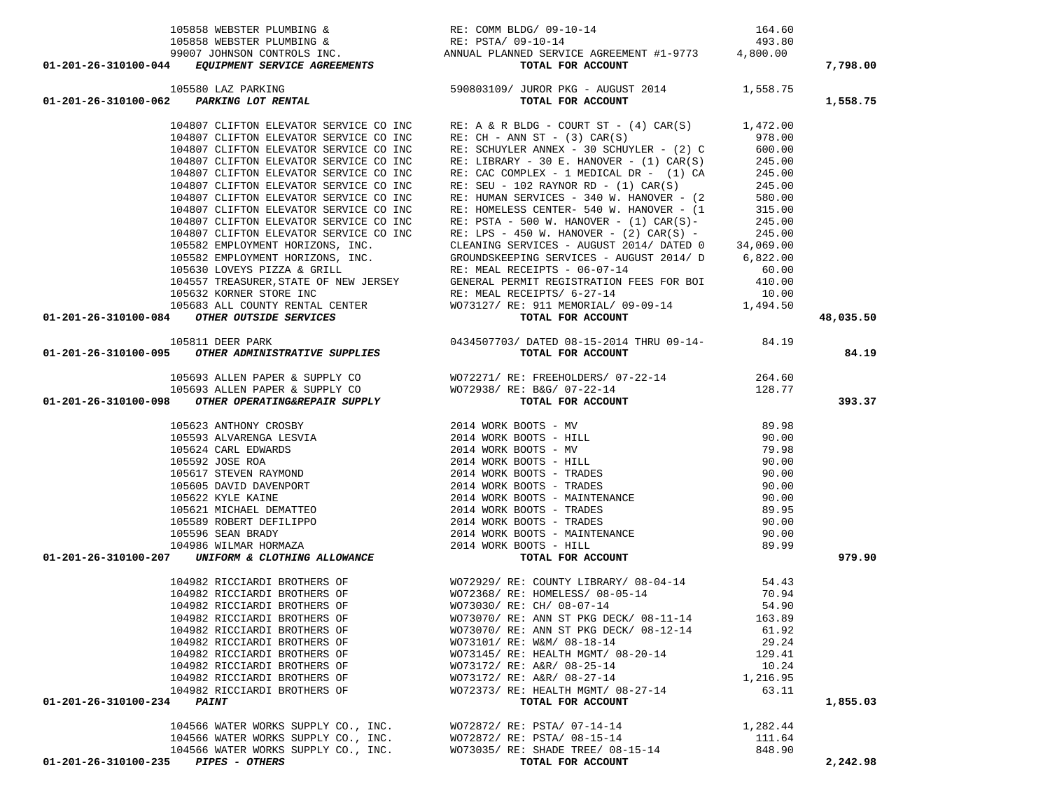| $\begin{array}{ccccccccc} & & & & & & & \text{RE: COM BLDG / 09-10-14} & & & & 164.60\\ & & & & & & & & \text{RE: COM BLDG / 09-10-14} & & & & 164.60\\ & & & & & & & & \text{RE: PSTA / 09-10-14} & & & 493.80\\ & & & & & & & & \text{RE: PSTA / 09-10-14} & & & 493.80\\ & & & & & & & & \text{RE: PSTA / 09-10-14} & & & 493.80\\ & & & & & & & & \text{RENIS} & & & & \text$                          |                                                                                                                                                                                                                                         |          |           |
|------------------------------------------------------------------------------------------------------------------------------------------------------------------------------------------------------------------------------------------------------------------------------------------------------------------------------------------------------------------------------------------------------------|-----------------------------------------------------------------------------------------------------------------------------------------------------------------------------------------------------------------------------------------|----------|-----------|
|                                                                                                                                                                                                                                                                                                                                                                                                            |                                                                                                                                                                                                                                         |          |           |
|                                                                                                                                                                                                                                                                                                                                                                                                            |                                                                                                                                                                                                                                         |          |           |
|                                                                                                                                                                                                                                                                                                                                                                                                            |                                                                                                                                                                                                                                         |          | 7,798.00  |
|                                                                                                                                                                                                                                                                                                                                                                                                            |                                                                                                                                                                                                                                         |          |           |
|                                                                                                                                                                                                                                                                                                                                                                                                            |                                                                                                                                                                                                                                         |          |           |
|                                                                                                                                                                                                                                                                                                                                                                                                            |                                                                                                                                                                                                                                         |          | 1,558.75  |
|                                                                                                                                                                                                                                                                                                                                                                                                            | 104807 CLIFTON ELEVATOR SERVICE CO INC<br>104807 CLIFTON ELEVATOR SERVICE CO INC<br>104807 CLIFTON ELEVATOR SERVICE CO INC<br>104807 CLIFTON ELEVATOR SERVICE CO INC<br>104807 CLIFTON ELEVATOR SERVICE CO INC<br>104807 CLIFTON ELEVAT |          |           |
|                                                                                                                                                                                                                                                                                                                                                                                                            |                                                                                                                                                                                                                                         |          |           |
|                                                                                                                                                                                                                                                                                                                                                                                                            |                                                                                                                                                                                                                                         |          |           |
|                                                                                                                                                                                                                                                                                                                                                                                                            |                                                                                                                                                                                                                                         |          |           |
|                                                                                                                                                                                                                                                                                                                                                                                                            |                                                                                                                                                                                                                                         |          |           |
|                                                                                                                                                                                                                                                                                                                                                                                                            |                                                                                                                                                                                                                                         |          |           |
|                                                                                                                                                                                                                                                                                                                                                                                                            |                                                                                                                                                                                                                                         |          |           |
|                                                                                                                                                                                                                                                                                                                                                                                                            |                                                                                                                                                                                                                                         |          |           |
|                                                                                                                                                                                                                                                                                                                                                                                                            |                                                                                                                                                                                                                                         |          |           |
|                                                                                                                                                                                                                                                                                                                                                                                                            |                                                                                                                                                                                                                                         |          |           |
|                                                                                                                                                                                                                                                                                                                                                                                                            |                                                                                                                                                                                                                                         |          |           |
|                                                                                                                                                                                                                                                                                                                                                                                                            |                                                                                                                                                                                                                                         |          |           |
|                                                                                                                                                                                                                                                                                                                                                                                                            |                                                                                                                                                                                                                                         |          |           |
| $104807 \t\t\tCLIFTON ELEVATOR SERVICE CO INC RE. HOMELESS CENTER- 540 W. HAN OVER - (1) CAR(S) - 245.00\n104807 CLIFTON ELEVATOR SERVICE CO INC RE. PSTA - 500 W. HAN OVER - (1) CAR(S) - 245.00\n104807 CLIFTON ELEVATOR SERVICE CO INC RE. LFS - 450 W. HAN OVER - (2) CAR(S) - 245.00\n105582 EMPLOVMENT HORTZONS, INC. CLEANNIG SERVICES - AUGUST 2014/ DATED 34,069.00\n105530 LWPLOVMENT HORTZONS,$ |                                                                                                                                                                                                                                         |          |           |
|                                                                                                                                                                                                                                                                                                                                                                                                            |                                                                                                                                                                                                                                         |          |           |
|                                                                                                                                                                                                                                                                                                                                                                                                            |                                                                                                                                                                                                                                         |          |           |
|                                                                                                                                                                                                                                                                                                                                                                                                            |                                                                                                                                                                                                                                         |          |           |
|                                                                                                                                                                                                                                                                                                                                                                                                            |                                                                                                                                                                                                                                         |          | 48,035.50 |
|                                                                                                                                                                                                                                                                                                                                                                                                            |                                                                                                                                                                                                                                         |          |           |
|                                                                                                                                                                                                                                                                                                                                                                                                            |                                                                                                                                                                                                                                         |          | 84.19     |
|                                                                                                                                                                                                                                                                                                                                                                                                            |                                                                                                                                                                                                                                         |          |           |
|                                                                                                                                                                                                                                                                                                                                                                                                            |                                                                                                                                                                                                                                         |          |           |
|                                                                                                                                                                                                                                                                                                                                                                                                            |                                                                                                                                                                                                                                         |          |           |
|                                                                                                                                                                                                                                                                                                                                                                                                            |                                                                                                                                                                                                                                         |          | 393.37    |
|                                                                                                                                                                                                                                                                                                                                                                                                            |                                                                                                                                                                                                                                         |          |           |
|                                                                                                                                                                                                                                                                                                                                                                                                            |                                                                                                                                                                                                                                         |          |           |
|                                                                                                                                                                                                                                                                                                                                                                                                            |                                                                                                                                                                                                                                         |          |           |
|                                                                                                                                                                                                                                                                                                                                                                                                            |                                                                                                                                                                                                                                         |          |           |
|                                                                                                                                                                                                                                                                                                                                                                                                            |                                                                                                                                                                                                                                         |          |           |
|                                                                                                                                                                                                                                                                                                                                                                                                            |                                                                                                                                                                                                                                         |          |           |
|                                                                                                                                                                                                                                                                                                                                                                                                            |                                                                                                                                                                                                                                         |          |           |
|                                                                                                                                                                                                                                                                                                                                                                                                            |                                                                                                                                                                                                                                         |          |           |
|                                                                                                                                                                                                                                                                                                                                                                                                            |                                                                                                                                                                                                                                         |          |           |
|                                                                                                                                                                                                                                                                                                                                                                                                            |                                                                                                                                                                                                                                         |          |           |
|                                                                                                                                                                                                                                                                                                                                                                                                            |                                                                                                                                                                                                                                         |          |           |
|                                                                                                                                                                                                                                                                                                                                                                                                            |                                                                                                                                                                                                                                         |          |           |
|                                                                                                                                                                                                                                                                                                                                                                                                            |                                                                                                                                                                                                                                         |          | 979.90    |
|                                                                                                                                                                                                                                                                                                                                                                                                            |                                                                                                                                                                                                                                         |          |           |
| 01-201-26-310100-084 OTHER ADVISION SERVICES<br>01-201-26-310100-084 OTHER ADMINISTRATIVE SUPPLIES<br>01-201-26-310100-095 OTHER ADMINISTRATIVE SUPPLIES<br>105633 ALLEN PAPER & SUPPLY CO<br>105633 ALLEN PAPER & SUPPLY CO<br>105633                                                                                                                                                                     |                                                                                                                                                                                                                                         |          |           |
|                                                                                                                                                                                                                                                                                                                                                                                                            |                                                                                                                                                                                                                                         |          |           |
|                                                                                                                                                                                                                                                                                                                                                                                                            |                                                                                                                                                                                                                                         |          |           |
| 104982 RICCIARDI BROTHERS OF                                                                                                                                                                                                                                                                                                                                                                               | WO73070/ RE: ANN ST PKG DECK/ 08-11-14                                                                                                                                                                                                  | 163.89   |           |
| 104982 RICCIARDI BROTHERS OF                                                                                                                                                                                                                                                                                                                                                                               | WO73070/ RE: ANN ST PKG DECK/ 08-12-14                                                                                                                                                                                                  | 61.92    |           |
| 104982 RICCIARDI BROTHERS OF                                                                                                                                                                                                                                                                                                                                                                               | WO73101/ RE: W&M/ 08-18-14                                                                                                                                                                                                              | 29.24    |           |
| 104982 RICCIARDI BROTHERS OF                                                                                                                                                                                                                                                                                                                                                                               | WO73145/ RE: HEALTH MGMT/ 08-20-14                                                                                                                                                                                                      | 129.41   |           |
| 104982 RICCIARDI BROTHERS OF                                                                                                                                                                                                                                                                                                                                                                               | WO73172/ RE: A&R/ 08-25-14                                                                                                                                                                                                              | 10.24    |           |
| 104982 RICCIARDI BROTHERS OF                                                                                                                                                                                                                                                                                                                                                                               | WO73172/ RE: A&R/ 08-27-14                                                                                                                                                                                                              | 1,216.95 |           |
| 104982 RICCIARDI BROTHERS OF                                                                                                                                                                                                                                                                                                                                                                               | WO72373/ RE: HEALTH MGMT/ 08-27-14                                                                                                                                                                                                      | 63.11    |           |
| 01-201-26-310100-234<br><b>PAINT</b>                                                                                                                                                                                                                                                                                                                                                                       | TOTAL FOR ACCOUNT                                                                                                                                                                                                                       |          | 1,855.03  |
|                                                                                                                                                                                                                                                                                                                                                                                                            |                                                                                                                                                                                                                                         |          |           |
| 104566 WATER WORKS SUPPLY CO., INC.                                                                                                                                                                                                                                                                                                                                                                        | WO72872/ RE: PSTA/ 07-14-14                                                                                                                                                                                                             | 1,282.44 |           |
| 104566 WATER WORKS SUPPLY CO., INC.                                                                                                                                                                                                                                                                                                                                                                        | WO72872/ RE: PSTA/ 08-15-14                                                                                                                                                                                                             | 111.64   |           |
| 104566 WATER WORKS SUPPLY CO., INC.                                                                                                                                                                                                                                                                                                                                                                        | WO73035/ RE: SHADE TREE/ 08-15-14                                                                                                                                                                                                       | 848.90   |           |
| <b>PIPES - OTHERS</b><br>01-201-26-310100-235                                                                                                                                                                                                                                                                                                                                                              | TOTAL FOR ACCOUNT                                                                                                                                                                                                                       |          | 2,242.98  |
|                                                                                                                                                                                                                                                                                                                                                                                                            |                                                                                                                                                                                                                                         |          |           |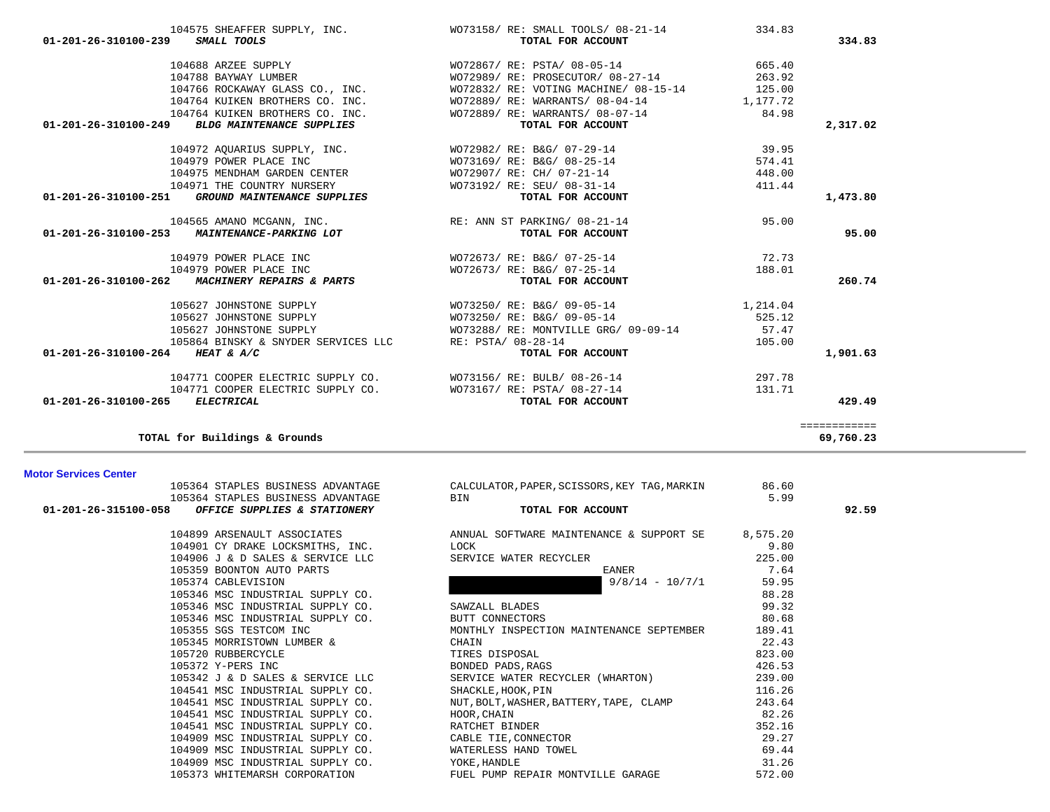| <b>Motor Services Center</b>                                         |                                              |          |       |
|----------------------------------------------------------------------|----------------------------------------------|----------|-------|
| 105364 STAPLES BUSINESS ADVANTAGE                                    | CALCULATOR, PAPER, SCISSORS, KEY TAG, MARKIN | 86.60    |       |
| 105364 STAPLES BUSINESS ADVANTAGE                                    | BIN                                          | 5.99     |       |
| 01-201-26-315100-058<br>OFFICE SUPPLIES & STATIONERY                 | TOTAL FOR ACCOUNT                            |          | 92.59 |
| 104899 ARSENAULT ASSOCIATES                                          | ANNUAL SOFTWARE MAINTENANCE & SUPPORT SE     | 8,575.20 |       |
|                                                                      | LOCK                                         | 9.80     |       |
| 104901 CY DRAKE LOCKSMITHS, INC.<br>104906 J & D SALES & SERVICE LLC | SERVICE WATER RECYCLER                       | 225.00   |       |
| 105359 BOONTON AUTO PARTS                                            | EANER                                        | 7.64     |       |
| 105374 CABLEVISION                                                   | $9/8/14 - 10/7/1$                            | 59.95    |       |
| 105346 MSC INDUSTRIAL SUPPLY CO.                                     |                                              | 88.28    |       |
| 105346 MSC INDUSTRIAL SUPPLY CO.                                     | SAWZALL BLADES                               | 99.32    |       |
| 105346 MSC INDUSTRIAL SUPPLY CO.                                     | BUTT CONNECTORS                              | 80.68    |       |
| 105355 SGS TESTCOM INC                                               | MONTHLY INSPECTION MAINTENANCE SEPTEMBER     | 189.41   |       |
|                                                                      |                                              | 22.43    |       |
| 105345 MORRISTOWN LUMBER &                                           | CHAIN                                        |          |       |
| 105720 RUBBERCYCLE                                                   | TIRES DISPOSAL                               | 823.00   |       |
| 105372 Y-PERS INC                                                    | BONDED PADS, RAGS                            | 426.53   |       |
| 105342 J & D SALES & SERVICE LLC                                     | SERVICE WATER RECYCLER (WHARTON)             | 239.00   |       |
| 104541 MSC INDUSTRIAL SUPPLY CO.                                     | SHACKLE, HOOK, PIN                           | 116.26   |       |
| 104541 MSC INDUSTRIAL SUPPLY CO.                                     | NUT, BOLT, WASHER, BATTERY, TAPE, CLAMP      | 243.64   |       |
| 104541 MSC INDUSTRIAL SUPPLY CO.                                     | HOOR, CHAIN                                  | 82.26    |       |
| 104541 MSC INDUSTRIAL SUPPLY CO.                                     | RATCHET BINDER                               | 352.16   |       |
| 104909 MSC INDUSTRIAL SUPPLY CO.                                     | CABLE TIE, CONNECTOR                         | 29.27    |       |
| 104909 MSC INDUSTRIAL SUPPLY CO.                                     | WATERLESS HAND TOWEL                         | 69.44    |       |
| 104909 MSC INDUSTRIAL SUPPLY CO.                                     | YOKE, HANDLE                                 | 31.26    |       |
| 105373 WHITEMARSH CORPORATION                                        | FUEL PUMP REPAIR MONTVILLE GARAGE            | 572.00   |       |

|                                                                                                     | 105364 STAPLES BUSINESS ADVANTAGE CALCULATOR, PAPER, SCISSORS, KEY TAG, MARKIN 86.60                                                                                       | 5.99   |  |
|-----------------------------------------------------------------------------------------------------|----------------------------------------------------------------------------------------------------------------------------------------------------------------------------|--------|--|
| 105364 STAPLES BUSINESS ADVANTAGE BIN<br><b>OFFICE SUPPLIES &amp; STATIONERY</b>                    | TOTAL FOR ACCOUNT                                                                                                                                                          |        |  |
|                                                                                                     | 104899 ARSENAULT ASSOCIATES (2008) ANNUAL SOFTWARE MAINTENANCE & SUPPORT SE 20                                                                                             |        |  |
| 104901 CY DRAKE LOCKSMITHS, INC. LOCK                                                               |                                                                                                                                                                            | 9.80   |  |
| 104906 J & D SALES & SERVICE LLC SERVICE WATER RECYCLER                                             |                                                                                                                                                                            | 225.00 |  |
| 105359 BOONTON AUTO PARTS                                                                           |                                                                                                                                                                            | 7.64   |  |
| 105374 CABLEVISION                                                                                  | EANER<br>9/8/14 - 10/7/1                                                                                                                                                   | 59.95  |  |
| 105346 MSC INDUSTRIAL SUPPLY CO.                                                                    |                                                                                                                                                                            | 88.28  |  |
|                                                                                                     |                                                                                                                                                                            | 99.32  |  |
| 105346 MSC INDUSTRIAL SUPPLY CO. SAWZALL BLADES<br>105346 MSC INDUSTRIAL SUPPLY CO. BUTT CONNECTORS |                                                                                                                                                                            | 80.68  |  |
| 105355 SGS TESTCOM INC                                                                              | MONTHLY INSPECTION MAINTENANCE SEPTEMBER 189.41                                                                                                                            |        |  |
| 105345 MORRISTOWN LUMBER &                                                                          | CHAIN                                                                                                                                                                      | 22.43  |  |
|                                                                                                     | TIRES DISPOSAL<br>105343 WORNERCYCLE<br>105372 Y-PERS INC<br>105342 J & D SALES & SERVICE LLC<br>105342 J & D SALES & SERVICE LLC<br>2006 SERVICE WATER RECYCLER (WHARTON) | 823.00 |  |
|                                                                                                     |                                                                                                                                                                            | 426.53 |  |
|                                                                                                     |                                                                                                                                                                            | 239.00 |  |
|                                                                                                     | SHACKLE, HOOK, PIN                                                                                                                                                         | 116.26 |  |
| 104541 MSC INDUSTRIAL SUPPLY CO.                                                                    | NUT, BOLT, WASHER, BATTERY, TAPE, CLAMP                                                                                                                                    | 243.64 |  |
| 104541 MSC INDUSTRIAL SUPPLY CO.                                                                    | HOOR, CHAIN                                                                                                                                                                | 82.26  |  |
| 104541 MSC INDUSTRIAL SUPPLY CO.                                                                    | RATCHET BINDER                                                                                                                                                             | 352.16 |  |
| 104909 MSC INDUSTRIAL SUPPLY CO.                                                                    | CABLE TIE, CONNECTOR                                                                                                                                                       | 29.27  |  |
| 104909 MSC INDUSTRIAL SUPPLY CO.                                                                    | WATERLESS HAND TOWEL                                                                                                                                                       | 69.44  |  |
| 104909 MSC INDUSTRIAL SUPPLY CO.                                                                    | YOKE, HANDLE                                                                                                                                                               | 31.26  |  |
| 105373 WHITEMARSH CORPORATION                                                                       | FUEL PUMP REPAIR MONTVILLE GARAGE                                                                                                                                          | 572.00 |  |
|                                                                                                     |                                                                                                                                                                            |        |  |

# **TOTAL for Buildings & Grounds 69,760.23**

| 104688 ARZEE SUPPLY                                           | WO72867/ RE: PSTA/ 08-05-14                                                  | 665.40   |              |
|---------------------------------------------------------------|------------------------------------------------------------------------------|----------|--------------|
|                                                               | 104788 BAYWAY LUMBER 600 WO72989/ RE: PROSECUTOR/ 08-27-14                   | 263.92   |              |
|                                                               | 104766 ROCKAWAY GLASS CO., INC. WO72832/ RE: VOTING MACHINE/ 08-15-14 125.00 |          |              |
|                                                               | 104764 KUIKEN BROTHERS CO. INC. WO72889/RE: WARRANTS/08-04-14                | 1,177.72 |              |
|                                                               | 104764 KUIKEN BROTHERS CO. INC. WO72889/RE: WARRANTS/08-07-14                | 84.98    |              |
| 01-201-26-310100-249 BLDG MAINTENANCE SUPPLIES                | TOTAL FOR ACCOUNT                                                            |          | 2,317.02     |
| 104972 AQUARIUS SUPPLY, INC.                                  | WO72982/ RE: B&G/ 07-29-14                                                   | 39.95    |              |
| 104979 POWER PLACE INC                                        | WO73169/ RE: B&G/ 08-25-14                                                   | 574.41   |              |
| 104975 MENDHAM GARDEN CENTER                                  | WO72907/ RE: CH/ 07-21-14                                                    | 448.00   |              |
| 104971 THE COUNTRY NURSERY                                    | WO73192/ RE: SEU/ 08-31-14                                                   | 411.44   |              |
| 01-201-26-310100-251 GROUND MAINTENANCE SUPPLIES              | TOTAL FOR ACCOUNT                                                            |          | 1,473.80     |
| 104565 AMANO MCGANN, INC. The RE: ANN ST PARKING/08-21-14     |                                                                              | 95.00    |              |
| 01-201-26-310100-253 MAINTENANCE-PARKING LOT                  | TOTAL FOR ACCOUNT                                                            |          | 95.00        |
| 104979 POWER PLACE INC                                        | WO72673/ RE: B&G/ 07-25-14                                                   | 72.73    |              |
| 104979 POWER PLACE INC                                        | WO72673/ RE: B&G/ 07-25-14                                                   | 188.01   |              |
| 01-201-26-310100-262 MACHINERY REPAIRS & PARTS                | TOTAL FOR ACCOUNT                                                            |          | 260.74       |
| 105627 JOHNSTONE SUPPLY                                       | WO73250/ RE: B&G/ 09-05-14                                                   | 1,214.04 |              |
| 105627 JOHNSTONE SUPPLY                                       | WO73250/ RE: B&G/ 09-05-14                                                   | 525.12   |              |
| 105627 JOHNSTONE SUPPLY                                       | WO73288/ RE: MONTVILLE GRG/ 09-09-14                                         | 57.47    |              |
| 105864 BINSKY & SNYDER SERVICES LLC                           | RE: PSTA/ 08-28-14                                                           | 105.00   |              |
| 01-201-26-310100-264 HEAT & A/C                               | TOTAL FOR ACCOUNT                                                            |          | 1,901.63     |
| 104771 COOPER ELECTRIC SUPPLY CO. WO73156/RE: BULB/08-26-14   |                                                                              | 297.78   |              |
| 104771 COOPER ELECTRIC SUPPLY CO. WO73167/ RE: PSTA/ 08-27-14 |                                                                              | 131.71   |              |
| 01-201-26-310100-265<br>ELECTRICAL                            | TOTAL FOR ACCOUNT                                                            |          | 429.49       |
|                                                               |                                                                              |          | ============ |

104575 SHEAFFER SUPPLY, INC.<br> **WO73158/ RE: SMALL TOOLS 334.83**<br> **TOTAL FOR ACCOUNT 01-201-26-310100-239** *SMALL TOOLS* **TOTAL FOR ACCOUNT 334.83**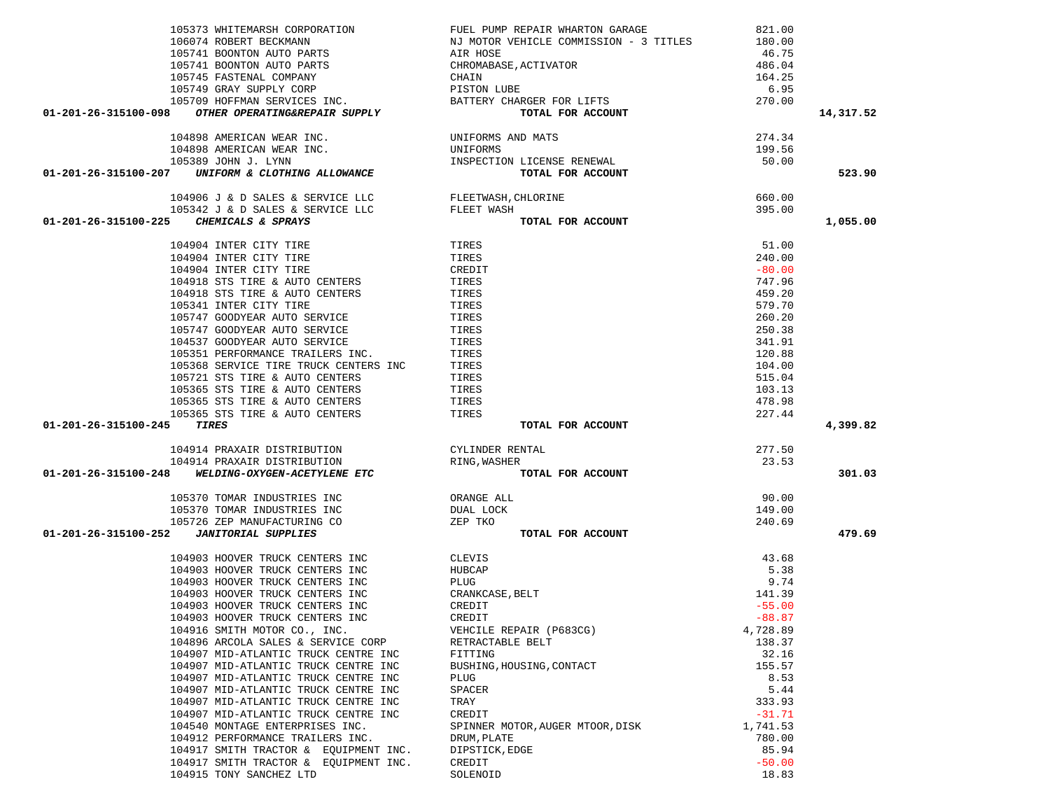|                            | 105373 WHITEMARSH CORPORATION                                                                             | FUEL PUMP REPAIR WHARTON GARAGE                          | 821.00   |           |
|----------------------------|-----------------------------------------------------------------------------------------------------------|----------------------------------------------------------|----------|-----------|
|                            |                                                                                                           |                                                          |          |           |
|                            |                                                                                                           |                                                          |          |           |
|                            |                                                                                                           |                                                          |          |           |
|                            |                                                                                                           |                                                          |          |           |
|                            |                                                                                                           |                                                          |          |           |
|                            |                                                                                                           |                                                          |          |           |
|                            | 01-201-26-315100-098 OTHER OPERATING&REPAIR SUPPLY                                                        |                                                          |          | 14,317.52 |
|                            |                                                                                                           |                                                          |          |           |
|                            | 104898 AMERICAN WEAR INC.                                                                                 |                                                          | 274.34   |           |
|                            | 104898 AMERICAN WEAR INC.                                                                                 | UNIFORMS AND MATS                                        |          |           |
|                            |                                                                                                           | UNIFORMS<br>INSPECTION LICENSE RENEWAL                   | 199.56   |           |
|                            | 105389 JOHN J. LYNN<br>105389 JOHN J. LYNN<br>01-201-26-315100-207 UNIFORM & CLOTHING ALLOWANCE           | <b>ND MATS<br/>LICENSE RENEWAL<br/>TOTAL FOR ACCOUNT</b> | 50.00    |           |
|                            |                                                                                                           |                                                          |          | 523.90    |
|                            |                                                                                                           |                                                          |          |           |
|                            | 104906 J & D SALES & SERVICE LLC FLEETWASH, CHLORINE                                                      |                                                          | 660.00   |           |
|                            |                                                                                                           | TOTAL FOR ACCOUNT                                        | 395.00   |           |
|                            | 105342 J & D SALES & SERVICE LLC FLEET WASH CHEMICALS & SPRAYS<br>01-201-26-315100-225 CHEMICALS & SPRAYS |                                                          |          | 1,055.00  |
|                            |                                                                                                           |                                                          |          |           |
|                            | 104904 INTER CITY TIRE                                                                                    | TIRES                                                    | 51.00    |           |
|                            | 104904 INTER CITY TIRE                                                                                    | TIRES                                                    | 240.00   |           |
|                            | 104904 INTER CITY TIRE                                                                                    | CREDIT                                                   | $-80.00$ |           |
|                            | 104918 STS TIRE & AUTO CENTERS                                                                            | TIRES                                                    | 747.96   |           |
|                            | 104918 STS TIRE & AUTO CENTERS                                                                            | TIRES                                                    | 459.20   |           |
|                            | 105341 INTER CITY TIRE                                                                                    | TIRES                                                    | 579.70   |           |
|                            | 105747 GOODYEAR AUTO SERVICE                                                                              | TIRES                                                    | 260.20   |           |
|                            | 105747 GOODYEAR AUTO SERVICE                                                                              | TIRES                                                    | 250.38   |           |
|                            |                                                                                                           |                                                          |          |           |
|                            | 104537 GOODYEAR AUTO SERVICE                                                                              | TIRES                                                    | 341.91   |           |
|                            | 105351 PERFORMANCE TRAILERS INC.                                                                          | TIRES                                                    | 120.88   |           |
|                            | 105368 SERVICE TIRE TRUCK CENTERS INC                                                                     | TIRES                                                    | 104.00   |           |
|                            | 105721 STS TIRE & AUTO CENTERS                                                                            | TIRES                                                    | 515.04   |           |
|                            | 105365 STS TIRE & AUTO CENTERS                                                                            | TIRES                                                    | 103.13   |           |
|                            | 105365 STS TIRE & AUTO CENTERS                                                                            | TIRES                                                    | 478.98   |           |
|                            | 105365 STS TIRE & AUTO CENTERS                                                                            | TIRES                                                    | 227.44   |           |
| 01-201-26-315100-245 TIRES |                                                                                                           | TOTAL FOR ACCOUNT                                        |          | 4,399.82  |
|                            |                                                                                                           |                                                          |          |           |
|                            | 104914 PRAXAIR DISTRIBUTION                                                                               | CYLINDER RENTAL<br>RING,WASHER                           | 277.50   |           |
|                            | 104914 PRAXAIR DISTRIBUTION                                                                               | RING, WASHER                                             | 23.53    |           |
|                            | 01-201-26-315100-248 WELDING-OXYGEN-ACETYLENE ETC                                                         | TOTAL FOR ACCOUNT                                        |          | 301.03    |
|                            |                                                                                                           |                                                          |          |           |
|                            | 105370 TOMAR INDUSTRIES INC                                                                               |                                                          | 90.00    |           |
|                            | 105370 TOMAR INDUSTRIES INC                                                                               | ORANGE ALL<br>DUAL LOCK                                  | 149.00   |           |
|                            | 105726 ZEP MANUFACTURING CO                                                                               | ZEP TKO                                                  | 240.69   |           |
|                            | 01-201-26-315100-252  JANITORIAL SUPPLIES                                                                 | TOTAL FOR ACCOUNT                                        |          | 479.69    |
|                            |                                                                                                           |                                                          |          |           |
|                            | 104903 HOOVER TRUCK CENTERS INC                                                                           | CLEVIS                                                   | 43.68    |           |
|                            | 104903 HOOVER TRUCK CENTERS INC                                                                           | HUBCAP                                                   | 5.38     |           |
|                            | 104903 HOOVER TRUCK CENTERS INC                                                                           | PLUG                                                     | 9.74     |           |
|                            |                                                                                                           |                                                          |          |           |
|                            | 104903 HOOVER TRUCK CENTERS INC                                                                           | CRANKCASE, BELT                                          | 141.39   |           |
|                            | 104903 HOOVER TRUCK CENTERS INC                                                                           | CREDIT                                                   | $-55.00$ |           |
|                            | 104903 HOOVER TRUCK CENTERS INC                                                                           | CREDIT                                                   | $-88.87$ |           |
|                            | 104916 SMITH MOTOR CO., INC.                                                                              | VEHCILE REPAIR (P683CG)                                  | 4,728.89 |           |
|                            | 104896 ARCOLA SALES & SERVICE CORP                                                                        | RETRACTABLE BELT                                         | 138.37   |           |
|                            | 104907 MID-ATLANTIC TRUCK CENTRE INC                                                                      | FITTING                                                  | 32.16    |           |
|                            | 104907 MID-ATLANTIC TRUCK CENTRE INC                                                                      | BUSHING, HOUSING, CONTACT                                | 155.57   |           |
|                            | 104907 MID-ATLANTIC TRUCK CENTRE INC                                                                      | <b>PLUG</b>                                              | 8.53     |           |
|                            | 104907 MID-ATLANTIC TRUCK CENTRE INC                                                                      | SPACER                                                   | 5.44     |           |
|                            | 104907 MID-ATLANTIC TRUCK CENTRE INC                                                                      | TRAY                                                     | 333.93   |           |
|                            | 104907 MID-ATLANTIC TRUCK CENTRE INC                                                                      | CREDIT                                                   | $-31.71$ |           |
|                            | 104540 MONTAGE ENTERPRISES INC.                                                                           | SPINNER MOTOR, AUGER MTOOR, DISK                         | 1,741.53 |           |
|                            | 104912 PERFORMANCE TRAILERS INC.                                                                          | DRUM, PLATE                                              | 780.00   |           |
|                            | 104917 SMITH TRACTOR & EOUIPMENT INC.                                                                     | DIPSTICK, EDGE                                           | 85.94    |           |
|                            | 104917 SMITH TRACTOR & EQUIPMENT INC.                                                                     | CREDIT                                                   | $-50.00$ |           |
|                            |                                                                                                           |                                                          |          |           |

104915 TONY SANCHEZ LTD SOLENOID SOLENOID SOLENOID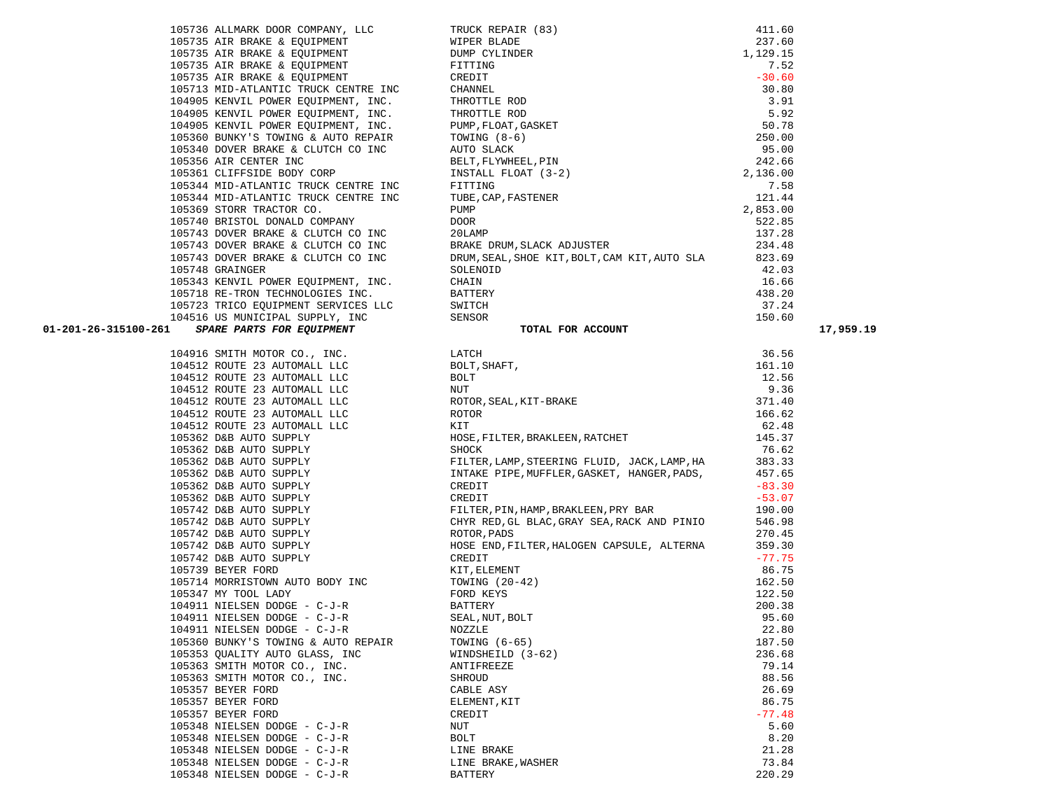105736 ALLMARK DOOR COMPANY, LLC TRUCK REPAIR (83) 411.60 105735 AIR BRAKE & EQUIPMENT WIPER BLADE 237.60 105735 AIR BRAKE & EQUIPMENT DUMP CYLINDER 1,129.15 105735 AIR BRAKE & EQUIPMENT FITTING FITTING  $105735$  AIR BRAKE & EQUIPMENT  $\overline{C}$  CREDIT 105713 MID-ATLANTIC TRUCK CENTRE INC CHANNEL 30.80 104905 KENVIL POWER EQUIPMENT, INC. THROTTLE ROD THROTTLE ROD 104905 KENVIL POWER EQUIPMENT, INC. THROTTLE ROD 5.92 104905 KENVIL POWER EQUIPMENT, INC. PUMP,FLOAT,GASKET 50.78 105360 BUNKY'S TOWING & AUTO REPAIR TOWING (8-6) 250.00 105340 DOVER BRAKE & CLUTCH CO INC AUTO SLACK 95.00 105356 AIR CENTER INC BELT,FLYWHEEL,PIN 242.66 105361 CLIFFSIDE BODY CORP INSTALL FLOAT (3-2) 2,136.00 105344 MID-ATLANTIC TRUCK CENTRE INC FITTING 7.58 105344 MID-ATLANTIC TRUCK CENTRE INC TUBE,CAP,FASTENER 121.44 105369 STORR TRACTOR CO. PUMP 2,853.00 105740 BRISTOL DONALD COMPANY DOOR 522.85 105743 DOVER BRAKE & CLUTCH CO INC 20LAMP 2018 2018 2018 2019

| 105743 DOVER BRAKE & CLUTCH CO INC                                                                                             | BRAKE DRUM, SLACK ADJUSTER                                                                                                                                                                                                                                           | 234.48   |           |
|--------------------------------------------------------------------------------------------------------------------------------|----------------------------------------------------------------------------------------------------------------------------------------------------------------------------------------------------------------------------------------------------------------------|----------|-----------|
| 105743 DOVER BRAKE & CLUTCH CO INC                                                                                             | DRUM, SEAL, SHOE KIT, BOLT, CAM KIT, AUTO SLA                                                                                                                                                                                                                        | 823.69   |           |
| 105748 GRAINGER                                                                                                                | SOLENOID                                                                                                                                                                                                                                                             | 42.03    |           |
| 105343 KENVIL POWER EQUIPMENT, INC.                                                                                            | CHAIN                                                                                                                                                                                                                                                                | 16.66    |           |
| 105718 RE-TRON TECHNOLOGIES INC.                                                                                               | BATTERY                                                                                                                                                                                                                                                              | 438.20   |           |
| 105723 TRICO EQUIPMENT SERVICES LLC                                                                                            | SWITCH                                                                                                                                                                                                                                                               | 37.24    |           |
| 104516 US MUNICIPAL SUPPLY, INC                                                                                                | SENSOR                                                                                                                                                                                                                                                               | 150.60   |           |
| SPARE PARTS FOR EQUIPMENT<br>01-201-26-315100-261                                                                              | TOTAL FOR ACCOUNT                                                                                                                                                                                                                                                    |          | 17,959.19 |
| 104916 SMITH MOTOR CO., INC. LATCH                                                                                             | LATCH<br>BOLT, SHAFT,<br>BOLT<br>NUT<br>ROTOR, SEAL, KIT-BRAKE<br>ROTOR<br>KIT<br>KIT                                                                                                                                                                                | 36.56    |           |
| 104512 ROUTE 23 AUTOMALL LLC                                                                                                   |                                                                                                                                                                                                                                                                      | 161.10   |           |
| 104512 ROUTE 23 AUTOMALL LLC                                                                                                   |                                                                                                                                                                                                                                                                      | 12.56    |           |
| 104512 ROUTE 23 AUTOMALL LLC                                                                                                   |                                                                                                                                                                                                                                                                      | 9.36     |           |
| 104512 ROUTE 23 AUTOMALL LLC<br>104512 POUTE 23 AUTOMALL LLC                                                                   |                                                                                                                                                                                                                                                                      | 371.40   |           |
| 104512 ROUTE 23 AUTOMALL LLC                                                                                                   |                                                                                                                                                                                                                                                                      | 166.62   |           |
| 104512 ROUTE 23 AUTOMALL LLC                                                                                                   |                                                                                                                                                                                                                                                                      | 62.48    |           |
| 105362 D&B AUTO SUPPLY                                                                                                         | KIT<br>HOSE , FILTER , BRAKLEEN , RATCHET                                                                                                                                                                                                                            | 145.37   |           |
| 105362 D&B AUTO SUPPLY                                                                                                         | SHOCK                                                                                                                                                                                                                                                                | 76.62    |           |
| 105362 D&B AUTO SUPPLY                                                                                                         | FILTER, LAMP, STEERING FLUID, JACK, LAMP, HA                                                                                                                                                                                                                         | 383.33   |           |
|                                                                                                                                | INTAKE PIPE, MUFFLER, GASKET, HANGER, PADS,                                                                                                                                                                                                                          | 457.65   |           |
| 105362 D&B AUTO SUPPLY<br>105362 D&B AUTO SUPPLY                                                                               | CREDIT                                                                                                                                                                                                                                                               | $-83.30$ |           |
|                                                                                                                                | CREDIT                                                                                                                                                                                                                                                               | $-53.07$ |           |
| 105302 D&B AUTO SUPPLI<br>105362 D&B AUTO SUPPLY<br>105742 D&B AUTO SUPPLY<br>105742 D&B AUTO SUPPLY<br>105742 D&B AUTO SUPPLY | FILTER, PIN, HAMP, BRAKLEEN, PRY BAR                                                                                                                                                                                                                                 | 190.00   |           |
|                                                                                                                                | CHYR RED, GL BLAC, GRAY SEA, RACK AND PINIO                                                                                                                                                                                                                          | 546.98   |           |
|                                                                                                                                | ROTOR, PADS                                                                                                                                                                                                                                                          | 270.45   |           |
| 105742 D&B AUTO SUPPLY<br>105742 D&B AUTO SUPPLY                                                                               | HOSE END, FILTER, HALOGEN CAPSULE, ALTERNA                                                                                                                                                                                                                           | 359.30   |           |
|                                                                                                                                |                                                                                                                                                                                                                                                                      | $-77.75$ |           |
| 105739 BEYER FORD                                                                                                              |                                                                                                                                                                                                                                                                      | 86.75    |           |
| 105714 MORRISTOWN AUTO BODY INC                                                                                                |                                                                                                                                                                                                                                                                      | 162.50   |           |
| 105347 MY TOOL LADY                                                                                                            |                                                                                                                                                                                                                                                                      | 122.50   |           |
| 104911 NIELSEN DODGE - C-J-R                                                                                                   |                                                                                                                                                                                                                                                                      | 200.38   |           |
| 104911 NIELSEN DODGE - C-J-R                                                                                                   |                                                                                                                                                                                                                                                                      | 95.60    |           |
| 104911 NIELSEN DODGE - C-J-R                                                                                                   |                                                                                                                                                                                                                                                                      | 22.80    |           |
| 105360 BUNKY'S TOWING & AUTO REPAIR<br>105353 QUALITY AUTO GLASS, INC<br>105363 SMITH MOTOR CO., INC.                          |                                                                                                                                                                                                                                                                      | 187.50   |           |
|                                                                                                                                |                                                                                                                                                                                                                                                                      | 236.68   |           |
|                                                                                                                                |                                                                                                                                                                                                                                                                      | 79.14    |           |
| 105363 SMITH MOTOR CO., INC.                                                                                                   |                                                                                                                                                                                                                                                                      | 88.56    |           |
| 105357 BEYER FORD                                                                                                              |                                                                                                                                                                                                                                                                      | 26.69    |           |
| 105357 BEYER FORD                                                                                                              |                                                                                                                                                                                                                                                                      | 86.75    |           |
| 105357 BEYER FORD                                                                                                              |                                                                                                                                                                                                                                                                      | $-77.48$ |           |
| 105348 NIELSEN DODGE - $C-J-R$                                                                                                 |                                                                                                                                                                                                                                                                      | 5.60     |           |
| 105348 NIELSEN DODGE - C-J-R                                                                                                   |                                                                                                                                                                                                                                                                      | 8.20     |           |
| 105348 NIELSEN DODGE - C-J-R<br>LINE BRAKE                                                                                     |                                                                                                                                                                                                                                                                      | 21.28    |           |
| 105348 NIELSEN DODGE - C-J-R $$\tt{LINE~BRAKE} ,$ WASHER                                                                       |                                                                                                                                                                                                                                                                      | 73.84    |           |
| 105348 NIELSEN DODGE - C-J-R                                                                                                   | CREDIT<br>FIT, ELEMENT<br>KIT, ELEMENT<br>TOWING (20-42)<br>FORD KEYS<br>BATTERY<br>SEAL, NUT, BOLT<br>NOZZLE<br>TOWING (6-65)<br>TOWING (6-65)<br>WINDSHEILD (3-62)<br>ANTIFREEZE<br>SHEOUD<br>CABLE ASY<br>ELEMENT, KIT<br>CREDIT<br>NUT<br>BOLT<br>LINE BRAKE<br> | 220.29   |           |
|                                                                                                                                |                                                                                                                                                                                                                                                                      |          |           |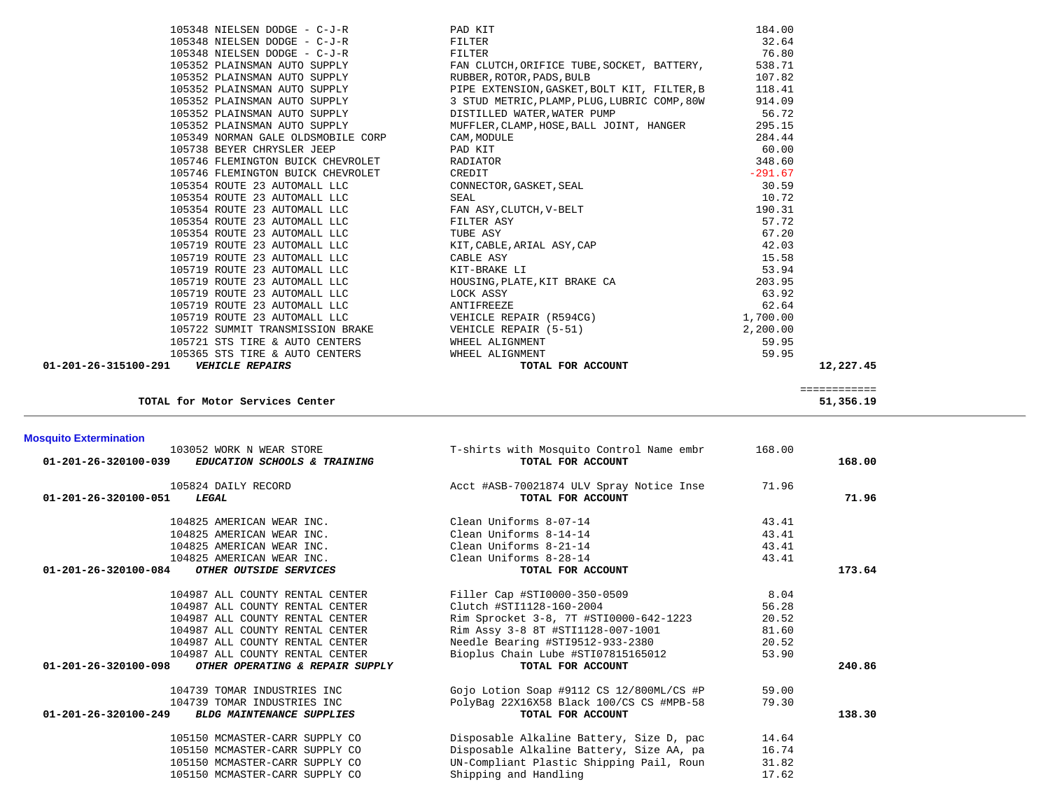| <b>Mosquito Extermination</b>                                                    |                                                               |        |        |
|----------------------------------------------------------------------------------|---------------------------------------------------------------|--------|--------|
| 103052 WORK N WEAR STORE<br>01-201-26-320100-039<br>EDUCATION SCHOOLS & TRAINING | T-shirts with Mosquito Control Name embr<br>TOTAL FOR ACCOUNT | 168.00 | 168.00 |
| 105824 DAILY RECORD<br>$01 - 201 - 26 - 320100 - 051$<br>LEGAL                   | Acct #ASB-70021874 ULV Spray Notice Inse<br>TOTAL FOR ACCOUNT | 71.96  | 71.96  |
|                                                                                  |                                                               |        |        |
| 104825 AMERICAN WEAR INC.                                                        | Clean Uniforms 8-07-14                                        | 43.41  |        |
| 104825 AMERICAN WEAR INC.                                                        | Clean Uniforms 8-14-14                                        | 43.41  |        |
| 104825 AMERICAN WEAR INC.                                                        | Clean Uniforms 8-21-14                                        | 43.41  |        |
| 104825 AMERICAN WEAR INC.                                                        | Clean Uniforms 8-28-14                                        | 43.41  |        |
| 01-201-26-320100-084<br>OTHER OUTSIDE SERVICES                                   | TOTAL FOR ACCOUNT                                             |        | 173.64 |
| 104987 ALL COUNTY RENTAL CENTER                                                  | Filler Cap #STI0000-350-0509                                  | 8.04   |        |
| 104987 ALL COUNTY RENTAL CENTER                                                  | Clutch #STI1128-160-2004                                      | 56.28  |        |
| 104987 ALL COUNTY RENTAL CENTER                                                  | Rim Sprocket 3-8, 7T #STI0000-642-1223                        | 20.52  |        |
| 104987 ALL COUNTY RENTAL CENTER                                                  | Rim Assy 3-8 8T #STI1128-007-1001                             | 81.60  |        |
| 104987 ALL COUNTY RENTAL CENTER                                                  | Needle Bearing #STI9512-933-2380                              | 20.52  |        |
| 104987 ALL COUNTY RENTAL CENTER                                                  | Bioplus Chain Lube #STI07815165012                            | 53.90  |        |
| 01-201-26-320100-098<br>OTHER OPERATING & REPAIR SUPPLY                          | TOTAL FOR ACCOUNT                                             |        | 240.86 |
| 104739 TOMAR INDUSTRIES INC                                                      | Gojo Lotion Soap #9112 CS 12/800ML/CS #P                      | 59.00  |        |
| 104739 TOMAR INDUSTRIES INC                                                      | PolyBag 22X16X58 Black 100/CS CS #MPB-58                      | 79.30  |        |
| $01 - 201 - 26 - 320100 - 249$<br><b>BLDG MAINTENANCE SUPPLIES</b>               | TOTAL FOR ACCOUNT                                             |        | 138.30 |
| 105150 MCMASTER-CARR SUPPLY CO                                                   | Disposable Alkaline Battery, Size D, pac                      | 14.64  |        |
| 105150 MCMASTER-CARR SUPPLY CO                                                   | Disposable Alkaline Battery, Size AA, pa                      | 16.74  |        |
| 105150 MCMASTER-CARR SUPPLY CO                                                   | UN-Compliant Plastic Shipping Pail, Roun                      | 31.82  |        |
| 105150 MCMASTER-CARR SUPPLY CO                                                   | Shipping and Handling                                         | 17.62  |        |

**TOTAL for Motor Services Center 51,356.19**

|                      | 105719 ROUTE 23 AUTOMALL LLC     | KIT, CABLE, ARIAL ASY, CAP   | 42.03     |
|----------------------|----------------------------------|------------------------------|-----------|
|                      | 105719 ROUTE 23 AUTOMALL LLC     | CABLE ASY                    | 15.58     |
|                      | 105719 ROUTE 23 AUTOMALL LLC     | KIT-BRAKE LI                 | 53.94     |
|                      | 105719 ROUTE 23 AUTOMALL LLC     | HOUSING, PLATE, KIT BRAKE CA | 203.95    |
|                      | 105719 ROUTE 23 AUTOMALL LLC     | LOCK ASSY                    | 63.92     |
|                      | 105719 ROUTE 23 AUTOMALL LLC     | ANTIFREEZE                   | 62.64     |
|                      | 105719 ROUTE 23 AUTOMALL LLC     | VEHICLE REPAIR (R594CG)      | 1,700.00  |
|                      | 105722 SUMMIT TRANSMISSION BRAKE | VEHICLE REPAIR (5-51)        | 2,200.00  |
|                      | 105721 STS TIRE & AUTO CENTERS   | WHEEL ALIGNMENT              | 59.95     |
|                      | 105365 STS TIRE & AUTO CENTERS   | WHEEL ALIGNMENT              | 59.95     |
| 01-201-26-315100-291 | <b>VEHICLE REPAIRS</b>           | TOTAL FOR ACCOUNT            | 12,227.45 |
|                      |                                  |                              |           |
|                      |                                  |                              |           |
|                      |                                  |                              |           |

| 105348 NIELSEN DODGE - C-J-R       | PAD KIT                                      | 184.00    |
|------------------------------------|----------------------------------------------|-----------|
| 105348 NIELSEN DODGE - C-J-R       | FILTER                                       | 32.64     |
| 105348 NIELSEN DODGE - C-J-R       | FILTER                                       | 76.80     |
| 105352 PLAINSMAN AUTO SUPPLY       | FAN CLUTCH, ORIFICE TUBE, SOCKET, BATTERY,   | 538.71    |
| 105352 PLAINSMAN AUTO SUPPLY       | RUBBER, ROTOR, PADS, BULB                    | 107.82    |
| 105352 PLAINSMAN AUTO SUPPLY       | PIPE EXTENSION, GASKET, BOLT KIT, FILTER, B  | 118.41    |
| 105352 PLAINSMAN AUTO SUPPLY       | 3 STUD METRIC, PLAMP, PLUG, LUBRIC COMP, 80W | 914.09    |
| 105352 PLAINSMAN AUTO SUPPLY       | DISTILLED WATER, WATER PUMP                  | 56.72     |
| 105352 PLAINSMAN AUTO SUPPLY       | MUFFLER, CLAMP, HOSE, BALL JOINT, HANGER     | 295.15    |
| 105349 NORMAN GALE OLDSMOBILE CORP | CAM, MODULE                                  | 284.44    |
| 105738 BEYER CHRYSLER JEEP         | PAD KIT                                      | 60.00     |
| 105746 FLEMINGTON BUICK CHEVROLET  | RADIATOR                                     | 348.60    |
| 105746 FLEMINGTON BUICK CHEVROLET  | CREDIT                                       | $-291.67$ |
| 105354 ROUTE 23 AUTOMALL LLC       | CONNECTOR, GASKET, SEAL                      | 30.59     |
| 105354 ROUTE 23 AUTOMALL LLC       | SEAL                                         | 10.72     |
| 105354 ROUTE 23 AUTOMALL LLC       | FAN ASY, CLUTCH, V-BELT                      | 190.31    |
| 105354 ROUTE 23 AUTOMALL LLC       | FILTER ASY                                   | 57.72     |
| 105354 ROUTE 23 AUTOMALL LLC       | TUBE ASY                                     | 67.20     |
| 105719 ROUTE 23 AUTOMALL LLC       | KIT, CABLE, ARIAL ASY, CAP                   | 42.03     |
| 105719 ROUTE 23 AUTOMALL LLC       | CABLE ASY                                    | 15.58     |
| 105719 ROUTE 23 AUTOMALL LLC       | KIT-BRAKE LI                                 | 53.94     |
| 105719 ROUTE 23 AUTOMALL LLC       | HOUSING, PLATE, KIT BRAKE CA                 | 203.95    |
| 105719 ROUTE 23 AUTOMALL LLC       | LOCK ASSY                                    | 63.92     |
| 105719 ROUTE 23 AUTOMALL LLC       | ANTIFREEZE                                   | 62.64     |
| 105719 ROUTE 23 AUTOMALL LLC       | VEHICLE REPAIR (R594CG)                      | 1,700.00  |
| 105722 SUMMIT TRANSMISSION BRAKE   | VEHICLE REPAIR (5-51)                        | 2,200.00  |
| 105721 STS TIRE & AUTO CENTERS     | WHEEL ALIGNMENT                              | 59.95     |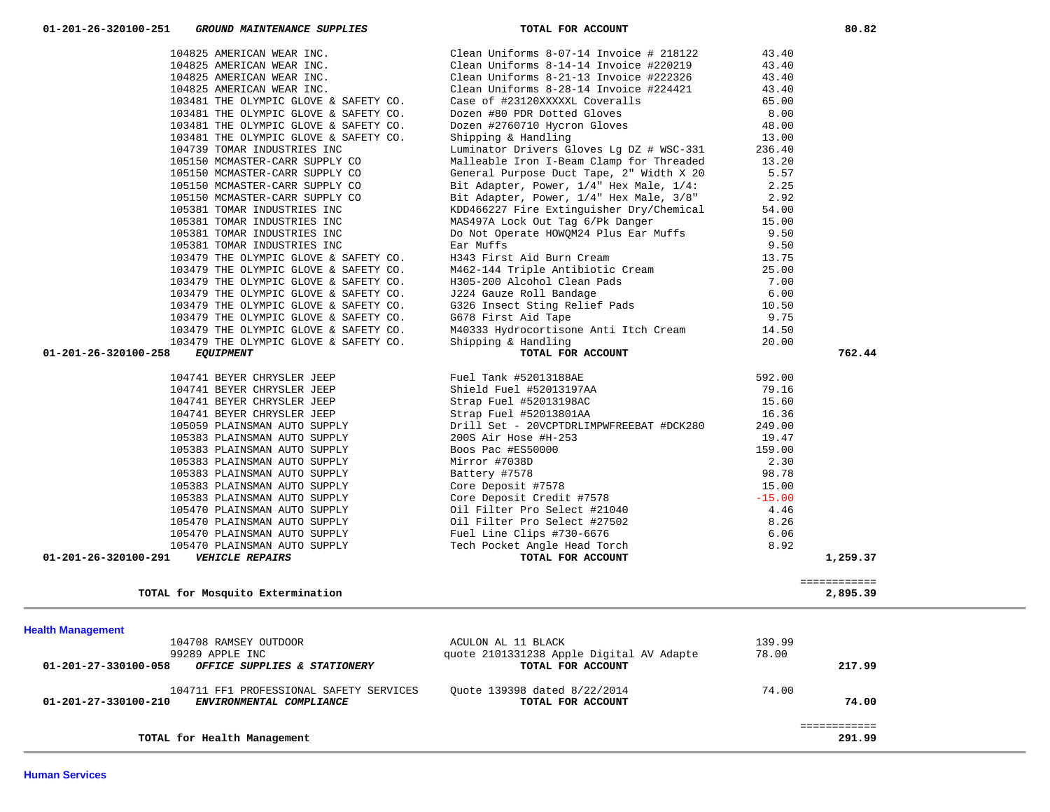| TOTAL for Health Management                                                                                                  |                                                                                     |                 | 291.99 |
|------------------------------------------------------------------------------------------------------------------------------|-------------------------------------------------------------------------------------|-----------------|--------|
| 104711 FF1 PROFESSIONAL SAFETY SERVICES<br>01-201-27-330100-210<br>ENVIRONMENTAL COMPLIANCE                                  | Ouote 139398 dated 8/22/2014<br>TOTAL FOR ACCOUNT                                   | 74.00           | 74.00  |
| <b>Health Management</b><br>104708 RAMSEY OUTDOOR<br>99289 APPLE INC<br>01-201-27-330100-058<br>OFFICE SUPPLIES & STATIONERY | ACULON AL 11 BLACK<br>quote 2101331238 Apple Digital AV Adapte<br>TOTAL FOR ACCOUNT | 139.99<br>78.00 | 217.99 |

| TOTAL for Mosquito Extermination                     |                                          |        | 2,895.39 |
|------------------------------------------------------|------------------------------------------|--------|----------|
|                                                      |                                          |        |          |
| <b>Health Management</b>                             |                                          |        |          |
| 104708 RAMSEY OUTDOOR                                | ACULON AL 11 BLACK                       | 139.99 |          |
| 99289 APPLE INC                                      | quote 2101331238 Apple Digital AV Adapte | 78.00  |          |
| 01-201-27-330100-058<br>OFFICE SUPPLIES & STATIONERY | TOTAL FOR ACCOUNT                        |        | 217.99   |
| 104711 FF1 PROFESSIONAL SAFETY SERVICES              | Ouote 139398 dated 8/22/2014             | 74.00  |          |
|                                                      |                                          |        | - - - -  |

|                      | 104825 AMERICAN WEAR INC.                                                      | Clean Uniforms 8-14-14 Invoice #220219                                                                                                                                                                                                                                       | 43.40  |          |
|----------------------|--------------------------------------------------------------------------------|------------------------------------------------------------------------------------------------------------------------------------------------------------------------------------------------------------------------------------------------------------------------------|--------|----------|
|                      | 104825 AMERICAN WEAR INC.                                                      | Clean Uniforms 8-21-13 Invoice #222326                                                                                                                                                                                                                                       | 43.40  |          |
|                      |                                                                                |                                                                                                                                                                                                                                                                              | 43.40  |          |
|                      |                                                                                | 104825 AMERICAN WEAR INC.<br>103481 THE OLYMPIC GLOVE & SAFETY CO. Case of #23120XXXXXL Coveralls<br>103481 THE OLYMPIC GLOVE & SAFETY CO. Dozen #80 PDR Dotted Gloves                                                                                                       | 65.00  |          |
|                      |                                                                                |                                                                                                                                                                                                                                                                              | 8.00   |          |
|                      | 103481 THE OLYMPIC GLOVE & SAFETY CO.                                          |                                                                                                                                                                                                                                                                              |        |          |
|                      | 103481 THE OLYMPIC GLOVE & SAFETY CO.                                          |                                                                                                                                                                                                                                                                              |        |          |
|                      | 104739 TOMAR INDUSTRIES INC                                                    | Dozen #2760710 Hycron Gloves 48.00<br>Shipping & Handling 13.00<br>Luminator Drivers Gloves Lg DZ # WSC-331 236.40<br>Malleable Iron I-Beam Clamp for Threaded 13.20                                                                                                         |        |          |
|                      | 105150 MCMASTER-CARR SUPPLY CO                                                 |                                                                                                                                                                                                                                                                              |        |          |
|                      | 105150 MCMASTER-CARR SUPPLY CO                                                 | General Purpose Duct Tape, 2" Width X 20                                                                                                                                                                                                                                     | 5.57   |          |
|                      | 105150 MCMASTER-CARR SUPPLY CO                                                 | Bit Adapter, Power, 1/4" Hex Male, 1/4: 2.25                                                                                                                                                                                                                                 |        |          |
|                      | 105150 MCMASTER-CARR SUPPLY CO                                                 |                                                                                                                                                                                                                                                                              |        |          |
|                      | 105381 TOMAR INDUSTRIES INC                                                    | Bit Adapter, Ibwer, 1/4" Hex Male, 3/8"<br>Rib1466227 Fire Extinguisher Dry/Chemical 54.00<br>KDD466227 Fire Extinguisher Dry/Chemical 54.00<br>15.00                                                                                                                        |        |          |
|                      | 105381 TOMAR INDUSTRIES INC                                                    |                                                                                                                                                                                                                                                                              |        |          |
|                      | 105381 TOMAR INDUSTRIES INC                                                    | MAS497A Lock Out Tag 6/Pk Danger 15.00<br>Do Not Operate HOWQM24 Plus Ear Muffs 9.50                                                                                                                                                                                         |        |          |
|                      | 105381 TOMAR INDUSTRIES INC                                                    |                                                                                                                                                                                                                                                                              |        |          |
|                      |                                                                                |                                                                                                                                                                                                                                                                              |        |          |
|                      | 103479 THE OLYMPIC GLOVE & SAFETY CO.<br>103479 THE OLYMPIC GLOVE & SAFETY CO. |                                                                                                                                                                                                                                                                              |        |          |
|                      | 103479 THE OLYMPIC GLOVE & SAFETY CO.                                          |                                                                                                                                                                                                                                                                              |        |          |
|                      | 103479 THE OLYMPIC GLOVE & SAFETY CO.                                          |                                                                                                                                                                                                                                                                              |        |          |
|                      | 103479 THE OLYMPIC GLOVE & SAFETY CO.                                          |                                                                                                                                                                                                                                                                              |        |          |
|                      | 103479 THE OLYMPIC GLOVE & SAFETY CO.                                          |                                                                                                                                                                                                                                                                              |        |          |
|                      | 103479 THE OLYMPIC GLOVE & SAFETY CO.                                          |                                                                                                                                                                                                                                                                              |        |          |
|                      | 103479 THE OLYMPIC GLOVE & SAFETY CO.                                          |                                                                                                                                                                                                                                                                              |        |          |
| 01-201-26-320100-258 | <b>EQUIPMENT</b>                                                               | Do Not Operate HOWQM24 Plus Ear Muffs<br>Ear Muffs<br>9.50<br>Ear Muffs<br>9.50<br>13.75<br>13.75<br>13.75<br>13.75<br>13.75<br>13.75<br>13.75<br>13.75<br>13.75<br>13.75<br>13.76<br>13.95-200 Alcohol Clean Pads<br>7.00<br>J224 Gauze Roll Bandage<br>6.00<br>G326        |        | 762.44   |
|                      |                                                                                |                                                                                                                                                                                                                                                                              |        |          |
|                      | 104741 BEYER CHRYSLER JEEP                                                     | Fuel Tank #52013188AE<br>Shield Fuel #52013197AA<br>Strap Fuel #52013198AC<br>Strap Fuel #52013801AA                                                                                                                                                                         | 592.00 |          |
|                      | 104741 BEYER CHRYSLER JEEP                                                     |                                                                                                                                                                                                                                                                              | 79.16  |          |
|                      | 104741 BEYER CHRYSLER JEEP                                                     |                                                                                                                                                                                                                                                                              | 15.60  |          |
|                      | 104741 BEYER CHRYSLER JEEP                                                     |                                                                                                                                                                                                                                                                              | 16.36  |          |
|                      | 105059 PLAINSMAN AUTO SUPPLY                                                   | Drill Set - 20VCPTDRLIMPWFREEBAT #DCK280                                                                                                                                                                                                                                     | 249.00 |          |
|                      | 105383 PLAINSMAN AUTO SUPPLY                                                   |                                                                                                                                                                                                                                                                              |        |          |
|                      | 105383 PLAINSMAN AUTO SUPPLY                                                   |                                                                                                                                                                                                                                                                              |        |          |
|                      | 105383 PLAINSMAN AUTO SUPPLY                                                   |                                                                                                                                                                                                                                                                              |        |          |
|                      | 105383 PLAINSMAN AUTO SUPPLY                                                   |                                                                                                                                                                                                                                                                              |        |          |
|                      | 105383 PLAINSMAN AUTO SUPPLY                                                   |                                                                                                                                                                                                                                                                              |        |          |
|                      | 105383 PLAINSMAN AUTO SUPPLY                                                   |                                                                                                                                                                                                                                                                              |        |          |
|                      | 105470 PLAINSMAN AUTO SUPPLY                                                   |                                                                                                                                                                                                                                                                              |        |          |
|                      | 105470 PLAINSMAN AUTO SUPPLY                                                   |                                                                                                                                                                                                                                                                              |        |          |
|                      | 105470 PLAINSMAN AUTO SUPPLY                                                   |                                                                                                                                                                                                                                                                              |        |          |
|                      | 105470 PLAINSMAN AUTO SUPPLY                                                   | Drill Set - 20VCPTDRLIMPWFREEBAT #DCK280<br>200S Air Hose #H-253<br>Boos Pac #E850000<br>Mirror #7038D<br>Mirror #7038D<br>2.30<br>2.30<br>2.30<br>2.30<br>2.30<br>2.30<br>2.30<br>2.30<br>2.30<br>2.30<br>2.30<br>2.30<br>2.30<br>2.30<br>2.30<br>2.30<br>2.30<br>2.30<br>2 |        |          |
| 01-201-26-320100-291 | <b>VEHICLE REPAIRS</b>                                                         | TOTAL FOR ACCOUNT                                                                                                                                                                                                                                                            |        | 1,259.37 |
|                      |                                                                                |                                                                                                                                                                                                                                                                              |        |          |

104825 AMERICAN WEAR INC. Clean Uniforms 8-07-14 Invoice # 218122 43.40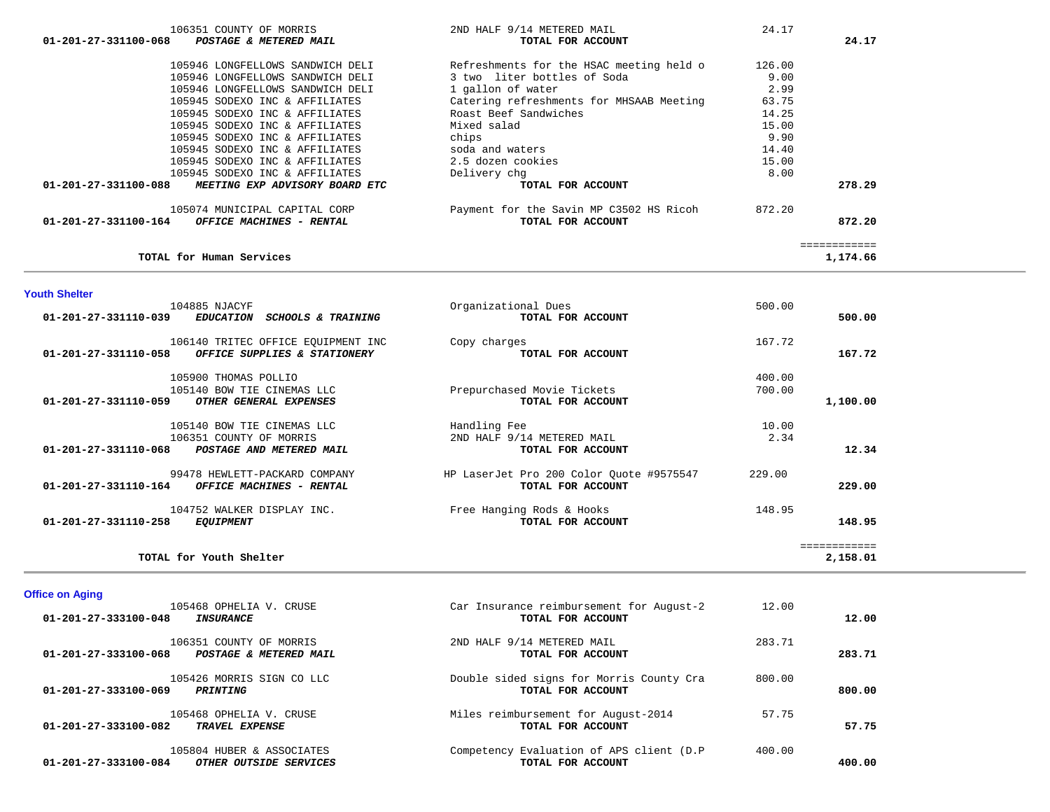| <b>Office on Aging</b><br>105468 OPHELIA V. CRUSE<br>01-201-27-333100-048<br><b>INSURANCE</b> | Car Insurance reimbursement for August-2<br>TOTAL FOR ACCOUNT  | 12.00  | 12.00  |
|-----------------------------------------------------------------------------------------------|----------------------------------------------------------------|--------|--------|
| 106351 COUNTY OF MORRIS<br>$01 - 201 - 27 - 333100 - 068$<br>POSTAGE & METERED MAIL           | 2ND HALF 9/14 METERED MAIL<br>TOTAL FOR ACCOUNT                | 283.71 | 283.71 |
| 105426 MORRIS SIGN CO LLC<br>$01 - 201 - 27 - 333100 - 069$<br>PRINTING                       | Double sided signs for Morris County Cra<br>TOTAL FOR ACCOUNT  | 800.00 | 800.00 |
| 105468 OPHELIA V. CRUSE<br>01-201-27-333100-082<br>TRAVEL EXPENSE                             | Miles reimbursement for August-2014<br>TOTAL FOR ACCOUNT       | 57.75  | 57.75  |
| 105804 HUBER & ASSOCIATES<br>01-201-27-333100-084<br>OTHER OUTSIDE SERVICES                   | Competency Evaluation of APS client (D.P)<br>TOTAL FOR ACCOUNT | 400.00 | 400.00 |

| 105900 THOMAS POLLIO                                    |                                          | 400.00 |              |
|---------------------------------------------------------|------------------------------------------|--------|--------------|
| 105140 BOW TIE CINEMAS LLC                              | Prepurchased Movie Tickets               | 700.00 |              |
| 01-201-27-331110-059<br>OTHER GENERAL EXPENSES          | TOTAL FOR ACCOUNT                        |        | 1,100.00     |
| 105140 BOW TIE CINEMAS LLC                              | Handling Fee                             | 10.00  |              |
| 106351 COUNTY OF MORRIS                                 | 2ND HALF 9/14 METERED MAIL               | 2.34   |              |
| 01-201-27-331110-068<br>POSTAGE AND METERED MAIL        | TOTAL FOR ACCOUNT                        |        | 12.34        |
| 99478 HEWLETT-PACKARD COMPANY                           | HP LaserJet Pro 200 Color Ouote #9575547 | 229.00 |              |
| 01-201-27-331110-164<br><b>OFFICE MACHINES - RENTAL</b> | TOTAL FOR ACCOUNT                        |        | 229.00       |
| 104752 WALKER DISPLAY INC.                              | Free Hanging Rods & Hooks                | 148.95 |              |
| 01-201-27-331110-258<br><i>EQUIPMENT</i>                | TOTAL FOR ACCOUNT                        |        | 148.95       |
|                                                         |                                          |        | :=========== |
| TOTAL for Youth Shelter                                 |                                          |        | 2,158.01     |

 104885 NJACYF Organizational Dues 500.00  **01-201-27-331110-039** *EDUCATION SCHOOLS & TRAINING* **TOTAL FOR ACCOUNT 500.00**

106140 TRITEC OFFICE EQUIPMENT INC Copy charges **167.72**<br> **167.72 OFFICE SUPPLIES & STATIONERY COPY COTAL FOR ACCOUNT 01-201-27-331110-058** *OFFICE SUPPLIES & STATIONERY* **TOTAL FOR ACCOUNT 167.72**

### **Youth Shelter**

| 01-201-27-331100-068 | POSTAGE & METERED MAIL                | TOTAL FOR ACCOUNT                        |        | 24.17    |
|----------------------|---------------------------------------|------------------------------------------|--------|----------|
|                      | 105946 LONGFELLOWS SANDWICH DELI      | Refreshments for the HSAC meeting held o | 126.00 |          |
|                      | 105946 LONGFELLOWS SANDWICH DELI      | 3 two liter bottles of Soda              | 9.00   |          |
|                      | 105946 LONGFELLOWS SANDWICH DELI      | 1 gallon of water                        | 2.99   |          |
|                      | 105945 SODEXO INC & AFFILIATES        | Catering refreshments for MHSAAB Meeting | 63.75  |          |
|                      | 105945 SODEXO INC & AFFILIATES        | Roast Beef Sandwiches                    | 14.25  |          |
|                      | 105945 SODEXO INC & AFFILIATES        | Mixed salad                              | 15.00  |          |
|                      | 105945 SODEXO INC & AFFILIATES        | chips                                    | 9.90   |          |
|                      | 105945 SODEXO INC & AFFILIATES        | soda and waters                          | 14.40  |          |
|                      | 105945 SODEXO INC & AFFILIATES        | 2.5 dozen cookies                        | 15.00  |          |
|                      | 105945 SODEXO INC & AFFILIATES        | Delivery chq                             | 8.00   |          |
| 01-201-27-331100-088 | <i>MEETING EXP ADVISORY BOARD ETC</i> | TOTAL FOR ACCOUNT                        |        | 278.29   |
|                      | 105074 MUNICIPAL CAPITAL CORP         | Payment for the Savin MP C3502 HS Ricoh  | 872.20 |          |
| 01-201-27-331100-164 | <b>OFFICE MACHINES - RENTAL</b>       | TOTAL FOR ACCOUNT                        |        | 872.20   |
|                      |                                       |                                          |        |          |
|                      | TOTAL for Human Services              |                                          |        | 1,174.66 |

106351 COUNTY OF MORRIS 2ND HALF 9/14 METERED MAIL 24.17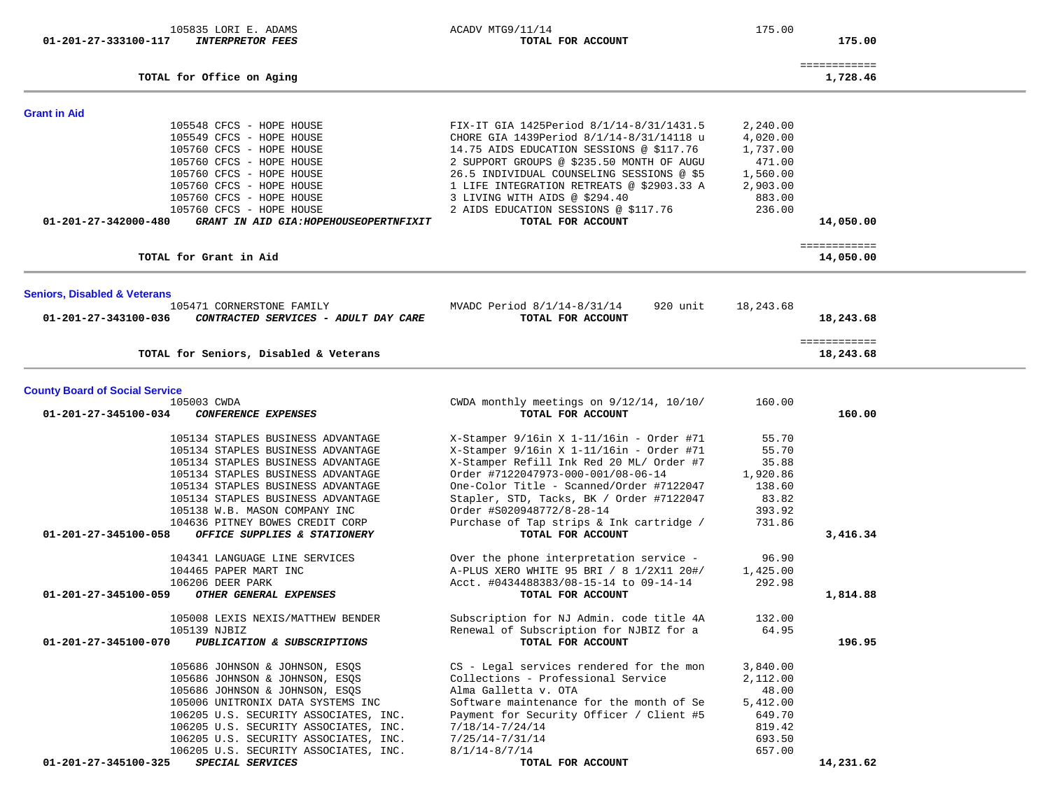| 105835 LORI E. ADAMS<br>01-201-27-333100-117<br><b>INTERPRETOR FEES</b>                                                                                                                                                                                                                                                                                 | ACADV MTG9/11/14<br>TOTAL FOR ACCOUNT                                                                                                                                                                                                                                                                                                                                 | 175.00                                                                                 | 175.00                    |  |
|---------------------------------------------------------------------------------------------------------------------------------------------------------------------------------------------------------------------------------------------------------------------------------------------------------------------------------------------------------|-----------------------------------------------------------------------------------------------------------------------------------------------------------------------------------------------------------------------------------------------------------------------------------------------------------------------------------------------------------------------|----------------------------------------------------------------------------------------|---------------------------|--|
| TOTAL for Office on Aging                                                                                                                                                                                                                                                                                                                               |                                                                                                                                                                                                                                                                                                                                                                       |                                                                                        | ============<br>1,728.46  |  |
| <b>Grant in Aid</b>                                                                                                                                                                                                                                                                                                                                     |                                                                                                                                                                                                                                                                                                                                                                       |                                                                                        |                           |  |
| 105548 CFCS - HOPE HOUSE<br>105549 CFCS - HOPE HOUSE<br>105760 CFCS - HOPE HOUSE<br>105760 CFCS - HOPE HOUSE<br>105760 CFCS - HOPE HOUSE<br>105760 CFCS - HOPE HOUSE<br>105760 CFCS - HOPE HOUSE<br>105760 CFCS - HOPE HOUSE<br>01-201-27-342000-480<br>GRANT IN AID GIA: HOPEHOUSEOPERTNFIXIT                                                          | FIX-IT GIA 1425Period 8/1/14-8/31/1431.5<br>CHORE GIA 1439Period 8/1/14-8/31/14118 u<br>14.75 AIDS EDUCATION SESSIONS @ \$117.76<br>2 SUPPORT GROUPS @ \$235.50 MONTH OF AUGU<br>26.5 INDIVIDUAL COUNSELING SESSIONS @ \$5<br>1 LIFE INTEGRATION RETREATS @ \$2903.33 A<br>3 LIVING WITH AIDS @ \$294.40<br>2 AIDS EDUCATION SESSIONS @ \$117.76<br>TOTAL FOR ACCOUNT | 2,240.00<br>4,020.00<br>1,737.00<br>471.00<br>1,560.00<br>2,903.00<br>883.00<br>236.00 | 14,050.00                 |  |
| TOTAL for Grant in Aid                                                                                                                                                                                                                                                                                                                                  |                                                                                                                                                                                                                                                                                                                                                                       |                                                                                        | ============<br>14,050.00 |  |
| <b>Seniors, Disabled &amp; Veterans</b>                                                                                                                                                                                                                                                                                                                 |                                                                                                                                                                                                                                                                                                                                                                       |                                                                                        |                           |  |
| 105471 CORNERSTONE FAMILY<br>01-201-27-343100-036<br>CONTRACTED SERVICES - ADULT DAY CARE                                                                                                                                                                                                                                                               | MVADC Period 8/1/14-8/31/14<br>920 unit<br>TOTAL FOR ACCOUNT                                                                                                                                                                                                                                                                                                          | 18,243.68                                                                              | 18,243.68                 |  |
| TOTAL for Seniors, Disabled & Veterans                                                                                                                                                                                                                                                                                                                  |                                                                                                                                                                                                                                                                                                                                                                       |                                                                                        | ============<br>18,243.68 |  |
| <b>County Board of Social Service</b>                                                                                                                                                                                                                                                                                                                   |                                                                                                                                                                                                                                                                                                                                                                       |                                                                                        |                           |  |
| 105003 CWDA<br>01-201-27-345100-034<br>CONFERENCE EXPENSES                                                                                                                                                                                                                                                                                              | CWDA monthly meetings on 9/12/14, 10/10/<br>TOTAL FOR ACCOUNT                                                                                                                                                                                                                                                                                                         | 160.00                                                                                 | 160.00                    |  |
| 105134 STAPLES BUSINESS ADVANTAGE<br>105134 STAPLES BUSINESS ADVANTAGE<br>105134 STAPLES BUSINESS ADVANTAGE<br>105134 STAPLES BUSINESS ADVANTAGE<br>105134 STAPLES BUSINESS ADVANTAGE<br>105134 STAPLES BUSINESS ADVANTAGE<br>105138 W.B. MASON COMPANY INC<br>104636 PITNEY BOWES CREDIT CORP                                                          | $X-Stamper$ 9/16in X 1-11/16in - Order #71<br>X-Stamper 9/16in X 1-11/16in - Order #71<br>X-Stamper Refill Ink Red 20 ML/ Order #7<br>Order #7122047973-000-001/08-06-14<br>One-Color Title - Scanned/Order #7122047<br>Stapler, STD, Tacks, BK / Order #7122047<br>Order #S020948772/8-28-14<br>Purchase of Tap strips & Ink cartridge /                             | 55.70<br>55.70<br>35.88<br>1,920.86<br>138.60<br>83.82<br>393.92<br>731.86             |                           |  |
| 01-201-27-345100-058<br>OFFICE SUPPLIES & STATIONERY                                                                                                                                                                                                                                                                                                    | TOTAL FOR ACCOUNT                                                                                                                                                                                                                                                                                                                                                     |                                                                                        | 3,416.34                  |  |
| 104341 LANGUAGE LINE SERVICES<br>104465 PAPER MART INC<br>106206 DEER PARK<br>01-201-27-345100-059<br>OTHER GENERAL EXPENSES                                                                                                                                                                                                                            | Over the phone interpretation service -<br>A-PLUS XERO WHITE 95 BRI / 8 1/2X11 20#/<br>Acct. #0434488383/08-15-14 to 09-14-14<br>TOTAL FOR ACCOUNT                                                                                                                                                                                                                    | 96.90<br>1,425.00<br>292.98                                                            | 1,814.88                  |  |
| 105008 LEXIS NEXIS/MATTHEW BENDER<br>105139 NJBIZ<br>01-201-27-345100-070<br>PUBLICATION & SUBSCRIPTIONS                                                                                                                                                                                                                                                | Subscription for NJ Admin. code title 4A<br>Renewal of Subscription for NJBIZ for a<br>TOTAL FOR ACCOUNT                                                                                                                                                                                                                                                              | 132.00<br>64.95                                                                        | 196.95                    |  |
| 105686 JOHNSON & JOHNSON, ESOS<br>105686 JOHNSON & JOHNSON, ESQS<br>105686 JOHNSON & JOHNSON, ESQS<br>105006 UNITRONIX DATA SYSTEMS INC<br>106205 U.S. SECURITY ASSOCIATES, INC.<br>106205 U.S. SECURITY ASSOCIATES, INC.<br>106205 U.S. SECURITY ASSOCIATES, INC.<br>106205 U.S. SECURITY ASSOCIATES, INC.<br>01-201-27-345100-325<br>SPECIAL SERVICES | CS - Legal services rendered for the mon<br>Collections - Professional Service<br>Alma Galletta v. OTA<br>Software maintenance for the month of Se<br>Payment for Security Officer / Client #5<br>$7/18/14 - 7/24/14$<br>$7/25/14 - 7/31/14$<br>$8/1/14 - 8/7/14$<br>TOTAL FOR ACCOUNT                                                                                | 3,840.00<br>2,112.00<br>48.00<br>5,412.00<br>649.70<br>819.42<br>693.50<br>657.00      | 14,231.62                 |  |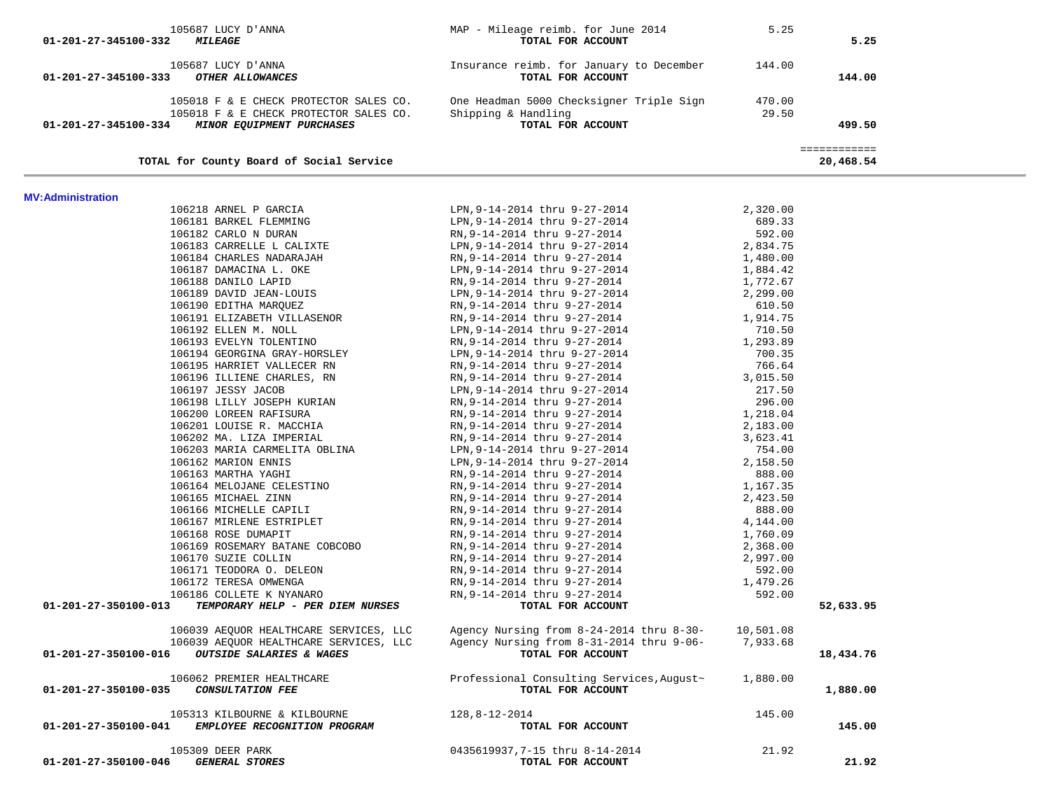| 105687 LUCY D'ANNA<br>01-201-27-345100-333<br>OTHER ALLOWANCES                                                                     | Insurance reimb. for January to December<br>TOTAL FOR ACCOUNT                               | 144.00               | 144.00                    |
|------------------------------------------------------------------------------------------------------------------------------------|---------------------------------------------------------------------------------------------|----------------------|---------------------------|
| 105018 F & E CHECK PROTECTOR SALES CO.<br>105018 F & E CHECK PROTECTOR SALES CO.<br>01-201-27-345100-334 MINOR EQUIPMENT PURCHASES | One Headman 5000 Checksigner Triple Sign 470.00<br>Shipping & Handling<br>TOTAL FOR ACCOUNT | 29.50                | 499.50                    |
| TOTAL for County Board of Social Service                                                                                           |                                                                                             |                      | ============<br>20,468.54 |
|                                                                                                                                    |                                                                                             |                      |                           |
| <b>MV: Administration</b><br>106218 ARNEL P GARCIA                                                                                 | LPN,9-14-2014 thru 9-27-2014                                                                | 2,320.00             |                           |
| 106181 BARKEL FLEMMING                                                                                                             | LPN,9-14-2014 thru 9-27-2014                                                                | 689.33               |                           |
| 106182 CARLO N DURAN                                                                                                               | RN,9-14-2014 thru 9-27-2014                                                                 | 592.00               |                           |
| 106183 CARRELLE L CALIXTE                                                                                                          | LPN,9-14-2014 thru 9-27-2014                                                                | 2,834.75             |                           |
| 106184 CHARLES NADARAJAH                                                                                                           | RN,9-14-2014 thru 9-27-2014                                                                 | 1,480.00             |                           |
| 106187 DAMACINA L. OKE                                                                                                             | LPN,9-14-2014 thru 9-27-2014                                                                | 1,884.42             |                           |
| 106188 DANILO LAPID                                                                                                                | RN,9-14-2014 thru 9-27-2014                                                                 | 1,772.67             |                           |
| 106189 DAVID JEAN-LOUIS                                                                                                            | LPN,9-14-2014 thru 9-27-2014                                                                | 2,299.00             |                           |
| 106190 EDITHA MARQUEZ                                                                                                              | RN,9-14-2014 thru 9-27-2014                                                                 | 610.50               |                           |
| 106191 ELIZABETH VILLASENOR                                                                                                        | RN, 9-14-2014 thru 9-27-2014                                                                | 1,914.75             |                           |
| 106192 ELLEN M. NOLL                                                                                                               | LPN, 9-14-2014 thru 9-27-2014                                                               | 710.50               |                           |
| 106193 EVELYN TOLENTINO                                                                                                            | RN,9-14-2014 thru 9-27-2014                                                                 | 1,293.89             |                           |
| 106194 GEORGINA GRAY-HORSLEY                                                                                                       | LPN,9-14-2014 thru 9-27-2014                                                                | 700.35               |                           |
| 106195 HARRIET VALLECER RN                                                                                                         | RN,9-14-2014 thru 9-27-2014                                                                 | 766.64               |                           |
| 106196 ILLIENE CHARLES, RN                                                                                                         | RN,9-14-2014 thru 9-27-2014                                                                 | 3,015.50             |                           |
| 106197 JESSY JACOB                                                                                                                 | LPN, 9-14-2014 thru 9-27-2014                                                               | 217.50               |                           |
| 106198 LILLY JOSEPH KURIAN                                                                                                         | RN, 9-14-2014 thru 9-27-2014                                                                | 296.00               |                           |
| 106200 LOREEN RAFISURA                                                                                                             | RN,9-14-2014 thru 9-27-2014                                                                 | 1,218.04             |                           |
| 106201 LOUISE R. MACCHIA                                                                                                           | RN,9-14-2014 thru 9-27-2014                                                                 | 2,183.00             |                           |
| 106202 MA. LIZA IMPERIAL                                                                                                           | RN,9-14-2014 thru 9-27-2014                                                                 | 3,623.41             |                           |
| 106203 MARIA CARMELITA OBLINA                                                                                                      | LPN,9-14-2014 thru 9-27-2014                                                                | 754.00               |                           |
| 106162 MARION ENNIS                                                                                                                | LPN,9-14-2014 thru 9-27-2014                                                                | 2,158.50             |                           |
| 106163 MARTHA YAGHI                                                                                                                | RN,9-14-2014 thru 9-27-2014                                                                 | 888.00               |                           |
| 106164 MELOJANE CELESTINO<br>106165 MICHAEL ZINN                                                                                   | RN,9-14-2014 thru 9-27-2014<br>RN,9-14-2014 thru 9-27-2014                                  | 1,167.35<br>2,423.50 |                           |
| 106166 MICHELLE CAPILI                                                                                                             | RN,9-14-2014 thru 9-27-2014                                                                 | 888.00               |                           |
| 106167 MIRLENE ESTRIPLET                                                                                                           | RN,9-14-2014 thru 9-27-2014                                                                 | 4,144.00             |                           |
| 106168 ROSE DUMAPIT                                                                                                                | RN,9-14-2014 thru 9-27-2014                                                                 | 1,760.09             |                           |
| 106169 ROSEMARY BATANE COBCOBO                                                                                                     | RN, 9-14-2014 thru 9-27-2014                                                                | 2,368.00             |                           |
| 106170 SUZIE COLLIN                                                                                                                | RN, 9-14-2014 thru 9-27-2014                                                                | 2,997.00             |                           |
| 106171 TEODORA O. DELEON                                                                                                           | RN,9-14-2014 thru 9-27-2014                                                                 | 592.00               |                           |
| 106172 TERESA OMWENGA                                                                                                              | RN,9-14-2014 thru 9-27-2014                                                                 | 1,479.26             |                           |
| 106186 COLLETE K NYANARO                                                                                                           | RN, 9-14-2014 thru 9-27-2014                                                                | 592.00               |                           |
| 01-201-27-350100-013<br>TEMPORARY HELP - PER DIEM NURSES                                                                           | TOTAL FOR ACCOUNT                                                                           |                      | 52,633.95                 |
| 106039 AEQUOR HEALTHCARE SERVICES, LLC                                                                                             | Agency Nursing from 8-24-2014 thru 8-30- 10,501.08                                          |                      |                           |
| 106039 AEQUOR HEALTHCARE SERVICES, LLC                                                                                             | Agency Nursing from 8-31-2014 thru 9-06-                                                    | 7,933.68             |                           |
| 01-201-27-350100-016<br>OUTSIDE SALARIES & WAGES                                                                                   | TOTAL FOR ACCOUNT                                                                           |                      | 18,434.76                 |
| 106062 PREMIER HEALTHCARE                                                                                                          | Professional Consulting Services, August~                                                   | 1,880.00             |                           |
| <b>CONSULTATION FEE</b><br>01-201-27-350100-035                                                                                    | TOTAL FOR ACCOUNT                                                                           |                      | 1,880.00                  |
| 105313 KILBOURNE & KILBOURNE                                                                                                       | 128,8-12-2014                                                                               | 145.00               |                           |
| 01-201-27-350100-041<br>EMPLOYEE RECOGNITION PROGRAM                                                                               | TOTAL FOR ACCOUNT                                                                           |                      | 145.00                    |
| 105309 DEER PARK                                                                                                                   | 0435619937, 7-15 thru 8-14-2014                                                             | 21.92                |                           |
| 01-201-27-350100-046<br><b>GENERAL STORES</b>                                                                                      | TOTAL FOR ACCOUNT                                                                           |                      | 21.92                     |

105687 LUCY D'ANNA 105687 LUCY D'ANNA 105687 LUCY D'ANNA 105687 LUCY D'ANNA 105687 LUCY D'ANNA 10568 105687 MAP - Mileage reimb. for June 2014 105687 LUCY D'ANNA 105687 MAP - Mileage reimb. for ACCOUNT  **01-201-27-345100-332** *MILEAGE* **TOTAL FOR ACCOUNT 5.25**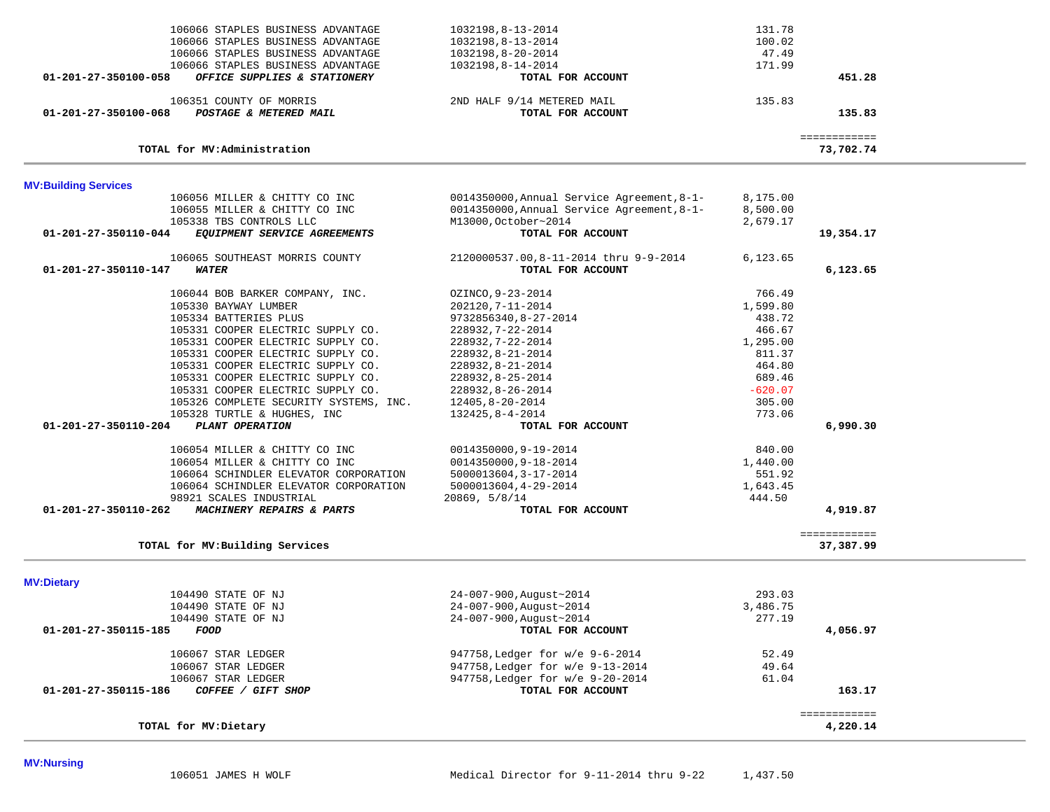| 106056 MILLER & CHITTY CO INC<br>106055 MILLER & CHITTY CO INC | 0014350000, Annual Service Agreement, 8-1-<br>0014350000, Annual Service Agreement, 8-1- | 8,175.00<br>8,500.00 |                          |  |
|----------------------------------------------------------------|------------------------------------------------------------------------------------------|----------------------|--------------------------|--|
| 105338 TBS CONTROLS LLC                                        | M13000, October~2014                                                                     | 2,679.17             |                          |  |
| EQUIPMENT SERVICE AGREEMENTS<br>01-201-27-350110-044           | TOTAL FOR ACCOUNT                                                                        |                      | 19,354.17                |  |
| 106065 SOUTHEAST MORRIS COUNTY                                 | 2120000537.00,8-11-2014 thru 9-9-2014                                                    | 6,123.65             |                          |  |
| 01-201-27-350110-147<br>WATER                                  | TOTAL FOR ACCOUNT                                                                        |                      | 6,123.65                 |  |
| 106044 BOB BARKER COMPANY, INC.                                | OZINCO, 9-23-2014                                                                        | 766.49               |                          |  |
| 105330 BAYWAY LUMBER                                           | 202120, 7-11-2014                                                                        | 1,599.80             |                          |  |
| 105334 BATTERIES PLUS                                          | 9732856340, 8-27-2014                                                                    | 438.72               |                          |  |
| 105331 COOPER ELECTRIC SUPPLY CO.                              | 228932, 7-22-2014                                                                        | 466.67               |                          |  |
| 105331 COOPER ELECTRIC SUPPLY CO.                              | 228932, 7-22-2014                                                                        | 1,295.00             |                          |  |
| 105331 COOPER ELECTRIC SUPPLY CO.                              | 228932, 8-21-2014                                                                        | 811.37               |                          |  |
| 105331 COOPER ELECTRIC SUPPLY CO.                              | 228932, 8-21-2014                                                                        | 464.80               |                          |  |
| 105331 COOPER ELECTRIC SUPPLY CO.                              | 228932, 8-25-2014                                                                        | 689.46               |                          |  |
| 105331 COOPER ELECTRIC SUPPLY CO.                              | 228932, 8-26-2014                                                                        | $-620.07$            |                          |  |
| 105326 COMPLETE SECURITY SYSTEMS, INC.                         | 12405,8-20-2014                                                                          | 305.00               |                          |  |
| 105328 TURTLE & HUGHES, INC                                    | 132425,8-4-2014                                                                          | 773.06               |                          |  |
| 01-201-27-350110-204<br>PLANT OPERATION                        | TOTAL FOR ACCOUNT                                                                        |                      | 6,990.30                 |  |
| 106054 MILLER & CHITTY CO INC                                  | 0014350000,9-19-2014                                                                     | 840.00               |                          |  |
| 106054 MILLER & CHITTY CO INC                                  | 0014350000,9-18-2014                                                                     | 1,440.00             |                          |  |
| 106064 SCHINDLER ELEVATOR CORPORATION                          | 5000013604, 3-17-2014                                                                    | 551.92               |                          |  |
| 106064 SCHINDLER ELEVATOR CORPORATION                          | 5000013604, 4-29-2014                                                                    | 1,643.45             |                          |  |
| 98921 SCALES INDUSTRIAL                                        | 20869, 5/8/14                                                                            | 444.50               |                          |  |
| 01-201-27-350110-262<br>MACHINERY REPAIRS & PARTS              | TOTAL FOR ACCOUNT                                                                        |                      | 4,919.87                 |  |
|                                                                |                                                                                          |                      | ============             |  |
| TOTAL for MV: Building Services                                |                                                                                          |                      | 37,387.99                |  |
| <b>MV:Dietary</b>                                              |                                                                                          |                      |                          |  |
| 104490 STATE OF NJ                                             | 24-007-900, August~2014                                                                  | 293.03               |                          |  |
| 104490 STATE OF NJ                                             | 24-007-900, August~2014                                                                  | 3,486.75             |                          |  |
| 104490 STATE OF NJ                                             | 24-007-900, August~2014                                                                  | 277.19               |                          |  |
| 01-201-27-350115-185<br>FOOD                                   | TOTAL FOR ACCOUNT                                                                        |                      | 4,056.97                 |  |
| 106067 STAR LEDGER                                             | 947758, Ledger for w/e 9-6-2014                                                          | 52.49                |                          |  |
| 106067 STAR LEDGER                                             | 947758, Ledger for w/e 9-13-2014                                                         | 49.64                |                          |  |
| 106067 STAR LEDGER                                             | 947758, Ledger for w/e 9-20-2014                                                         | 61.04                |                          |  |
| 01-201-27-350115-186<br>COFFEE / GIFT SHOP                     | TOTAL FOR ACCOUNT                                                                        |                      | 163.17                   |  |
| TOTAL for MV: Dietary                                          |                                                                                          |                      | ============<br>4,220.14 |  |
|                                                                |                                                                                          |                      |                          |  |

| <b>MV:Building Services</b><br>106056 MILLER & CHITTY CO INC              | 0014350000, Annual Service Agreement, 8-1-      | 8,175.00         |
|---------------------------------------------------------------------------|-------------------------------------------------|------------------|
| TOTAL for MV: Administration                                              |                                                 | 73,702.74        |
| 106351 COUNTY OF MORRIS<br>01-201-27-350100-068<br>POSTAGE & METERED MAIL | 2ND HALF 9/14 METERED MAIL<br>TOTAL FOR ACCOUNT | 135.83<br>135.83 |
| 01-201-27-350100-058<br>OFFICE SUPPLIES & STATIONERY                      | TOTAL FOR ACCOUNT                               | 451.28           |
| 106066 STAPLES BUSINESS ADVANTAGE                                         | 1032198,8-14-2014                               | 171.99           |
| 106066 STAPLES BUSINESS ADVANTAGE                                         | 1032198,8-20-2014                               | 47.49            |
| 106066 STAPLES BUSINESS ADVANTAGE                                         | 1032198,8-13-2014                               | 100.02           |
| 106066 STAPLES BUSINESS ADVANTAGE                                         | 1032198,8-13-2014                               | 131.78           |
|                                                                           |                                                 |                  |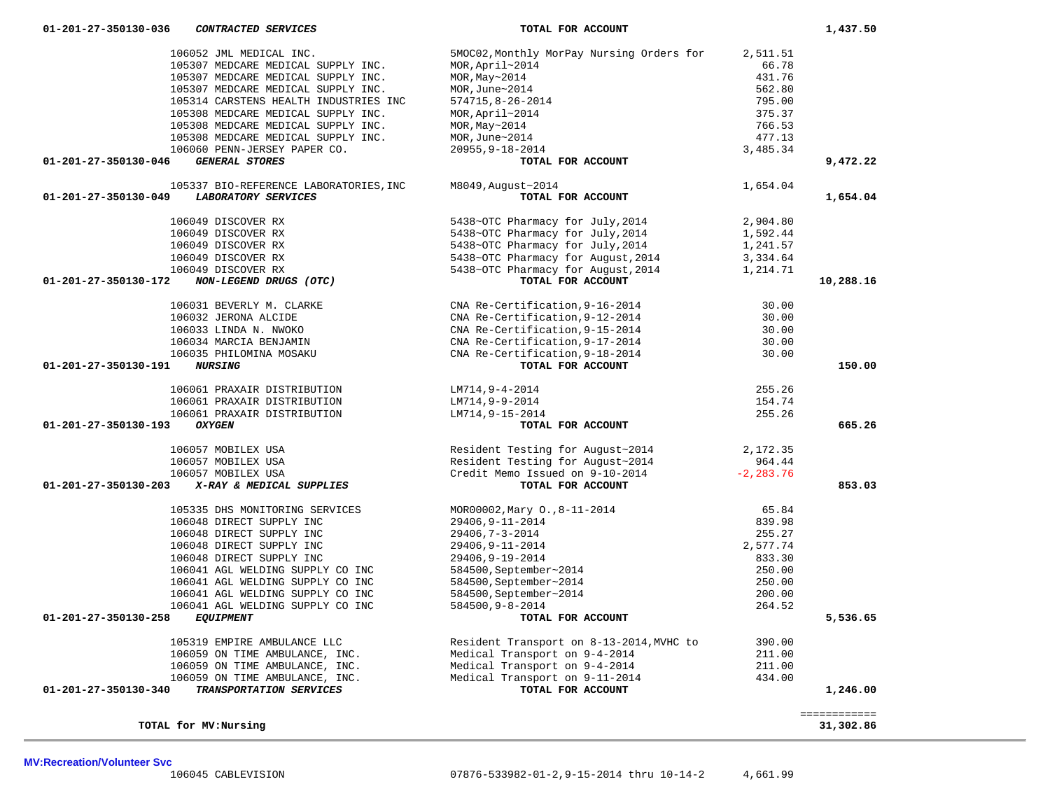**TOTAL for MV:Nursing 31,302.86**

| 106052 JML MEDICAL INC.                                  | 5MOC02, Monthly MorPay Nursing Orders for                                                               | 2,511.51     |              |
|----------------------------------------------------------|---------------------------------------------------------------------------------------------------------|--------------|--------------|
| 105307 MEDCARE MEDICAL SUPPLY INC.                       | MOR, April~2014                                                                                         | 66.78        |              |
| 105307 MEDCARE MEDICAL SUPPLY INC.                       | MOR, May~2014                                                                                           | 431.76       |              |
| 105307 MEDCARE MEDICAL SUPPLY INC.                       | MOR, June~2014                                                                                          | 562.80       |              |
| 105314 CARSTENS HEALTH INDUSTRIES INC                    | 574715,8-26-2014                                                                                        | 795.00       |              |
| 105308 MEDCARE MEDICAL SUPPLY INC.                       | MOR, April~2014                                                                                         | 375.37       |              |
| 105308 MEDCARE MEDICAL SUPPLY INC.                       | MOR, May~2014                                                                                           | 766.53       |              |
| 105308 MEDCARE MEDICAL SUPPLY INC.                       | MOR, June~2014                                                                                          | 477.13       |              |
| 106060 PENN-JERSEY PAPER CO.                             | 20955, 9-18-2014                                                                                        | 3,485.34     |              |
| <b>GENERAL STORES</b><br>01-201-27-350130-046            | TOTAL FOR ACCOUNT                                                                                       |              | 9,472.22     |
| 105337 BIO-REFERENCE LABORATORIES, INC                   | M8049, August~2014                                                                                      | 1,654.04     |              |
| <b>LABORATORY SERVICES</b><br>01-201-27-350130-049       | TOTAL FOR ACCOUNT                                                                                       |              | 1,654.04     |
| 106049 DISCOVER RX                                       | 5438~OTC Pharmacy for July, 2014                                                                        | 2,904.80     |              |
| 106049 DISCOVER RX                                       | 5438~OTC Pharmacy for July, 2014                                                                        | 1,592.44     |              |
| 106049 DISCOVER RX                                       | 5438~OTC Pharmacy for July, 2014                                                                        | 1,241.57     |              |
| 106049 DISCOVER RX                                       | 5438~OTC Pharmacy for August, 2014                                                                      | 3,334.64     |              |
| 106049 DISCOVER RX                                       | 5438~OTC Pharmacy for August, 2014                                                                      | 1,214.71     |              |
| NON-LEGEND DRUGS (OTC)<br>$01 - 201 - 27 - 350130 - 172$ | TOTAL FOR ACCOUNT                                                                                       |              | 10,288.16    |
| 106031 BEVERLY M. CLARKE                                 | CNA Re-Certification, 9-16-2014                                                                         | 30.00        |              |
| 106032 JERONA ALCIDE                                     | CNA Re-Certification, 9-12-2014                                                                         | 30.00        |              |
| 106033 LINDA N. NWOKO                                    | CNA Re-Certification, 9-15-2014                                                                         | 30.00        |              |
| 106034 MARCIA BENJAMIN                                   | CNA Re-Certification, 9-17-2014                                                                         | 30.00        |              |
| 106035 PHILOMINA MOSAKU                                  | CNA Re-Certification, 9-18-2014                                                                         | 30.00        |              |
| 01-201-27-350130-191<br><b>NURSING</b>                   | TOTAL FOR ACCOUNT                                                                                       |              | 150.00       |
| 106061 PRAXAIR DISTRIBUTION                              | LM714,9-4-2014                                                                                          | 255.26       |              |
| 106061 PRAXAIR DISTRIBUTION                              | LM714,9-9-2014                                                                                          | 154.74       |              |
| 106061 PRAXAIR DISTRIBUTION                              | LM714,9-15-2014                                                                                         | 255.26       |              |
| 01-201-27-350130-193<br><b>OXYGEN</b>                    | TOTAL FOR ACCOUNT                                                                                       |              | 665.26       |
| 106057 MOBILEX USA                                       | Resident Testing for August~2014<br>Resident Testing for August~2014<br>Credit Memo Issued on 9-10-2014 | 2,172.35     |              |
| 106057 MOBILEX USA                                       |                                                                                                         | 964.44       |              |
| 106057 MOBILEX USA                                       |                                                                                                         | $-2, 283.76$ |              |
| 01-201-27-350130-203<br>X-RAY & MEDICAL SUPPLIES         | TOTAL FOR ACCOUNT                                                                                       |              | 853.03       |
| 105335 DHS MONITORING SERVICES                           | MOR00002, Mary 0., 8-11-2014                                                                            | 65.84        |              |
| 106048 DIRECT SUPPLY INC                                 | 29406, 9-11-2014                                                                                        | 839.98       |              |
| 106048 DIRECT SUPPLY INC                                 | 29406,7-3-2014                                                                                          | 255.27       |              |
| 106048 DIRECT SUPPLY INC                                 | 29406, 9-11-2014                                                                                        | 2,577.74     |              |
| 106048 DIRECT SUPPLY INC                                 | 29406, 9-19-2014                                                                                        | 833.30       |              |
| 106041 AGL WELDING SUPPLY CO INC                         | 584500, September~2014                                                                                  | 250.00       |              |
| 106041 AGL WELDING SUPPLY CO INC                         | 584500, September~2014                                                                                  | 250.00       |              |
| 106041 AGL WELDING SUPPLY CO INC                         | 584500, September~2014                                                                                  | 200.00       |              |
| 106041 AGL WELDING SUPPLY CO INC                         | 584500,9-8-2014                                                                                         | 264.52       |              |
| 01-201-27-350130-258<br><b>EQUIPMENT</b>                 | TOTAL FOR ACCOUNT                                                                                       |              | 5,536.65     |
| 105319 EMPIRE AMBULANCE LLC                              | Resident Transport on 8-13-2014, MVHC to                                                                | 390.00       |              |
| 106059 ON TIME AMBULANCE, INC.                           | Medical Transport on 9-4-2014                                                                           | 211.00       |              |
| 106059 ON TIME AMBULANCE, INC.                           | Medical Transport on 9-4-2014                                                                           | 211.00       |              |
| 106059 ON TIME AMBULANCE, INC.                           | Medical Transport on 9-11-2014                                                                          | 434.00       |              |
| TRANSPORTATION SERVICES<br>01-201-27-350130-340          | TOTAL FOR ACCOUNT                                                                                       |              | 1,246.00     |
|                                                          |                                                                                                         |              | ============ |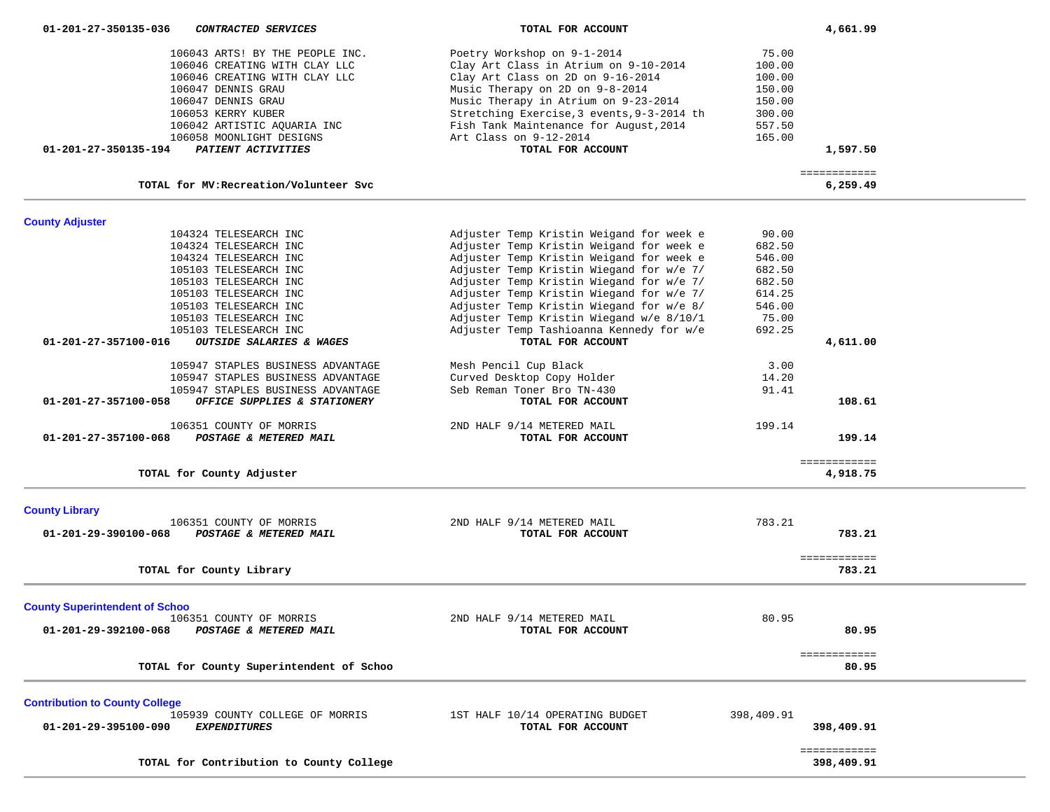| 106043 ARTS! BY THE PEOPLE INC.<br>106046 CREATING WITH CLAY LLC<br>106046 CREATING WITH CLAY LLC<br>106047 DENNIS GRAU<br>106047 DENNIS GRAU<br>106053 KERRY KUBER<br>106042 ARTISTIC AQUARIA INC<br>106058 MOONLIGHT DESIGNS<br>01-201-27-350135-194<br>PATIENT ACTIVITIES | Poetry Workshop on 9-1-2014<br>Clay Art Class in Atrium on 9-10-2014<br>Clay Art Class on 2D on 9-16-2014<br>Music Therapy on 2D on 9-8-2014<br>Music Therapy in Atrium on 9-23-2014<br>Stretching Exercise, 3 events, 9-3-2014 th<br>Fish Tank Maintenance for August, 2014<br>Art Class on 9-12-2014<br>TOTAL FOR ACCOUNT                                                                              | 75.00<br>100.00<br>100.00<br>150.00<br>150.00<br>300.00<br>557.50<br>165.00          | 1,597.50                     |  |
|------------------------------------------------------------------------------------------------------------------------------------------------------------------------------------------------------------------------------------------------------------------------------|----------------------------------------------------------------------------------------------------------------------------------------------------------------------------------------------------------------------------------------------------------------------------------------------------------------------------------------------------------------------------------------------------------|--------------------------------------------------------------------------------------|------------------------------|--|
| TOTAL for MV: Recreation/Volunteer Svc                                                                                                                                                                                                                                       |                                                                                                                                                                                                                                                                                                                                                                                                          |                                                                                      | ============<br>6,259.49     |  |
|                                                                                                                                                                                                                                                                              |                                                                                                                                                                                                                                                                                                                                                                                                          |                                                                                      |                              |  |
| <b>County Adjuster</b><br>104324 TELESEARCH INC<br>104324 TELESEARCH INC<br>104324 TELESEARCH INC<br>105103 TELESEARCH INC<br>105103 TELESEARCH INC<br>105103 TELESEARCH INC<br>105103 TELESEARCH INC<br>105103 TELESEARCH INC<br>105103 TELESEARCH INC                      | Adjuster Temp Kristin Weigand for week e<br>Adjuster Temp Kristin Weigand for week e<br>Adjuster Temp Kristin Weigand for week e<br>Adjuster Temp Kristin Wiegand for w/e 7/<br>Adjuster Temp Kristin Wiegand for w/e 7/<br>Adjuster Temp Kristin Wiegand for w/e 7/<br>Adjuster Temp Kristin Wiegand for w/e 8/<br>Adjuster Temp Kristin Wiegand w/e 8/10/1<br>Adjuster Temp Tashioanna Kennedy for w/e | 90.00<br>682.50<br>546.00<br>682.50<br>682.50<br>614.25<br>546.00<br>75.00<br>692.25 |                              |  |
| 01-201-27-357100-016<br>OUTSIDE SALARIES & WAGES                                                                                                                                                                                                                             | TOTAL FOR ACCOUNT                                                                                                                                                                                                                                                                                                                                                                                        |                                                                                      | 4,611.00                     |  |
| 105947 STAPLES BUSINESS ADVANTAGE<br>105947 STAPLES BUSINESS ADVANTAGE<br>105947 STAPLES BUSINESS ADVANTAGE<br>01-201-27-357100-058<br>OFFICE SUPPLIES & STATIONERY                                                                                                          | Mesh Pencil Cup Black<br>Curved Desktop Copy Holder<br>Seb Reman Toner Bro TN-430<br>TOTAL FOR ACCOUNT                                                                                                                                                                                                                                                                                                   | 3.00<br>14.20<br>91.41                                                               | 108.61                       |  |
| 106351 COUNTY OF MORRIS<br>POSTAGE & METERED MAIL<br>01-201-27-357100-068                                                                                                                                                                                                    | 2ND HALF 9/14 METERED MAIL<br>TOTAL FOR ACCOUNT                                                                                                                                                                                                                                                                                                                                                          | 199.14                                                                               | 199.14                       |  |
| TOTAL for County Adjuster                                                                                                                                                                                                                                                    |                                                                                                                                                                                                                                                                                                                                                                                                          |                                                                                      | ============<br>4,918.75     |  |
| <b>County Library</b>                                                                                                                                                                                                                                                        |                                                                                                                                                                                                                                                                                                                                                                                                          |                                                                                      |                              |  |
| 106351 COUNTY OF MORRIS<br>POSTAGE & METERED MAIL<br>01-201-29-390100-068                                                                                                                                                                                                    | 2ND HALF 9/14 METERED MAIL<br>TOTAL FOR ACCOUNT                                                                                                                                                                                                                                                                                                                                                          | 783.21                                                                               | 783.21                       |  |
| TOTAL for County Library                                                                                                                                                                                                                                                     |                                                                                                                                                                                                                                                                                                                                                                                                          |                                                                                      | <b>EEEEEEEEEEE</b><br>783.21 |  |
| <b>County Superintendent of Schoo</b><br>106351 COUNTY OF MORRIS<br>01-201-29-392100-068<br>POSTAGE & METERED MAIL                                                                                                                                                           | 2ND HALF 9/14 METERED MAIL<br>TOTAL FOR ACCOUNT                                                                                                                                                                                                                                                                                                                                                          | 80.95                                                                                | 80.95                        |  |
| TOTAL for County Superintendent of Schoo                                                                                                                                                                                                                                     |                                                                                                                                                                                                                                                                                                                                                                                                          |                                                                                      | ============<br>80.95        |  |
| <b>Contribution to County College</b><br>105939 COUNTY COLLEGE OF MORRIS<br>01-201-29-395100-090<br><b>EXPENDITURES</b>                                                                                                                                                      | 1ST HALF 10/14 OPERATING BUDGET<br>TOTAL FOR ACCOUNT                                                                                                                                                                                                                                                                                                                                                     | 398,409.91                                                                           | 398,409.91                   |  |
| TOTAL for Contribution to County College                                                                                                                                                                                                                                     |                                                                                                                                                                                                                                                                                                                                                                                                          |                                                                                      | ============<br>398,409.91   |  |

 **01-201-27-350135-036** *CONTRACTED SERVICES* **TOTAL FOR ACCOUNT 4,661.99**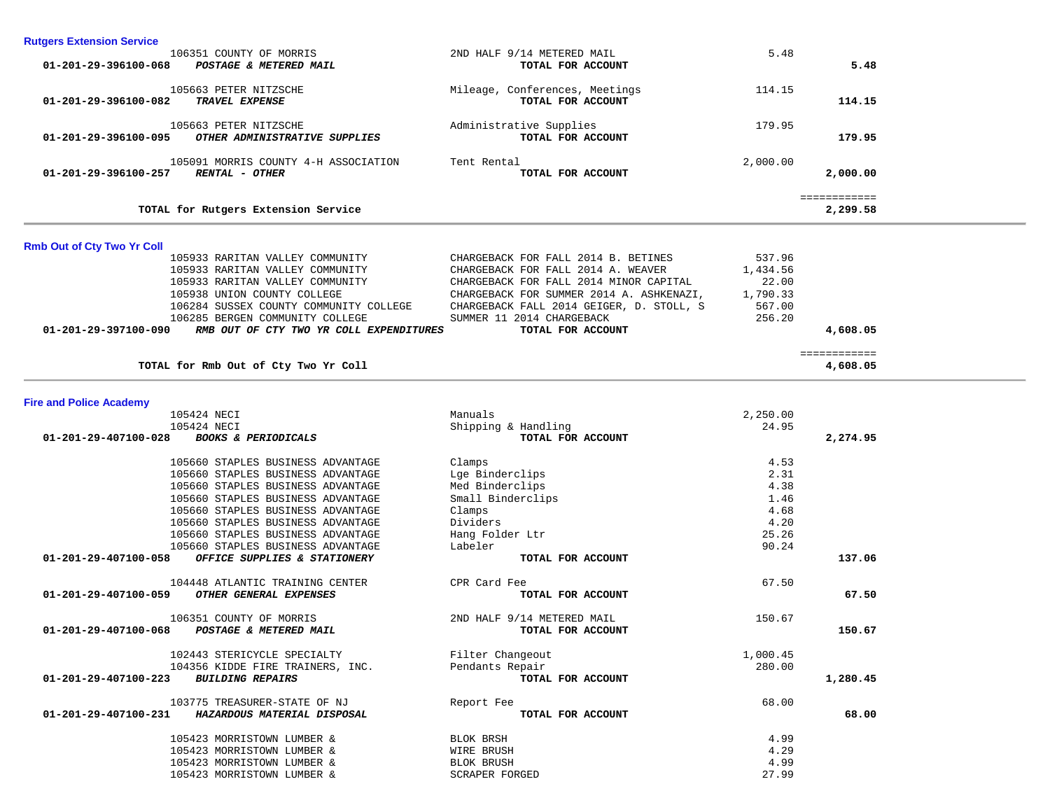| <b>Rutgers Extension Service</b>                                    |                                                                              |                   |              |
|---------------------------------------------------------------------|------------------------------------------------------------------------------|-------------------|--------------|
| 106351 COUNTY OF MORRIS                                             | 2ND HALF 9/14 METERED MAIL                                                   | 5.48              |              |
| 01-201-29-396100-068<br>POSTAGE & METERED MAIL                      | TOTAL FOR ACCOUNT                                                            |                   | 5.48         |
| 105663 PETER NITZSCHE                                               |                                                                              | 114.15            |              |
| TRAVEL EXPENSE<br>01-201-29-396100-082                              | Mileage, Conferences, Meetings<br>TOTAL FOR ACCOUNT                          |                   | 114.15       |
|                                                                     |                                                                              |                   |              |
| 105663 PETER NITZSCHE                                               | Administrative Supplies                                                      | 179.95            |              |
| 01-201-29-396100-095<br>OTHER ADMINISTRATIVE SUPPLIES               | TOTAL FOR ACCOUNT                                                            |                   | 179.95       |
| 105091 MORRIS COUNTY 4-H ASSOCIATION                                | Tent Rental                                                                  | 2,000.00          |              |
| <b>RENTAL - OTHER</b><br>01-201-29-396100-257                       | TOTAL FOR ACCOUNT                                                            |                   | 2,000.00     |
|                                                                     |                                                                              |                   |              |
|                                                                     |                                                                              |                   | ============ |
| TOTAL for Rutgers Extension Service                                 |                                                                              |                   | 2,299.58     |
|                                                                     |                                                                              |                   |              |
| <b>Rmb Out of Cty Two Yr Coll</b>                                   |                                                                              |                   |              |
| 105933 RARITAN VALLEY COMMUNITY                                     | CHARGEBACK FOR FALL 2014 B. BETINES                                          | 537.96            |              |
| 105933 RARITAN VALLEY COMMUNITY<br>105933 RARITAN VALLEY COMMUNITY  | CHARGEBACK FOR FALL 2014 A. WEAVER<br>CHARGEBACK FOR FALL 2014 MINOR CAPITAL | 1,434.56<br>22.00 |              |
| 105938 UNION COUNTY COLLEGE                                         | CHARGEBACK FOR SUMMER 2014 A. ASHKENAZI,                                     | 1,790.33          |              |
| 106284 SUSSEX COUNTY COMMUNITY COLLEGE                              | CHARGEBACK FALL 2014 GEIGER, D. STOLL, S                                     | 567.00            |              |
| 106285 BERGEN COMMUNITY COLLEGE                                     | SUMMER 11 2014 CHARGEBACK                                                    | 256.20            |              |
| RMB OUT OF CTY TWO YR COLL EXPENDITURES<br>01-201-29-397100-090     | TOTAL FOR ACCOUNT                                                            |                   | 4,608.05     |
|                                                                     |                                                                              |                   |              |
|                                                                     |                                                                              |                   | ============ |
| TOTAL for Rmb Out of Cty Two Yr Coll                                |                                                                              |                   | 4,608.05     |
|                                                                     |                                                                              |                   |              |
| <b>Fire and Police Academy</b>                                      |                                                                              |                   |              |
| 105424 NECI                                                         | Manuals                                                                      | 2,250.00          |              |
| 105424 NECI                                                         | Shipping & Handling                                                          | 24.95             |              |
| 01-201-29-407100-028<br><b>BOOKS &amp; PERIODICALS</b>              | TOTAL FOR ACCOUNT                                                            |                   | 2,274.95     |
| 105660 STAPLES BUSINESS ADVANTAGE                                   | Clamps                                                                       | 4.53              |              |
| 105660 STAPLES BUSINESS ADVANTAGE                                   | Lge Binderclips                                                              | 2.31              |              |
| 105660 STAPLES BUSINESS ADVANTAGE                                   | Med Binderclips                                                              | 4.38              |              |
| 105660 STAPLES BUSINESS ADVANTAGE                                   | Small Binderclips                                                            | 1.46              |              |
| 105660 STAPLES BUSINESS ADVANTAGE                                   | Clamps                                                                       | 4.68              |              |
| 105660 STAPLES BUSINESS ADVANTAGE                                   | Dividers                                                                     | 4.20              |              |
| 105660 STAPLES BUSINESS ADVANTAGE                                   | Hang Folder Ltr                                                              | 25.26             |              |
| 105660 STAPLES BUSINESS ADVANTAGE                                   | Labeler                                                                      | 90.24             |              |
| OFFICE SUPPLIES & STATIONERY<br>01-201-29-407100-058                | TOTAL FOR ACCOUNT                                                            |                   | 137.06       |
|                                                                     |                                                                              |                   |              |
| 104448 ATLANTIC TRAINING CENTER                                     | CPR Card Fee                                                                 | 67.50             |              |
| 01-201-29-407100-059<br>OTHER GENERAL EXPENSES                      | TOTAL FOR ACCOUNT                                                            |                   | 67.50        |
|                                                                     |                                                                              |                   |              |
| 106351 COUNTY OF MORRIS                                             | 2ND HALF 9/14 METERED MAIL                                                   | 150.67            |              |
| $01 - 201 - 29 - 407100 - 068$<br><b>POSTAGE &amp; METERED MAIL</b> | TOTAL FOR ACCOUNT                                                            |                   | 150.67       |
| 102443 STERICYCLE SPECIALTY                                         | Filter Changeout                                                             | 1,000.45          |              |
| 104356 KIDDE FIRE TRAINERS, INC.                                    | Pendants Repair                                                              | 280.00            |              |
| <b>BUILDING REPAIRS</b><br>01-201-29-407100-223                     | TOTAL FOR ACCOUNT                                                            |                   | 1,280.45     |
|                                                                     |                                                                              |                   |              |
| 103775 TREASURER-STATE OF NJ                                        | Report Fee                                                                   | 68.00             |              |
| 01-201-29-407100-231<br>HAZARDOUS MATERIAL DISPOSAL                 | TOTAL FOR ACCOUNT                                                            |                   | 68.00        |
| 105423 MORRISTOWN LUMBER &                                          | BLOK BRSH                                                                    | 4.99              |              |
| 105423 MORRISTOWN LUMBER &                                          | WIRE BRUSH                                                                   | 4.29              |              |
| 105423 MORRISTOWN LUMBER &                                          | BLOK BRUSH                                                                   | 4.99              |              |
| 105423 MORRISTOWN LUMBER &                                          | <b>SCRAPER FORGED</b>                                                        | 27.99             |              |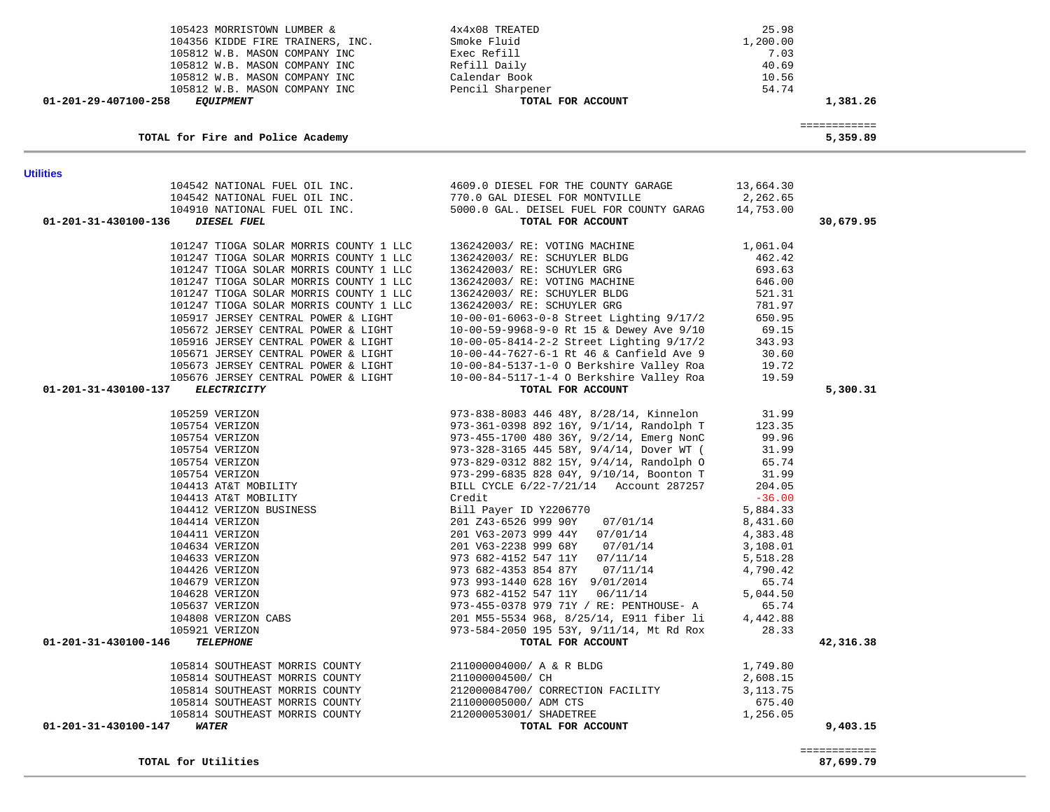| <b>Utilities</b>                                                 |                                                                                                                                   |           |           |
|------------------------------------------------------------------|-----------------------------------------------------------------------------------------------------------------------------------|-----------|-----------|
|                                                                  | 104542 NATIONAL FUEL OIL INC. 4609.0 DIESEL FOR THE COUNTY GARAGE<br>104542 NATIONAL FUEL OIL INC. 770.0 GAL DIESEL FOR MONTVILLE | 13,664.30 |           |
|                                                                  |                                                                                                                                   | 2,262.65  |           |
| 104910 NATIONAL FUEL OIL INC.                                    | 5000.0 GAL. DEISEL FUEL FOR COUNTY GARAG                                                                                          | 14,753.00 |           |
| DIESEL FUEL<br>01-201-31-430100-136                              | TOTAL FOR ACCOUNT                                                                                                                 |           | 30,679.95 |
| 101247 TIOGA SOLAR MORRIS COUNTY 1 LLC                           | 136242003/ RE: VOTING MACHINE                                                                                                     | 1,061.04  |           |
| 101247 TIOGA SOLAR MORRIS COUNTY 1 LLC                           | 136242003/ RE: SCHUYLER BLDG                                                                                                      | 462.42    |           |
| 101247 TIOGA SOLAR MORRIS COUNTY 1 LLC                           | 136242003/RE: SCHUYLER GRG                                                                                                        | 693.63    |           |
| 101247 TIOGA SOLAR MORRIS COUNTY 1 LLC                           | 136242003/ RE: VOTING MACHINE                                                                                                     | 646.00    |           |
| 101247 TIOGA SOLAR MORRIS COUNTY 1 LLC                           | 136242003/ RE: SCHUYLER BLDG                                                                                                      | 521.31    |           |
| 101247 TIOGA SOLAR MORRIS COUNTY 1 LLC                           | 136242003/ RE: SCHUYLER GRG                                                                                                       | 781.97    |           |
| 105917 JERSEY CENTRAL POWER & LIGHT                              | 10-00-01-6063-0-8 Street Lighting 9/17/2                                                                                          | 650.95    |           |
| 105672 JERSEY CENTRAL POWER & LIGHT                              | 10-00-59-9968-9-0 Rt 15 & Dewey Ave 9/10                                                                                          | 69.15     |           |
| 105916 JERSEY CENTRAL POWER & LIGHT                              | $10-00-05-8414-2-2$ Street Lighting $9/17/2$                                                                                      | 343.93    |           |
| 105671 JERSEY CENTRAL POWER & LIGHT                              | 10-00-44-7627-6-1 Rt 46 & Canfield Ave 9                                                                                          | 30.60     |           |
| 105673 JERSEY CENTRAL POWER & LIGHT                              | 10-00-84-5137-1-0 O Berkshire Valley Roa                                                                                          | 19.72     |           |
| 105676 JERSEY CENTRAL POWER & LIGHT                              | 10-00-84-5117-1-4 O Berkshire Valley Roa                                                                                          | 19.59     |           |
| 01-201-31-430100-137<br><b>ELECTRICITY</b>                       | TOTAL FOR ACCOUNT                                                                                                                 |           | 5,300.31  |
| 105259 VERIZON                                                   | 973-838-8083 446 48Y, 8/28/14, Kinnelon                                                                                           | 31.99     |           |
| 105754 VERIZON                                                   | 973-361-0398 892 16Y, 9/1/14, Randolph T                                                                                          | 123.35    |           |
| 105754 VERIZON                                                   | 973-455-1700 480 36Y, 9/2/14, Emerg NonC                                                                                          | 99.96     |           |
| 105754 VERIZON                                                   | 973-328-3165 445 58Y, 9/4/14, Dover WT (                                                                                          | 31.99     |           |
| 105754 VERIZON                                                   | 973-829-0312 882 15Y, 9/4/14, Randolph O                                                                                          | 65.74     |           |
| 105754 VERIZON<br>105754 VERIZON<br>104413 AT&T MOBILITY         | 973-299-6835 828 04Y, 9/10/14, Boonton T                                                                                          | 31.99     |           |
|                                                                  | BILL CYCLE 6/22-7/21/14 Account 287257                                                                                            | 204.05    |           |
|                                                                  | Credit                                                                                                                            | $-36.00$  |           |
| 104413 AT&T MOBILITY<br>104412 VERIZON BUSINESS                  | Bill Payer ID Y2206770                                                                                                            | 5,884.33  |           |
| 104414 VERIZON                                                   | 201 Z43-6526 999 90Y 07/01/14                                                                                                     | 8,431.60  |           |
| 104411 VERIZON                                                   | 201 V63-2073 999 44Y 07/01/14                                                                                                     | 4,383.48  |           |
| 104634 VERIZON                                                   | 201 V63-2238 999 68Y 07/01/14                                                                                                     | 3,108.01  |           |
| 104633 VERIZON                                                   | 973 682-4152 547 11Y 07/11/14                                                                                                     | 5,518.28  |           |
| 104426 VERIZON                                                   | 973 682-4353 854 87Y<br>07/11/14                                                                                                  | 4,790.42  |           |
| 104679 VERIZON                                                   | 973 993-1440 628 16Y 9/01/2014                                                                                                    | 65.74     |           |
| 104628 VERIZON                                                   | 973 682-4152 547 11Y 06/11/14                                                                                                     | 5,044.50  |           |
| 105637 VERIZON                                                   | 973-455-0378 979 71Y / RE: PENTHOUSE- A                                                                                           | 65.74     |           |
| 104808 VERIZON CABS                                              | 201 M55-5534 968, 8/25/14, E911 fiber li                                                                                          | 4,442.88  |           |
| 105921 VERIZON                                                   | 973-584-2050 195 53Y, 9/11/14, Mt Rd Rox                                                                                          | 28.33     |           |
| 01-201-31-430100-146<br><b>TELEPHONE</b>                         | TOTAL FOR ACCOUNT                                                                                                                 |           | 42,316.38 |
|                                                                  |                                                                                                                                   |           |           |
| 105814 SOUTHEAST MORRIS COUNTY                                   | 211000004000/ A & R BLDG                                                                                                          | 1,749.80  |           |
| 105814 SOUTHEAST MORRIS COUNTY                                   | 211000004500/ CH                                                                                                                  | 2,608.15  |           |
| 105814 SOUTHEAST MORRIS COUNTY<br>105814 SOUTHEAST MORRIS COUNTY | 212000084700/ CORRECTION FACILITY                                                                                                 | 3,113.75  |           |
|                                                                  | 211000005000/ ADM CTS                                                                                                             | 675.40    |           |
| 105814 SOUTHEAST MORRIS COUNTY                                   | 212000053001/ SHADETREE<br>TOTAL FOR ACCOUNT                                                                                      | 1,256.05  | 9,403.15  |
| 01-201-31-430100-147<br>WATER                                    |                                                                                                                                   |           |           |

| TOTAL for Fire and Police Academy        |                   | 5,359.89 |
|------------------------------------------|-------------------|----------|
| 01-201-29-407100-258<br><i>EOUIPMENT</i> | TOTAL FOR ACCOUNT | 1,381.26 |
| 105812 W.B. MASON COMPANY INC            | Pencil Sharpener  | 54.74    |
| 105812 W.B. MASON COMPANY INC            | Calendar Book     | 10.56    |
| 105812 W.B. MASON COMPANY INC            | Refill Daily      | 40.69    |
| 105812 W.B. MASON COMPANY INC            | Exec Refill       | 7.03     |
| 104356 KIDDE FIRE TRAINERS, INC.         | Smoke Fluid       | 1,200.00 |
|                                          |                   |          |

105423 MORRISTOWN LUMBER & 4x4x08 TREATED 25.98<br>104356 KIDDE FIRE TRAINERS, INC. Smoke Fluid 31,200.00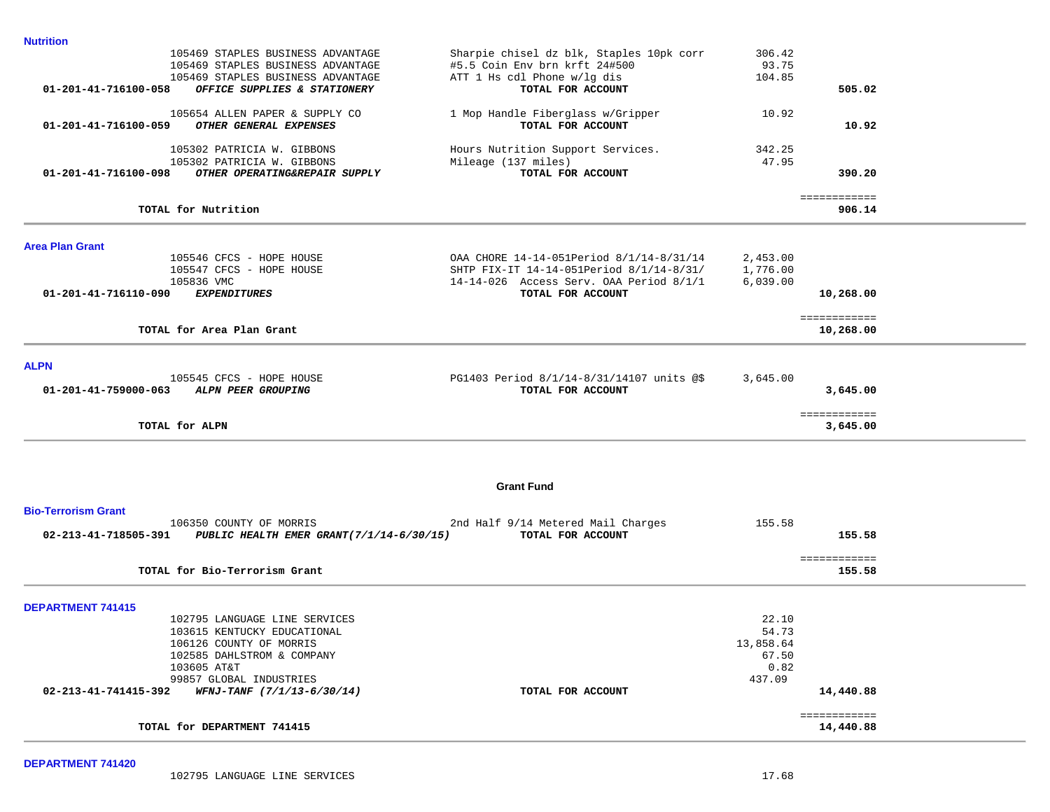| <b>Nutrition</b>                                                                    |                                                                  |                 |                          |  |
|-------------------------------------------------------------------------------------|------------------------------------------------------------------|-----------------|--------------------------|--|
| 105469 STAPLES BUSINESS ADVANTAGE                                                   | Sharpie chisel dz blk, Staples 10pk corr                         | 306.42          |                          |  |
| 105469 STAPLES BUSINESS ADVANTAGE                                                   | #5.5 Coin Env brn krft 24#500                                    | 93.75           |                          |  |
| 105469 STAPLES BUSINESS ADVANTAGE                                                   | ATT 1 Hs cdl Phone w/lg dis                                      | 104.85          |                          |  |
| 01-201-41-716100-058<br>OFFICE SUPPLIES & STATIONERY                                | TOTAL FOR ACCOUNT                                                |                 | 505.02                   |  |
| 105654 ALLEN PAPER & SUPPLY CO                                                      | 1 Mop Handle Fiberglass w/Gripper                                | 10.92           |                          |  |
| OTHER GENERAL EXPENSES<br>01-201-41-716100-059                                      | TOTAL FOR ACCOUNT                                                |                 | 10.92                    |  |
|                                                                                     |                                                                  |                 |                          |  |
| 105302 PATRICIA W. GIBBONS                                                          | Hours Nutrition Support Services.                                | 342.25<br>47.95 |                          |  |
| 105302 PATRICIA W. GIBBONS<br>01-201-41-716100-098<br>OTHER OPERATING&REPAIR SUPPLY | Mileage (137 miles)<br>TOTAL FOR ACCOUNT                         |                 | 390.20                   |  |
|                                                                                     |                                                                  |                 |                          |  |
| TOTAL for Nutrition                                                                 |                                                                  |                 | ============<br>906.14   |  |
|                                                                                     |                                                                  |                 |                          |  |
| <b>Area Plan Grant</b>                                                              |                                                                  |                 |                          |  |
| 105546 CFCS - HOPE HOUSE                                                            | OAA CHORE 14-14-051Period 8/1/14-8/31/14                         | 2,453.00        |                          |  |
| 105547 CFCS - HOPE HOUSE                                                            | SHTP FIX-IT 14-14-051Period 8/1/14-8/31/                         | 1,776.00        |                          |  |
| 105836 VMC<br>01-201-41-716110-090<br>EXPENDITURES                                  | $14-14-026$ Access Serv. OAA Period $8/1/1$<br>TOTAL FOR ACCOUNT | 6,039.00        |                          |  |
|                                                                                     |                                                                  |                 | 10,268.00                |  |
|                                                                                     |                                                                  |                 | ============             |  |
| TOTAL for Area Plan Grant                                                           |                                                                  |                 | 10,268.00                |  |
| <b>ALPN</b>                                                                         |                                                                  |                 |                          |  |
| 105545 CFCS - HOPE HOUSE                                                            | PG1403 Period 8/1/14-8/31/14107 units @\$                        | 3,645.00        |                          |  |
| ALPN PEER GROUPING<br>$01 - 201 - 41 - 759000 - 063$                                | TOTAL FOR ACCOUNT                                                |                 | 3,645.00                 |  |
|                                                                                     |                                                                  |                 |                          |  |
| TOTAL for ALPN                                                                      |                                                                  |                 | ============<br>3,645.00 |  |
|                                                                                     |                                                                  |                 |                          |  |
|                                                                                     | <b>Grant Fund</b>                                                |                 |                          |  |
| <b>Bio-Terrorism Grant</b>                                                          |                                                                  |                 |                          |  |
| 106350 COUNTY OF MORRIS                                                             | 2nd Half 9/14 Metered Mail Charges                               | 155.58          |                          |  |
| 02-213-41-718505-391<br>PUBLIC HEALTH EMER GRANT(7/1/14-6/30/15)                    | TOTAL FOR ACCOUNT                                                |                 | 155.58                   |  |
|                                                                                     |                                                                  |                 | ============             |  |
| TOTAL for Bio-Terrorism Grant                                                       |                                                                  |                 | 155.58                   |  |
| <b>DEPARTMENT 741415</b>                                                            |                                                                  |                 |                          |  |
| 102795 LANGUAGE LINE SERVICES                                                       |                                                                  | 22.10           |                          |  |
| 103615 KENTUCKY EDUCATIONAL                                                         |                                                                  | 54.73           |                          |  |
| 106126 COUNTY OF MORRIS                                                             |                                                                  | 13,858.64       |                          |  |
| 102585 DAHLSTROM & COMPANY                                                          |                                                                  | 67.50           |                          |  |
| 103605 AT&T                                                                         |                                                                  | 0.82            |                          |  |
| 99857 GLOBAL INDUSTRIES                                                             |                                                                  | 437.09          |                          |  |
| 02-213-41-741415-392<br>WFNJ-TANF (7/1/13-6/30/14)                                  | TOTAL FOR ACCOUNT                                                |                 | 14,440.88                |  |
|                                                                                     |                                                                  |                 |                          |  |
|                                                                                     |                                                                  |                 | ============             |  |
| TOTAL for DEPARTMENT 741415                                                         |                                                                  |                 | 14,440.88                |  |
|                                                                                     |                                                                  |                 |                          |  |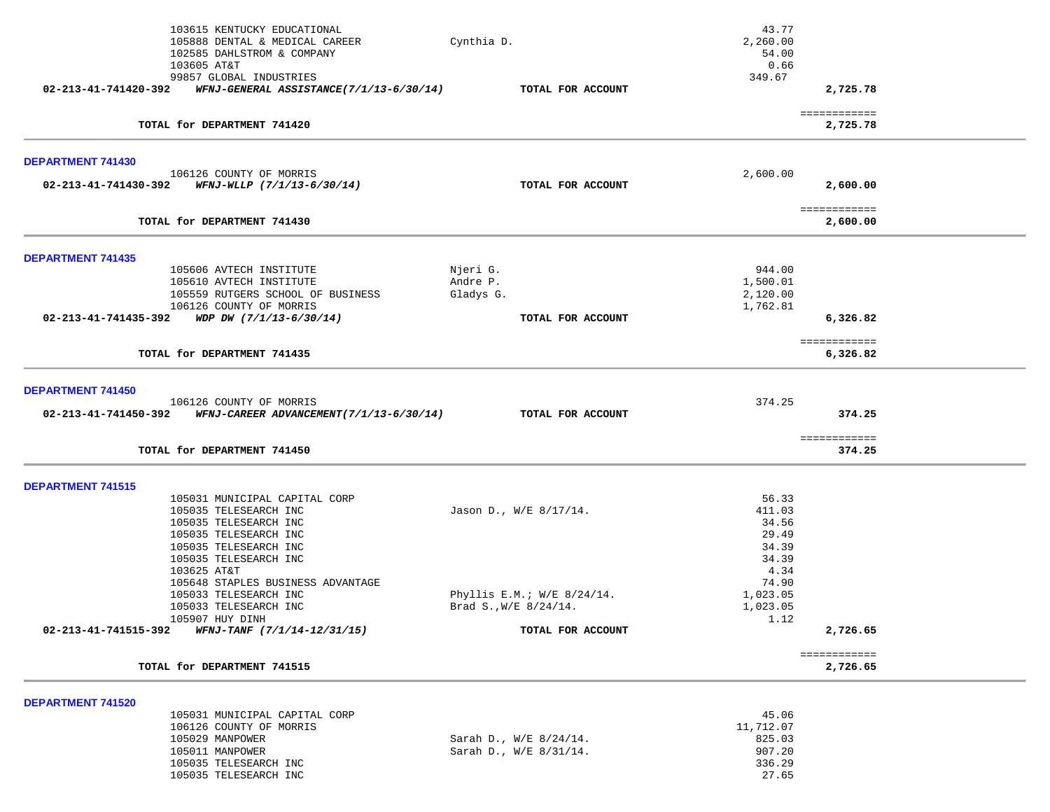|                          | 103615 KENTUCKY EDUCATIONAL<br>105888 DENTAL & MEDICAL CAREER                            | Cynthia D.                   | 43.77<br>2,260.00        |  |
|--------------------------|------------------------------------------------------------------------------------------|------------------------------|--------------------------|--|
|                          | 102585 DAHLSTROM & COMPANY                                                               |                              | 54.00                    |  |
|                          | 103605 AT&T                                                                              |                              | 0.66                     |  |
|                          | 99857 GLOBAL INDUSTRIES                                                                  |                              | 349.67                   |  |
| 02-213-41-741420-392     | WFNJ-GENERAL ASSISTANCE(7/1/13-6/30/14)                                                  | TOTAL FOR ACCOUNT            | 2,725.78                 |  |
|                          | TOTAL for DEPARTMENT 741420                                                              |                              | ============<br>2,725.78 |  |
|                          |                                                                                          |                              |                          |  |
| DEPARTMENT 741430        |                                                                                          |                              |                          |  |
|                          | 106126 COUNTY OF MORRIS<br>$02 - 213 - 41 - 741430 - 392$ WFNJ-WLLP $(7/1/13 - 6/30/14)$ | TOTAL FOR ACCOUNT            | 2,600.00<br>2,600.00     |  |
|                          |                                                                                          |                              |                          |  |
|                          | TOTAL for DEPARTMENT 741430                                                              |                              | ============<br>2,600.00 |  |
| <b>DEPARTMENT 741435</b> |                                                                                          |                              |                          |  |
|                          | 105606 AVTECH INSTITUTE                                                                  | Njeri G.                     | 944.00                   |  |
|                          | 105610 AVTECH INSTITUTE                                                                  | Andre P.                     | 1,500.01                 |  |
|                          | 105559 RUTGERS SCHOOL OF BUSINESS                                                        | Gladys G.                    | 2,120.00                 |  |
|                          | 106126 COUNTY OF MORRIS                                                                  |                              | 1,762.81                 |  |
|                          | 02-213-41-741435-392 WDP DW $(7/1/13-6/30/14)$                                           | TOTAL FOR ACCOUNT            | 6,326.82                 |  |
|                          | TOTAL for DEPARTMENT 741435                                                              |                              | ============<br>6,326.82 |  |
|                          |                                                                                          |                              |                          |  |
| DEPARTMENT 741450        |                                                                                          |                              |                          |  |
|                          | 106126 COUNTY OF MORRIS                                                                  |                              | 374.25                   |  |
|                          | 02-213-41-741450-392 WFNJ-CAREER ADVANCEMENT(7/1/13-6/30/14)                             | TOTAL FOR ACCOUNT            | 374.25                   |  |
|                          | TOTAL for DEPARTMENT 741450                                                              |                              | ============<br>374.25   |  |
|                          |                                                                                          |                              |                          |  |
| DEPARTMENT 741515        |                                                                                          |                              |                          |  |
|                          | 105031 MUNICIPAL CAPITAL CORP                                                            |                              | 56.33                    |  |
|                          | 105035 TELESEARCH INC                                                                    | Jason D., W/E 8/17/14.       | 411.03                   |  |
|                          | 105035 TELESEARCH INC<br>105035 TELESEARCH INC                                           |                              | 34.56<br>29.49           |  |
|                          | 105035 TELESEARCH INC                                                                    |                              | 34.39                    |  |
|                          | 105035 TELESEARCH INC                                                                    |                              | 34.39                    |  |
|                          | 103625 AT&T                                                                              |                              | 4.34                     |  |
|                          | 105648 STAPLES BUSINESS ADVANTAGE                                                        |                              | 74.90                    |  |
|                          | 105033 TELESEARCH INC                                                                    | Phyllis E.M.; $W/E$ 8/24/14. | 1,023.05                 |  |
|                          | 105033 TELESEARCH INC                                                                    | Brad S., $W/E$ 8/24/14.      | 1,023.05                 |  |
|                          | 105907 HUY DINH                                                                          |                              | 1.12                     |  |
|                          | $02 - 213 - 41 - 741515 - 392$ WFNJ-TANF (7/1/14-12/31/15)                               | TOTAL FOR ACCOUNT            | 2,726.65                 |  |
|                          |                                                                                          |                              | ============             |  |
|                          | TOTAL for DEPARTMENT 741515                                                              |                              | 2,726.65                 |  |
| DEPARTMENT 741520        |                                                                                          |                              |                          |  |
|                          | 105031 MUNICIPAL CAPITAL CORP                                                            |                              | 45.06                    |  |
|                          | 106126 COUNTY OF MORRIS                                                                  |                              | 11,712.07                |  |
|                          | 105029 MANPOWER                                                                          | Sarah D., W/E 8/24/14.       | 825.03                   |  |
|                          | 105011 MANPOWER                                                                          | Sarah D., W/E 8/31/14.       | 907.20                   |  |
|                          | 105035 TELESEARCH INC                                                                    |                              | 336.29                   |  |
|                          | 105035 TELESEARCH INC                                                                    |                              | 27.65                    |  |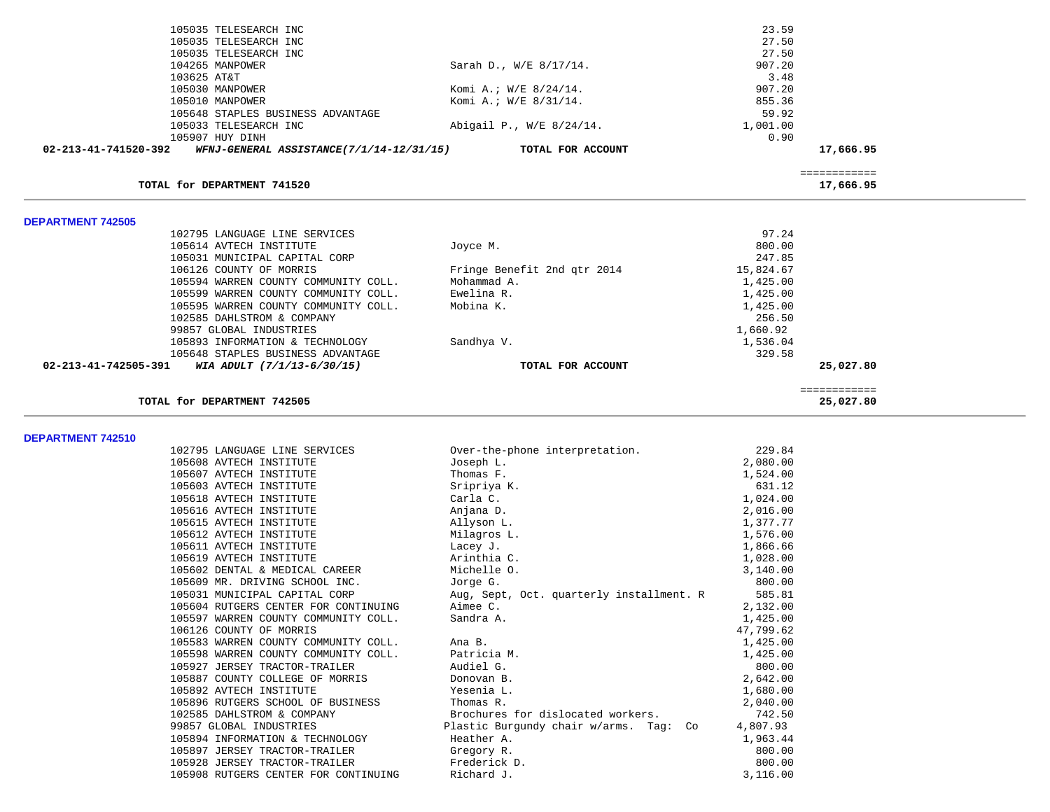| 105035 TELESEARCH INC                                            |                             | 23.59     |              |  |
|------------------------------------------------------------------|-----------------------------|-----------|--------------|--|
| 105035 TELESEARCH INC                                            |                             | 27.50     |              |  |
| 105035 TELESEARCH INC                                            |                             | 27.50     |              |  |
| 104265 MANPOWER                                                  | Sarah D., W/E 8/17/14.      | 907.20    |              |  |
| 103625 AT&T                                                      |                             | 3.48      |              |  |
| 105030 MANPOWER                                                  | Komi A.; W/E 8/24/14.       | 907.20    |              |  |
| 105010 MANPOWER                                                  | Komi A.; W/E 8/31/14.       | 855.36    |              |  |
| 105648 STAPLES BUSINESS ADVANTAGE                                |                             | 59.92     |              |  |
| 105033 TELESEARCH INC                                            | Abigail P., W/E 8/24/14.    | 1,001.00  |              |  |
| 105907 HUY DINH                                                  |                             | 0.90      |              |  |
| 02-213-41-741520-392<br>WFNJ-GENERAL ASSISTANCE(7/1/14-12/31/15) | TOTAL FOR ACCOUNT           |           | 17,666.95    |  |
|                                                                  |                             |           |              |  |
|                                                                  |                             |           | ============ |  |
| TOTAL for DEPARTMENT 741520                                      |                             |           | 17,666.95    |  |
|                                                                  |                             |           |              |  |
|                                                                  |                             |           |              |  |
| <b>DEPARTMENT 742505</b>                                         |                             |           |              |  |
| 102795 LANGUAGE LINE SERVICES                                    |                             | 97.24     |              |  |
| 105614 AVTECH INSTITUTE                                          | Joyce M.                    | 800.00    |              |  |
| 105031 MUNICIPAL CAPITAL CORP                                    |                             | 247.85    |              |  |
| 106126 COUNTY OF MORRIS                                          | Fringe Benefit 2nd qtr 2014 | 15,824.67 |              |  |
| 105594 WARREN COUNTY COMMUNITY COLL.                             | Mohammad A.                 | 1,425.00  |              |  |
| 105599 WARREN COUNTY COMMUNITY COLL.                             | Ewelina R.                  | 1,425.00  |              |  |
| 105595 WARREN COUNTY COMMUNITY COLL.                             | Mobina K.                   | 1,425.00  |              |  |
| 102585 DAHLSTROM & COMPANY                                       |                             | 256.50    |              |  |
| 99857 GLOBAL INDUSTRIES                                          |                             | 1,660.92  |              |  |
| 105893 INFORMATION & TECHNOLOGY                                  | Sandhya V.                  | 1,536.04  |              |  |
| 105648 STAPLES BUSINESS ADVANTAGE                                |                             | 329.58    |              |  |
| 02-213-41-742505-391<br>WIA ADULT (7/1/13-6/30/15)               | TOTAL FOR ACCOUNT           |           | 25,027.80    |  |
|                                                                  |                             |           | ============ |  |
| TOTAL for DEPARTMENT 742505                                      |                             |           | 25,027.80    |  |

**DEPARTMENT 742510** 

| 102795 LANGUAGE LINE SERVICES        | Over-the-phone interpretation.           | 229.84    |
|--------------------------------------|------------------------------------------|-----------|
| 105608 AVTECH INSTITUTE              | Joseph L.                                | 2,080.00  |
| 105607 AVTECH INSTITUTE              | Thomas F.                                | 1,524.00  |
| 105603 AVTECH INSTITUTE              | Sripriya K.                              | 631.12    |
| 105618 AVTECH INSTITUTE              | Carla C.                                 | 1,024.00  |
| 105616 AVTECH INSTITUTE              | Anjana D.                                | 2,016.00  |
| 105615 AVTECH INSTITUTE              | Allyson L.                               | 1,377.77  |
| 105612 AVTECH INSTITUTE              | Milagros L.                              | 1,576.00  |
| 105611 AVTECH INSTITUTE              | Lacey J.                                 | 1,866.66  |
| 105619 AVTECH INSTITUTE              | Arinthia C.                              | 1,028.00  |
| 105602 DENTAL & MEDICAL CAREER       | Michelle O.                              | 3,140.00  |
| 105609 MR. DRIVING SCHOOL INC.       | Jorge G.                                 | 800.00    |
| 105031 MUNICIPAL CAPITAL CORP        | Aug, Sept, Oct. quarterly installment. R | 585.81    |
| 105604 RUTGERS CENTER FOR CONTINUING | Aimee C.                                 | 2,132.00  |
| 105597 WARREN COUNTY COMMUNITY COLL. | Sandra A.                                | 1,425.00  |
| 106126 COUNTY OF MORRIS              |                                          | 47,799.62 |
| 105583 WARREN COUNTY COMMUNITY COLL. | Ana B.                                   | 1,425.00  |
| 105598 WARREN COUNTY COMMUNITY COLL. | Patricia M.                              | 1,425.00  |
| 105927 JERSEY TRACTOR-TRAILER        | Audiel G.                                | 800.00    |
| 105887 COUNTY COLLEGE OF MORRIS      | Donovan B.                               | 2,642.00  |
| 105892 AVTECH INSTITUTE              | Yesenia L.                               | 1,680.00  |
| 105896 RUTGERS SCHOOL OF BUSINESS    | Thomas R.                                | 2,040.00  |
| 102585 DAHLSTROM & COMPANY           | Brochures for dislocated workers.        | 742.50    |
| 99857 GLOBAL INDUSTRIES              | Plastic Burgundy chair w/arms. Tag: Co   | 4,807.93  |
| 105894 INFORMATION & TECHNOLOGY      | Heather A.                               | 1,963.44  |
| 105897 JERSEY TRACTOR-TRAILER        | Gregory R.                               | 800.00    |
| 105928 JERSEY TRACTOR-TRAILER        | Frederick D.                             | 800.00    |
| 105908 RUTGERS CENTER FOR CONTINUING | Richard J.                               | 3,116.00  |
|                                      |                                          |           |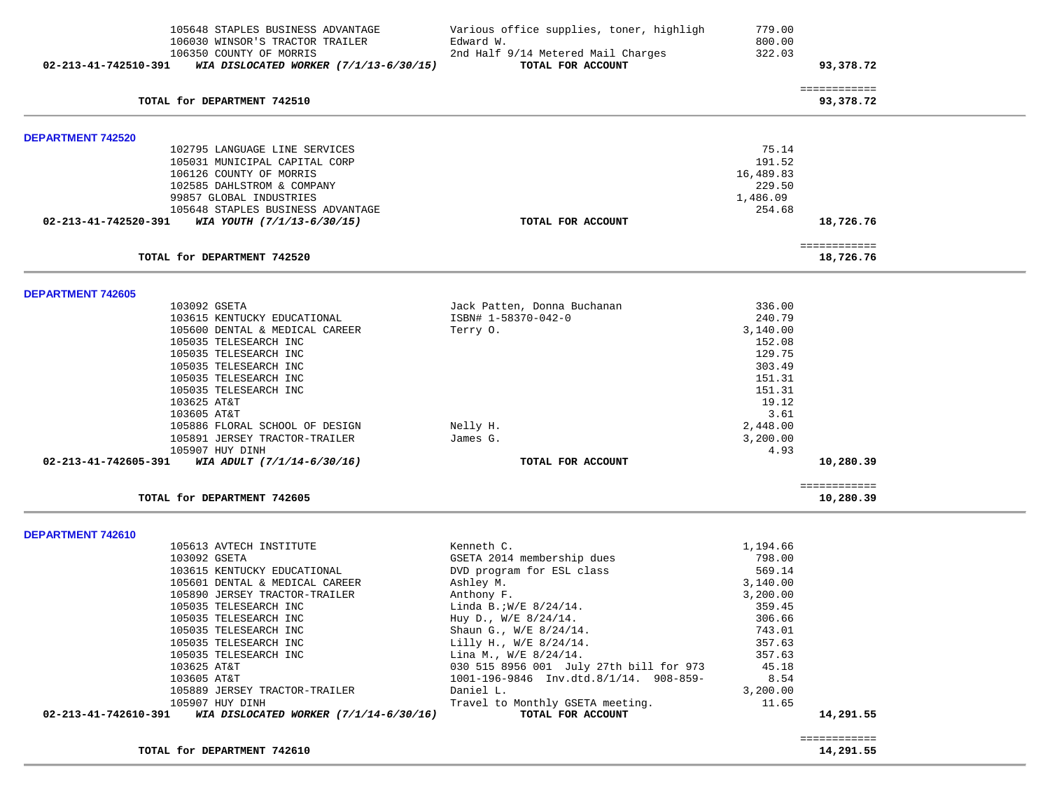| ============<br>TOTAL for DEPARTMENT 742510<br>93,378.72<br><b>DEPARTMENT 742520</b><br>75.14<br>102795 LANGUAGE LINE SERVICES<br>191.52<br>105031 MUNICIPAL CAPITAL CORP<br>106126 COUNTY OF MORRIS<br>16,489.83<br>102585 DAHLSTROM & COMPANY<br>229.50<br>1,486.09<br>99857 GLOBAL INDUSTRIES<br>105648 STAPLES BUSINESS ADVANTAGE<br>254.68<br>02-213-41-742520-391<br>WIA YOUTH (7/1/13-6/30/15)<br>TOTAL FOR ACCOUNT<br>18,726.76<br>============<br>TOTAL for DEPARTMENT 742520<br>18,726.76<br>DEPARTMENT 742605<br>336.00<br>103092 GSETA<br>Jack Patten, Donna Buchanan<br>ISBN# 1-58370-042-0<br>240.79<br>103615 KENTUCKY EDUCATIONAL<br>3,140.00<br>105600 DENTAL & MEDICAL CAREER<br>Terry O.<br>105035 TELESEARCH INC<br>152.08<br>129.75<br>105035 TELESEARCH INC<br>303.49<br>105035 TELESEARCH INC<br>151.31<br>105035 TELESEARCH INC<br>105035 TELESEARCH INC<br>151.31<br>19.12<br>103625 AT&T<br>3.61<br>103605 AT&T<br>105886 FLORAL SCHOOL OF DESIGN<br>Nelly H.<br>2,448.00<br>105891 JERSEY TRACTOR-TRAILER<br>James G.<br>3,200.00<br>105907 HUY DINH<br>4.93<br>WIA ADULT (7/1/14-6/30/16)<br>10,280.39<br>02-213-41-742605-391<br>TOTAL FOR ACCOUNT<br>============<br>TOTAL for DEPARTMENT 742605<br>10,280.39<br>DEPARTMENT 742610<br>105613 AVTECH INSTITUTE<br>Kenneth C.<br>1,194.66<br>GSETA 2014 membership dues<br>103092 GSETA<br>798.00<br>103615 KENTUCKY EDUCATIONAL<br>DVD program for ESL class<br>569.14<br>105601 DENTAL & MEDICAL CAREER<br>Ashley M.<br>3,140.00<br>105890 JERSEY TRACTOR-TRAILER<br>Anthony F.<br>3,200.00<br>359.45<br>105035 TELESEARCH INC<br>Linda B.; $W/E$ 8/24/14.<br>105035 TELESEARCH INC<br>Huy D., W/E 8/24/14.<br>306.66<br>105035 TELESEARCH INC<br>Shaun G., W/E 8/24/14.<br>743.01<br>105035 TELESEARCH INC<br>Lilly H., W/E 8/24/14.<br>357.63<br>Lina M., W/E 8/24/14.<br>105035 TELESEARCH INC<br>357.63<br>030 515 8956 001 July 27th bill for 973<br>103625 AT&T<br>45.18<br>103605 AT&T<br>1001-196-9846 Inv.dtd.8/1/14. 908-859-<br>8.54<br>105889 JERSEY TRACTOR-TRAILER<br>Daniel L.<br>3,200.00<br>105907 HUY DINH<br>Travel to Monthly GSETA meeting.<br>11.65<br>WIA DISLOCATED WORKER (7/1/14-6/30/16)<br>TOTAL FOR ACCOUNT<br>02-213-41-742610-391<br>14,291.55<br>============<br>TOTAL for DEPARTMENT 742610<br>14,291.55 | 02-213-41-742510-391 | 105648 STAPLES BUSINESS ADVANTAGE<br>106030 WINSOR'S TRACTOR TRAILER<br>106350 COUNTY OF MORRIS<br>WIA DISLOCATED WORKER (7/1/13-6/30/15) | Various office supplies, toner, highligh<br>Edward W.<br>2nd Half 9/14 Metered Mail Charges<br>TOTAL FOR ACCOUNT | 779.00<br>800.00<br>322.03 | 93,378.72 |  |
|-------------------------------------------------------------------------------------------------------------------------------------------------------------------------------------------------------------------------------------------------------------------------------------------------------------------------------------------------------------------------------------------------------------------------------------------------------------------------------------------------------------------------------------------------------------------------------------------------------------------------------------------------------------------------------------------------------------------------------------------------------------------------------------------------------------------------------------------------------------------------------------------------------------------------------------------------------------------------------------------------------------------------------------------------------------------------------------------------------------------------------------------------------------------------------------------------------------------------------------------------------------------------------------------------------------------------------------------------------------------------------------------------------------------------------------------------------------------------------------------------------------------------------------------------------------------------------------------------------------------------------------------------------------------------------------------------------------------------------------------------------------------------------------------------------------------------------------------------------------------------------------------------------------------------------------------------------------------------------------------------------------------------------------------------------------------------------------------------------------------------------------------------------------------------------------------------------------------------------------------------------------------------------------------------------------------------|----------------------|-------------------------------------------------------------------------------------------------------------------------------------------|------------------------------------------------------------------------------------------------------------------|----------------------------|-----------|--|
|                                                                                                                                                                                                                                                                                                                                                                                                                                                                                                                                                                                                                                                                                                                                                                                                                                                                                                                                                                                                                                                                                                                                                                                                                                                                                                                                                                                                                                                                                                                                                                                                                                                                                                                                                                                                                                                                                                                                                                                                                                                                                                                                                                                                                                                                                                                         |                      |                                                                                                                                           |                                                                                                                  |                            |           |  |
|                                                                                                                                                                                                                                                                                                                                                                                                                                                                                                                                                                                                                                                                                                                                                                                                                                                                                                                                                                                                                                                                                                                                                                                                                                                                                                                                                                                                                                                                                                                                                                                                                                                                                                                                                                                                                                                                                                                                                                                                                                                                                                                                                                                                                                                                                                                         |                      |                                                                                                                                           |                                                                                                                  |                            |           |  |
|                                                                                                                                                                                                                                                                                                                                                                                                                                                                                                                                                                                                                                                                                                                                                                                                                                                                                                                                                                                                                                                                                                                                                                                                                                                                                                                                                                                                                                                                                                                                                                                                                                                                                                                                                                                                                                                                                                                                                                                                                                                                                                                                                                                                                                                                                                                         |                      |                                                                                                                                           |                                                                                                                  |                            |           |  |
|                                                                                                                                                                                                                                                                                                                                                                                                                                                                                                                                                                                                                                                                                                                                                                                                                                                                                                                                                                                                                                                                                                                                                                                                                                                                                                                                                                                                                                                                                                                                                                                                                                                                                                                                                                                                                                                                                                                                                                                                                                                                                                                                                                                                                                                                                                                         |                      |                                                                                                                                           |                                                                                                                  |                            |           |  |
|                                                                                                                                                                                                                                                                                                                                                                                                                                                                                                                                                                                                                                                                                                                                                                                                                                                                                                                                                                                                                                                                                                                                                                                                                                                                                                                                                                                                                                                                                                                                                                                                                                                                                                                                                                                                                                                                                                                                                                                                                                                                                                                                                                                                                                                                                                                         |                      |                                                                                                                                           |                                                                                                                  |                            |           |  |
|                                                                                                                                                                                                                                                                                                                                                                                                                                                                                                                                                                                                                                                                                                                                                                                                                                                                                                                                                                                                                                                                                                                                                                                                                                                                                                                                                                                                                                                                                                                                                                                                                                                                                                                                                                                                                                                                                                                                                                                                                                                                                                                                                                                                                                                                                                                         |                      |                                                                                                                                           |                                                                                                                  |                            |           |  |
|                                                                                                                                                                                                                                                                                                                                                                                                                                                                                                                                                                                                                                                                                                                                                                                                                                                                                                                                                                                                                                                                                                                                                                                                                                                                                                                                                                                                                                                                                                                                                                                                                                                                                                                                                                                                                                                                                                                                                                                                                                                                                                                                                                                                                                                                                                                         |                      |                                                                                                                                           |                                                                                                                  |                            |           |  |
|                                                                                                                                                                                                                                                                                                                                                                                                                                                                                                                                                                                                                                                                                                                                                                                                                                                                                                                                                                                                                                                                                                                                                                                                                                                                                                                                                                                                                                                                                                                                                                                                                                                                                                                                                                                                                                                                                                                                                                                                                                                                                                                                                                                                                                                                                                                         |                      |                                                                                                                                           |                                                                                                                  |                            |           |  |
|                                                                                                                                                                                                                                                                                                                                                                                                                                                                                                                                                                                                                                                                                                                                                                                                                                                                                                                                                                                                                                                                                                                                                                                                                                                                                                                                                                                                                                                                                                                                                                                                                                                                                                                                                                                                                                                                                                                                                                                                                                                                                                                                                                                                                                                                                                                         |                      |                                                                                                                                           |                                                                                                                  |                            |           |  |
|                                                                                                                                                                                                                                                                                                                                                                                                                                                                                                                                                                                                                                                                                                                                                                                                                                                                                                                                                                                                                                                                                                                                                                                                                                                                                                                                                                                                                                                                                                                                                                                                                                                                                                                                                                                                                                                                                                                                                                                                                                                                                                                                                                                                                                                                                                                         |                      |                                                                                                                                           |                                                                                                                  |                            |           |  |
|                                                                                                                                                                                                                                                                                                                                                                                                                                                                                                                                                                                                                                                                                                                                                                                                                                                                                                                                                                                                                                                                                                                                                                                                                                                                                                                                                                                                                                                                                                                                                                                                                                                                                                                                                                                                                                                                                                                                                                                                                                                                                                                                                                                                                                                                                                                         |                      |                                                                                                                                           |                                                                                                                  |                            |           |  |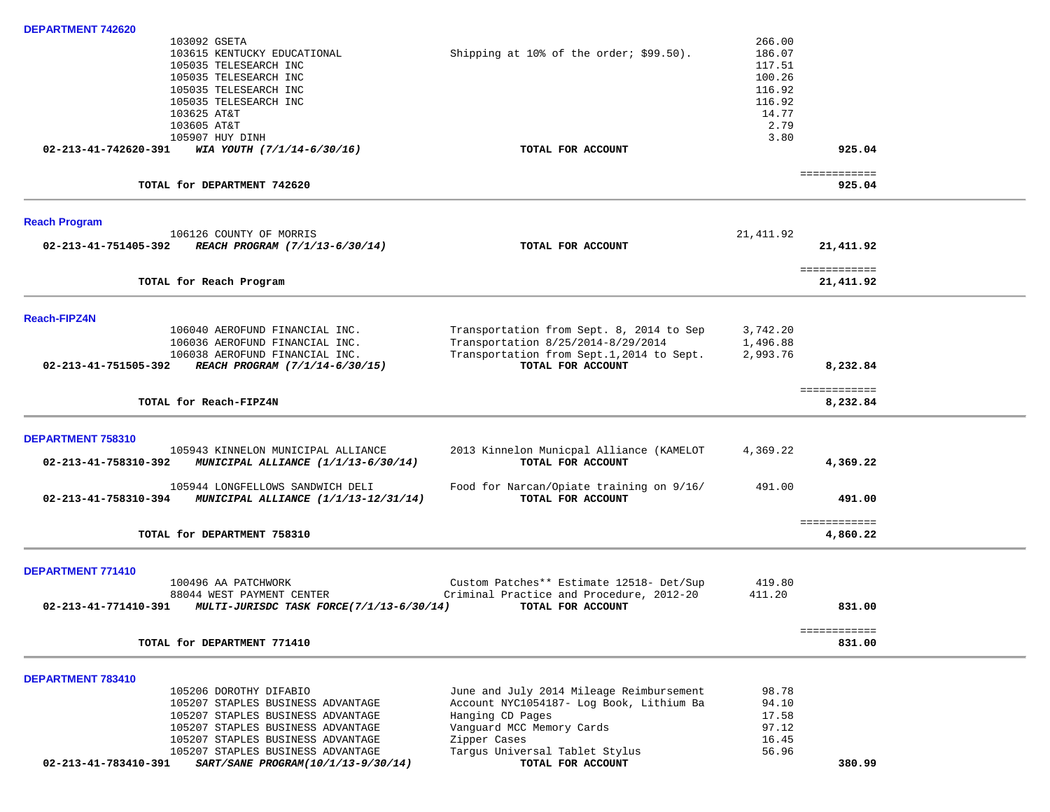| DEPARTMENT 742620    |                                             |                                           |           |                          |  |
|----------------------|---------------------------------------------|-------------------------------------------|-----------|--------------------------|--|
|                      | 103092 GSETA                                |                                           | 266.00    |                          |  |
|                      | 103615 KENTUCKY EDUCATIONAL                 | Shipping at 10% of the order; $$99.50$ ). | 186.07    |                          |  |
|                      | 105035 TELESEARCH INC                       |                                           | 117.51    |                          |  |
|                      | 105035 TELESEARCH INC                       |                                           | 100.26    |                          |  |
|                      | 105035 TELESEARCH INC                       |                                           | 116.92    |                          |  |
|                      | 105035 TELESEARCH INC                       |                                           | 116.92    |                          |  |
|                      | 103625 AT&T                                 |                                           | 14.77     |                          |  |
|                      | 103605 AT&T                                 |                                           | 2.79      |                          |  |
|                      | 105907 HUY DINH                             |                                           | 3.80      |                          |  |
| 02-213-41-742620-391 | WIA YOUTH (7/1/14-6/30/16)                  | TOTAL FOR ACCOUNT                         |           | 925.04                   |  |
|                      |                                             |                                           |           |                          |  |
|                      |                                             |                                           |           | ============             |  |
|                      | TOTAL for DEPARTMENT 742620                 |                                           |           | 925.04                   |  |
|                      |                                             |                                           |           |                          |  |
| <b>Reach Program</b> |                                             |                                           |           |                          |  |
|                      | 106126 COUNTY OF MORRIS                     |                                           | 21,411.92 |                          |  |
| 02-213-41-751405-392 | REACH PROGRAM (7/1/13-6/30/14)              | TOTAL FOR ACCOUNT                         |           | 21,411.92                |  |
|                      |                                             |                                           |           |                          |  |
|                      |                                             |                                           |           | ============             |  |
|                      | TOTAL for Reach Program                     |                                           |           | 21,411.92                |  |
| <b>Reach-FIPZ4N</b>  |                                             |                                           |           |                          |  |
|                      | 106040 AEROFUND FINANCIAL INC.              | Transportation from Sept. 8, 2014 to Sep  | 3,742.20  |                          |  |
|                      |                                             |                                           |           |                          |  |
|                      | 106036 AEROFUND FINANCIAL INC.              | Transportation 8/25/2014-8/29/2014        | 1,496.88  |                          |  |
|                      | 106038 AEROFUND FINANCIAL INC.              | Transportation from Sept.1,2014 to Sept.  | 2,993.76  |                          |  |
| 02-213-41-751505-392 | REACH PROGRAM (7/1/14-6/30/15)              | TOTAL FOR ACCOUNT                         |           | 8,232.84                 |  |
|                      |                                             |                                           |           |                          |  |
|                      | TOTAL for Reach-FIPZ4N                      |                                           |           | ============<br>8,232.84 |  |
|                      |                                             |                                           |           |                          |  |
| DEPARTMENT 758310    |                                             |                                           |           |                          |  |
|                      | 105943 KINNELON MUNICIPAL ALLIANCE          | 2013 Kinnelon Municpal Alliance (KAMELOT  | 4,369.22  |                          |  |
| 02-213-41-758310-392 | MUNICIPAL ALLIANCE (1/1/13-6/30/14)         | TOTAL FOR ACCOUNT                         |           | 4,369.22                 |  |
|                      |                                             |                                           |           |                          |  |
|                      | 105944 LONGFELLOWS SANDWICH DELI            | Food for Narcan/Opiate training on 9/16/  | 491.00    |                          |  |
| 02-213-41-758310-394 | <b>MUNICIPAL ALLIANCE (1/1/13-12/31/14)</b> | TOTAL FOR ACCOUNT                         |           | 491.00                   |  |
|                      |                                             |                                           |           |                          |  |
|                      |                                             |                                           |           | ============             |  |
|                      | TOTAL for DEPARTMENT 758310                 |                                           |           | 4,860.22                 |  |
| DEPARTMENT 771410    |                                             |                                           |           |                          |  |
|                      | 100496 AA PATCHWORK                         | Custom Patches** Estimate 12518- Det/Sup  | 419.80    |                          |  |
|                      |                                             | Criminal Practice and Procedure, 2012-20  |           |                          |  |
| 02-213-41-771410-391 | 88044 WEST PAYMENT CENTER                   |                                           | 411.20    |                          |  |
|                      | MULTI-JURISDC TASK FORCE(7/1/13-6/30/14)    | TOTAL FOR ACCOUNT                         |           | 831.00                   |  |
|                      |                                             |                                           |           | ============             |  |
|                      | TOTAL for DEPARTMENT 771410                 |                                           |           | 831.00                   |  |
|                      |                                             |                                           |           |                          |  |
| DEPARTMENT 783410    |                                             |                                           |           |                          |  |
|                      | 105206 DOROTHY DIFABIO                      | June and July 2014 Mileage Reimbursement  | 98.78     |                          |  |
|                      | 105207 STAPLES BUSINESS ADVANTAGE           | Account NYC1054187- Log Book, Lithium Ba  | 94.10     |                          |  |
|                      | 105207 STAPLES BUSINESS ADVANTAGE           | Hanging CD Pages                          | 17.58     |                          |  |
|                      | 105207 STAPLES BUSINESS ADVANTAGE           | Vanguard MCC Memory Cards                 | 97.12     |                          |  |
|                      | 105207 STAPLES BUSINESS ADVANTAGE           | Zipper Cases                              | 16.45     |                          |  |
|                      | 105207 STAPLES BUSINESS ADVANTAGE           | Targus Universal Tablet Stylus            | 56.96     |                          |  |
| 02-213-41-783410-391 | SART/SANE PROGRAM(10/1/13-9/30/14)          | TOTAL FOR ACCOUNT                         |           | 380.99                   |  |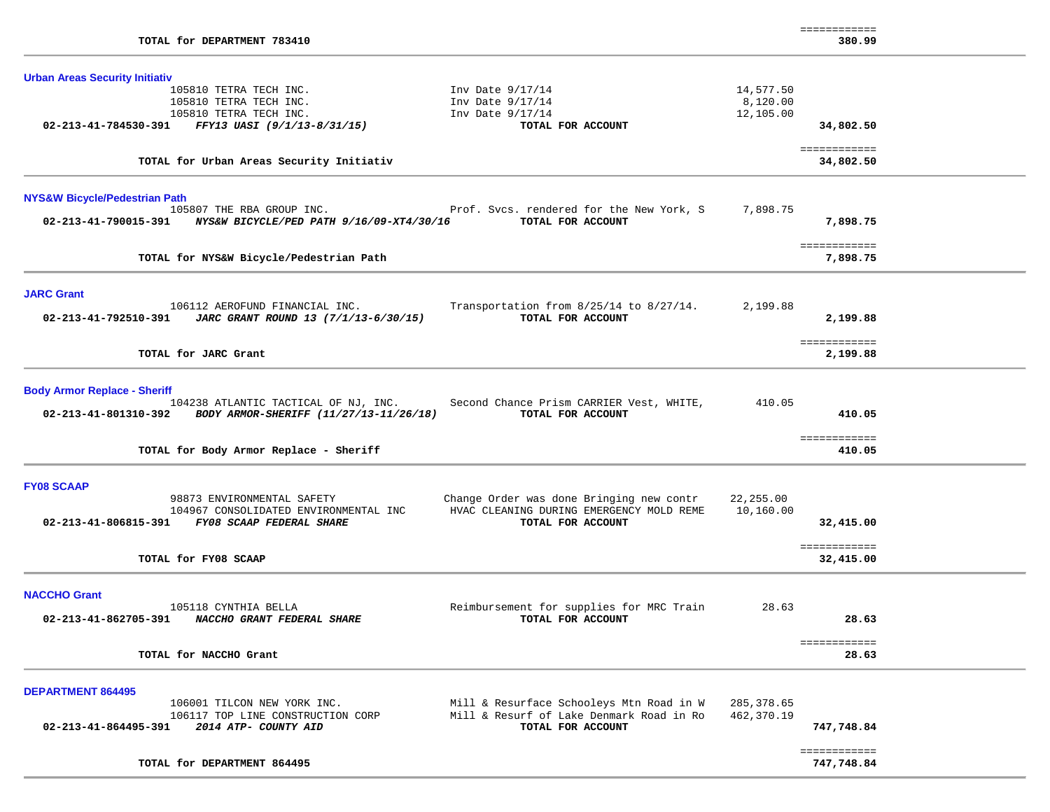| TOTAL for DEPARTMENT 783410                                                                                                                                                                                                                                                    |                                    | ============<br>380.99                 |  |
|--------------------------------------------------------------------------------------------------------------------------------------------------------------------------------------------------------------------------------------------------------------------------------|------------------------------------|----------------------------------------|--|
| <b>Urban Areas Security Initiativ</b><br>105810 TETRA TECH INC.<br>Inv Date $9/17/14$<br>105810 TETRA TECH INC.<br>Inv Date $9/17/14$<br>105810 TETRA TECH INC.<br>Inv Date $9/17/14$<br>FFY13 UASI (9/1/13-8/31/15)<br>02-213-41-784530-391<br>TOTAL FOR ACCOUNT              | 14,577.50<br>8,120.00<br>12,105.00 | 34,802.50                              |  |
| TOTAL for Urban Areas Security Initiativ                                                                                                                                                                                                                                       |                                    | ============<br>34,802.50              |  |
| <b>NYS&amp;W Bicycle/Pedestrian Path</b><br>105807 THE RBA GROUP INC.<br>Prof. Svcs. rendered for the New York, S<br>TOTAL FOR ACCOUNT<br>02-213-41-790015-391 NYS&W BICYCLE/PED PATH 9/16/09-XT4/30/16                                                                        | 7,898.75                           | 7,898.75                               |  |
| TOTAL for NYS&W Bicycle/Pedestrian Path                                                                                                                                                                                                                                        |                                    | ============<br>7,898.75               |  |
| <b>JARC Grant</b><br>106112 AEROFUND FINANCIAL INC.<br>Transportation from 8/25/14 to 8/27/14.<br>TOTAL FOR ACCOUNT<br>02-213-41-792510-391<br>JARC GRANT ROUND 13 (7/1/13-6/30/15)                                                                                            | 2,199.88                           | 2,199.88                               |  |
| TOTAL for JARC Grant                                                                                                                                                                                                                                                           |                                    | ============<br>2,199.88               |  |
| <b>Body Armor Replace - Sheriff</b><br>104238 ATLANTIC TACTICAL OF NJ, INC. Second Chance Prism CARRIER Vest, WHITE,<br>BODY ARMOR-SHERIFF (11/27/13-11/26/18)<br>02-213-41-801310-392<br>TOTAL FOR ACCOUNT<br>TOTAL for Body Armor Replace - Sheriff                          | 410.05                             | 410.05<br>============<br>410.05       |  |
|                                                                                                                                                                                                                                                                                |                                    |                                        |  |
| <b>FY08 SCAAP</b><br>Change Order was done Bringing new contr<br>98873 ENVIRONMENTAL SAFETY<br>HVAC CLEANING DURING EMERGENCY MOLD REME<br>104967 CONSOLIDATED ENVIRONMENTAL INC<br>02-213-41-806815-391 FY08 SCAAP FEDERAL SHARE<br>TOTAL FOR ACCOUNT<br>TOTAL for FY08 SCAAP | 22,255.00<br>10,160.00             | 32,415.00<br>============<br>32,415.00 |  |
| <b>NACCHO Grant</b><br>105118 CYNTHIA BELLA<br>Reimbursement for supplies for MRC Train<br>02-213-41-862705-391<br>NACCHO GRANT FEDERAL SHARE<br>TOTAL FOR ACCOUNT                                                                                                             | 28.63                              | 28.63                                  |  |
| TOTAL for NACCHO Grant                                                                                                                                                                                                                                                         |                                    | ============<br>28.63                  |  |
| <b>DEPARTMENT 864495</b><br>Mill & Resurface Schooleys Mtn Road in W<br>106001 TILCON NEW YORK INC.<br>Mill & Resurf of Lake Denmark Road in Ro<br>106117 TOP LINE CONSTRUCTION CORP<br>TOTAL FOR ACCOUNT<br>02-213-41-864495-391<br>2014 ATP- COUNTY AID                      | 285,378.65<br>462,370.19           | 747,748.84                             |  |
| TOTAL for DEPARTMENT 864495                                                                                                                                                                                                                                                    |                                    | ============<br>747,748.84             |  |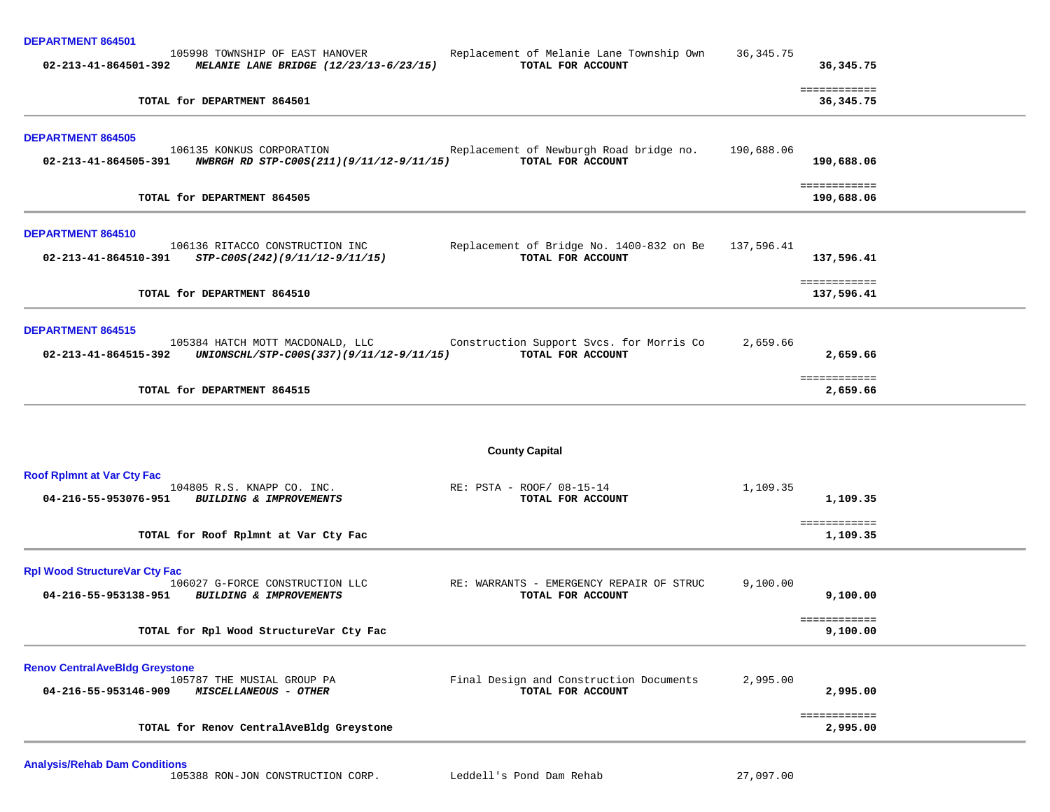| <b>DEPARTMENT 864501</b>                                                                             |                                                                          |             |                            |
|------------------------------------------------------------------------------------------------------|--------------------------------------------------------------------------|-------------|----------------------------|
| 105998 TOWNSHIP OF EAST HANOVER<br>02-213-41-864501-392<br>MELANIE LANE BRIDGE (12/23/13-6/23/15)    | Replacement of Melanie Lane Township Own<br>TOTAL FOR ACCOUNT            | 36, 345. 75 | 36,345.75                  |
| TOTAL for DEPARTMENT 864501                                                                          |                                                                          |             | ============<br>36,345.75  |
| <b>DEPARTMENT 864505</b>                                                                             |                                                                          |             |                            |
| 106135 KONKUS CORPORATION<br>02-213-41-864505-391<br>NWBRGH RD STP-C00S(211)(9/11/12-9/11/15)        | Replacement of Newburgh Road bridge no.<br>TOTAL FOR ACCOUNT             | 190,688.06  | 190,688.06                 |
| TOTAL for DEPARTMENT 864505                                                                          |                                                                          |             | ============<br>190,688.06 |
| <b>DEPARTMENT 864510</b>                                                                             |                                                                          |             |                            |
| 106136 RITACCO CONSTRUCTION INC<br>02-213-41-864510-391<br>STP-C00S(242)(9/11/12-9/11/15)            | Replacement of Bridge No. 1400-832 on Be 137,596.41<br>TOTAL FOR ACCOUNT |             | 137,596.41                 |
| TOTAL for DEPARTMENT 864510                                                                          |                                                                          |             | ============<br>137,596.41 |
| <b>DEPARTMENT 864515</b>                                                                             |                                                                          |             |                            |
| 105384 HATCH MOTT MACDONALD, LLC<br>UNIONSCHL/STP-C00S(337)(9/11/12-9/11/15)<br>02-213-41-864515-392 | Construction Support Svcs. for Morris Co<br>TOTAL FOR ACCOUNT            | 2,659.66    | 2,659.66                   |
| TOTAL for DEPARTMENT 864515                                                                          |                                                                          |             | ============<br>2,659.66   |
|                                                                                                      | <b>County Capital</b>                                                    |             |                            |
| <b>Roof Rpimnt at Var Cty Fac</b>                                                                    |                                                                          |             |                            |
| 104805 R.S. KNAPP CO. INC.<br>04-216-55-953076-951<br><b>BUILDING &amp; IMPROVEMENTS</b>             | RE: PSTA - ROOF/ 08-15-14<br>TOTAL FOR ACCOUNT                           | 1,109.35    | 1,109.35                   |
| TOTAL for Roof Rplmnt at Var Cty Fac                                                                 |                                                                          |             | ============<br>1,109.35   |
| <b>Rpl Wood StructureVar Cty Fac</b>                                                                 |                                                                          |             |                            |
| 106027 G-FORCE CONSTRUCTION LLC<br>04-216-55-953138-951<br>BUILDING & IMPROVEMENTS                   | RE: WARRANTS - EMERGENCY REPAIR OF STRUC<br>TOTAL FOR ACCOUNT            | 9,100.00    | 9,100.00                   |
| TOTAL for Rpl Wood StructureVar Cty Fac                                                              |                                                                          |             | ============<br>9,100.00   |
| <b>Renov CentralAveBldg Greystone</b>                                                                |                                                                          |             |                            |
| 105787 THE MUSIAL GROUP PA<br>04-216-55-953146-909<br><b>MISCELLANEOUS - OTHER</b>                   | Final Design and Construction Documents<br>TOTAL FOR ACCOUNT             | 2,995.00    | 2,995.00                   |
| TOTAL for Renov CentralAveBldg Greystone                                                             |                                                                          |             | ============<br>2,995.00   |
|                                                                                                      |                                                                          |             |                            |

**Analysis/Rehab Dam Conditions**

105388 RON-JON CONSTRUCTION CORP. Leddell's Pond Dam Rehab 27,097.00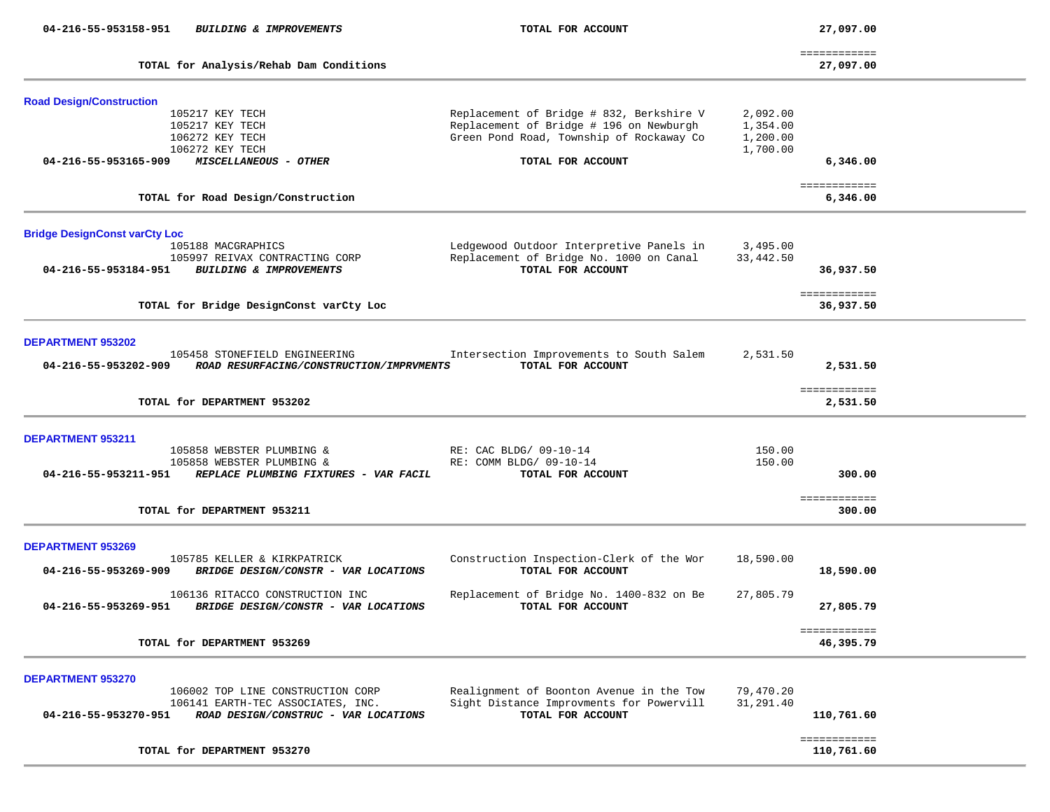| 04-216-55-953158-951                                         | <b>BUILDING &amp; IMPROVEMENTS</b>                                                                             | TOTAL FOR ACCOUNT                                                                                                               |                                              | 27,097.00                  |  |
|--------------------------------------------------------------|----------------------------------------------------------------------------------------------------------------|---------------------------------------------------------------------------------------------------------------------------------|----------------------------------------------|----------------------------|--|
|                                                              | TOTAL for Analysis/Rehab Dam Conditions                                                                        |                                                                                                                                 |                                              | ============<br>27,097.00  |  |
| <b>Road Design/Construction</b>                              | 105217 KEY TECH<br>105217 KEY TECH<br>106272 KEY TECH<br>106272 KEY TECH                                       | Replacement of Bridge # 832, Berkshire V<br>Replacement of Bridge # 196 on Newburgh<br>Green Pond Road, Township of Rockaway Co | 2,092.00<br>1,354.00<br>1,200.00<br>1,700.00 |                            |  |
| 04-216-55-953165-909                                         | MISCELLANEOUS - OTHER                                                                                          | TOTAL FOR ACCOUNT                                                                                                               |                                              | 6,346.00                   |  |
|                                                              | TOTAL for Road Design/Construction                                                                             |                                                                                                                                 |                                              | ============<br>6,346.00   |  |
| <b>Bridge DesignConst varCty Loc</b><br>04-216-55-953184-951 | 105188 MACGRAPHICS<br>105997 REIVAX CONTRACTING CORP<br><b>BUILDING &amp; IMPROVEMENTS</b>                     | Ledgewood Outdoor Interpretive Panels in<br>Replacement of Bridge No. 1000 on Canal<br>TOTAL FOR ACCOUNT                        | 3,495.00<br>33,442.50                        | 36,937.50                  |  |
|                                                              | TOTAL for Bridge DesignConst varCty Loc                                                                        |                                                                                                                                 |                                              | ============<br>36,937.50  |  |
| DEPARTMENT 953202<br>04-216-55-953202-909                    | 105458 STONEFIELD ENGINEERING<br>ROAD RESURFACING/CONSTRUCTION/IMPRVMENTS<br>TOTAL for DEPARTMENT 953202       | Intersection Improvements to South Salem<br>TOTAL FOR ACCOUNT                                                                   | 2,531.50                                     | 2,531.50<br>============   |  |
|                                                              |                                                                                                                |                                                                                                                                 |                                              | 2,531.50                   |  |
| DEPARTMENT 953211<br>04-216-55-953211-951                    | 105858 WEBSTER PLUMBING &<br>105858 WEBSTER PLUMBING &<br>REPLACE PLUMBING FIXTURES - VAR FACIL                | RE: CAC BLDG/ 09-10-14<br>RE: COMM BLDG/ 09-10-14<br>TOTAL FOR ACCOUNT                                                          | 150.00<br>150.00                             | 300.00                     |  |
|                                                              | TOTAL for DEPARTMENT 953211                                                                                    |                                                                                                                                 |                                              | ============<br>300.00     |  |
| <b>DEPARTMENT 953269</b><br>04-216-55-953269-909             | 105785 KELLER & KIRKPATRICK<br>BRIDGE DESIGN/CONSTR - VAR LOCATIONS                                            | Construction Inspection-Clerk of the Wor<br>TOTAL FOR ACCOUNT                                                                   | 18,590.00                                    | 18,590.00                  |  |
| 04-216-55-953269-951                                         | 106136 RITACCO CONSTRUCTION INC<br>BRIDGE DESIGN/CONSTR - VAR LOCATIONS                                        | Replacement of Bridge No. 1400-832 on Be<br>TOTAL FOR ACCOUNT                                                                   | 27,805.79                                    | 27,805.79                  |  |
|                                                              | TOTAL for DEPARTMENT 953269                                                                                    |                                                                                                                                 |                                              | ============<br>46,395.79  |  |
| DEPARTMENT 953270<br>04-216-55-953270-951                    | 106002 TOP LINE CONSTRUCTION CORP<br>106141 EARTH-TEC ASSOCIATES, INC.<br>ROAD DESIGN/CONSTRUC - VAR LOCATIONS | Realignment of Boonton Avenue in the Tow<br>Sight Distance Improvments for Powervill<br>TOTAL FOR ACCOUNT                       | 79,470.20<br>31,291.40                       | 110,761.60                 |  |
|                                                              | TOTAL for DEPARTMENT 953270                                                                                    |                                                                                                                                 |                                              | ============<br>110,761.60 |  |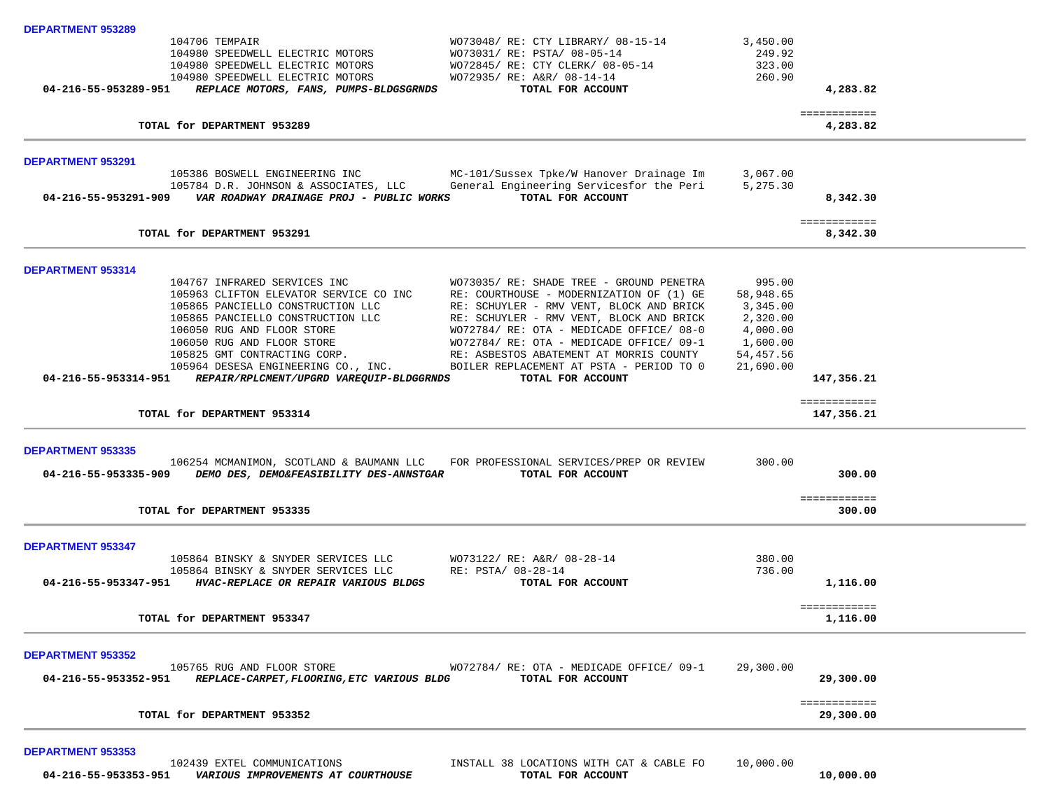| <b>DEPARTMENT 953289</b> |                                                                                   |                                                                                      |                      |                            |  |
|--------------------------|-----------------------------------------------------------------------------------|--------------------------------------------------------------------------------------|----------------------|----------------------------|--|
|                          | 104706 TEMPAIR                                                                    | WO73048/ RE: CTY LIBRARY/ 08-15-14                                                   | 3,450.00             |                            |  |
|                          | 104980 SPEEDWELL ELECTRIC MOTORS<br>104980 SPEEDWELL ELECTRIC MOTORS              | WO73031/ RE: PSTA/ 08-05-14<br>WO72845/ RE: CTY CLERK/ 08-05-14                      | 249.92<br>323.00     |                            |  |
|                          | 104980 SPEEDWELL ELECTRIC MOTORS                                                  | WO72935/ RE: A&R/ 08-14-14                                                           | 260.90               |                            |  |
| 04-216-55-953289-951     | REPLACE MOTORS, FANS, PUMPS-BLDGSGRNDS                                            | TOTAL FOR ACCOUNT                                                                    |                      | 4,283.82                   |  |
|                          | TOTAL for DEPARTMENT 953289                                                       |                                                                                      |                      | ============<br>4,283.82   |  |
|                          |                                                                                   |                                                                                      |                      |                            |  |
| <b>DEPARTMENT 953291</b> |                                                                                   |                                                                                      |                      |                            |  |
|                          | 105386 BOSWELL ENGINEERING INC                                                    | MC-101/Sussex Tpke/W Hanover Drainage Im                                             | 3,067.00             |                            |  |
|                          | 105784 D.R. JOHNSON & ASSOCIATES, LLC                                             | General Engineering Servicesfor the Peri<br>TOTAL FOR ACCOUNT                        | 5,275.30             | 8,342.30                   |  |
|                          |                                                                                   |                                                                                      |                      | ============               |  |
|                          | TOTAL for DEPARTMENT 953291                                                       |                                                                                      |                      | 8,342.30                   |  |
| DEPARTMENT 953314        |                                                                                   |                                                                                      |                      |                            |  |
|                          | 104767 INFRARED SERVICES INC                                                      | WO73035/ RE: SHADE TREE - GROUND PENETRA                                             | 995.00               |                            |  |
|                          | 105963 CLIFTON ELEVATOR SERVICE CO INC                                            | RE: COURTHOUSE - MODERNIZATION OF (1) GE                                             | 58,948.65            |                            |  |
|                          | 105865 PANCIELLO CONSTRUCTION LLC                                                 | RE: SCHUYLER - RMV VENT, BLOCK AND BRICK                                             | 3,345.00             |                            |  |
|                          | 105865 PANCIELLO CONSTRUCTION LLC<br>106050 RUG AND FLOOR STORE                   | RE: SCHUYLER - RMV VENT, BLOCK AND BRICK<br>WO72784/ RE: OTA - MEDICADE OFFICE/ 08-0 | 2,320.00<br>4,000.00 |                            |  |
|                          | 106050 RUG AND FLOOR STORE                                                        | WO72784/ RE: OTA - MEDICADE OFFICE/ 09-1                                             | 1,600.00             |                            |  |
|                          | 105825 GMT CONTRACTING CORP.                                                      | RE: ASBESTOS ABATEMENT AT MORRIS COUNTY                                              | 54,457.56            |                            |  |
|                          | 105964 DESESA ENGINEERING CO., INC.                                               | BOILER REPLACEMENT AT PSTA - PERIOD TO 0                                             | 21,690.00            |                            |  |
|                          | 04-216-55-953314-951 REPAIR/RPLCMENT/UPGRD VAREQUIP-BLDGGRNDS                     | TOTAL FOR ACCOUNT                                                                    |                      | 147,356.21                 |  |
|                          | TOTAL for DEPARTMENT 953314                                                       |                                                                                      |                      | ============<br>147,356.21 |  |
| <b>DEPARTMENT 953335</b> |                                                                                   |                                                                                      |                      |                            |  |
|                          | 106254 MCMANIMON, SCOTLAND & BAUMANN LLC FOR PROFESSIONAL SERVICES/PREP OR REVIEW |                                                                                      | 300.00               |                            |  |
|                          | 04-216-55-953335-909 DEMO DES, DEMO&FEASIBILITY DES-ANNSTGAR                      | TOTAL FOR ACCOUNT                                                                    |                      | 300.00                     |  |
|                          |                                                                                   |                                                                                      |                      | ============               |  |
|                          | TOTAL for DEPARTMENT 953335                                                       |                                                                                      |                      | 300.00                     |  |
| <b>DEPARTMENT 953347</b> |                                                                                   |                                                                                      |                      |                            |  |
|                          | 105864 BINSKY & SNYDER SERVICES LLC                                               | WO73122/ RE: A&R/ 08-28-14                                                           | 380.00               |                            |  |
|                          | 105864 BINSKY & SNYDER SERVICES LLC                                               | RE: PSTA/ 08-28-14                                                                   | 736.00               |                            |  |
|                          | 04-216-55-953347-951 HVAC-REPLACE OR REPAIR VARIOUS BLDGS                         | TOTAL FOR ACCOUNT                                                                    |                      | 1,116.00                   |  |
|                          | TOTAL for DEPARTMENT 953347                                                       |                                                                                      |                      | ============<br>1,116.00   |  |
|                          |                                                                                   |                                                                                      |                      |                            |  |
| <b>DEPARTMENT 953352</b> | 105765 RUG AND FLOOR STORE                                                        | WO72784/ RE: OTA - MEDICADE OFFICE/ 09-1                                             | 29,300.00            |                            |  |
| 04-216-55-953352-951     | REPLACE-CARPET, FLOORING, ETC VARIOUS BLDG                                        | TOTAL FOR ACCOUNT                                                                    |                      | 29,300.00                  |  |
|                          |                                                                                   |                                                                                      |                      | ============               |  |
|                          | TOTAL for DEPARTMENT 953352                                                       |                                                                                      |                      | 29,300.00                  |  |
|                          |                                                                                   |                                                                                      |                      |                            |  |
| <b>DEPARTMENT 953353</b> |                                                                                   |                                                                                      |                      |                            |  |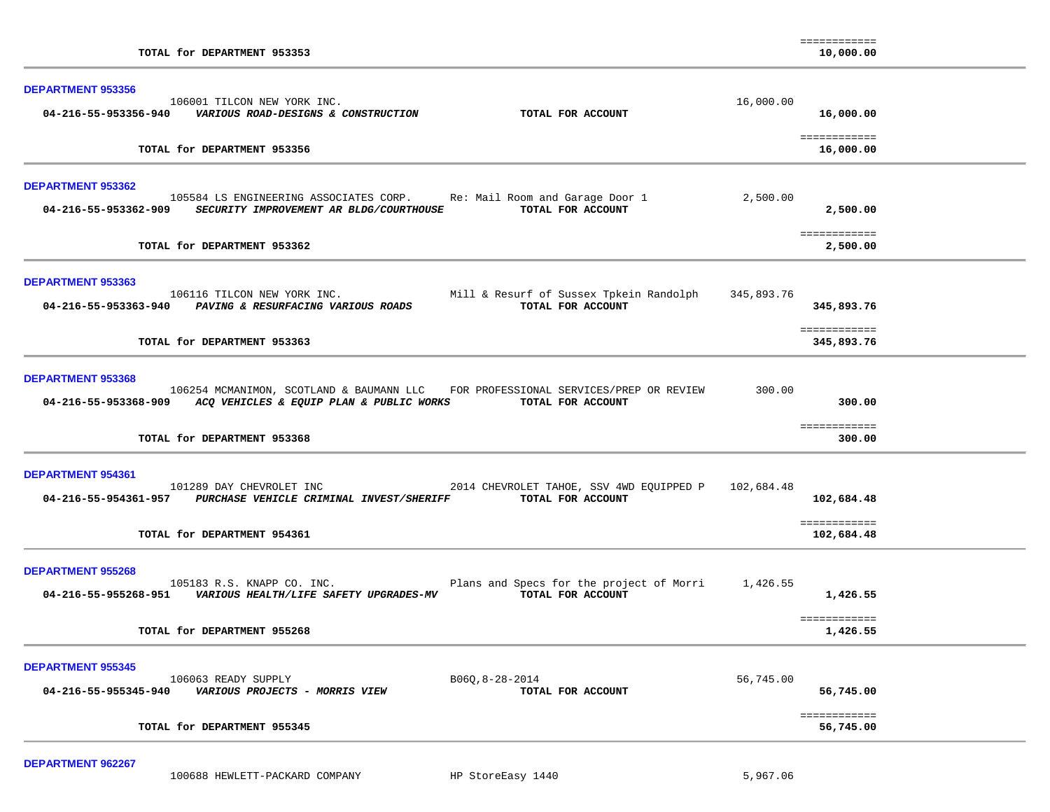| TOTAL for DEPARTMENT 953353                                                                                                                                                                       |            | ============<br>10,000.00  |  |
|---------------------------------------------------------------------------------------------------------------------------------------------------------------------------------------------------|------------|----------------------------|--|
| <b>DEPARTMENT 953356</b><br>106001 TILCON NEW YORK INC.<br>TOTAL FOR ACCOUNT                                                                                                                      | 16,000.00  | 16,000.00<br>============  |  |
| TOTAL for DEPARTMENT 953356                                                                                                                                                                       |            | 16,000.00                  |  |
| DEPARTMENT 953362<br>105584 LS ENGINEERING ASSOCIATES CORP. Re: Mail Room and Garage Door 1<br>TOTAL FOR ACCOUNT<br>04-216-55-953362-909 SECURITY IMPROVEMENT AR BLDG/COURTHOUSE                  | 2,500.00   | 2,500.00                   |  |
| TOTAL for DEPARTMENT 953362                                                                                                                                                                       |            | ============<br>2,500.00   |  |
| <b>DEPARTMENT 953363</b><br>Mill & Resurf of Sussex Tpkein Randolph<br>106116 TILCON NEW YORK INC.<br>04-216-55-953363-940 PAVING & RESURFACING VARIOUS ROADS<br>TOTAL FOR ACCOUNT                | 345,893.76 | 345,893.76                 |  |
| TOTAL for DEPARTMENT 953363                                                                                                                                                                       |            | ============<br>345,893.76 |  |
| DEPARTMENT 953368<br>106254 MCMANIMON, SCOTLAND & BAUMANN LLC FOR PROFESSIONAL SERVICES/PREP OR REVIEW<br>04-216-55-953368-909 ACQ VEHICLES & EQUIP PLAN & PUBLIC WORKS TOTAL FOR ACCOUNT         | 300.00     | 300.00                     |  |
| TOTAL for DEPARTMENT 953368                                                                                                                                                                       |            | ============<br>300.00     |  |
| <b>DEPARTMENT 954361</b><br>101289 DAY CHEVROLET INC<br>2014 CHEVROLET TAHOE, SSV 4WD EQUIPPED P 102,684.48<br>04-216-55-954361-957 PURCHASE VEHICLE CRIMINAL INVEST/SHERIFF<br>TOTAL FOR ACCOUNT |            | 102,684.48<br>============ |  |
| TOTAL for DEPARTMENT 954361                                                                                                                                                                       |            | 102,684.48                 |  |
| <b>DEPARTMENT 955268</b><br>105183 R.S. KNAPP CO. INC.<br>Plans and Specs for the project of Morri<br>04-216-55-955268-951    VARIOUS HEALTH/LIFE SAFETY UPGRADES-MV<br>TOTAL FOR ACCOUNT         | 1,426.55   | 1,426.55                   |  |
| TOTAL for DEPARTMENT 955268                                                                                                                                                                       |            | ============<br>1,426.55   |  |
| <b>DEPARTMENT 955345</b><br>106063 READY SUPPLY<br>$B06Q, 8-28-2014$<br>04-216-55-955345-940<br><i>VARIOUS PROJECTS - MORRIS VIEW</i><br>TOTAL FOR ACCOUNT                                        | 56,745.00  | 56,745.00                  |  |
| TOTAL for DEPARTMENT 955345                                                                                                                                                                       |            | ============<br>56,745.00  |  |

**DEPARTMENT 962267** 

100688 HEWLETT-PACKARD COMPANY HP StoreEasy 1440 5,967.06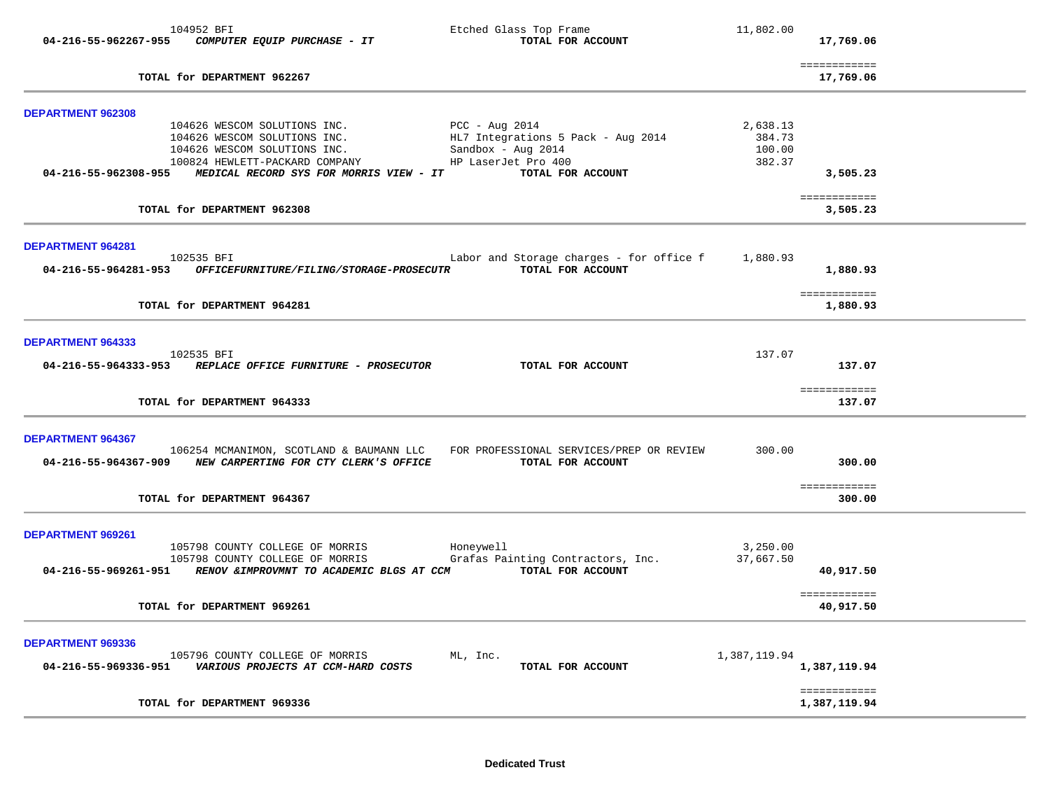|                   | 104952 BFI<br>04-216-55-962267-955 COMPUTER EQUIP PURCHASE - IT                                                                                                                | Etched Glass Top Frame<br>TOTAL FOR ACCOUNT                                | 11,802.00             | 17,769.06                        |  |
|-------------------|--------------------------------------------------------------------------------------------------------------------------------------------------------------------------------|----------------------------------------------------------------------------|-----------------------|----------------------------------|--|
|                   | TOTAL for DEPARTMENT 962267                                                                                                                                                    |                                                                            |                       | ============<br>17,769.06        |  |
| DEPARTMENT 962308 | 104626 WESCOM SOLUTIONS INC.<br>104626 WESCOM SOLUTIONS INC.                                                                                                                   | PCC - Aug 2014<br>HL7 Integrations 5 Pack - Aug 2014                       | 2,638.13<br>384.73    |                                  |  |
|                   | 104626 WESCOM SOLUTIONS INC.<br>100824 HEWLETT-PACKARD COMPANY THE HISTORIC HISTORIC PROJECT<br>04-216-55-962308-955 MEDICAL RECORD SYS FOR MORRIS VIEW - IT TOTAL FOR ACCOUNT | Sandbox - Aug 2014                                                         | 100.00<br>382.37      | 3,505.23                         |  |
|                   | TOTAL for DEPARTMENT 962308                                                                                                                                                    |                                                                            |                       | ============<br>3,505.23         |  |
| DEPARTMENT 964281 | 102535 BFI<br>04-216-55-964281-953 OFFICEFURNITURE/FILING/STORAGE-PROSECUTR                                                                                                    | Labor and Storage charges - for office $f = 1,880.93$<br>TOTAL FOR ACCOUNT |                       | 1,880.93                         |  |
|                   | TOTAL for DEPARTMENT 964281                                                                                                                                                    |                                                                            |                       | ============<br>1,880.93         |  |
| DEPARTMENT 964333 | 102535 BFI<br>04-216-55-964333-953 REPLACE OFFICE FURNITURE - PROSECUTOR                                                                                                       | TOTAL FOR ACCOUNT                                                          | 137.07                | 137.07                           |  |
|                   | TOTAL for DEPARTMENT 964333                                                                                                                                                    |                                                                            |                       | ============<br>137.07           |  |
| DEPARTMENT 964367 | 106254 MCMANIMON, SCOTLAND & BAUMANN LLC FOR PROFESSIONAL SERVICES/PREP OR REVIEW<br>04-216-55-964367-909 NEW CARPERTING FOR CTY CLERK'S OFFICE<br>TOTAL for DEPARTMENT 964367 | TOTAL FOR ACCOUNT                                                          | 300.00                | 300.00<br>============<br>300.00 |  |
|                   |                                                                                                                                                                                |                                                                            |                       |                                  |  |
| DEPARTMENT 969261 | 105798 COUNTY COLLEGE OF MORRIS<br>105798 COUNTY COLLEGE OF MORRIS<br>04-216-55-969261-951 RENOV & IMPROVMNT TO ACADEMIC BLGS AT CCM TOTAL FOR ACCOUNT                         | Honeywell<br>Grafas Painting Contractors, Inc.                             | 3,250.00<br>37,667.50 | 40,917.50                        |  |
|                   | TOTAL for DEPARTMENT 969261                                                                                                                                                    |                                                                            |                       | ============<br>40,917.50        |  |
| DEPARTMENT 969336 | 105796 COUNTY COLLEGE OF MORRIS                                                                                                                                                | ML, Inc.<br>TOTAL FOR ACCOUNT                                              | 1,387,119.94          | 1,387,119.94                     |  |
|                   | TOTAL for DEPARTMENT 969336                                                                                                                                                    |                                                                            |                       | ============<br>1,387,119.94     |  |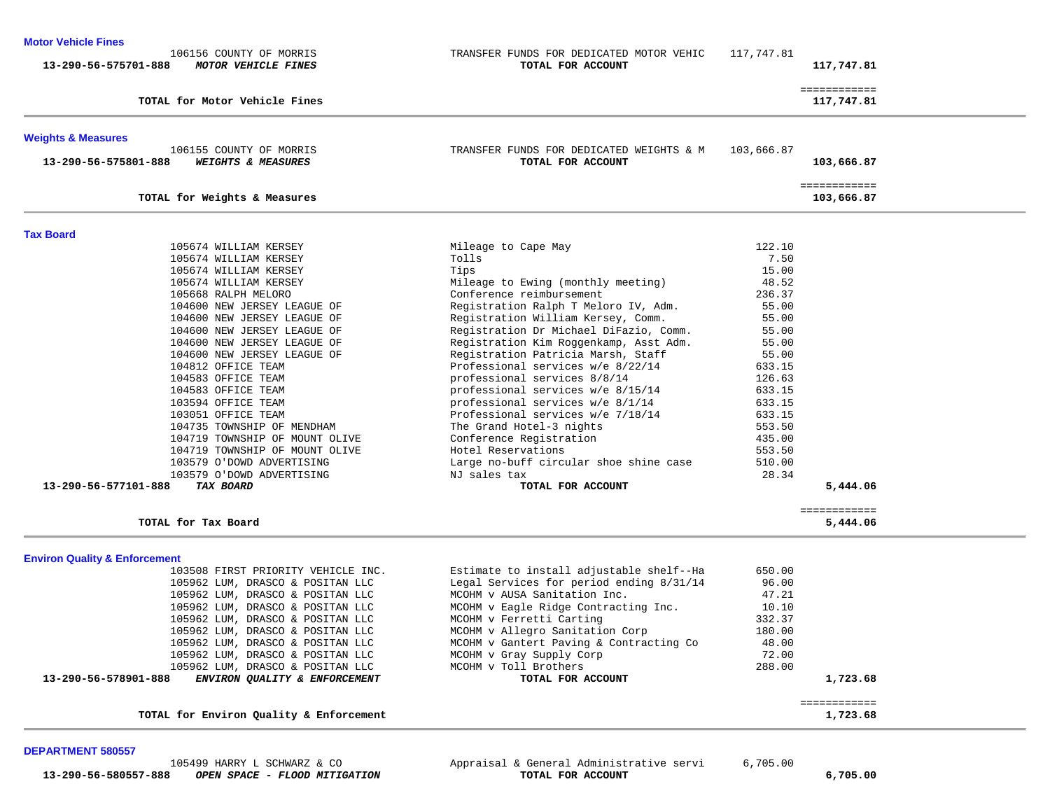### **Motor Vehicle Fines**

| TRANSFER FUNDS FOR DEDICATED MOTOR VEHIC<br>TOTAL FOR ACCOUNT | 117,747.81                                                                                                                                                                                                                                                                                                                                                                                                                                                    | 117,747.81                                                                                                                |
|---------------------------------------------------------------|---------------------------------------------------------------------------------------------------------------------------------------------------------------------------------------------------------------------------------------------------------------------------------------------------------------------------------------------------------------------------------------------------------------------------------------------------------------|---------------------------------------------------------------------------------------------------------------------------|
|                                                               |                                                                                                                                                                                                                                                                                                                                                                                                                                                               | ============                                                                                                              |
|                                                               |                                                                                                                                                                                                                                                                                                                                                                                                                                                               | 117,747.81                                                                                                                |
|                                                               |                                                                                                                                                                                                                                                                                                                                                                                                                                                               |                                                                                                                           |
| TOTAL FOR ACCOUNT                                             | 103,666.87                                                                                                                                                                                                                                                                                                                                                                                                                                                    | 103,666.87                                                                                                                |
|                                                               |                                                                                                                                                                                                                                                                                                                                                                                                                                                               | ============<br>103,666.87                                                                                                |
|                                                               |                                                                                                                                                                                                                                                                                                                                                                                                                                                               |                                                                                                                           |
|                                                               |                                                                                                                                                                                                                                                                                                                                                                                                                                                               |                                                                                                                           |
|                                                               |                                                                                                                                                                                                                                                                                                                                                                                                                                                               |                                                                                                                           |
|                                                               | 15.00                                                                                                                                                                                                                                                                                                                                                                                                                                                         |                                                                                                                           |
| Mileage to Ewing (monthly meeting)                            | 48.52                                                                                                                                                                                                                                                                                                                                                                                                                                                         |                                                                                                                           |
| Conference reimbursement                                      | 236.37                                                                                                                                                                                                                                                                                                                                                                                                                                                        |                                                                                                                           |
| Registration Ralph T Meloro IV, Adm.                          | 55.00                                                                                                                                                                                                                                                                                                                                                                                                                                                         |                                                                                                                           |
| Registration William Kersey, Comm.                            | 55.00                                                                                                                                                                                                                                                                                                                                                                                                                                                         |                                                                                                                           |
| Registration Dr Michael DiFazio, Comm.                        | 55.00                                                                                                                                                                                                                                                                                                                                                                                                                                                         |                                                                                                                           |
| Registration Kim Roggenkamp, Asst Adm.                        | 55.00                                                                                                                                                                                                                                                                                                                                                                                                                                                         |                                                                                                                           |
| Registration Patricia Marsh, Staff                            | 55.00                                                                                                                                                                                                                                                                                                                                                                                                                                                         |                                                                                                                           |
| Professional services w/e 8/22/14                             | 633.15                                                                                                                                                                                                                                                                                                                                                                                                                                                        |                                                                                                                           |
| professional services 8/8/14                                  | 126.63                                                                                                                                                                                                                                                                                                                                                                                                                                                        |                                                                                                                           |
|                                                               |                                                                                                                                                                                                                                                                                                                                                                                                                                                               |                                                                                                                           |
|                                                               |                                                                                                                                                                                                                                                                                                                                                                                                                                                               |                                                                                                                           |
|                                                               |                                                                                                                                                                                                                                                                                                                                                                                                                                                               |                                                                                                                           |
|                                                               |                                                                                                                                                                                                                                                                                                                                                                                                                                                               |                                                                                                                           |
|                                                               |                                                                                                                                                                                                                                                                                                                                                                                                                                                               |                                                                                                                           |
|                                                               |                                                                                                                                                                                                                                                                                                                                                                                                                                                               |                                                                                                                           |
|                                                               |                                                                                                                                                                                                                                                                                                                                                                                                                                                               |                                                                                                                           |
| TOTAL FOR ACCOUNT                                             |                                                                                                                                                                                                                                                                                                                                                                                                                                                               | 5,444.06                                                                                                                  |
|                                                               |                                                                                                                                                                                                                                                                                                                                                                                                                                                               | ============                                                                                                              |
|                                                               |                                                                                                                                                                                                                                                                                                                                                                                                                                                               | 5,444.06                                                                                                                  |
|                                                               |                                                                                                                                                                                                                                                                                                                                                                                                                                                               |                                                                                                                           |
|                                                               |                                                                                                                                                                                                                                                                                                                                                                                                                                                               |                                                                                                                           |
|                                                               |                                                                                                                                                                                                                                                                                                                                                                                                                                                               |                                                                                                                           |
|                                                               |                                                                                                                                                                                                                                                                                                                                                                                                                                                               |                                                                                                                           |
| MCOHM v Eagle Ridge Contracting Inc.                          | 10.10                                                                                                                                                                                                                                                                                                                                                                                                                                                         |                                                                                                                           |
| MCOHM v Ferretti Carting                                      | 332.37                                                                                                                                                                                                                                                                                                                                                                                                                                                        |                                                                                                                           |
| MCOHM v Allegro Sanitation Corp                               | 180.00                                                                                                                                                                                                                                                                                                                                                                                                                                                        |                                                                                                                           |
| MCOHM v Gantert Paving & Contracting Co                       | 48.00                                                                                                                                                                                                                                                                                                                                                                                                                                                         |                                                                                                                           |
| MCOHM v Gray Supply Corp                                      | 72.00                                                                                                                                                                                                                                                                                                                                                                                                                                                         |                                                                                                                           |
| MCOHM v Toll Brothers                                         | 288.00                                                                                                                                                                                                                                                                                                                                                                                                                                                        |                                                                                                                           |
| TOTAL FOR ACCOUNT                                             |                                                                                                                                                                                                                                                                                                                                                                                                                                                               | 1,723.68                                                                                                                  |
|                                                               |                                                                                                                                                                                                                                                                                                                                                                                                                                                               | ============<br>1,723.68                                                                                                  |
|                                                               | TRANSFER FUNDS FOR DEDICATED WEIGHTS & M<br>Mileage to Cape May<br>Tolls<br>Tips<br>professional services w/e 8/15/14<br>professional services w/e 8/1/14<br>Professional services w/e 7/18/14<br>The Grand Hotel-3 nights<br>Conference Registration<br>Hotel Reservations<br>Large no-buff circular shoe shine case<br>NJ sales tax<br>Estimate to install adjustable shelf--Ha<br>Legal Services for period ending 8/31/14<br>MCOHM v AUSA Sanitation Inc. | 122.10<br>7.50<br>633.15<br>633.15<br>633.15<br>553.50<br>435.00<br>553.50<br>510.00<br>28.34<br>650.00<br>96.00<br>47.21 |